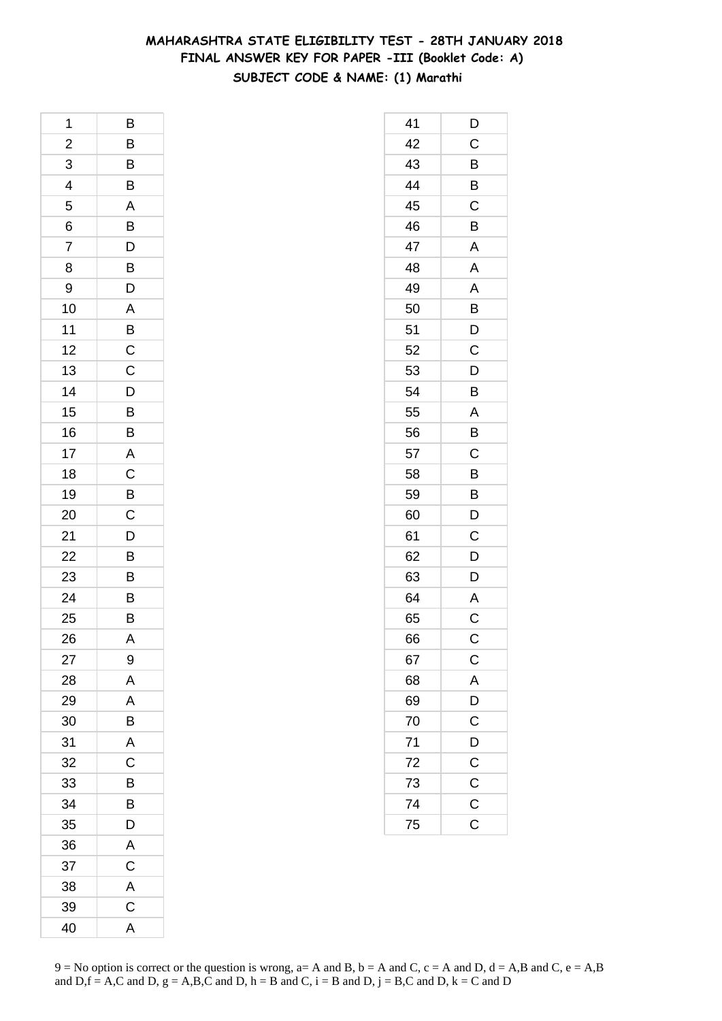### **MAHARASHTRA STATE ELIGIBILITY TEST - 28TH JANUARY 2018 FINAL ANSWER KEY FOR PAPER -III (Booklet Code: A) SUBJECT CODE & NAME: (1) Marathi**

| 1              | B                       |
|----------------|-------------------------|
| $\overline{a}$ |                         |
| $\overline{3}$ | $\frac{B}{B}$           |
| 4              | B                       |
| 5              | A                       |
| 6              | B                       |
| 7              |                         |
| 8              | $\frac{D}{D}$           |
| 9              |                         |
| 10             |                         |
| 11             | $\frac{A}{B}$           |
| 12             | $\overline{C}$          |
| 13             | $\mathsf{C}$            |
| 14             |                         |
| 15             | $\overline{D}$<br>B     |
| 16             | B                       |
| 17             | A                       |
| 18             | $\overline{\mathrm{c}}$ |
| 19             | $\overline{B}$          |
| 20             | $\frac{C}{D}$           |
| 21             |                         |
| 22             | $\overline{B}$          |
| 23             | B                       |
| 24             | B                       |
| 25             | $\overline{B}$          |
| 26             | A                       |
| 27             | 9                       |
| 28             | A                       |
| 29             | A                       |
| 30             | B                       |
| 31             | $\overline{\mathsf{A}}$ |
| 32             | $\overline{C}$          |
| 33             | $\overline{B}$          |
| 34             | B                       |
| 35             | D                       |
| 36             | A                       |
| 37             | $\mathsf C$             |
| 38             | $\mathsf{A}$            |
| 39             | $\overline{C}$          |
| 40             | A                       |

| 41 | D              |
|----|----------------|
| 42 | $\mathsf C$    |
| 43 | B              |
| 44 | B              |
| 45 | C              |
| 46 | B              |
| 47 | $\mathsf{A}$   |
| 48 | A              |
| 49 | A              |
| 50 | B              |
| 51 | D              |
| 52 | C              |
| 53 | D              |
| 54 | B              |
| 55 | A              |
| 56 | B              |
| 57 | C              |
| 58 | B              |
| 59 | B              |
| 60 | D              |
| 61 | $\overline{C}$ |
| 62 | D              |
| 63 | D              |
| 64 | A              |
| 65 | C              |
| 66 | C              |
| 67 | $\mathsf{C}$   |
| 68 | $\overline{A}$ |
| 69 | $\overline{D}$ |
| 70 | $\mathsf C$    |
| 71 | D              |
| 72 | $\mathsf{C}$   |
| 73 | $\frac{C}{C}$  |
| 74 |                |
| 75 | $\overline{C}$ |
|    |                |

 $9 = No$  option is correct or the question is wrong,  $a = A$  and B,  $b = A$  and C,  $c = A$  and D,  $d = A$ ,B and C,  $e = A$ ,B and  $D,f = A,C$  and  $D, g = A,B,C$  and  $D, h = B$  and  $C, i = B$  and  $D, j = B,C$  and  $D, k = C$  and  $D$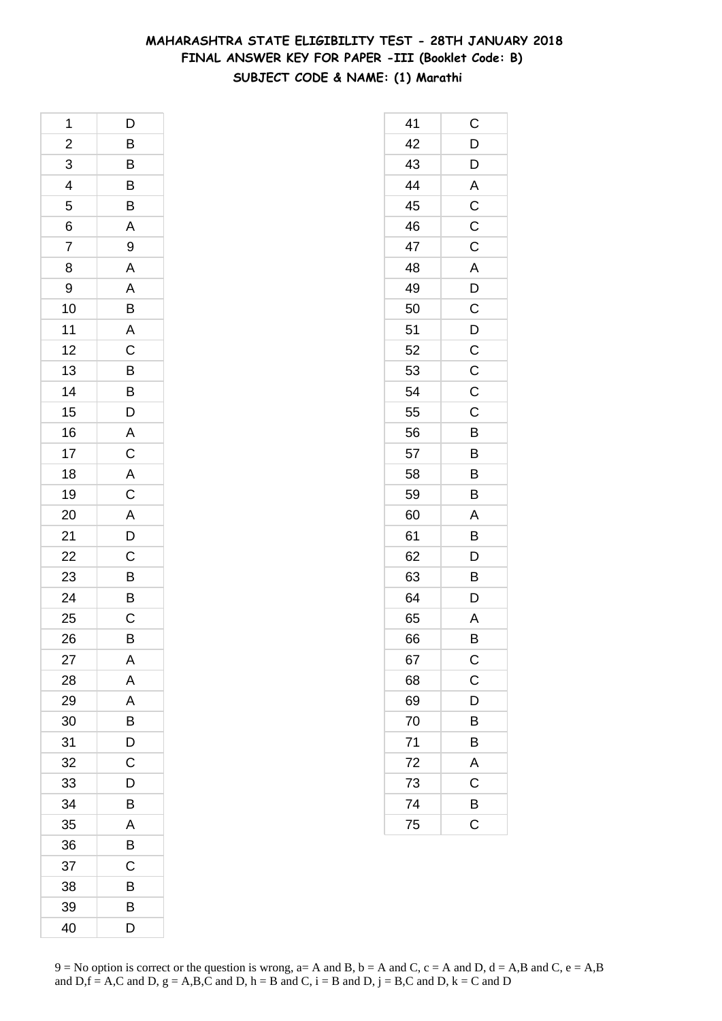### **MAHARASHTRA STATE ELIGIBILITY TEST - 28TH JANUARY 2018 FINAL ANSWER KEY FOR PAPER -III (Booklet Code: B) SUBJECT CODE & NAME: (1) Marathi**

| 1                       | D                     |
|-------------------------|-----------------------|
| $\overline{\mathbf{c}}$ | B                     |
| $\overline{3}$          | $\overline{B}$        |
| $\overline{4}$          | $\overline{B}$        |
| 5                       | $\frac{B}{A}$         |
| 6                       |                       |
| 7                       | 9                     |
| 8                       |                       |
| 9                       |                       |
| 10                      | A<br>A<br>B<br>A<br>C |
| 11                      |                       |
| 12                      |                       |
| 13                      | $\overline{B}$        |
| 14                      |                       |
| 15                      | $\frac{B}{D}$         |
| 16                      |                       |
| 17                      |                       |
| 18                      | $A$ $C$ $A$ $C$       |
| 19                      |                       |
| 20                      | $\frac{A}{D}$         |
| 21                      |                       |
| 22                      |                       |
| 23                      | $\frac{C}{B}$         |
| 24                      | $rac{B}{C}$           |
| 25                      |                       |
| 26                      | B                     |
| 27                      | Α                     |
| 28                      | A                     |
| 29                      | A                     |
| 30                      | B                     |
| 31                      | D                     |
| 32                      | C                     |
| 33                      | D                     |
| 34                      | В                     |
| 35                      | A                     |
| 36                      | B                     |
| 37                      | С                     |
| 38                      | В                     |
| 39                      | В                     |
| 40                      | D                     |

| 41             | С                       |
|----------------|-------------------------|
| 42             | $\overline{D}$          |
| 43             | D                       |
| 44             | A                       |
| 45             | $\mathsf C$             |
| 46             | $\overline{\mathsf{C}}$ |
| 47             | C                       |
| 48             | A                       |
| 49             | $\overline{D}$          |
| 50             | $\overline{C}$          |
| 51             | D                       |
| 52             | $\mathsf C$             |
| 53             | C                       |
| 54             | C                       |
| 55             | $\mathsf C$             |
| 56             | B                       |
| 57             | B                       |
| 58             | B                       |
| 59             | B                       |
| 60             | A                       |
| 61             | B                       |
| 62             | D                       |
| 63             | B                       |
| 64             | D                       |
| 65             | A                       |
| 66             | B                       |
| 67             |                         |
| 68             | $\frac{C}{C}$           |
| 69             | $\overline{D}$          |
| 70             | B                       |
| 71             | B                       |
| 72             | $\mathsf{A}$            |
| $\frac{73}{1}$ | $\overline{C}$          |
| 74             | B                       |
| 75             | $\overline{\text{c}}$   |
|                |                         |

 $9 = No$  option is correct or the question is wrong,  $a = A$  and B,  $b = A$  and C,  $c = A$  and D,  $d = A$ ,B and C,  $e = A$ ,B and  $D,f = A,C$  and  $D, g = A,B,C$  and  $D, h = B$  and  $C, i = B$  and  $D, j = B,C$  and  $D, k = C$  and  $D$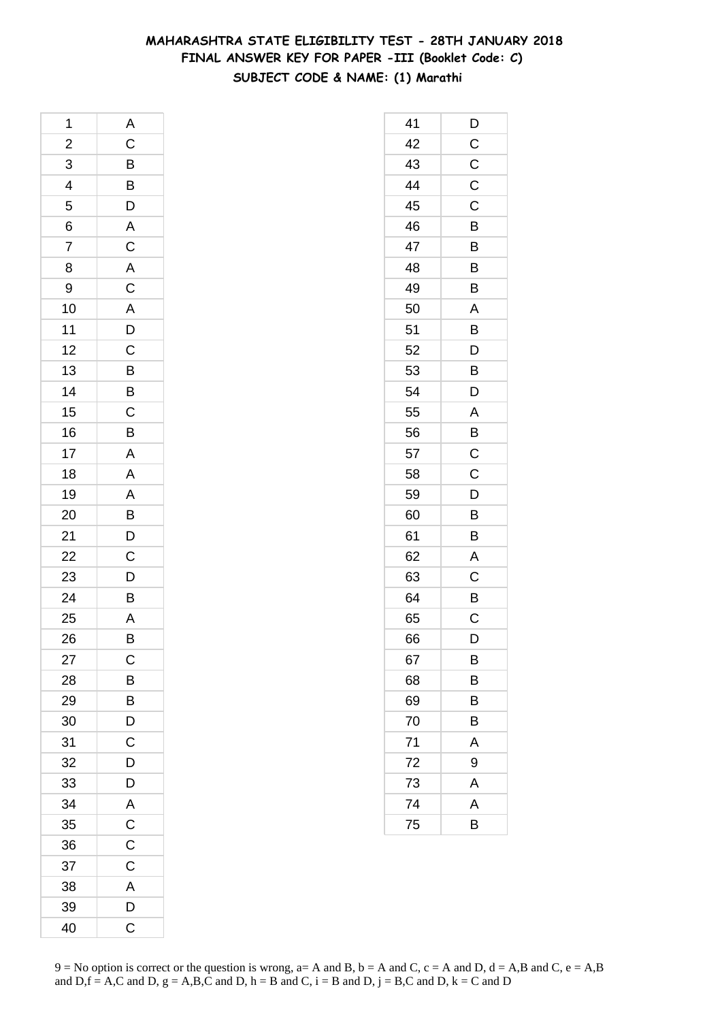### **MAHARASHTRA STATE ELIGIBILITY TEST - 28TH JANUARY 2018 FINAL ANSWER KEY FOR PAPER -III (Booklet Code: C) SUBJECT CODE & NAME: (1) Marathi**

| 1              | A                                                   |
|----------------|-----------------------------------------------------|
| $\overline{a}$ |                                                     |
| $\overline{3}$ | $C$ $B$ $B$ $D$ $A$ $C$                             |
| $\overline{4}$ |                                                     |
| 5              |                                                     |
| 6              |                                                     |
| 7              |                                                     |
| 8              | $\frac{\mathsf{A}}{\mathsf{C}}$                     |
| 9              |                                                     |
| 10             | $\overline{A}$<br>$\overline{D}$<br>$\overline{C}$  |
| 11             |                                                     |
| 12             |                                                     |
| 13             | B                                                   |
| 14             | $\overline{B}$ $\overline{C}$ $\overline{B}$        |
| 15             |                                                     |
| 16             |                                                     |
| 17             | $\overline{\mathsf{A}}$                             |
| 18             | $\overline{A}$                                      |
| 19             |                                                     |
| 20             |                                                     |
| 21             | $\overline{AB}$<br>$\overline{B}$<br>$\overline{D}$ |
| 22             | $\frac{1}{C}$                                       |
| 23             | $\frac{1}{D}$                                       |
| 24             | B                                                   |
| 25             | A                                                   |
| 26             | $\overline{B}$                                      |
| 27             | $\mathsf{C}$                                        |
| 28             | B                                                   |
| 29             | B                                                   |
| 30             | D                                                   |
| 31             | C                                                   |
| 32             | D                                                   |
| 33             | D                                                   |
| 34             | $\mathsf{A}$                                        |
| 35             | $\mathsf{C}$                                        |
| 36             | C                                                   |
| 37             | $\mathsf C$                                         |
| 38             | A                                                   |
| 39             | D                                                   |
| 40             | C                                                   |

| 41 | D                       |
|----|-------------------------|
| 42 | $\mathsf{C}$            |
| 43 | $\mathsf{C}$            |
| 44 | $\mathsf C$             |
| 45 | C                       |
| 46 | B                       |
| 47 | B                       |
| 48 | B                       |
| 49 | B                       |
| 50 | A                       |
| 51 | B                       |
| 52 | D                       |
| 53 | B                       |
| 54 | D                       |
| 55 | A                       |
| 56 | B                       |
| 57 | $\overline{\mathbf{C}}$ |
| 58 | C                       |
| 59 | D                       |
| 60 | B                       |
| 61 | B                       |
| 62 | A                       |
| 63 | C                       |
| 64 | B                       |
| 65 | C                       |
| 66 | D                       |
| 67 | В                       |
| 68 | B                       |
| 69 | В                       |
| 70 | В                       |
| 71 | A                       |
| 72 | 9                       |
| 73 | A                       |
| 74 | A                       |
| 75 | B                       |
|    |                         |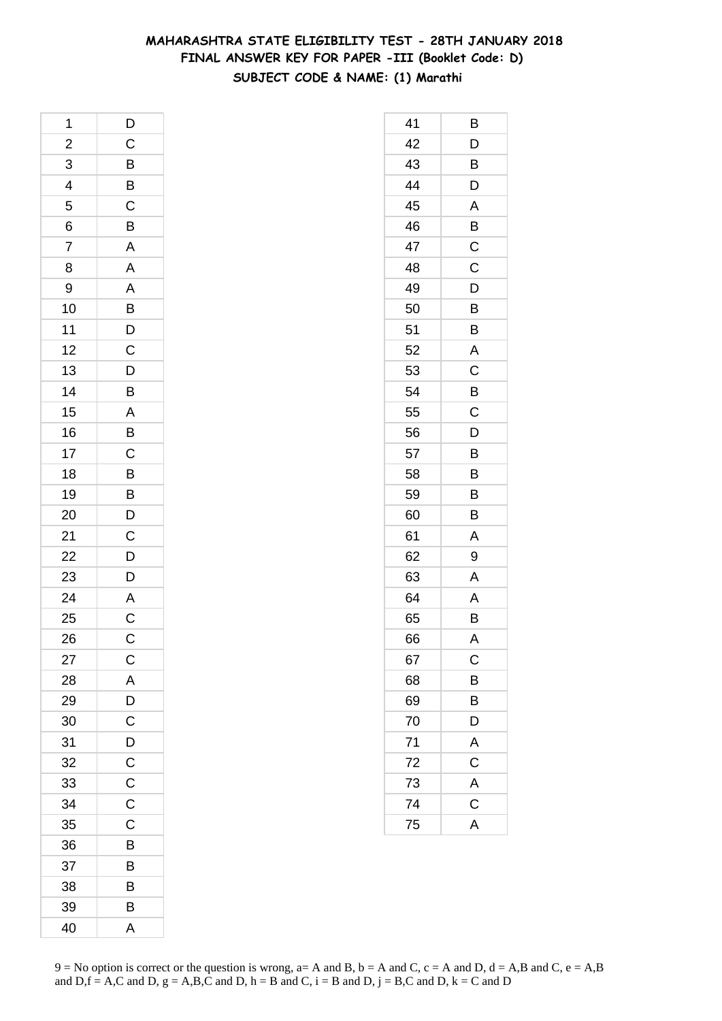### **MAHARASHTRA STATE ELIGIBILITY TEST - 28TH JANUARY 2018 FINAL ANSWER KEY FOR PAPER -III (Booklet Code: D) SUBJECT CODE & NAME: (1) Marathi**

| 1                       | $\overline{D}$                                                       |
|-------------------------|----------------------------------------------------------------------|
| $\overline{\mathbf{c}}$ | $\frac{1}{C}$                                                        |
| 3                       |                                                                      |
| 4                       | B<br>B<br>C<br>B                                                     |
| 5                       |                                                                      |
| 6                       |                                                                      |
| $\overline{7}$          | $\overline{A}$                                                       |
| 8                       | A A B D C                                                            |
| 9                       |                                                                      |
| 10                      |                                                                      |
| 11                      |                                                                      |
| 12                      |                                                                      |
| 13                      |                                                                      |
| 14                      |                                                                      |
| 15                      | DBABC                                                                |
| 16                      |                                                                      |
| 17                      |                                                                      |
| 18                      |                                                                      |
| 19                      |                                                                      |
| 20                      |                                                                      |
| 21                      | $\overline{B}$<br>$\overline{B}$<br>$\overline{D}$<br>$\overline{C}$ |
| 22                      |                                                                      |
| 23                      | $\frac{D}{D}$                                                        |
| 24                      |                                                                      |
| 25                      | $rac{A}{C}$                                                          |
| 26                      | $\overline{C}$                                                       |
| 27                      | C                                                                    |
| 28                      | A                                                                    |
| 29                      | D                                                                    |
| 30                      | $\mathsf C$                                                          |
| 31                      | D                                                                    |
| 32                      | $\overline{C}$                                                       |
| 33                      | $\mathsf C$                                                          |
| 34                      | C                                                                    |
| 35                      | C                                                                    |
| 36                      | B                                                                    |
| 37                      | В                                                                    |
| 38                      | B                                                                    |
| 39                      | B                                                                    |
| 40                      | A                                                                    |

| 41 | В                       |
|----|-------------------------|
| 42 | D                       |
| 43 | B                       |
| 44 | D                       |
| 45 | A                       |
| 46 | B                       |
| 47 | $\mathsf C$             |
| 48 | C                       |
| 49 | D                       |
| 50 | B                       |
| 51 | B                       |
| 52 | A                       |
| 53 | C                       |
| 54 | B                       |
| 55 | $\mathsf C$             |
| 56 | D                       |
| 57 | B                       |
| 58 | B                       |
| 59 | B                       |
| 60 | B                       |
| 61 | Α                       |
| 62 | 9                       |
| 63 | Α                       |
| 64 | A                       |
| 65 | B                       |
| 66 | A                       |
| 67 | $\mathsf{C}$            |
| 68 | B                       |
| 69 | B                       |
| 70 | D                       |
| 71 | A                       |
| 72 | $\mathsf C$             |
| 73 | $\overline{\mathsf{A}}$ |
| 74 | $\overline{C}$          |
| 75 | A                       |
|    |                         |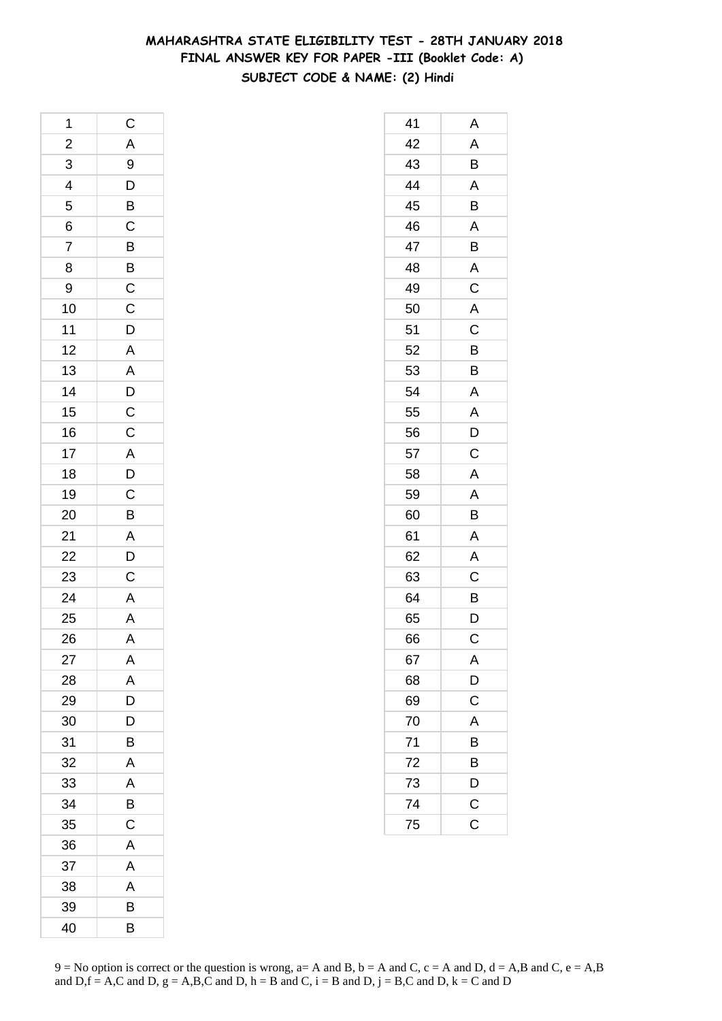### **MAHARASHTRA STATE ELIGIBILITY TEST - 28TH JANUARY 2018 FINAL ANSWER KEY FOR PAPER -III (Booklet Code: A) SUBJECT CODE & NAME: (2) Hindi**

| 1                                                     |                                                     |
|-------------------------------------------------------|-----------------------------------------------------|
|                                                       |                                                     |
|                                                       |                                                     |
| $2 \overline{3}$ 4 5 6 7                              |                                                     |
|                                                       |                                                     |
|                                                       |                                                     |
|                                                       |                                                     |
| 8                                                     |                                                     |
| 9                                                     |                                                     |
| 10                                                    |                                                     |
| 11                                                    |                                                     |
| 12                                                    |                                                     |
| 13                                                    |                                                     |
| 14                                                    |                                                     |
| 15                                                    |                                                     |
| 16                                                    |                                                     |
| 17                                                    |                                                     |
| 18                                                    |                                                     |
| 19                                                    |                                                     |
| 20                                                    |                                                     |
|                                                       |                                                     |
|                                                       |                                                     |
|                                                       |                                                     |
| $\frac{21}{22}$<br>$\frac{23}{24}$<br>$\frac{24}{25}$ | C A 9 D B C B B C C D A A D C C A D C B A D C A A A |
|                                                       |                                                     |
| 26                                                    |                                                     |
| 27                                                    | Α                                                   |
| 28                                                    | A                                                   |
| 29                                                    | D                                                   |
| 30                                                    | D                                                   |
| 31                                                    | В                                                   |
| 32                                                    | A                                                   |
| 33                                                    | A                                                   |
| 34                                                    | B                                                   |
| 35                                                    | C                                                   |
| 36                                                    | A                                                   |
| 37                                                    | A                                                   |
| 38                                                    | A                                                   |
| 39                                                    | В                                                   |
| 40                                                    | B                                                   |

| 41              | Α                     |
|-----------------|-----------------------|
| 42              | A                     |
| 43              | B                     |
| 44              | A                     |
| 45              | B                     |
| 46              | A                     |
| 47              | B                     |
| 48              | Α                     |
| 49              | $\mathsf C$           |
| 50              | A                     |
| 51              | $\mathsf C$           |
| 52              | B                     |
| 53              | B                     |
| 54              | Α                     |
| 55              | A                     |
| 56              | D                     |
| 57              | C                     |
| 58              | A                     |
| 59              | A                     |
| 60              | B                     |
| 61              | Α                     |
| 62              | A                     |
| 63              | C                     |
| 64              | B                     |
| 65              | D                     |
| 66              | С                     |
| 67              | A                     |
| 68              | $\frac{D}{C}$         |
| 69              |                       |
| 70              | A                     |
| 71              | B                     |
| 72              | B                     |
| $\overline{73}$ | $\bar{D}$             |
| $\overline{74}$ | $\overline{c}$        |
| 75              | $\overline{\text{c}}$ |
|                 |                       |

 $9 = No$  option is correct or the question is wrong,  $a = A$  and B,  $b = A$  and C,  $c = A$  and D,  $d = A$ ,B and C,  $e = A$ ,B and  $D,f = A,C$  and  $D, g = A,B,C$  and  $D, h = B$  and  $C, i = B$  and  $D, j = B,C$  and  $D, k = C$  and  $D$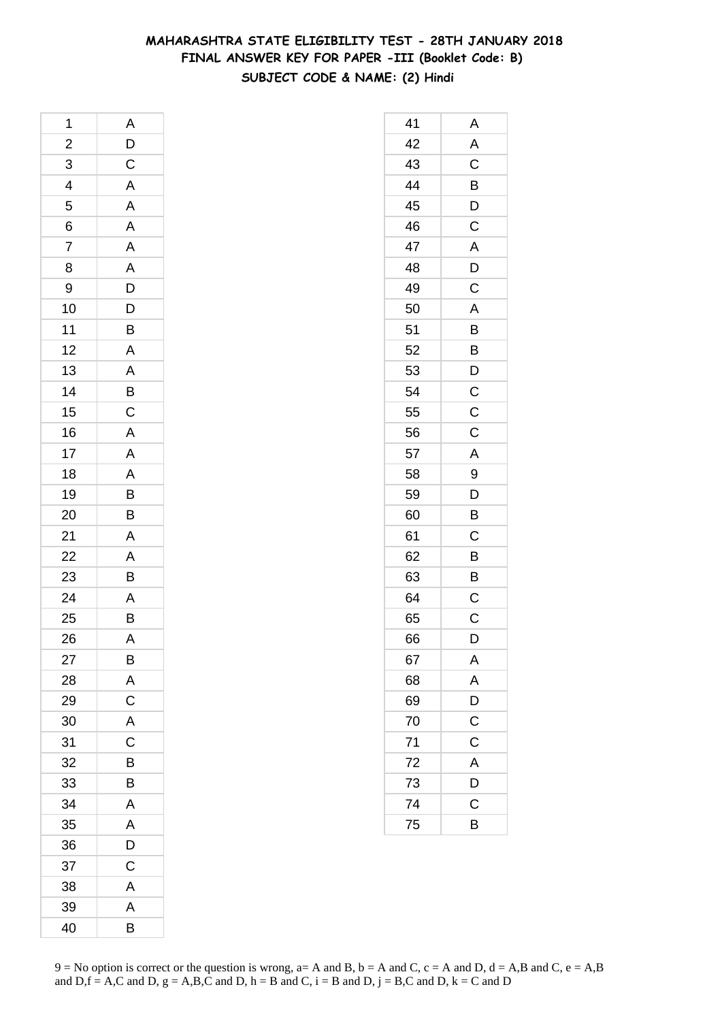### **MAHARASHTRA STATE ELIGIBILITY TEST - 28TH JANUARY 2018 FINAL ANSWER KEY FOR PAPER -III (Booklet Code: B) SUBJECT CODE & NAME: (2) Hindi**

| 1                       | A                     |
|-------------------------|-----------------------|
| $\overline{\mathbf{c}}$ |                       |
| $\overline{3}$          | $\frac{D}{C}$         |
| $\overline{4}$          |                       |
| 5                       | $\frac{A}{A}$         |
| 6                       |                       |
| $\overline{7}$          |                       |
| 8                       |                       |
| 9                       |                       |
| 10                      | A<br>A<br>D<br>D<br>D |
| 11                      | $\overline{B}$        |
| 12                      | A                     |
| 13                      |                       |
| 14                      | $\frac{A}{B}$         |
| 15                      |                       |
| 16                      | A A A B B             |
| 17                      |                       |
| 18                      |                       |
| 19                      |                       |
| 20                      |                       |
| 21                      | $\overline{A}$        |
| $\overline{22}$         | $\frac{A}{B}$         |
| 23                      |                       |
| 24                      | $\frac{A}{B}$         |
| 25                      |                       |
| 26                      | A                     |
| 27                      | В                     |
| 28                      | A                     |
| 29                      | $\mathsf{C}$          |
| 30                      | A                     |
| 31                      | C                     |
| 32                      | B                     |
| 33                      | B                     |
| 34                      | A                     |
| 35                      | A                     |
| 36                      | D                     |
| 37                      | C                     |
| 38                      | A                     |
| 39                      | A                     |
| 40                      | B                     |

| 41 | Α              |
|----|----------------|
| 42 | $\mathsf{A}$   |
| 43 | C              |
| 44 | $\overline{B}$ |
| 45 | D              |
| 46 | C              |
| 47 | $\mathsf{A}$   |
| 48 | D              |
| 49 | C              |
| 50 | A              |
| 51 | B              |
| 52 | B              |
| 53 | D              |
| 54 | $\mathsf{C}$   |
| 55 | $\mathsf C$    |
| 56 | C              |
| 57 | A              |
| 58 | 9              |
| 59 | D              |
| 60 | B              |
| 61 | С              |
| 62 | B              |
| 63 | B              |
| 64 | C              |
| 65 | $\mathsf C$    |
| 66 | D              |
| 67 | A              |
| 68 | A              |
| 69 | $\overline{D}$ |
| 70 | $\mathsf C$    |
| 71 | C              |
| 72 | A              |
| 73 | D              |
| 74 | C              |
| 75 | B              |
|    |                |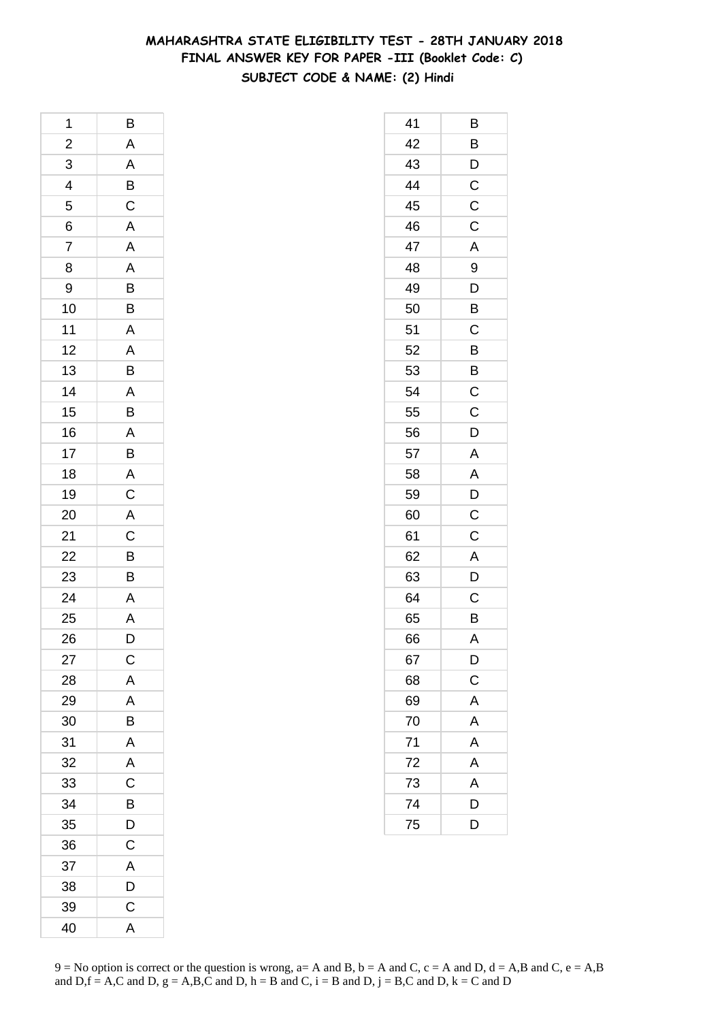### **MAHARASHTRA STATE ELIGIBILITY TEST - 28TH JANUARY 2018 FINAL ANSWER KEY FOR PAPER -III (Booklet Code: C) SUBJECT CODE & NAME: (2) Hindi**

| 1              | B                       |
|----------------|-------------------------|
|                |                         |
| $\frac{2}{3}$  |                         |
| $\overline{4}$ | A A B C A A A B B A A B |
| 5              |                         |
| 6              |                         |
| $\overline{7}$ |                         |
| 8              |                         |
| 9              |                         |
| 10             |                         |
| 11             |                         |
| 12             |                         |
| 13             |                         |
| 14             |                         |
| 15             | A B A B A C             |
| 16             |                         |
| 17             |                         |
| 18             |                         |
| 19             |                         |
| 20             | A<br>C<br>B<br>B        |
| 21             |                         |
| 22             |                         |
| 23             |                         |
| 24             |                         |
| 25             | $rac{A}{A}$             |
| 26             | $\overline{\mathsf{D}}$ |
| 27             | С                       |
| 28             | A                       |
| 29             | A                       |
| 30             | B                       |
| 31             | A                       |
| 32             | A                       |
| 33             | C                       |
| 34             | B                       |
| 35             | D                       |
| 36             | C                       |
| 37             | A                       |
| 38             | D                       |
| 39             | $\mathsf{C}$            |
| 40             | A                       |

| 41 | В                       |
|----|-------------------------|
| 42 | B                       |
| 43 | D                       |
| 44 | $\mathsf{C}$            |
| 45 | $\mathsf C$             |
| 46 | C                       |
| 47 | A                       |
| 48 | 9                       |
| 49 | ֞<br>ิ์ว                |
| 50 | B                       |
| 51 | C                       |
| 52 | B                       |
| 53 | B                       |
| 54 | $\mathsf C$             |
| 55 | $\mathsf C$             |
| 56 | D                       |
| 57 | A                       |
| 58 | A                       |
| 59 | D                       |
| 60 | $\overline{c}$          |
| 61 | C                       |
| 62 | $\mathsf{A}$            |
| 63 | D                       |
| 64 | C                       |
| 65 | B                       |
| 66 | $\overline{A}$          |
| 67 | D                       |
| 68 | $\overline{C}$          |
| 69 | A                       |
| 70 | A                       |
| 71 | $\overline{A}$          |
| 72 | A                       |
| 73 | $\overline{\mathsf{A}}$ |
| 74 | $\overline{D}$          |
| 75 | D                       |
|    |                         |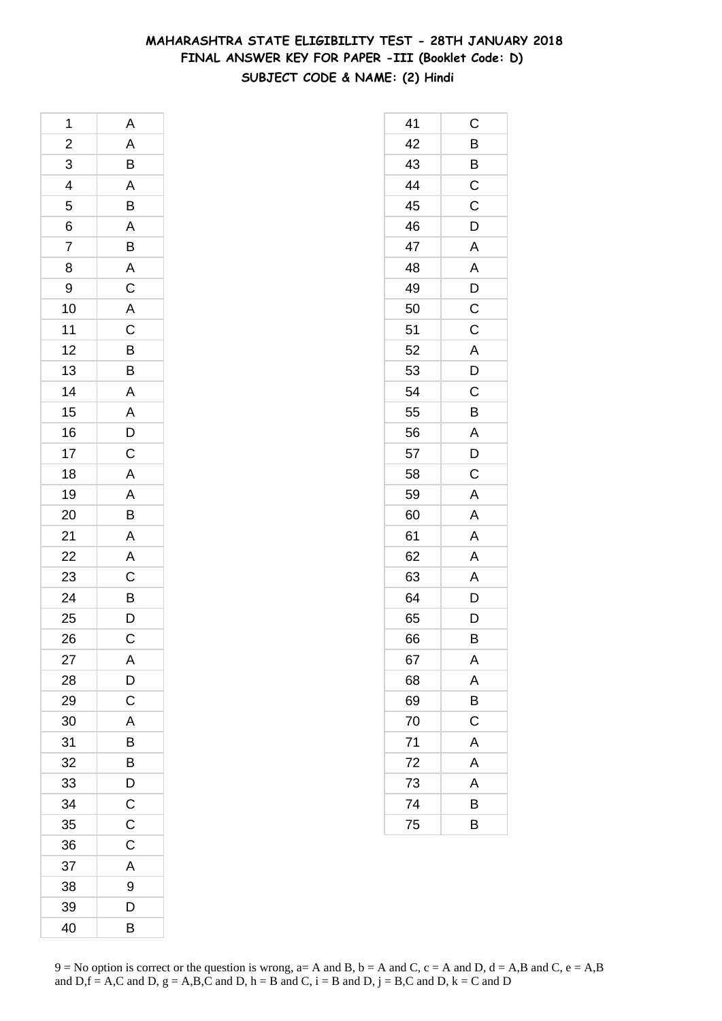### **MAHARASHTRA STATE ELIGIBILITY TEST - 28TH JANUARY 2018 FINAL ANSWER KEY FOR PAPER -III (Booklet Code: D) SUBJECT CODE & NAME: (2) Hindi**

| 1                       | A                        |
|-------------------------|--------------------------|
| $\overline{\mathbf{c}}$ | $rac{A}{B}$              |
| 3                       |                          |
| 4                       | $\overline{A}$           |
| 5                       | $\overline{B}$           |
| $\overline{6}$          | A B A C A C B B          |
| 7                       |                          |
| 8                       |                          |
| 9                       |                          |
| 10                      |                          |
| 11                      |                          |
| 12                      |                          |
| 13                      |                          |
| 14                      | A<br>A<br>D<br>C         |
| 15                      |                          |
| 16                      |                          |
| 17                      |                          |
| 18                      | $\frac{\overline{A}}{A}$ |
| 19                      |                          |
| 20                      | $\frac{A}{B}$            |
| 21                      |                          |
| 22                      | A<br>C<br>B<br>D         |
| 23                      |                          |
| <b>24</b>               |                          |
| 25                      |                          |
| 26                      | $\overline{C}$           |
| 27                      | A                        |
| 28                      | D                        |
| 29                      | C                        |
| 30                      | A                        |
| 31                      | B                        |
| 32                      | B                        |
| 33                      | D                        |
| 34                      | $\mathsf C$              |
| 35                      | $\mathsf C$              |
| 36                      | $\mathsf C$              |
| 37                      | A                        |
| 38                      | 9                        |
| 39                      | D                        |
| 40                      | B                        |

| 41 | С                       |
|----|-------------------------|
| 42 | B                       |
| 43 | B                       |
| 44 | $\mathsf C$             |
| 45 | $\mathsf C$             |
| 46 | D                       |
| 47 | A                       |
| 48 | A                       |
| 49 | $\overline{D}$          |
| 50 | $\overline{\mathrm{c}}$ |
| 51 | C                       |
| 52 | A                       |
| 53 | D                       |
| 54 | C                       |
| 55 | B                       |
| 56 | A                       |
| 57 | D                       |
| 58 | $\mathsf C$             |
| 59 | A                       |
| 60 | A                       |
| 61 | A                       |
| 62 | $\mathsf{A}$            |
| 63 | A                       |
| 64 | D                       |
| 65 | D                       |
| 66 | В                       |
| 67 | A                       |
| 68 | A                       |
| 69 | B                       |
| 70 | C                       |
| 71 | $\mathsf{A}$            |
| 72 | A                       |
| 73 | A                       |
| 74 | B                       |
| 75 | B                       |
|    |                         |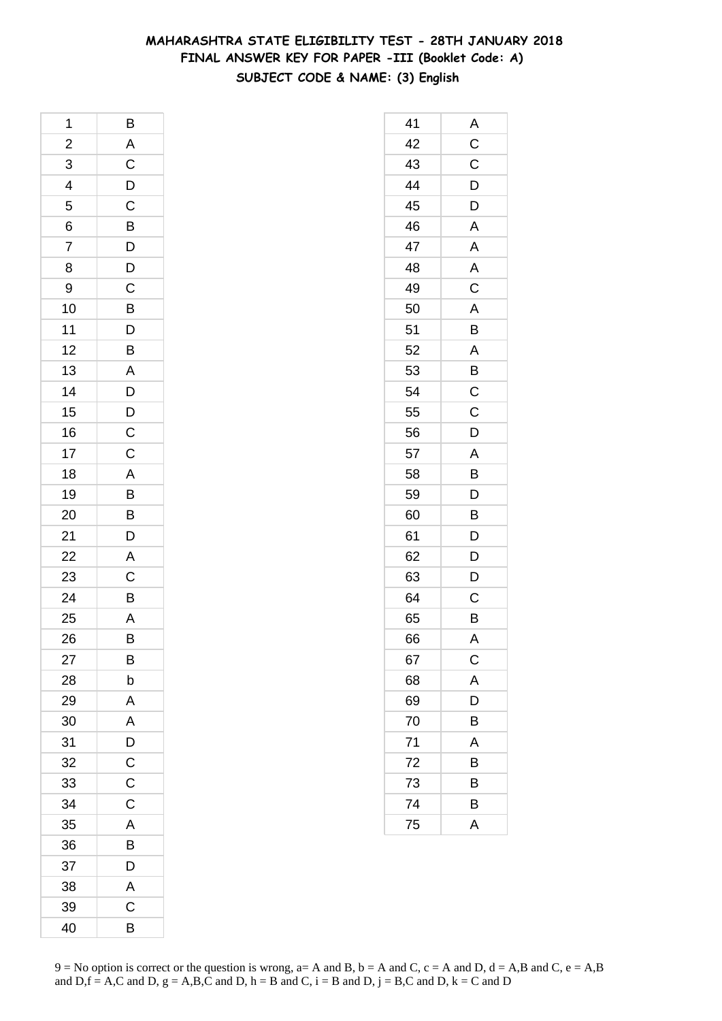# **MAHARASHTRA STATE ELIGIBILITY TEST - 28TH JANUARY 2018 FINAL ANSWER KEY FOR PAPER -III (Booklet Code: A) SUBJECT CODE & NAME: (3) English**

| 1                                                               | B                                                                    |
|-----------------------------------------------------------------|----------------------------------------------------------------------|
|                                                                 | A                                                                    |
|                                                                 |                                                                      |
| $\begin{array}{c}\n 2 \\  3 \\  4 \\  \hline\n 5\n \end{array}$ | $\overline{C}$<br>$\overline{D}$<br>$\overline{C}$<br>$\overline{B}$ |
|                                                                 |                                                                      |
| $\frac{6}{7}$                                                   |                                                                      |
|                                                                 |                                                                      |
| 8                                                               | $D$ $D$ $C$ $B$ $D$ $B$ $D$                                          |
| 9                                                               |                                                                      |
| 10                                                              |                                                                      |
| 11                                                              |                                                                      |
| 12                                                              |                                                                      |
| 13                                                              |                                                                      |
| 14                                                              | $\begin{array}{c}\nA \\ D \\ C\n\end{array}$                         |
| 15                                                              |                                                                      |
| 16                                                              |                                                                      |
| 17                                                              | $\overline{C}$                                                       |
| 18                                                              |                                                                      |
| 19                                                              | $\frac{A}{B}$                                                        |
| 20                                                              |                                                                      |
| 21                                                              | $\mathsf{D}$                                                         |
| 22                                                              |                                                                      |
| 23                                                              | $rac{A}{C}$                                                          |
| $\overline{24}$                                                 | $\overline{B}$                                                       |
| 25                                                              | $\overline{A}$                                                       |
| 26                                                              | $\overline{B}$                                                       |
| 27                                                              | Β                                                                    |
| 28                                                              | b                                                                    |
| 29                                                              | A                                                                    |
| 30                                                              | A                                                                    |
| 31                                                              | D                                                                    |
| 32                                                              | $\mathsf C$                                                          |
| 33                                                              | C                                                                    |
| 34                                                              | C                                                                    |
| 35                                                              | A                                                                    |
| 36                                                              | B                                                                    |
| 37                                                              | D                                                                    |
| 38                                                              | A                                                                    |
| 39                                                              | C                                                                    |
| 40                                                              | B                                                                    |

| 41 | A                       |
|----|-------------------------|
| 42 | $\frac{C}{C}$           |
| 43 |                         |
| 44 | D                       |
| 45 | $\overline{D}$          |
| 46 | $\mathsf{A}$            |
| 47 | A                       |
| 48 | $\overline{\mathsf{A}}$ |
| 49 | $\overline{\mathbf{C}}$ |
| 50 | $\mathsf{A}$            |
| 51 | B                       |
| 52 | A                       |
| 53 | $\overline{B}$          |
| 54 | $\mathsf{C}$            |
| 55 | $\overline{C}$          |
| 56 | $\overline{D}$          |
| 57 | A                       |
| 58 | B                       |
| 59 | $\mathsf{D}$            |
| 60 | B                       |
| 61 | $\overline{D}$          |
| 62 | $\overline{D}$          |
| 63 | D                       |
| 64 | $\mathsf C$             |
| 65 | B                       |
| 66 | A                       |
| 67 | $\mathsf{C}$            |
| 68 | A                       |
| 69 | D                       |
| 70 | Β                       |
| 71 | Α                       |
| 72 | В                       |
| 73 | B                       |
| 74 | B                       |
| 75 | A                       |
|    |                         |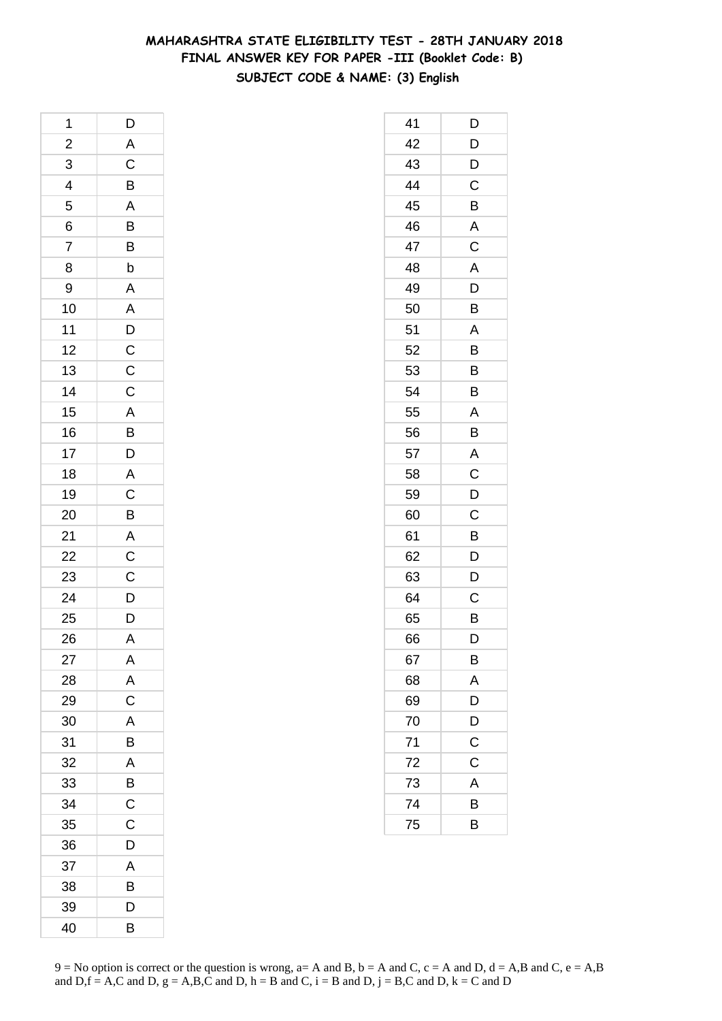# **MAHARASHTRA STATE ELIGIBILITY TEST - 28TH JANUARY 2018 FINAL ANSWER KEY FOR PAPER -III (Booklet Code: B) SUBJECT CODE & NAME: (3) English**

| 1                           | D                                 |
|-----------------------------|-----------------------------------|
|                             |                                   |
| $\frac{2}{3}$ $\frac{4}{5}$ | A C B A B                         |
|                             |                                   |
|                             |                                   |
|                             |                                   |
| $\frac{6}{7}$               | $\frac{B}{b}$                     |
| 8                           |                                   |
| 9                           |                                   |
| 10                          | A<br>A<br>D<br>C<br>C             |
| 11                          |                                   |
| 12                          |                                   |
| 13                          |                                   |
| 14                          | $\mathsf{C}$                      |
| 15                          |                                   |
| 16                          |                                   |
| 17                          |                                   |
| 18                          |                                   |
| 19                          |                                   |
| 20                          | A B D A C B                       |
| 21                          | $\overline{AC}$<br>$\overline{C}$ |
| 22                          |                                   |
| 23                          |                                   |
| 24                          | $\overline{D}$                    |
| 25                          | D                                 |
| 26                          | $\overline{A}$                    |
| 27                          | A                                 |
| 28                          | A                                 |
| 29                          | $\overline{\text{c}}$             |
| 30                          | A                                 |
| 31                          | B                                 |
| 32                          | A                                 |
| 33                          | B                                 |
| 34                          | $\mathsf{C}$                      |
| 35                          | $\mathsf C$                       |
| 36                          | D                                 |
| 37                          | A                                 |
| 38                          | B                                 |
| 39                          | D                                 |
| 40                          | B                                 |

| 41 | D                       |
|----|-------------------------|
| 42 | D                       |
| 43 | D                       |
| 44 | C                       |
| 45 | B                       |
| 46 | A                       |
| 47 | C                       |
| 48 | A                       |
| 49 | D                       |
| 50 | B                       |
| 51 | A                       |
| 52 | B                       |
| 53 | В                       |
| 54 | B                       |
| 55 | A                       |
| 56 | B                       |
| 57 | A                       |
| 58 | C                       |
| 59 | D                       |
| 60 | C                       |
| 61 | B                       |
| 62 | D                       |
| 63 | D                       |
| 64 | C                       |
| 65 | B                       |
| 66 | D                       |
| 67 | B                       |
| 68 | A                       |
| 69 | $\overline{\mathsf{D}}$ |
| 70 | D                       |
| 71 | C                       |
| 72 | C                       |
| 73 | A                       |
| 74 | В                       |
| 75 | B                       |
|    |                         |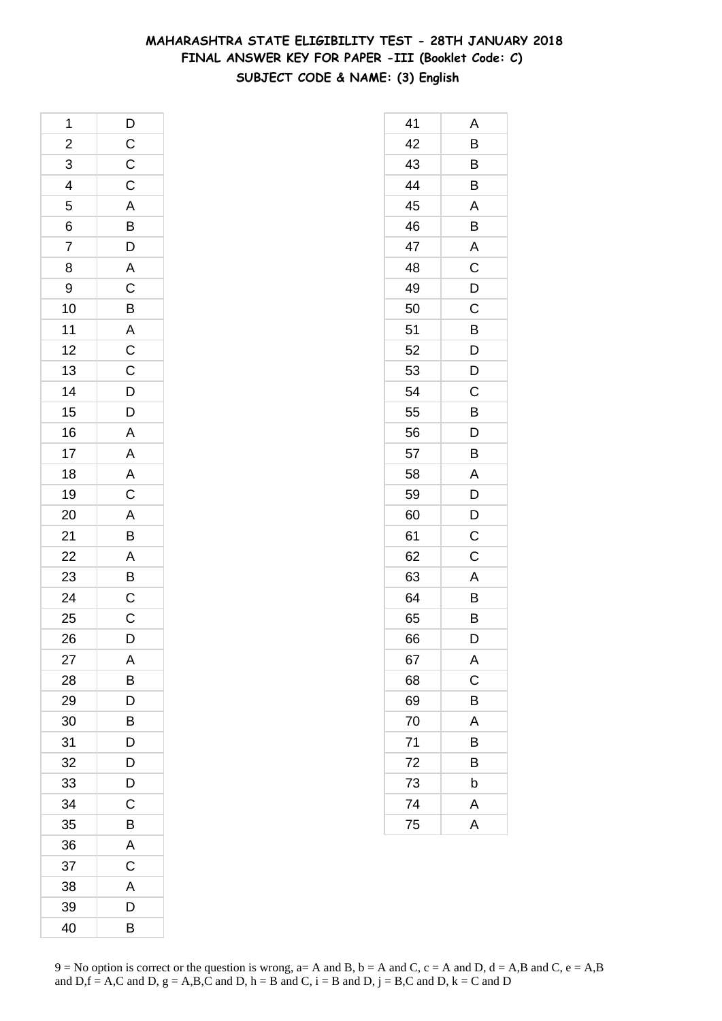# **MAHARASHTRA STATE ELIGIBILITY TEST - 28TH JANUARY 2018 FINAL ANSWER KEY FOR PAPER -III (Booklet Code: C) SUBJECT CODE & NAME: (3) English**

| 1               | $\mathsf{D}$                                                         |
|-----------------|----------------------------------------------------------------------|
|                 |                                                                      |
| $\frac{2}{3}$   | $\frac{C}{C}$                                                        |
| $\overline{4}$  |                                                                      |
| 5               |                                                                      |
| 6               |                                                                      |
| 7               | $\frac{A}{B}$                                                        |
| 8               |                                                                      |
| 9               |                                                                      |
| 10              | A C B A C C D D A A A C                                              |
| 11              |                                                                      |
| 12              |                                                                      |
| 13              |                                                                      |
| 14              |                                                                      |
| 15              |                                                                      |
| 16              |                                                                      |
| 17              |                                                                      |
| 18              |                                                                      |
| 19              |                                                                      |
| 20              |                                                                      |
| 21              | $\frac{A}{B}$                                                        |
| $\frac{22}{23}$ |                                                                      |
|                 |                                                                      |
| 24              | $\overline{A}$<br>$\overline{B}$<br>$\overline{C}$<br>$\overline{C}$ |
| 25              |                                                                      |
| 26              | D                                                                    |
| 27              | A                                                                    |
| 28              | B                                                                    |
| 29              | D                                                                    |
| 30              | B                                                                    |
| 31              | D                                                                    |
| 32              | D                                                                    |
| 33              | D                                                                    |
| 34              | C                                                                    |
| 35              | B                                                                    |
| 36              | A                                                                    |
| 37              | C                                                                    |
| 38              | A                                                                    |
| 39              | D                                                                    |
| 40              | B                                                                    |

| 41 | Α                       |
|----|-------------------------|
| 42 | B                       |
| 43 | B                       |
| 44 | B                       |
| 45 | A                       |
| 46 | B                       |
| 47 | $\mathsf{A}$            |
| 48 | $\overline{\mathrm{c}}$ |
| 49 | D                       |
| 50 | $\mathsf C$             |
| 51 | B                       |
| 52 | D                       |
| 53 | D                       |
| 54 | C                       |
| 55 | B                       |
| 56 | D                       |
| 57 | B                       |
| 58 | A                       |
| 59 | D                       |
| 60 | D                       |
| 61 | C                       |
| 62 | C                       |
| 63 | A                       |
| 64 | B                       |
| 65 | B                       |
| 66 | D                       |
| 67 | A                       |
| 68 | C                       |
| 69 | B                       |
| 70 | A                       |
| 71 | B                       |
| 72 | В                       |
| 73 | b                       |
| 74 | A                       |
| 75 | A                       |
|    |                         |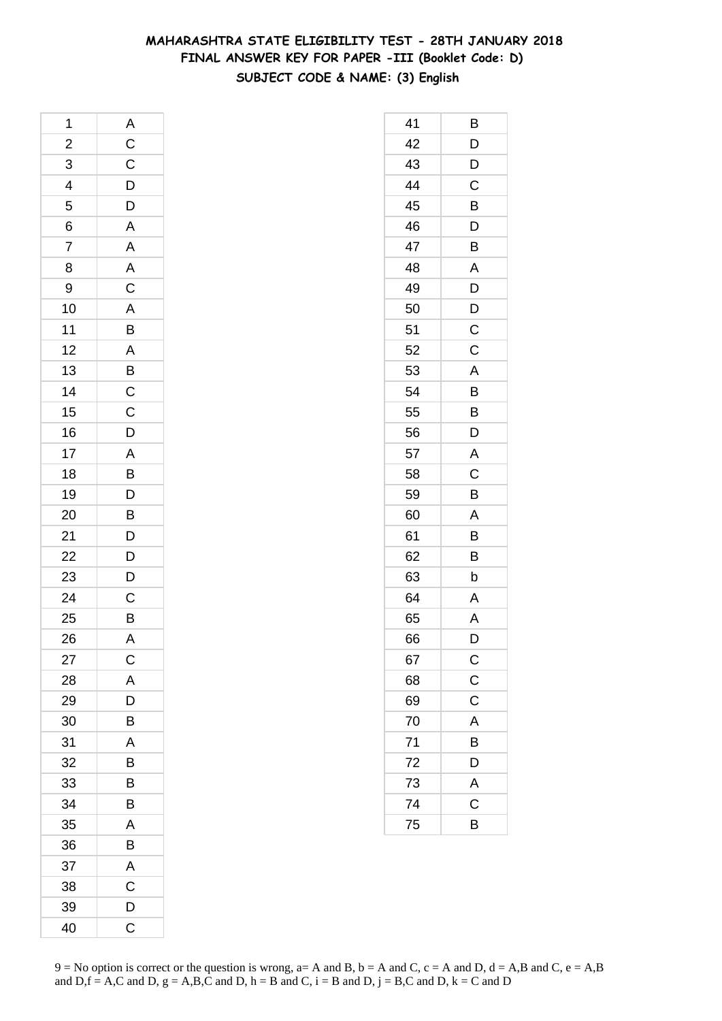# **MAHARASHTRA STATE ELIGIBILITY TEST - 28TH JANUARY 2018 FINAL ANSWER KEY FOR PAPER -III (Booklet Code: D) SUBJECT CODE & NAME: (3) English**

| 1              | A                                                                           |
|----------------|-----------------------------------------------------------------------------|
| $\overline{c}$ | $rac{C}{D}$                                                                 |
| 3              |                                                                             |
| 4              |                                                                             |
| 5              | $\overline{D}$                                                              |
| 6              | $\overline{A}$                                                              |
| 7              |                                                                             |
| 8              |                                                                             |
| 9              | A A C A B A B C C D                                                         |
| 10             |                                                                             |
| 11             |                                                                             |
| 12             |                                                                             |
| 13             |                                                                             |
| 14             |                                                                             |
| 15             |                                                                             |
| 16             |                                                                             |
| 17             |                                                                             |
| 18             |                                                                             |
| 19             |                                                                             |
| 20             |                                                                             |
| 21             | $\overline{AB}$ $\overline{D}$ $\overline{B}$ $\overline{D}$ $\overline{D}$ |
| 22             |                                                                             |
| 23             | $\frac{D}{D}$                                                               |
| 24             |                                                                             |
| 25             | $\frac{C}{B}$                                                               |
| 26             | A                                                                           |
| 27             | C                                                                           |
| 28             | A                                                                           |
| 29             | D                                                                           |
| 30             | B                                                                           |
| 31             | A                                                                           |
| 32             | B                                                                           |
| 33             | B                                                                           |
| 34             | B                                                                           |
| 35             | A                                                                           |
| 36             | B                                                                           |
| 37             | A                                                                           |
| 38             | $\mathsf C$                                                                 |
| 39             | D                                                                           |
| 40             | C                                                                           |

| 41 | В              |
|----|----------------|
| 42 | D              |
| 43 | D              |
| 44 | C              |
| 45 | Β              |
| 46 | D              |
| 47 | B              |
| 48 | A              |
| 49 | D              |
| 50 | D              |
| 51 | $\mathsf C$    |
| 52 | C              |
| 53 | Α              |
| 54 | B              |
| 55 | B              |
| 56 | D              |
| 57 | $\overline{A}$ |
| 58 | C              |
| 59 | B              |
| 60 | A              |
| 61 | Β              |
| 62 | B              |
| 63 | b              |
| 64 | A              |
| 65 | A              |
| 66 | D              |
| 67 | $\mathsf{C}$   |
| 68 | $\mathsf C$    |
| 69 | $\mathsf C$    |
| 70 | A              |
| 71 | B              |
| 72 | D              |
| 73 | A              |
| 74 | C              |
| 75 | B              |
|    |                |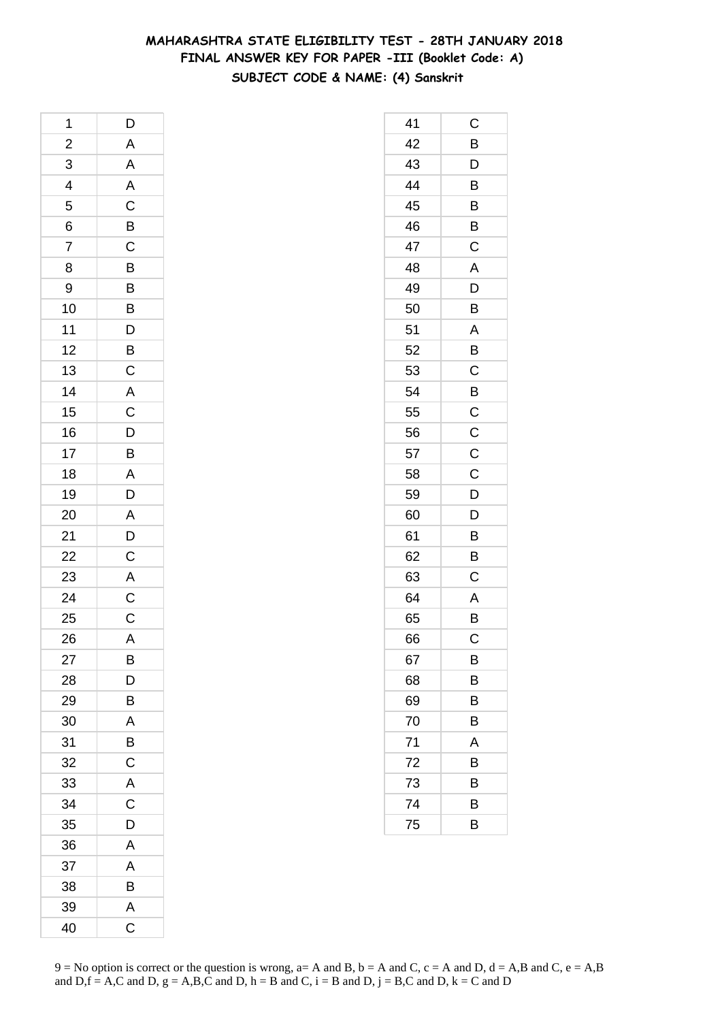### **MAHARASHTRA STATE ELIGIBILITY TEST - 28TH JANUARY 2018 FINAL ANSWER KEY FOR PAPER -III (Booklet Code: A) SUBJECT CODE & NAME: (4) Sanskrit**

| 1              | $\mathsf{D}$                    |
|----------------|---------------------------------|
| $\overline{c}$ |                                 |
|                | A A A C B C B B B D B C A C D B |
| $\frac{3}{4}$  |                                 |
| 5              |                                 |
| 6              |                                 |
| $\overline{7}$ |                                 |
| 8              |                                 |
| 9              |                                 |
| 10             |                                 |
| 11             |                                 |
| 12             |                                 |
| 13             |                                 |
| 14             |                                 |
| 15             |                                 |
| 16             |                                 |
| 17             |                                 |
| 18             |                                 |
| 19             | A<br>D                          |
| 20             | A D C A C C                     |
| 21             |                                 |
| 22             |                                 |
| 23             |                                 |
| 24             |                                 |
| 25             |                                 |
| 26             | A                               |
| 27             | B                               |
| 28             | D                               |
| 29             | B                               |
| 30             | A                               |
| 31             | B                               |
| 32             | $\mathsf{C}$                    |
| 33             | A                               |
| 34             | C                               |
| 35             | D                               |
| 36             | A                               |
| 37             | A                               |
| 38             | B                               |
| 39             | A                               |
| 40             | C                               |

| 41              | С              |
|-----------------|----------------|
| 42              | B              |
| 43              | D              |
| 44              | B              |
| 45              | B              |
| 46              | B              |
| 47              | C              |
| 48              | A              |
| 49              | D              |
| 50              | B              |
| 51              | A              |
| 52              | B              |
| 53              | C              |
| 54              | $\overline{B}$ |
| 55              | $\mathsf C$    |
| 56              | $\overline{C}$ |
| 57              | $\mathsf C$    |
| 58              | C              |
| 59              | D              |
| 60              | D              |
| 61              | B              |
| 62              | B              |
| 63              | C              |
| 64              | A              |
| 65              | B              |
| 66              | С              |
| 67              | В              |
| 68              | В              |
| 69              | В              |
| 70              | В              |
| $\overline{71}$ | A              |
| 72              | В              |
| 73              | В              |
| 74              | В              |
| 75              | B              |
|                 |                |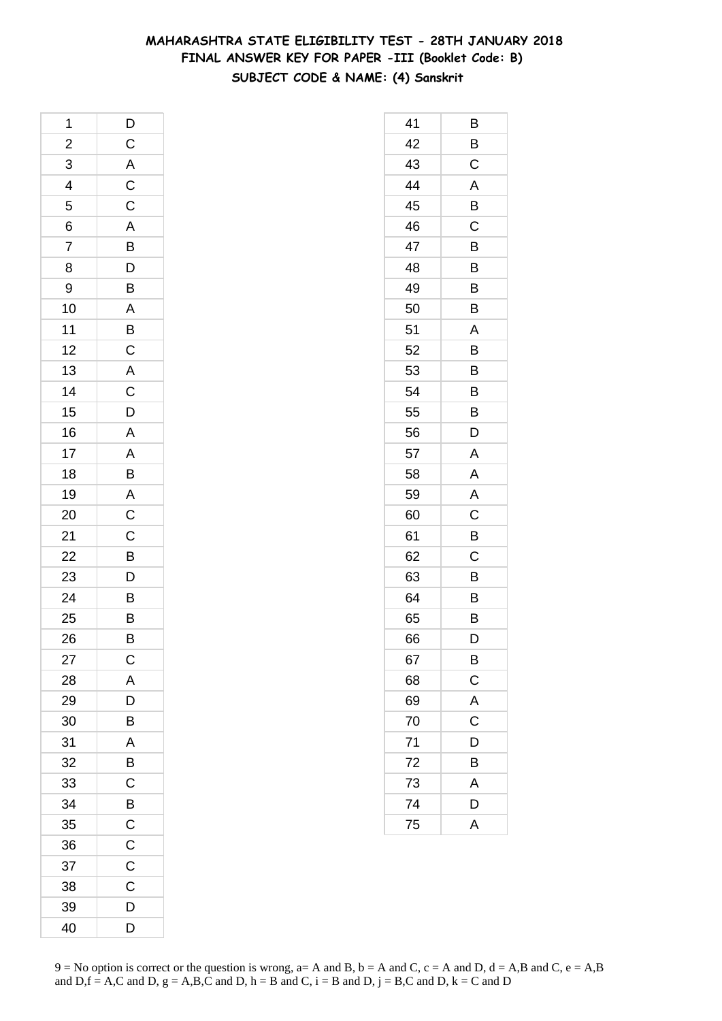### **MAHARASHTRA STATE ELIGIBILITY TEST - 28TH JANUARY 2018 FINAL ANSWER KEY FOR PAPER -III (Booklet Code: B) SUBJECT CODE & NAME: (4) Sanskrit**

| 1              | D                                                   |
|----------------|-----------------------------------------------------|
| $\overline{a}$ | $\mathsf{C}$                                        |
| $\overline{3}$ | $\frac{A}{C}$                                       |
| $\overline{4}$ |                                                     |
| 5              |                                                     |
| 6              |                                                     |
| $\overline{7}$ | C A B D B                                           |
| 8              |                                                     |
| 9              |                                                     |
| 10             | $\overline{AB}$<br>$\overline{B}$<br>$\overline{C}$ |
| 11             |                                                     |
| 12             |                                                     |
| 13             |                                                     |
| 14             |                                                     |
| 15             | $\overline{AC}$<br>$\overline{D}$                   |
| 16             | $\overline{A}$                                      |
| 17             |                                                     |
| 18             | A<br>B<br>A<br>C                                    |
| 19             |                                                     |
| 20             |                                                     |
| 21             | $\overline{C}$<br>$\overline{D}$                    |
| 22             |                                                     |
| 23             |                                                     |
| 24             |                                                     |
| 25             | B<br>B                                              |
| 26             | B                                                   |
| 27             | $\mathsf C$                                         |
| 28             | A                                                   |
| 29             | D                                                   |
| 30             | B                                                   |
| 31             | A                                                   |
| 32             | B                                                   |
| 33             | C                                                   |
| 34             | B                                                   |
| 35             | $\mathsf C$                                         |
| 36             | C                                                   |
| 37             | C                                                   |
| 38             | C                                                   |
| 39             | D                                                   |
| 40             | D                                                   |

| 41 | В           |
|----|-------------|
| 42 | B           |
| 43 | C           |
| 44 | A           |
| 45 | B           |
| 46 | C           |
| 47 | Β           |
| 48 | Β           |
| 49 | B           |
| 50 | B           |
| 51 | A           |
| 52 | B           |
| 53 | Β           |
| 54 | B           |
| 55 | B           |
| 56 | D           |
| 57 | A           |
| 58 | A           |
| 59 | Α           |
| 60 | C           |
| 61 | B           |
| 62 | C           |
| 63 | B           |
| 64 | B           |
| 65 | Β           |
| 66 | D           |
| 67 | B           |
| 68 | $\mathsf C$ |
| 69 | A           |
| 70 | C           |
| 71 | D           |
| 72 | B           |
| 73 | A           |
| 74 | D           |
| 75 | A           |
|    |             |

 $9 = No$  option is correct or the question is wrong,  $a = A$  and B,  $b = A$  and C,  $c = A$  and D,  $d = A$ ,B and C,  $e = A$ ,B and  $D,f = A,C$  and  $D, g = A,B,C$  and  $D, h = B$  and  $C, i = B$  and  $D, j = B,C$  and  $D, k = C$  and  $D$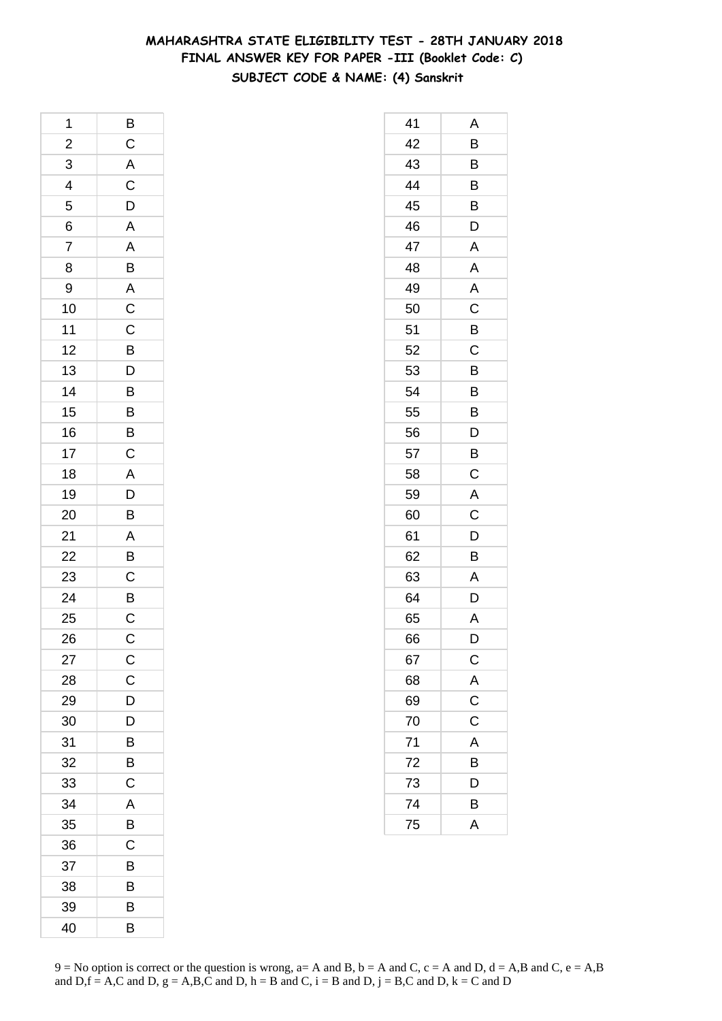### **MAHARASHTRA STATE ELIGIBILITY TEST - 28TH JANUARY 2018 FINAL ANSWER KEY FOR PAPER -III (Booklet Code: C) SUBJECT CODE & NAME: (4) Sanskrit**

| 1               | B                 |
|-----------------|-------------------|
| $\overline{c}$  | $\mathsf{C}$      |
| $\overline{3}$  |                   |
| $\overline{4}$  | A<br>C            |
| 5               | $\overline{D}$    |
| 6               | A                 |
| $\overline{7}$  |                   |
| 8               |                   |
| 9               |                   |
| 10              | $A$ B $A$ C C $C$ |
| 11              |                   |
| 12              |                   |
| 13              |                   |
| 14              | BDBBB             |
| 15              |                   |
| 16              |                   |
| 17              | $\overline{C}$    |
| 18              | $\overline{A}$    |
| 19              |                   |
| 20              | $\frac{D}{B}$     |
| 21              |                   |
| $\overline{22}$ |                   |
| 23              | $\frac{A}{B}$     |
| 24              | $\frac{B}{C}$     |
| 25              |                   |
| 26              | $\mathsf{C}$      |
| 27              | $\mathsf{C}$      |
| 28              | $\mathsf C$       |
| 29              | D                 |
| 30              | D                 |
| 31              | B                 |
| 32              | B                 |
| 33              | $\mathsf C$       |
| 34              | A                 |
| 35              | B                 |
| 36              | C                 |
| 37              | B                 |
| 38              | B                 |
| 39              | B                 |
| 40              | B                 |

| 41 | Α              |
|----|----------------|
| 42 | $\overline{B}$ |
| 43 | B              |
| 44 | B              |
| 45 | B              |
| 46 | D              |
| 47 | A              |
| 48 | $\mathsf{A}$   |
| 49 | A              |
| 50 | $\overline{C}$ |
| 51 | B              |
| 52 | C              |
| 53 | B              |
| 54 | B              |
| 55 | B              |
| 56 | D              |
| 57 | B              |
| 58 | C              |
| 59 | A              |
| 60 | $\mathsf C$    |
| 61 | $\overline{D}$ |
| 62 | $\overline{B}$ |
| 63 | A              |
| 64 | D              |
| 65 | A              |
| 66 | D              |
| 67 | $\mathsf{C}$   |
| 68 | $\frac{A}{C}$  |
| 69 |                |
| 70 | C              |
| 71 | A              |
| 72 | B              |
| 73 | D              |
| 74 | B              |
| 75 | A              |
|    |                |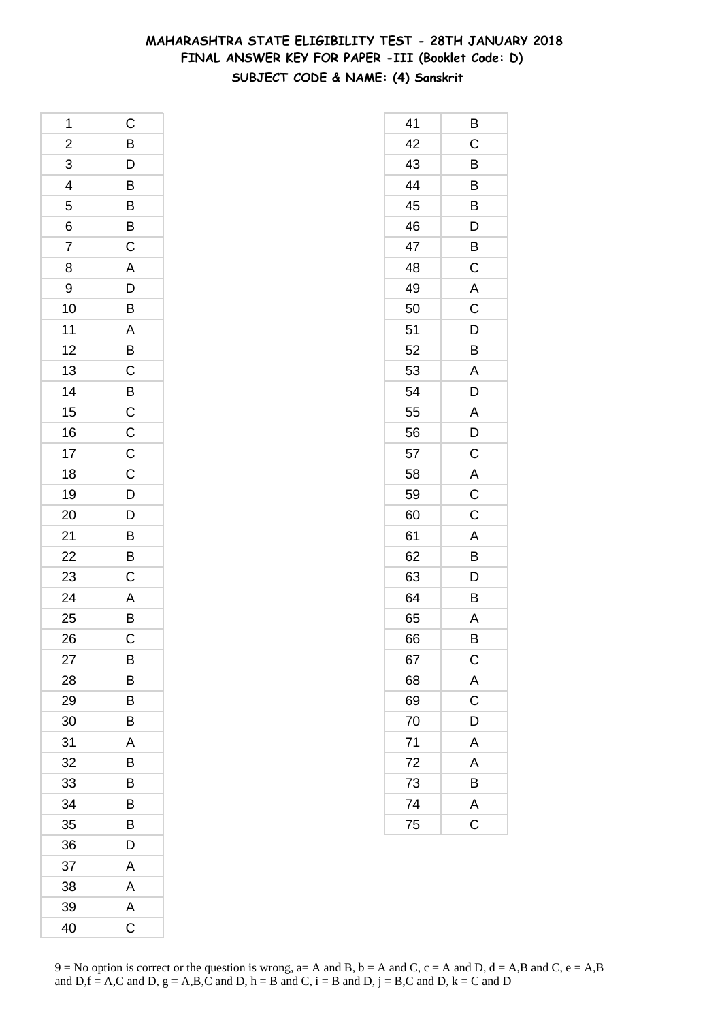### **MAHARASHTRA STATE ELIGIBILITY TEST - 28TH JANUARY 2018 FINAL ANSWER KEY FOR PAPER -III (Booklet Code: D) SUBJECT CODE & NAME: (4) Sanskrit**

| 1              | C                                            |
|----------------|----------------------------------------------|
| $\overline{a}$ |                                              |
| $\overline{3}$ |                                              |
| $\overline{4}$ | BDBBBC                                       |
| 5              |                                              |
| 6              |                                              |
| $\overline{7}$ |                                              |
| 8              | $\begin{array}{c}\nA \\ D \\ B\n\end{array}$ |
| 9              |                                              |
| 10             |                                              |
| 11             | $\overline{A}$<br>$B$<br>$C$                 |
| 12             |                                              |
| 13             |                                              |
| 14             |                                              |
| 15             | $\frac{B}{C}$                                |
| 16             |                                              |
| 17             |                                              |
| 18             | $\frac{C}{C}$                                |
| 19             |                                              |
| 20             | $\frac{D}{D}$                                |
| 21             |                                              |
| 22             | $\overline{B}$ $\overline{C}$                |
| 23             |                                              |
| 24             |                                              |
| 25             | $\frac{A}{B}$                                |
| 26             | $\mathsf C$                                  |
| 27             | В                                            |
| 28             | B                                            |
| 29             | B                                            |
| 30             | B                                            |
| 31             | A                                            |
| 32             | B                                            |
| 33             | B                                            |
| 34             | B                                            |
| 35             | B                                            |
| 36             | D                                            |
| 37             | Α                                            |
| 38             | Α                                            |
| 39             | A                                            |
| 40             | $\mathsf C$                                  |

| 41 | Β                       |
|----|-------------------------|
| 42 | C                       |
| 43 | B                       |
| 44 | B                       |
| 45 | B                       |
| 46 | D                       |
| 47 | B                       |
| 48 | C                       |
| 49 | $\mathsf{A}$            |
| 50 | C                       |
| 51 | D                       |
| 52 | B                       |
| 53 | A                       |
| 54 | D                       |
| 55 | A                       |
| 56 | D                       |
| 57 | C                       |
| 58 | $\overline{A}$          |
| 59 | $\mathsf C$             |
| 60 | C                       |
| 61 | A                       |
| 62 | B                       |
| 63 | D                       |
| 64 | Β                       |
| 65 | A                       |
| 66 | В                       |
| 67 | $\mathsf{C}$            |
| 68 | $rac{A}{C}$             |
| 69 |                         |
| 70 | D                       |
| 71 | A                       |
| 72 | A                       |
| 73 | B                       |
| 74 | $\overline{\mathsf{A}}$ |
| 75 | $\overline{\mathrm{C}}$ |
|    |                         |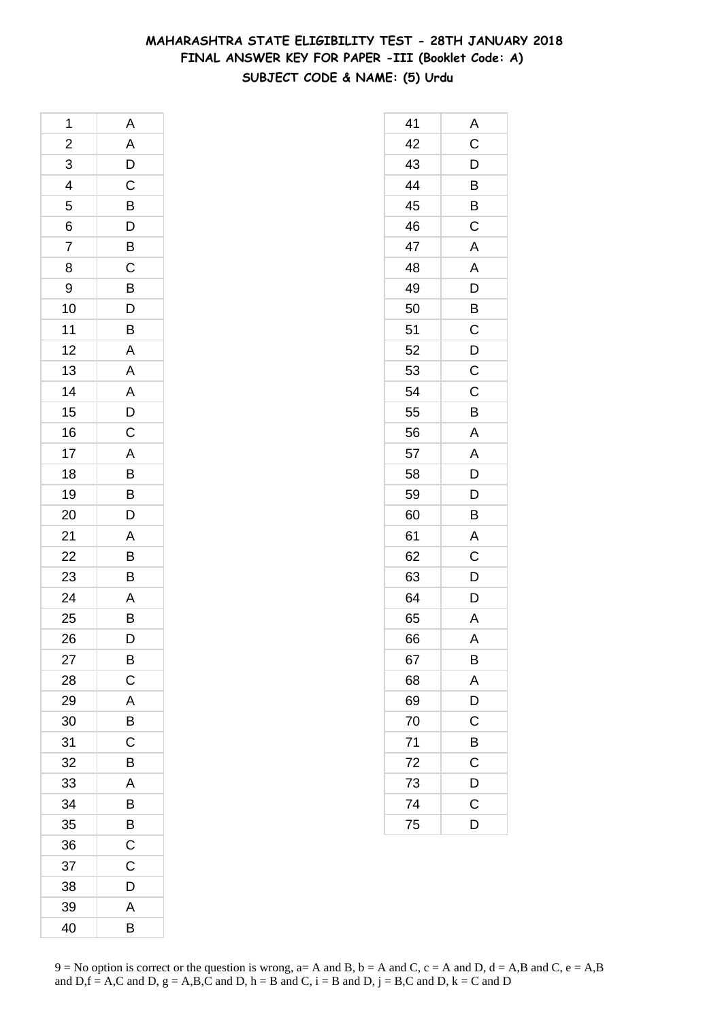### **MAHARASHTRA STATE ELIGIBILITY TEST - 28TH JANUARY 2018 FINAL ANSWER KEY FOR PAPER -III (Booklet Code: A) SUBJECT CODE & NAME: (5) Urdu**

| 1                       | A                                                                    |
|-------------------------|----------------------------------------------------------------------|
| $\overline{\mathbf{c}}$ |                                                                      |
| 3                       | $\frac{A}{D}$                                                        |
| 4                       |                                                                      |
| 5                       |                                                                      |
| 6                       | $\frac{B}{D}$                                                        |
| $\overline{7}$          |                                                                      |
| 8                       |                                                                      |
| 9                       | $\frac{C}{B}$                                                        |
| 10                      |                                                                      |
| 11                      | $\frac{D}{B}$                                                        |
| 12                      | $\overline{A}$                                                       |
| 13                      |                                                                      |
| 14                      |                                                                      |
| 15                      |                                                                      |
| 16                      | $\overline{A}$<br>$\overline{A}$<br>$\overline{D}$<br>$\overline{C}$ |
| 17                      |                                                                      |
| 18                      |                                                                      |
| 19                      |                                                                      |
| 20                      | ABBD                                                                 |
| 21                      | $\overline{A}$                                                       |
| 22                      |                                                                      |
| 23                      | $\frac{B}{B}$                                                        |
| 24                      |                                                                      |
| 25                      | $\frac{A}{B}$                                                        |
| 26                      | D                                                                    |
| 27                      | B                                                                    |
| 28                      | C                                                                    |
| 29                      | A                                                                    |
| 30                      | B                                                                    |
| 31                      | $\overline{C}$                                                       |
| 32                      | B                                                                    |
| 33                      | A                                                                    |
| 34                      | B                                                                    |
| 35                      | B                                                                    |
| 36                      | C                                                                    |
| 37                      | $\mathsf C$                                                          |
| 38                      | D                                                                    |
| 39                      | A                                                                    |
| 40                      | B                                                                    |

| 41 | Α                       |
|----|-------------------------|
| 42 | C                       |
| 43 | $\overline{D}$          |
| 44 | $\overline{B}$          |
| 45 | B                       |
| 46 | C                       |
| 47 | A                       |
| 48 | A                       |
| 49 | $\overline{D}$          |
| 50 | B                       |
| 51 | $\mathsf C$             |
| 52 | D                       |
| 53 | C                       |
| 54 | $\mathsf C$             |
| 55 | B                       |
| 56 | A                       |
| 57 | $\overline{\mathsf{A}}$ |
| 58 | D                       |
| 59 | D                       |
| 60 | B                       |
| 61 | $\mathsf{A}$            |
| 62 | $\mathsf C$             |
| 63 | $\overline{D}$          |
| 64 | D                       |
| 65 | $\mathsf{A}$            |
| 66 | A                       |
| 67 | В                       |
| 68 | A                       |
| 69 | D                       |
| 70 | C                       |
| 71 | B                       |
| 72 | C                       |
| 73 | D                       |
| 74 | $\mathsf C$             |
| 75 | D                       |
|    |                         |

 $9 = No$  option is correct or the question is wrong,  $a = A$  and B,  $b = A$  and C,  $c = A$  and D,  $d = A$ ,B and C,  $e = A$ ,B and  $D,f = A,C$  and  $D, g = A,B,C$  and  $D, h = B$  and  $C, i = B$  and  $D, j = B,C$  and  $D, k = C$  and  $D$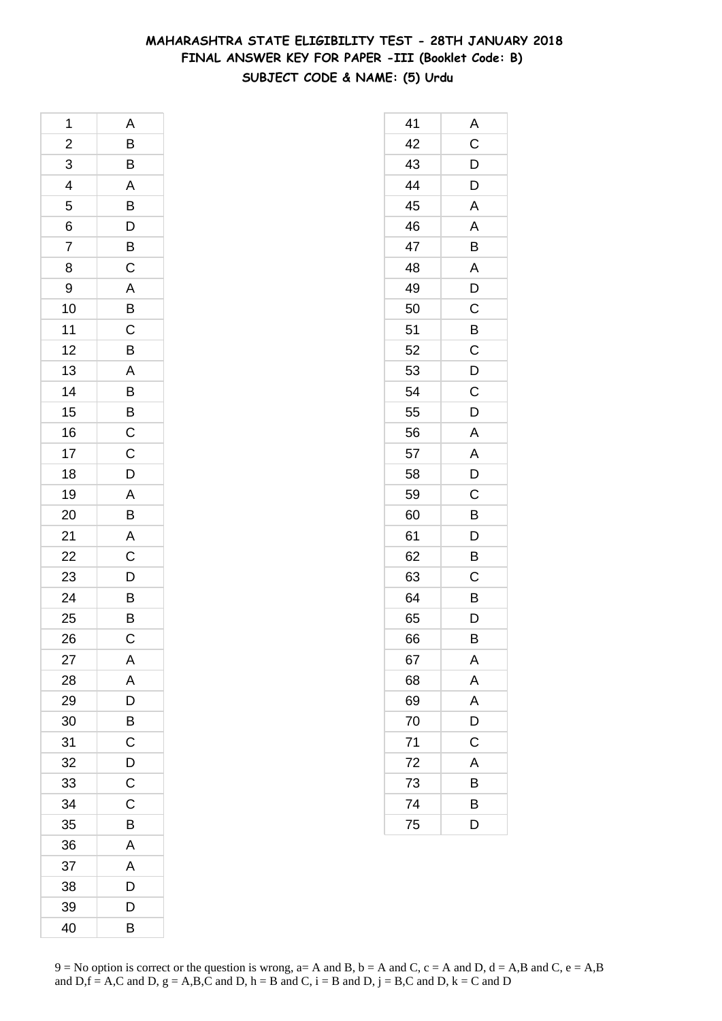### **MAHARASHTRA STATE ELIGIBILITY TEST - 28TH JANUARY 2018 FINAL ANSWER KEY FOR PAPER -III (Booklet Code: B) SUBJECT CODE & NAME: (5) Urdu**

| 1               | A                                                   |
|-----------------|-----------------------------------------------------|
| $\overline{a}$  |                                                     |
| $\overline{3}$  | $\frac{B}{B}$                                       |
| $\overline{4}$  |                                                     |
| 5               | $\overline{AB}$<br>$\overline{B}$<br>$\overline{D}$ |
| 6               |                                                     |
| $\overline{7}$  |                                                     |
| 8               | $rac{B}{C}$                                         |
| 9               | $\overline{A}$                                      |
| 10              |                                                     |
| 11              | $\frac{B}{C}$                                       |
| 12              | B                                                   |
| 13              | A                                                   |
| 14              |                                                     |
| 15              |                                                     |
| 16              | $\frac{B}{C}$                                       |
| 17              | $\overline{C}$                                      |
| 18              | D                                                   |
| 19              |                                                     |
| 20              | $\frac{A}{B}$                                       |
| 21              | $\overline{A}$                                      |
| $\overline{22}$ | $\frac{1}{C}$                                       |
| 23              | $\overline{D}$                                      |
| 24              | $\frac{B}{B}$                                       |
| 25              |                                                     |
| 26              | $\mathsf C$                                         |
| 27              | Α                                                   |
| 28              | A                                                   |
| 29              | D                                                   |
| 30              | B                                                   |
| 31              | C                                                   |
| 32              | $\mathsf{D}$                                        |
| 33              | $\overline{\mathrm{c}}$                             |
| 34              | C                                                   |
| 35              | B                                                   |
| 36              | A                                                   |
| 37              | A                                                   |
| 38              | D                                                   |
| 39              | D                                                   |
| 40              | B                                                   |

| 41 | A              |
|----|----------------|
| 42 | $\mathsf C$    |
| 43 | D              |
| 44 | $\overline{D}$ |
| 45 | A              |
| 46 | A              |
| 47 | Β              |
| 48 | A              |
| 49 | D              |
| 50 | $\overline{C}$ |
| 51 | B              |
| 52 | C              |
| 53 | D              |
| 54 | $\mathsf C$    |
| 55 | D              |
| 56 | A              |
| 57 | A              |
| 58 | D              |
| 59 | C              |
| 60 | B              |
| 61 | $\overline{D}$ |
| 62 | B              |
| 63 | C              |
| 64 | B              |
| 65 | D              |
| 66 | B              |
| 67 | Α              |
| 68 | A              |
| 69 | A              |
| 70 | D              |
| 71 | C              |
| 72 | A              |
| 73 | В              |
| 74 | B              |
| 75 | D              |
|    |                |

 $9 = No$  option is correct or the question is wrong,  $a = A$  and B,  $b = A$  and C,  $c = A$  and D,  $d = A$ ,B and C,  $e = A$ ,B and  $D,f = A,C$  and  $D, g = A,B,C$  and  $D, h = B$  and  $C, i = B$  and  $D, j = B,C$  and  $D, k = C$  and  $D$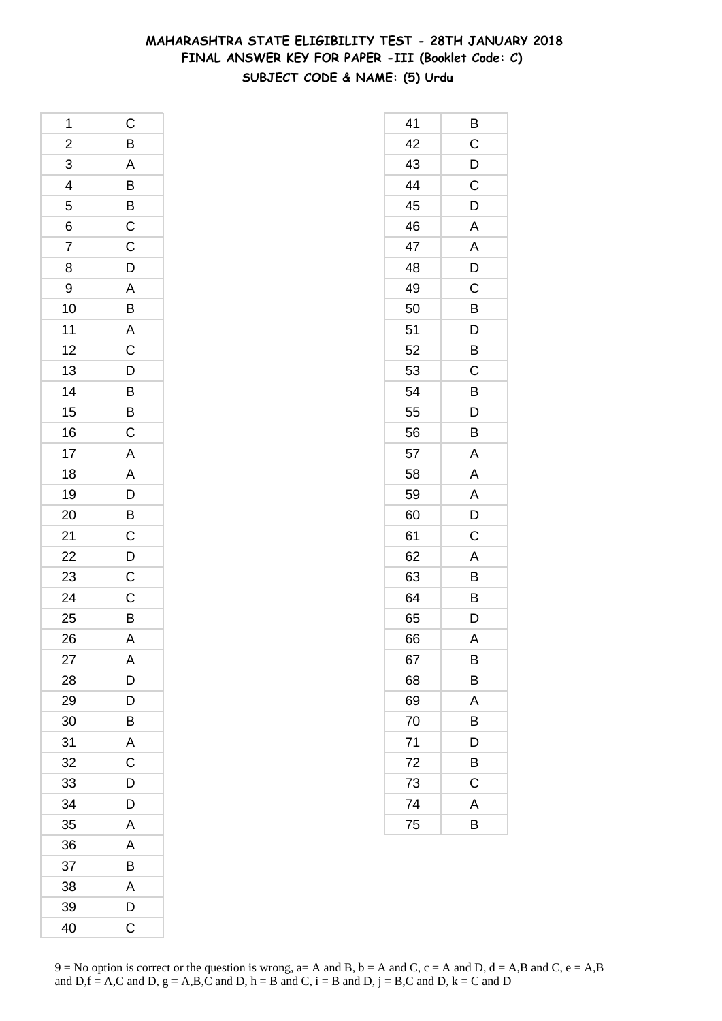### **MAHARASHTRA STATE ELIGIBILITY TEST - 28TH JANUARY 2018 FINAL ANSWER KEY FOR PAPER -III (Booklet Code: C) SUBJECT CODE & NAME: (5) Urdu**

| 1                       | $\mathsf C$                                                 |
|-------------------------|-------------------------------------------------------------|
| $\overline{\mathbf{c}}$ | $\overline{B}$                                              |
| $\overline{3}$          |                                                             |
| $\overline{4}$          |                                                             |
| 5                       | A B B C C                                                   |
| 6                       |                                                             |
| 7                       |                                                             |
| 8                       |                                                             |
| 9                       |                                                             |
| 10                      | D A B A C                                                   |
| 11                      |                                                             |
| 12                      |                                                             |
| 13                      | $\overline{D}$ $\overline{B}$ $\overline{B}$ $\overline{C}$ |
| 14                      |                                                             |
| 15                      |                                                             |
| 16                      |                                                             |
| 17                      |                                                             |
| 18                      |                                                             |
| 19                      |                                                             |
| 20                      | A A D B C D C                                               |
| 21                      |                                                             |
| 22                      |                                                             |
| 23                      |                                                             |
| 24                      | $\mathsf C$                                                 |
| 25                      | $\overline{B}$                                              |
| 26                      | $\overline{\mathsf{A}}$                                     |
| 27                      | A                                                           |
| 28                      | D                                                           |
| 29                      | D                                                           |
| 30                      | B                                                           |
| 31                      | A                                                           |
| 32                      | C                                                           |
| 33                      | D                                                           |
| 34                      | D                                                           |
| 35                      | A                                                           |
| 36                      | A                                                           |
| 37                      | B                                                           |
| 38                      | A                                                           |
| 39                      | D                                                           |
| 40                      | C                                                           |

| 41 | Β |
|----|---|
| 42 | C |
| 43 | D |
| 44 | C |
| 45 | D |
| 46 | A |
| 47 | A |
| 48 | D |
| 49 | C |
| 50 | B |
| 51 | D |
| 52 | B |
| 53 | C |
| 54 | B |
| 55 | D |
| 56 | B |
| 57 | A |
| 58 | A |
| 59 | A |
| 60 | D |
| 61 | C |
| 62 | A |
| 63 | B |
| 64 | B |
| 65 | D |
| 66 | A |
| 67 | В |
| 68 | Β |
| 69 | A |
| 70 | B |
| 71 | D |
| 72 | B |
| 73 | C |
| 74 | A |
| 75 | B |
|    |   |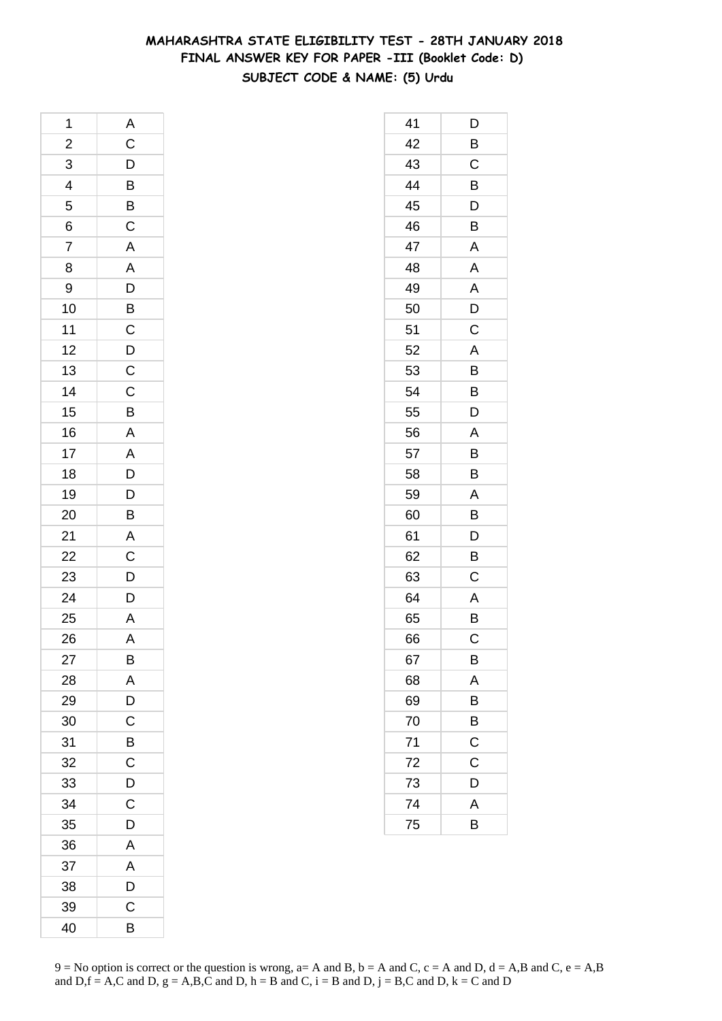### **MAHARASHTRA STATE ELIGIBILITY TEST - 28TH JANUARY 2018 FINAL ANSWER KEY FOR PAPER -III (Booklet Code: D) SUBJECT CODE & NAME: (5) Urdu**

| 1                       | $\overline{A}$                              |
|-------------------------|---------------------------------------------|
| $\overline{\mathbf{c}}$ | C D B B C A A D B C D C C B A A D D B A C D |
| 3                       |                                             |
| $\overline{4}$          |                                             |
|                         |                                             |
| $\frac{5}{6}$           |                                             |
| $\overline{7}$          |                                             |
| 8                       |                                             |
| 9                       |                                             |
| 10                      |                                             |
| 11                      |                                             |
| 12                      |                                             |
| 13                      |                                             |
| 14                      |                                             |
| 15                      |                                             |
| 16                      |                                             |
| 17                      |                                             |
| 18                      |                                             |
| 19                      |                                             |
| 20                      |                                             |
| 21                      |                                             |
| 22                      |                                             |
| 23                      |                                             |
| 24                      | $\overline{D}$                              |
| 25                      | $\frac{\overline{A}}{A}$                    |
| 26                      | $\overline{A}$                              |
| 27                      | B                                           |
| 28                      | A                                           |
| 29                      | D                                           |
| 30                      | $\mathsf{C}$                                |
| 31                      | $\overline{B}$                              |
| 32                      | $\overline{\mathrm{c}}$                     |
| 33                      | D                                           |
| 34                      | C                                           |
| 35                      | D                                           |
| 36                      | A                                           |
| 37                      | A                                           |
| 38                      | D                                           |
| 39                      | C                                           |
| 40                      | B                                           |

| 41 | D           |
|----|-------------|
| 42 | B           |
| 43 | $\mathsf C$ |
| 44 | B           |
| 45 | D           |
| 46 | B           |
| 47 | A           |
| 48 | A           |
| 49 | A           |
| 50 | D           |
| 51 | C           |
| 52 | A           |
| 53 | B           |
| 54 | Β           |
| 55 | D           |
| 56 | Α           |
| 57 | B           |
| 58 | B           |
| 59 | A           |
| 60 | B           |
| 61 | D           |
| 62 | B           |
| 63 | C           |
| 64 | A           |
| 65 | B           |
| 66 | С           |
| 67 | В           |
| 68 | A           |
| 69 | B           |
| 70 | B           |
| 71 | C           |
| 72 | C           |
| 73 | D           |
| 74 | A           |
| 75 | B           |
|    |             |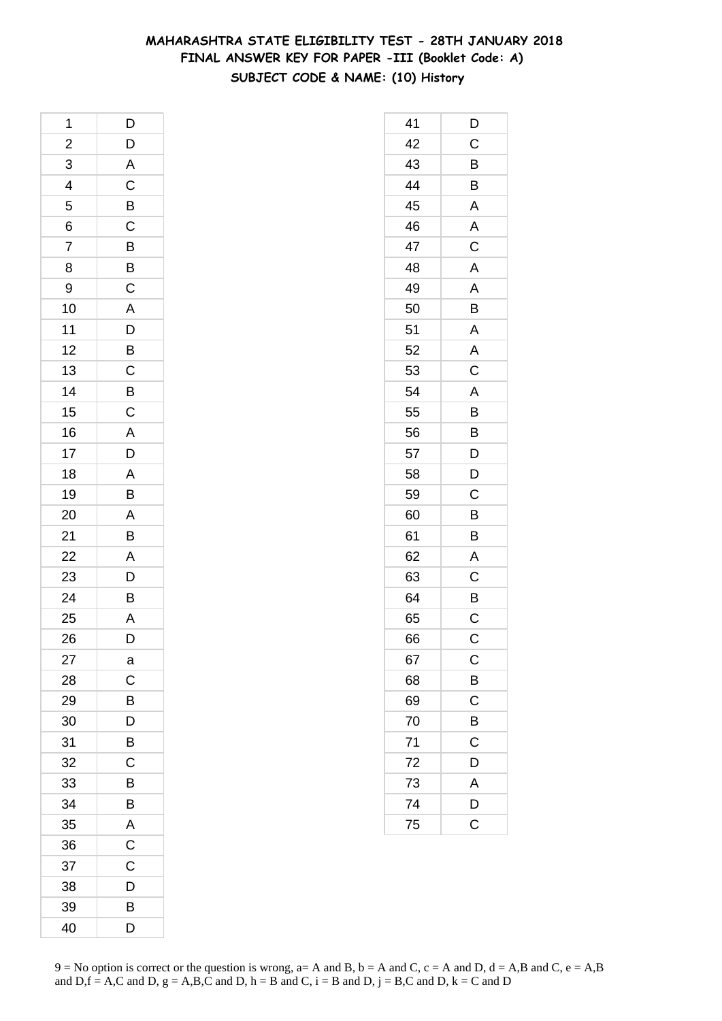### **MAHARASHTRA STATE ELIGIBILITY TEST - 28TH JANUARY 2018 FINAL ANSWER KEY FOR PAPER -III (Booklet Code: A) SUBJECT CODE & NAME: (10) History**

| 1                       | D                |
|-------------------------|------------------|
| $\overline{\mathbf{c}}$ | $\mathsf{D}$     |
| $\overline{3}$          |                  |
| $\overline{4}$          | A<br>C<br>B<br>C |
| 5                       |                  |
| 6                       |                  |
| 7                       |                  |
| 8                       | $\frac{B}{C}$    |
| 9                       |                  |
| 10                      |                  |
| 11                      | $rac{A}{D}$      |
| 12                      |                  |
| 13                      | $rac{B}{C}$      |
| 14                      |                  |
| 15                      | $rac{B}{C}$      |
| 16                      | $\overline{A}$   |
| 17                      | $\frac{1}{D}$    |
| 18                      | $\overline{A}$   |
| 19                      | B                |
| 20                      | $\overline{A}$   |
| 21                      | B                |
| 22                      |                  |
| 23                      | $rac{A}{D}$      |
| 24                      | B                |
| 25                      | A                |
| 26                      | D                |
| 27                      | a                |
| 28                      | $\mathsf{C}$     |
| 29                      | B                |
| 30                      | D                |
| 31                      | B                |
| 32                      | C                |
| 33                      | B                |
| 34                      | B                |
| 35                      | A                |
| 36                      | $\overline{C}$   |
| 37                      | C                |
| 38                      | D                |
| 39                      | B                |
| 40                      | D                |

| 41 | D                       |
|----|-------------------------|
| 42 | $\mathsf{C}$            |
| 43 | B                       |
| 44 | B                       |
| 45 | A                       |
| 46 | A                       |
| 47 | C                       |
| 48 | $\mathsf{A}$            |
| 49 | A                       |
| 50 | B                       |
| 51 | A                       |
| 52 | A                       |
| 53 | $\overline{\mathsf{C}}$ |
| 54 | A                       |
| 55 | B                       |
| 56 | B                       |
| 57 | D                       |
| 58 | D                       |
| 59 | $\mathsf C$             |
| 60 | B                       |
| 61 | B                       |
| 62 | A                       |
| 63 | C                       |
| 64 | B                       |
| 65 | C                       |
| 66 | C                       |
| 67 | $\mathsf{C}$            |
| 68 | $\overline{B}$          |
| 69 | C                       |
| 70 | B                       |
| 71 | C                       |
| 72 | D                       |
| 73 | $\overline{A}$          |
| 74 | D                       |
| 75 | $\overline{\text{c}}$   |
|    |                         |

 $9 = No$  option is correct or the question is wrong,  $a = A$  and B,  $b = A$  and C,  $c = A$  and D,  $d = A$ ,B and C,  $e = A$ ,B and  $D,f = A,C$  and  $D, g = A,B,C$  and  $D, h = B$  and  $C, i = B$  and  $D, j = B,C$  and  $D, k = C$  and  $D$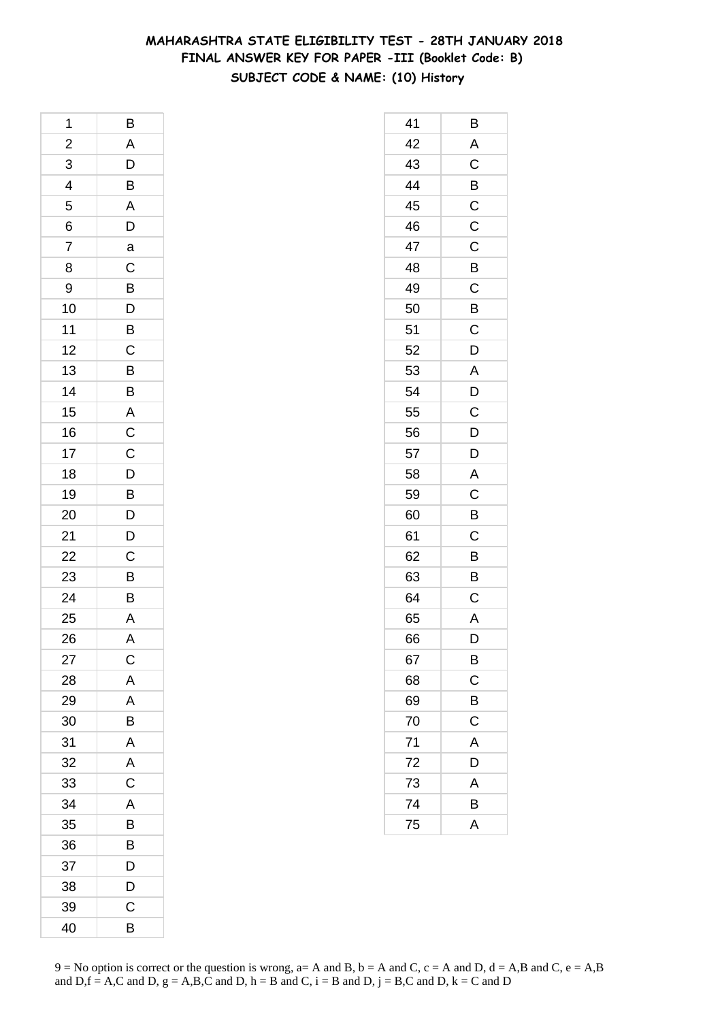### **MAHARASHTRA STATE ELIGIBILITY TEST - 28TH JANUARY 2018 FINAL ANSWER KEY FOR PAPER -III (Booklet Code: B) SUBJECT CODE & NAME: (10) History**

| 1              | B                        |
|----------------|--------------------------|
| $\overline{a}$ | $\overline{A}$           |
| 3              | $\mathsf{D}$             |
| $\overline{4}$ | $\overline{B}$           |
| 5              | $\overline{A}$           |
| 6              | $\overline{D}$           |
| $\overline{7}$ | a                        |
| 8              | $\mathsf{C}$             |
| 9              | $\overline{B}$           |
| 10             | $\overline{D}$<br>B      |
| 11             |                          |
| 12             | $\overline{C}$           |
| 13             | $\frac{1}{\overline{B}}$ |
| 14             | B                        |
| 15             |                          |
| 16             |                          |
| 17             |                          |
| 18             | A<br>C<br>C<br>D<br>D    |
| 19             |                          |
| 20             | $\frac{B}{D}$            |
| 21             | $\overline{D}$           |
| 22             |                          |
| 23             | $\frac{C}{B}$            |
| 24             | B                        |
| 25             | A                        |
| 26             | A                        |
| 27             | C                        |
| 28             | A                        |
| 29             | A                        |
| 30             | B                        |
| 31             | A                        |
| 32             | A                        |
| 33             | C                        |
| 34             | A                        |
| 35             | B                        |
| 36             | B                        |
| 37             | D                        |
| 38             | D                        |
| 39             | C                        |
| 40             | B                        |

| 41 | Β                       |
|----|-------------------------|
| 42 | A                       |
| 43 | $\mathsf C$             |
| 44 | $\overline{B}$          |
| 45 | $\mathsf C$             |
| 46 | $\mathsf C$             |
| 47 | $\mathsf C$             |
| 48 | B                       |
| 49 | $\mathsf C$             |
| 50 | B                       |
| 51 | C                       |
| 52 | D                       |
| 53 | A                       |
| 54 | D                       |
| 55 | $\overline{\mathrm{c}}$ |
| 56 | $\overline{D}$          |
| 57 | D                       |
| 58 | A                       |
| 59 | $\mathsf C$             |
| 60 | B                       |
| 61 | C                       |
| 62 | $\overline{B}$          |
| 63 | B                       |
| 64 | $\mathsf C$             |
| 65 | $\mathsf{A}$            |
| 66 | D                       |
| 67 | B                       |
| 68 | C                       |
| 69 | B                       |
| 70 | $\mathsf C$             |
| 71 | A                       |
| 72 | D                       |
| 73 | A                       |
| 74 | B                       |
| 75 | $\overline{\mathsf{A}}$ |
|    |                         |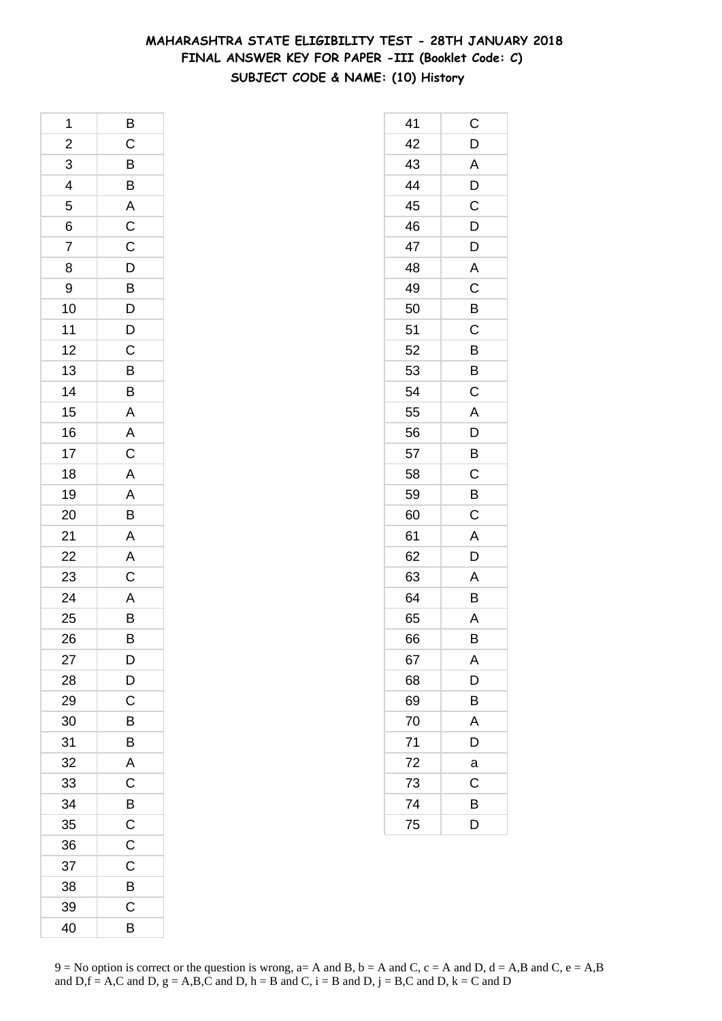### **MAHARASHTRA STATE ELIGIBILITY TEST - 28TH JANUARY 2018 FINAL ANSWER KEY FOR PAPER -III (Booklet Code: C) SUBJECT CODE & NAME: (10) History**

| 1                       | $\overline{B}$                   |
|-------------------------|----------------------------------|
| $\overline{\mathbf{c}}$ |                                  |
| 3                       | $\frac{C}{B}$                    |
| $\overline{4}$          |                                  |
| 5                       |                                  |
| 6                       |                                  |
| 7                       |                                  |
| 8                       |                                  |
| 9                       |                                  |
| 10                      | A C C D B D D C B B              |
| 11                      |                                  |
| 12                      |                                  |
| 13                      |                                  |
| 14                      |                                  |
| 15                      | $\overline{A}$                   |
| 16                      |                                  |
| 17                      | $rac{A}{C}$                      |
| 18                      |                                  |
| 19                      |                                  |
| 20                      | $\overline{A}$<br>$\overline{B}$ |
| 21                      |                                  |
| 22                      | $\frac{A}{C}$                    |
| 23                      |                                  |
| $\overline{24}$         |                                  |
| 25                      | $\frac{A}{B}$                    |
| 26                      | $\overline{B}$                   |
| 27                      | D                                |
| 28                      | D                                |
| 29                      | C                                |
| 30                      | B                                |
| 31                      | B                                |
| 32                      | A                                |
| 33                      | C                                |
| 34                      | B                                |
| 35                      | $\mathsf C$                      |
| 36                      | $\mathsf C$                      |
| 37                      | C                                |
| 38                      | B                                |
| 39                      | С                                |
| 40                      | B                                |

| 41 | С              |
|----|----------------|
| 42 | D              |
| 43 | A              |
| 44 | D              |
| 45 | C              |
| 46 | D              |
| 47 | D              |
| 48 | A              |
| 49 | $\mathsf C$    |
| 50 | B              |
| 51 | C              |
| 52 | B              |
| 53 | B              |
| 54 | C              |
| 55 | A              |
| 56 | $\overline{D}$ |
| 57 | B              |
| 58 | C              |
| 59 | B              |
| 60 | C              |
| 61 | Α              |
| 62 | D              |
| 63 | A              |
| 64 | B              |
| 65 | A              |
| 66 | B              |
| 67 | A              |
| 68 | D              |
| 69 | B              |
| 70 | A              |
| 71 | D              |
| 72 | a              |
| 73 | C              |
| 74 | B              |
| 75 | D              |
|    |                |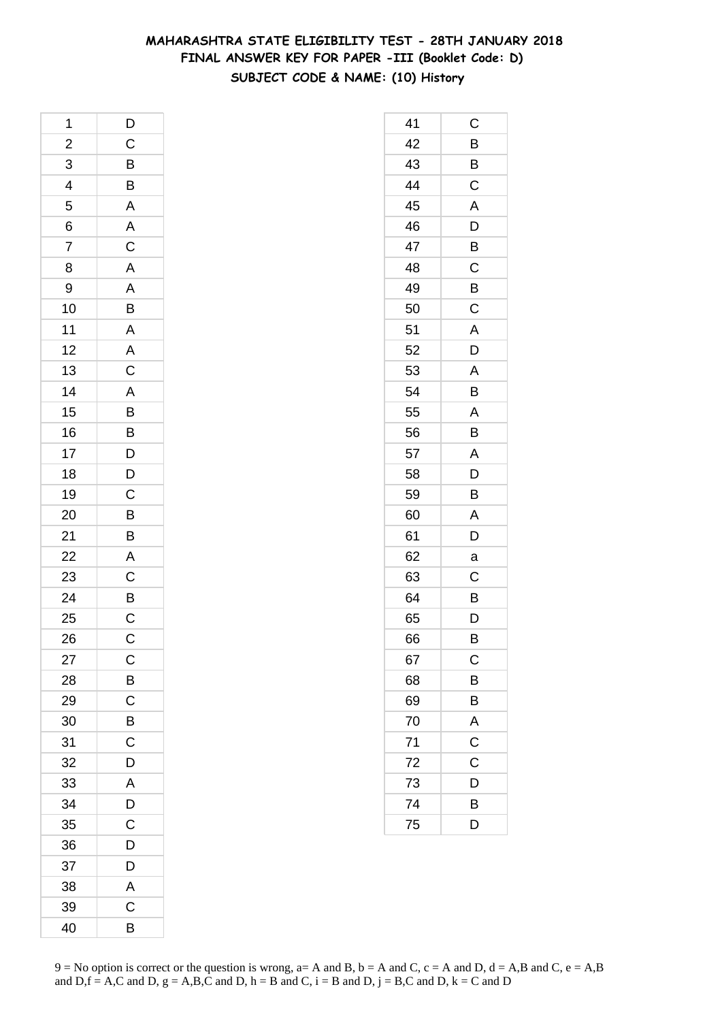### **MAHARASHTRA STATE ELIGIBILITY TEST - 28TH JANUARY 2018 FINAL ANSWER KEY FOR PAPER -III (Booklet Code: D) SUBJECT CODE & NAME: (10) History**

| 1                       | D                           |
|-------------------------|-----------------------------|
| $\overline{\mathbf{c}}$ |                             |
| $\overline{3}$          | $\frac{C}{B}$               |
| $\overline{4}$          |                             |
| 5                       |                             |
| 6                       | $\frac{A}{A}$               |
| $\overline{7}$          |                             |
| 8                       |                             |
| 9                       |                             |
| 10                      | A A B A A C                 |
| 11                      |                             |
| 12                      |                             |
| 13                      |                             |
| 14                      |                             |
| 15                      | A B B D D                   |
| 16                      |                             |
| 17                      |                             |
| 18                      |                             |
| 19                      | $\mathsf{C}$                |
| 20                      | $\overline{B}$              |
| 21                      | $\overline{B}$              |
| 22                      |                             |
| 23                      |                             |
| 24                      | $\frac{A}{C}$ $\frac{B}{C}$ |
| 25                      |                             |
| 26                      | $\mathsf{C}$                |
| 27                      | $\mathsf{C}$                |
| 28                      | $\overline{B}$              |
| 29                      | $\overline{\mathrm{c}}$     |
| 30                      | B                           |
| 31                      | Ċ                           |
| 32                      | D                           |
| 33                      | A                           |
| 34                      | D                           |
| 35                      | $\mathsf C$                 |
| 36                      | D                           |
| 37                      | D                           |
| 38                      | A                           |
| 39                      | $\mathsf C$                 |
| 40                      | B                           |

| 41 | C              |
|----|----------------|
| 42 | B              |
| 43 | B              |
| 44 | $\overline{C}$ |
| 45 | A              |
| 46 | D              |
| 47 | B              |
| 48 | C              |
| 49 | B              |
| 50 | $\mathsf C$    |
| 51 | A              |
| 52 | D              |
| 53 | A              |
| 54 | B              |
| 55 | A              |
| 56 | B              |
| 57 | A              |
| 58 | D              |
| 59 | B              |
| 60 | A              |
| 61 | D              |
| 62 | a              |
| 63 | C              |
| 64 | B              |
| 65 | D              |
| 66 | В              |
| 67 | $\mathsf{C}$   |
| 68 | B              |
| 69 | B              |
| 70 | A              |
| 71 | $\mathsf C$    |
| 72 | C              |
| 73 | D              |
| 74 | B              |
| 75 | D              |
|    |                |

 $9 = No$  option is correct or the question is wrong,  $a = A$  and B,  $b = A$  and C,  $c = A$  and D,  $d = A$ ,B and C,  $e = A$ ,B and  $D,f = A,C$  and  $D, g = A,B,C$  and  $D, h = B$  and  $C, i = B$  and  $D, j = B,C$  and  $D, k = C$  and  $D$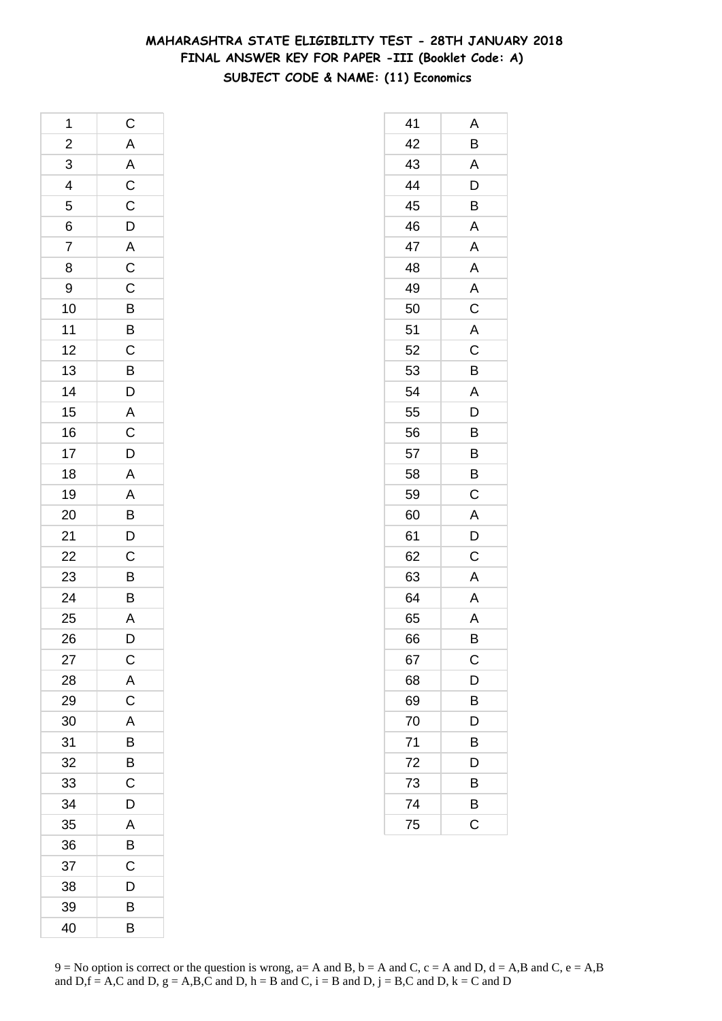# **MAHARASHTRA STATE ELIGIBILITY TEST - 28TH JANUARY 2018 FINAL ANSWER KEY FOR PAPER -III (Booklet Code: A) SUBJECT CODE & NAME: (11) Economics**

| 1               | $\mathsf{C}$              |
|-----------------|---------------------------|
| $\overline{a}$  |                           |
| 3               | A A C C D A C C B B C B D |
| $\overline{4}$  |                           |
| 5               |                           |
| $\overline{6}$  |                           |
| $\overline{7}$  |                           |
| 8               |                           |
| 9               |                           |
| 10              |                           |
| 11              |                           |
| 12              |                           |
| 13              |                           |
| 14              |                           |
| 15              |                           |
| 16              |                           |
| 17              |                           |
| 18              |                           |
| 19              |                           |
| 20              |                           |
| 21              |                           |
| $\overline{22}$ |                           |
| 23              |                           |
| $\frac{24}{1}$  | A C D A A B D C B B       |
| 25              | A                         |
| 26              | $\overline{\mathsf{D}}$   |
| 27              | $\mathsf{C}$              |
| 28              | A                         |
| 29              | C                         |
| 30              | A                         |
| 31              | B                         |
| 32              | B                         |
| 33              | C                         |
| 34              | D                         |
| 35              | A                         |
| 36              | B                         |
| 37              | C                         |
| 38              | D                         |
| 39              | В                         |
| 40              | B                         |

| 41 | Α              |
|----|----------------|
| 42 | Β              |
| 43 | A              |
| 44 | $\overline{D}$ |
| 45 | B              |
| 46 | A              |
| 47 | A              |
| 48 | $\mathsf{A}$   |
| 49 | A              |
| 50 | $\overline{C}$ |
| 51 | $\mathsf{A}$   |
| 52 | $\overline{C}$ |
| 53 | B              |
| 54 | A              |
| 55 | D              |
| 56 | B              |
| 57 | B              |
| 58 | B              |
| 59 | C              |
| 60 | A              |
| 61 | D              |
| 62 | C              |
| 63 | A              |
| 64 | A              |
| 65 | A              |
| 66 | B              |
| 67 | C              |
| 68 | D              |
| 69 | B              |
| 70 | D              |
| 71 | B              |
| 72 | D              |
| 73 | В              |
| 74 | B              |
| 75 | C              |
|    |                |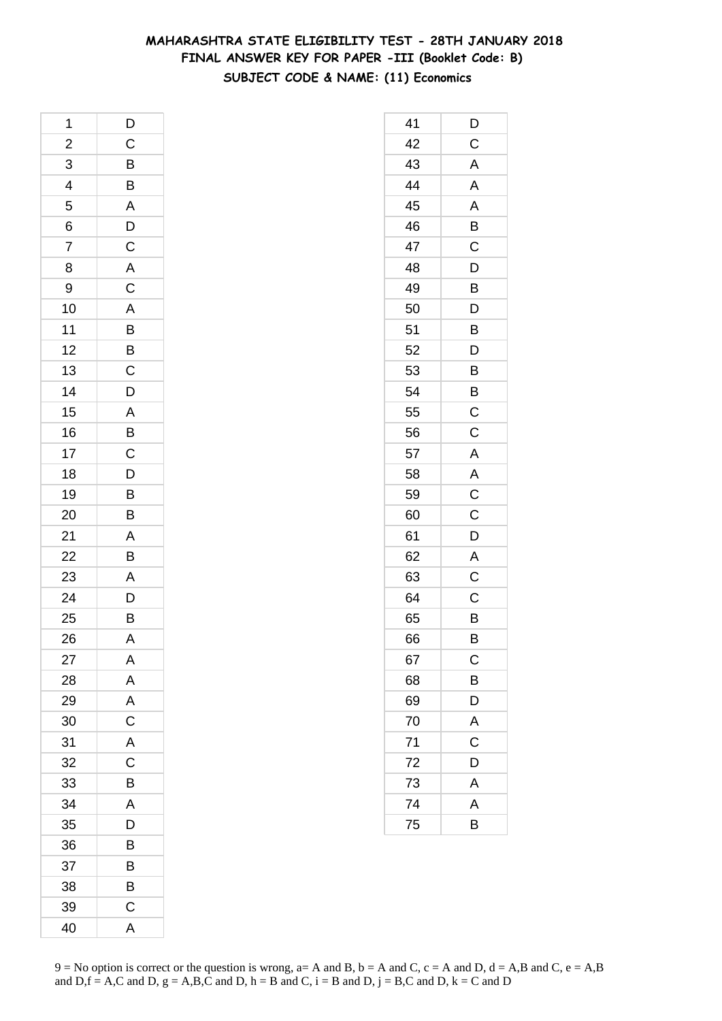### **MAHARASHTRA STATE ELIGIBILITY TEST - 28TH JANUARY 2018 FINAL ANSWER KEY FOR PAPER -III (Booklet Code: B) SUBJECT CODE & NAME: (11) Economics**

| 1                       | D                       |
|-------------------------|-------------------------|
| $\overline{\mathbf{c}}$ | $\overline{C}$          |
| 3                       |                         |
| $\overline{4}$          | $\frac{B}{B}$           |
| 5                       | ADCAC                   |
| 6                       |                         |
| $\overline{7}$          |                         |
| 8                       |                         |
| 9                       |                         |
| 10                      |                         |
| 11                      | $\frac{A}{B}$           |
| 12                      |                         |
| 13                      | $rac{B}{C}$             |
| 14                      | D                       |
| 15                      |                         |
| 16                      |                         |
| 17                      | A<br>B<br>C<br>D<br>D   |
| 18                      |                         |
| 19                      |                         |
| 20                      | $\frac{B}{B}$           |
| 21                      |                         |
| 22                      | $\frac{A}{B}$           |
| 23                      | $\overline{A}$          |
| 24                      | $\frac{1}{D}$           |
| 25                      | B                       |
| 26                      | A                       |
| 27                      | A                       |
| 28                      | A                       |
| 29                      | $\overline{\mathsf{A}}$ |
| 30                      | $\mathsf C$             |
| 31                      | $\overline{\mathsf{A}}$ |
| 32                      | $\mathsf C$             |
| 33                      | B                       |
| 34                      | A                       |
| 35                      | D                       |
| 36                      | B                       |
| 37                      | B                       |
| 38                      | B                       |
| 39                      | C                       |
| 40                      | A                       |

| 41 | D                       |
|----|-------------------------|
| 42 | C                       |
| 43 | A                       |
| 44 | A                       |
| 45 | A                       |
| 46 | B                       |
| 47 | $\mathsf C$             |
| 48 | D                       |
| 49 | B                       |
| 50 | D                       |
| 51 | B                       |
| 52 | D                       |
| 53 | Β                       |
| 54 | B                       |
| 55 | C                       |
| 56 | C                       |
| 57 | A                       |
| 58 | A                       |
| 59 | $\mathsf C$             |
| 60 | C                       |
| 61 | D                       |
| 62 | $\mathsf{A}$            |
| 63 | $\overline{\mathrm{C}}$ |
| 64 | C                       |
| 65 | B                       |
| 66 | B                       |
| 67 | $\mathsf{C}$            |
| 68 | B                       |
| 69 | D                       |
| 70 | A                       |
| 71 | C                       |
| 72 | D                       |
| 73 | A                       |
| 74 | A                       |
| 75 | B                       |
|    |                         |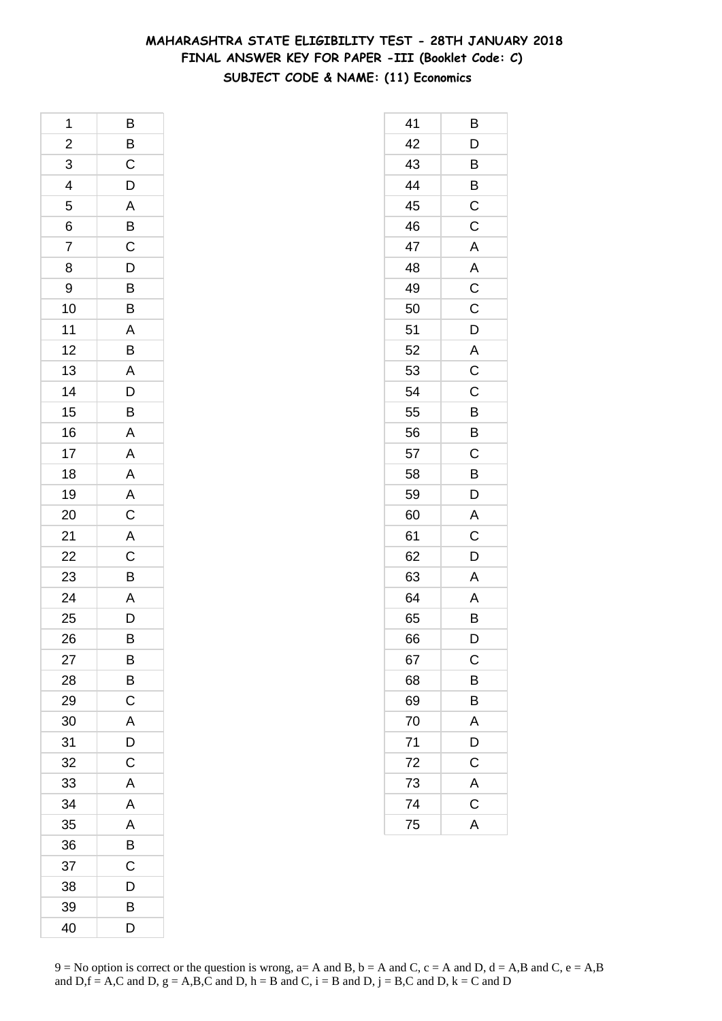### **MAHARASHTRA STATE ELIGIBILITY TEST - 28TH JANUARY 2018 FINAL ANSWER KEY FOR PAPER -III (Booklet Code: C) SUBJECT CODE & NAME: (11) Economics**

| 1              | B              |
|----------------|----------------|
| $\overline{a}$ | $\overline{B}$ |
| 3              | $\mathsf{C}$   |
| $\overline{4}$ | $\overline{D}$ |
| 5              | $\overline{A}$ |
| 6              |                |
| 7              | $rac{B}{C}$    |
| 8              | $\frac{1}{D}$  |
| 9              |                |
| 10             | $\frac{B}{B}$  |
| 11             | $\overline{A}$ |
| 12             | B              |
| 13             | A              |
| 14             | $\overline{D}$ |
| 15             | $\overline{B}$ |
| 16             | A              |
| 17             | $\overline{A}$ |
| 18             |                |
| 19             | $\frac{A}{A}$  |
| 20             |                |
| 21             | $\overline{A}$ |
| 22             |                |
| 23             | $\frac{C}{B}$  |
| 24             |                |
| 25             | A<br>D         |
| 26             | B              |
| 27             | B              |
| 28             | B              |
| 29             | C              |
| 30             | A              |
| 31             | D              |
| 32             | C              |
| 33             | A              |
| 34             | A              |
| 35             | A              |
| 36             | B              |
| 37             | C              |
| 38             | D              |
| 39             | В              |
| 40             | D              |

| 41 | B                       |
|----|-------------------------|
| 42 | D                       |
| 43 | B                       |
| 44 | $\overline{B}$          |
| 45 | $\overline{C}$          |
| 46 | C                       |
| 47 | A                       |
| 48 | A                       |
| 49 | $\mathsf C$             |
| 50 | $\mathsf C$             |
| 51 | D                       |
| 52 | A                       |
| 53 | $\overline{\mathbf{C}}$ |
| 54 | C                       |
| 55 | B                       |
| 56 | B                       |
| 57 | C                       |
| 58 | B                       |
| 59 | D                       |
| 60 | A                       |
| 61 | C                       |
| 62 | D                       |
| 63 | Α                       |
| 64 | A                       |
| 65 | B                       |
| 66 | D                       |
| 67 | $\mathsf C$             |
| 68 | B                       |
| 69 | B                       |
| 70 | A                       |
| 71 | D                       |
| 72 | $\mathsf{C}$            |
| 73 | $\overline{A}$          |
| 74 | $\overline{\mathsf{C}}$ |
| 75 | $\overline{\mathsf{A}}$ |
|    |                         |

 $9 = No$  option is correct or the question is wrong,  $a = A$  and B,  $b = A$  and C,  $c = A$  and D,  $d = A$ ,B and C,  $e = A$ ,B and  $D,f = A,C$  and  $D, g = A,B,C$  and  $D, h = B$  and  $C, i = B$  and  $D, j = B,C$  and  $D, k = C$  and  $D$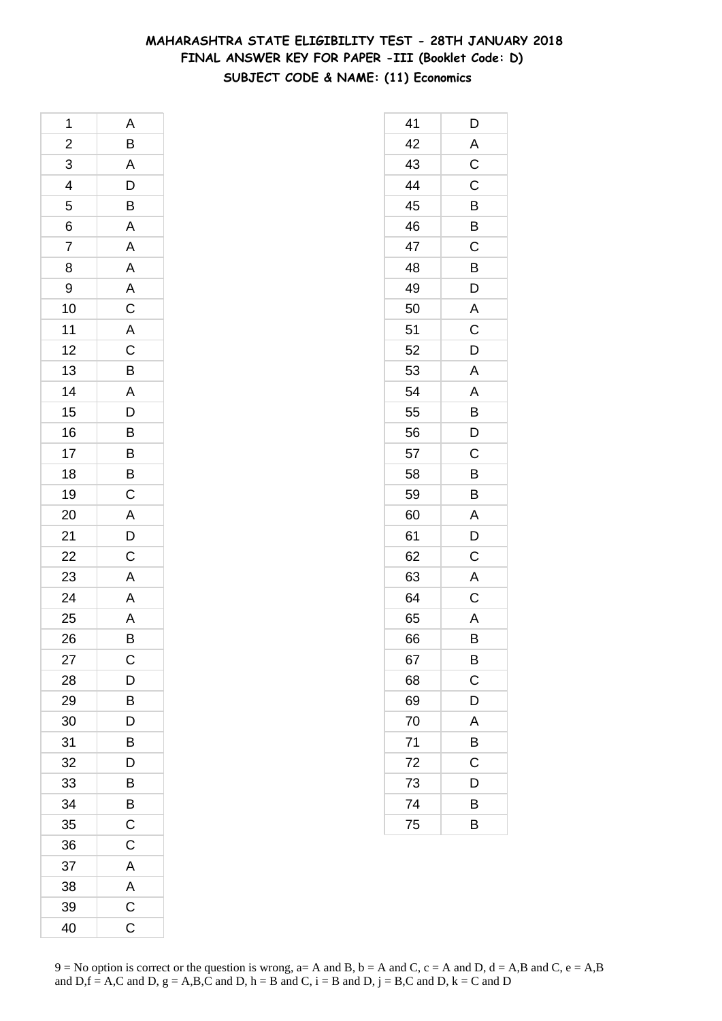### **MAHARASHTRA STATE ELIGIBILITY TEST - 28TH JANUARY 2018 FINAL ANSWER KEY FOR PAPER -III (Booklet Code: D) SUBJECT CODE & NAME: (11) Economics**

| 1              | A                                            |
|----------------|----------------------------------------------|
| $\overline{a}$ | $\overline{B}$                               |
| $\overline{3}$ |                                              |
| $\frac{4}{5}$  | $\frac{A}{D}$ $\frac{B}{A}$                  |
|                |                                              |
|                |                                              |
| $\frac{6}{7}$  | A                                            |
| 8              | $\overline{A}$                               |
| 9              | A C A C B                                    |
| 10             |                                              |
| 11             |                                              |
| 12             |                                              |
| 13             |                                              |
| 14             |                                              |
| 15             | $\begin{array}{c}\nA \\ D \\ B\n\end{array}$ |
| 16             |                                              |
| 17             |                                              |
| 18             | $\overline{B}$                               |
| 19             | $\mathsf C$                                  |
| 20             |                                              |
| 21             | $\frac{A}{D}$                                |
| 22             |                                              |
| 23             | $\overline{A}$                               |
| 24             |                                              |
| 25             | $rac{A}{A}$                                  |
| 26             | B                                            |
| 27             | C                                            |
| 28             | D                                            |
| 29             | B                                            |
| 30             | D                                            |
| 31             | B                                            |
| 32             | D                                            |
| 33             | B                                            |
| 34             | B                                            |
| 35             | C                                            |
| 36             | C                                            |
| 37             | A                                            |
| 38             | A                                            |
| 39             | $\mathsf C$                                  |
| 40             | C                                            |

| 41 | D            |
|----|--------------|
| 42 | A            |
| 43 | $\mathsf C$  |
| 44 | C            |
| 45 | B            |
| 46 | B            |
| 47 | C            |
| 48 | B            |
| 49 | D            |
| 50 | $\mathsf{A}$ |
| 51 | C            |
| 52 | D            |
| 53 | A            |
| 54 | A            |
| 55 | B            |
| 56 | D            |
| 57 | $\mathsf C$  |
| 58 | B            |
| 59 | B            |
| 60 | A            |
| 61 | D            |
| 62 | $\mathsf C$  |
| 63 | A            |
| 64 | $\mathsf C$  |
| 65 | A            |
| 66 | B            |
| 67 | B            |
| 68 | C            |
| 69 | D            |
| 70 | A            |
| 71 | B            |
| 72 | С            |
| 73 | D            |
| 74 | В            |
| 75 | B            |
|    |              |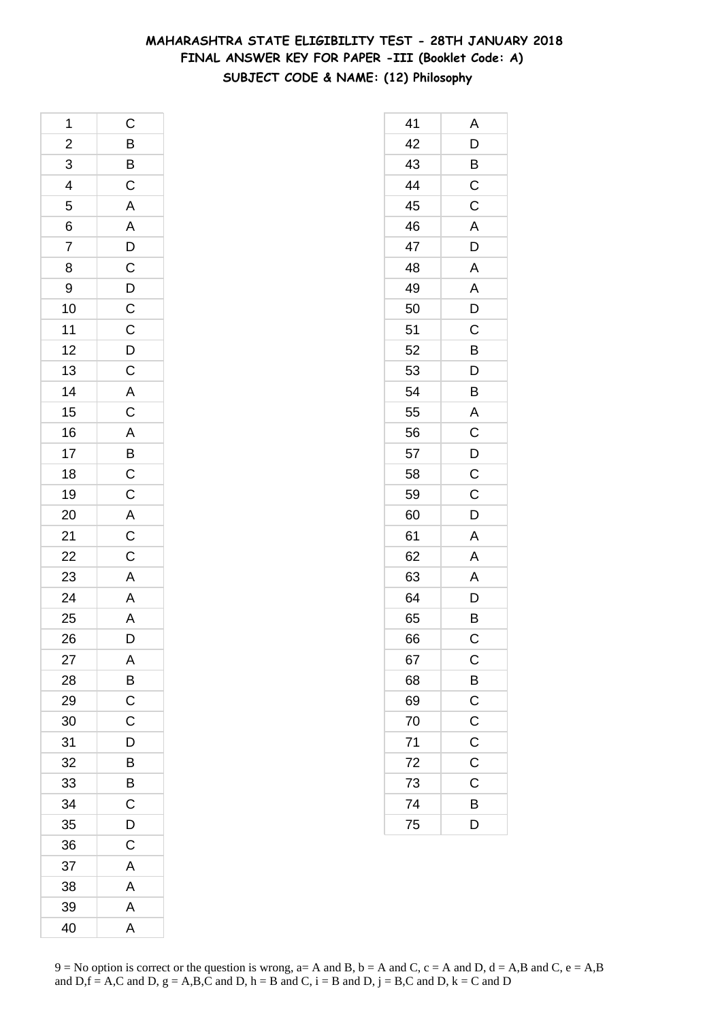# **MAHARASHTRA STATE ELIGIBILITY TEST - 28TH JANUARY 2018 FINAL ANSWER KEY FOR PAPER -III (Booklet Code: A) SUBJECT CODE & NAME: (12) Philosophy**

| 1              |                                                   |
|----------------|---------------------------------------------------|
| $\overline{c}$ | C B B C A A D C D C C D C A C A B C C A C C A A A |
| $\frac{3}{4}$  |                                                   |
|                |                                                   |
|                |                                                   |
| $\frac{6}{7}$  |                                                   |
|                |                                                   |
| 8              |                                                   |
| 9              |                                                   |
| 10             |                                                   |
| 11             |                                                   |
| 12             |                                                   |
| 13             |                                                   |
| 14             |                                                   |
| 15             |                                                   |
| 16             |                                                   |
| 17             |                                                   |
| 18             |                                                   |
| 19             |                                                   |
| 20             |                                                   |
| 21             |                                                   |
|                |                                                   |
| 22<br>23       |                                                   |
| 24             |                                                   |
| 25             |                                                   |
| 26             | $\overline{D}$                                    |
| 27             | Α                                                 |
| 28             | B                                                 |
| 29             | C                                                 |
| 30             | C                                                 |
| 31             | D                                                 |
| 32             | B                                                 |
| 33             | B                                                 |
| 34             | C                                                 |
| 35             | D                                                 |
| 36             | C                                                 |
| 37             | A                                                 |
| 38             | A                                                 |
| 39             | A                                                 |
| 40             | A                                                 |

| 41 | Α                       |
|----|-------------------------|
| 42 |                         |
| 43 | $\frac{D}{B}$           |
| 44 | $\overline{C}$          |
| 45 | $\overline{\mathsf{C}}$ |
| 46 | A                       |
| 47 | D                       |
| 48 | $\overline{\mathsf{A}}$ |
| 49 | A                       |
| 50 | D                       |
| 51 | C                       |
| 52 | B                       |
| 53 | D                       |
| 54 | B                       |
| 55 | A                       |
| 56 | $\mathsf C$             |
| 57 | D                       |
| 58 | $\mathsf C$             |
| 59 | $\mathsf C$             |
| 60 | D                       |
| 61 | A                       |
| 62 | A                       |
| 63 | A                       |
| 64 | D                       |
| 65 | B                       |
| 66 | C                       |
| 67 | $\mathsf{C}$            |
| 68 | $\overline{B}$          |
| 69 |                         |
| 70 | $\frac{C}{C}$           |
| 71 |                         |
| 72 | $\mathsf C$             |
| 73 | $\overline{C}$          |
| 74 | B                       |
| 75 | D                       |
|    |                         |

 $9 = No$  option is correct or the question is wrong,  $a = A$  and B,  $b = A$  and C,  $c = A$  and D,  $d = A$ ,B and C,  $e = A$ ,B and  $D,f = A,C$  and  $D, g = A,B,C$  and  $D, h = B$  and  $C, i = B$  and  $D, j = B,C$  and  $D, k = C$  and  $D$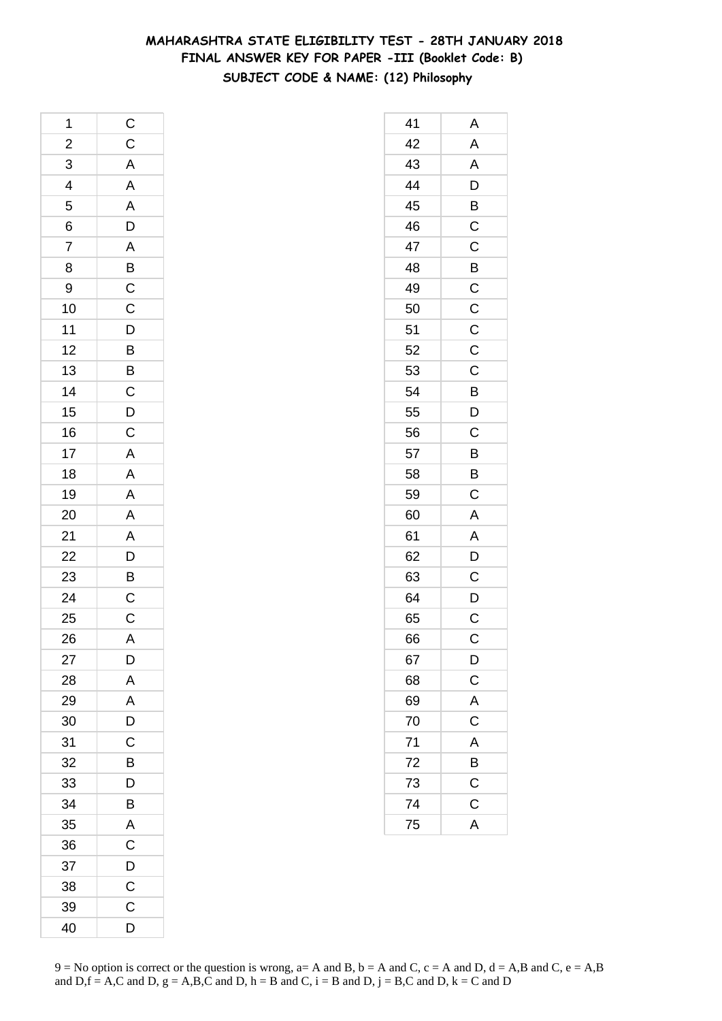### **MAHARASHTRA STATE ELIGIBILITY TEST - 28TH JANUARY 2018 FINAL ANSWER KEY FOR PAPER -III (Booklet Code: B) SUBJECT CODE & NAME: (12) Philosophy**

| 1               |                                     |
|-----------------|-------------------------------------|
| $\overline{a}$  | C C A A A D A B C C D B B C D C     |
| $\overline{3}$  |                                     |
| $\frac{4}{5}$   |                                     |
|                 |                                     |
| $\frac{6}{7}$   |                                     |
|                 |                                     |
| 8               |                                     |
| 9               |                                     |
| 10              |                                     |
| 11              |                                     |
| 12              |                                     |
| 13              |                                     |
| 14              |                                     |
| 15              |                                     |
| 16              |                                     |
| 17              |                                     |
| 18              |                                     |
| 19              |                                     |
| 20              | $A$ $A$ $A$ $A$ $A$ $B$ $B$ $C$ $C$ |
| 21              |                                     |
| $\overline{22}$ |                                     |
| 23              |                                     |
| $\overline{24}$ |                                     |
| 25              |                                     |
| 26              | A                                   |
| 27              | D                                   |
| 28              | A                                   |
| 29              | A                                   |
| 30              | D                                   |
| 31              | C                                   |
| 32              | B                                   |
| 33              | D                                   |
| 34              | B                                   |
| 35              | A                                   |
| 36              | $\overline{C}$                      |
| 37              | D                                   |
| 38              | C                                   |
| 39              | $\mathsf C$                         |
| 40              | D                                   |

| 41 | Α                       |
|----|-------------------------|
| 42 | A                       |
| 43 | $\mathsf{A}$            |
| 44 | $\overline{\mathsf{D}}$ |
| 45 | B                       |
| 46 | C                       |
| 47 | C                       |
| 48 | B                       |
| 49 | $\mathsf{C}$            |
| 50 | $\overline{\text{C}}$   |
| 51 | $\mathsf C$             |
| 52 | $\mathsf C$             |
| 53 | C                       |
| 54 | $\overline{B}$          |
| 55 | D                       |
| 56 | $\mathsf C$             |
| 57 | B                       |
| 58 | B                       |
| 59 | C                       |
| 60 | $\overline{A}$          |
| 61 | A                       |
| 62 | D                       |
| 63 | C                       |
| 64 | D                       |
| 65 | C                       |
| 66 | C                       |
| 67 | $\mathsf{D}$            |
| 68 | $\overline{C}$          |
| 69 | A                       |
| 70 | $\overline{\mathsf{C}}$ |
| 71 | $\overline{A}$          |
| 72 | B                       |
| 73 | $\overline{\text{c}}$   |
| 74 | $\mathsf C$             |
| 75 | A                       |
|    |                         |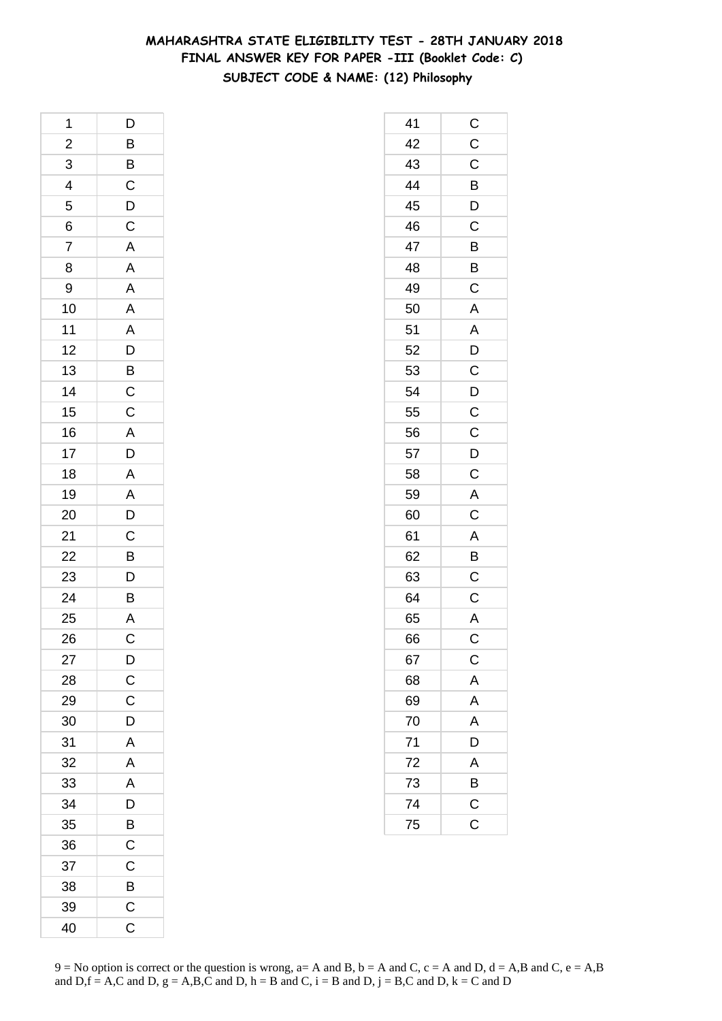# **MAHARASHTRA STATE ELIGIBILITY TEST - 28TH JANUARY 2018 FINAL ANSWER KEY FOR PAPER -III (Booklet Code: C) SUBJECT CODE & NAME: (12) Philosophy**

| 1                       | D                       |
|-------------------------|-------------------------|
| $\overline{\mathbf{c}}$ |                         |
| 3                       |                         |
| $\overline{4}$          | B B C D C               |
| 5                       |                         |
| 6                       |                         |
| 7                       | $\overline{A}$          |
| 8                       | $\overline{A}$          |
| 9                       |                         |
| 10                      | A A A D B C C A D A A D |
| 11                      |                         |
| 12                      |                         |
| 13                      |                         |
| 14                      |                         |
| 15                      |                         |
| 16                      |                         |
| 17                      |                         |
| 18                      |                         |
| 19                      |                         |
| 20                      |                         |
| 21                      |                         |
| 22                      |                         |
| 23                      | $\frac{C}{D}$           |
| 24                      | $\overline{B}$          |
| 25                      | A                       |
| 26                      | C                       |
| 27                      | $\mathsf{D}$            |
| 28                      | $\overline{C}$          |
| 29                      | $\mathsf C$             |
| 30                      | D                       |
| 31                      | A                       |
| 32                      | A                       |
| 33                      | A                       |
| 34                      | $\overline{D}$          |
| 35                      | $\overline{B}$          |
| 36                      | $\overline{C}$          |
| 37                      | C                       |
| 38                      | B                       |
| 39                      | $\mathsf C$             |
| 40                      | $\mathsf C$             |

| 41 | $\mathsf{C}$            |
|----|-------------------------|
| 42 | $\mathsf C$             |
| 43 | $\overline{\mathrm{c}}$ |
| 44 | $\overline{B}$          |
| 45 | $\overline{D}$          |
| 46 | $\mathsf{C}$            |
| 47 | B                       |
| 48 | B                       |
| 49 | C                       |
| 50 | A                       |
| 51 | $\mathsf{A}$            |
| 52 | D                       |
| 53 | C                       |
| 54 |                         |
| 55 | $\frac{D}{C}$           |
| 56 | $\frac{1}{C}$           |
| 57 | $\bar{D}$               |
| 58 | C                       |
| 59 | A                       |
| 60 | $\overline{C}$          |
| 61 | $\overline{A}$          |
| 62 | $\bar{B}$               |
| 63 | $\overline{\mathrm{C}}$ |
| 64 | $\overline{C}$          |
| 65 | $\overline{A}$          |
| 66 | C                       |
| 67 | $\mathsf C$             |
| 68 | A                       |
| 69 | A                       |
| 70 | A                       |
| 71 | D                       |
| 72 | A                       |
| 73 | B                       |
| 74 | $\mathsf{C}$            |
| 75 | C                       |
|    |                         |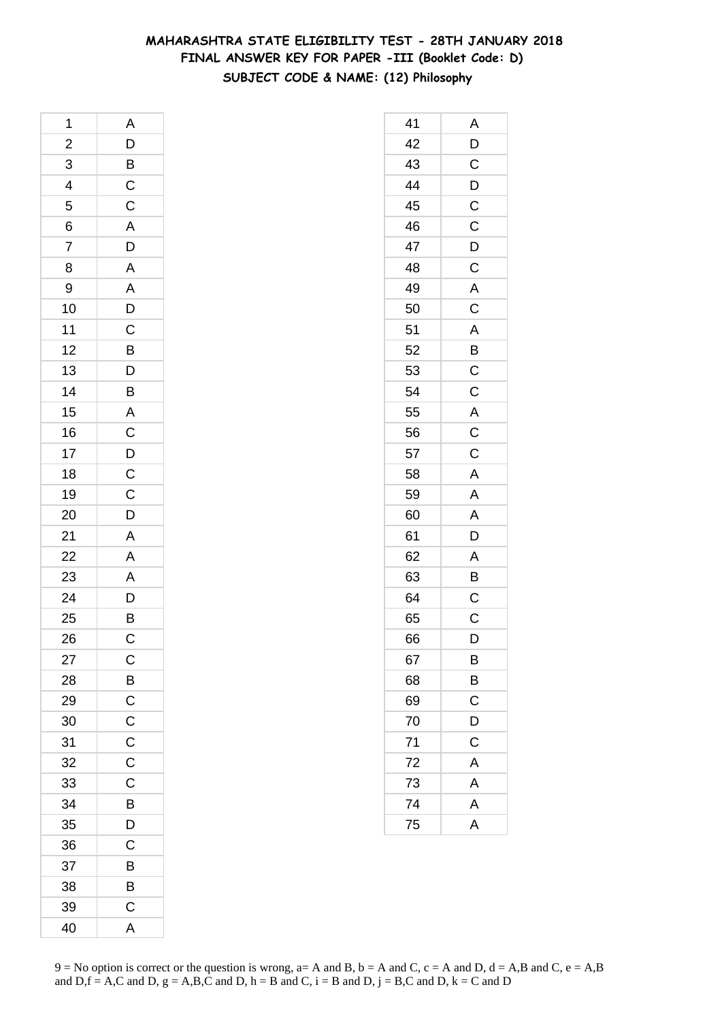# **MAHARASHTRA STATE ELIGIBILITY TEST - 28TH JANUARY 2018 FINAL ANSWER KEY FOR PAPER -III (Booklet Code: D) SUBJECT CODE & NAME: (12) Philosophy**

| 1              | A                         |
|----------------|---------------------------|
| $\overline{2}$ |                           |
| $\frac{3}{4}$  |                           |
|                | D<br>B<br>C<br>C          |
| 5              |                           |
| 6              |                           |
| $\overline{7}$ | $\frac{A}{D}$             |
| 8              |                           |
| 9              |                           |
| 10             |                           |
| 11             |                           |
| 12             | A A D C B D B A C D C C D |
| 13             |                           |
| 14             |                           |
| 15             |                           |
| 16             |                           |
| 17             |                           |
| 18             |                           |
| 19             |                           |
| 20             |                           |
| 21             |                           |
| 22             |                           |
| 23             |                           |
| 24             | A A A D B                 |
| 25             |                           |
| 26             | $\mathsf{C}$              |
| 27             | C                         |
| 28             | B                         |
| 29             | $\mathsf C$               |
| 30             | $\mathsf C$               |
| 31             | $\mathsf C$               |
| 32             | $\mathsf C$               |
| 33             | $\mathsf C$               |
| 34             | B                         |
| 35             | D                         |
| 36             | C                         |
| 37             | B                         |
| 38             | B                         |
| 39             | C                         |
| 40             | A                         |

| 41 | A                       |
|----|-------------------------|
| 42 |                         |
| 43 | $\frac{D}{C}$           |
| 44 | $\overline{D}$          |
| 45 | $\mathsf C$             |
| 46 | $\mathsf C$             |
| 47 |                         |
| 48 | $\frac{D}{C}$           |
| 49 | $\overline{A}$          |
| 50 | $\overline{\text{c}}$   |
| 51 | A                       |
| 52 | B                       |
| 53 | $\mathsf C$             |
| 54 | $\overline{C}$          |
| 55 |                         |
| 56 | $rac{A}{C}$             |
| 57 |                         |
| 58 | A                       |
| 59 | A                       |
| 60 | $\overline{\mathsf{A}}$ |
| 61 | $\overline{\mathsf{D}}$ |
| 62 | A                       |
| 63 | B                       |
| 64 | $\mathsf C$             |
| 65 | C                       |
| 66 | D                       |
| 67 | B                       |
| 68 | B                       |
| 69 | C                       |
| 70 | D                       |
| 71 | C                       |
| 72 | $\overline{A}$          |
| 73 | $\overline{A}$          |
| 74 | A                       |
| 75 | $\overline{A}$          |
|    |                         |

 $9 = No$  option is correct or the question is wrong,  $a = A$  and B,  $b = A$  and C,  $c = A$  and D,  $d = A$ ,B and C,  $e = A$ ,B and  $D,f = A,C$  and  $D, g = A,B,C$  and  $D, h = B$  and  $C, i = B$  and  $D, j = B,C$  and  $D, k = C$  and  $D$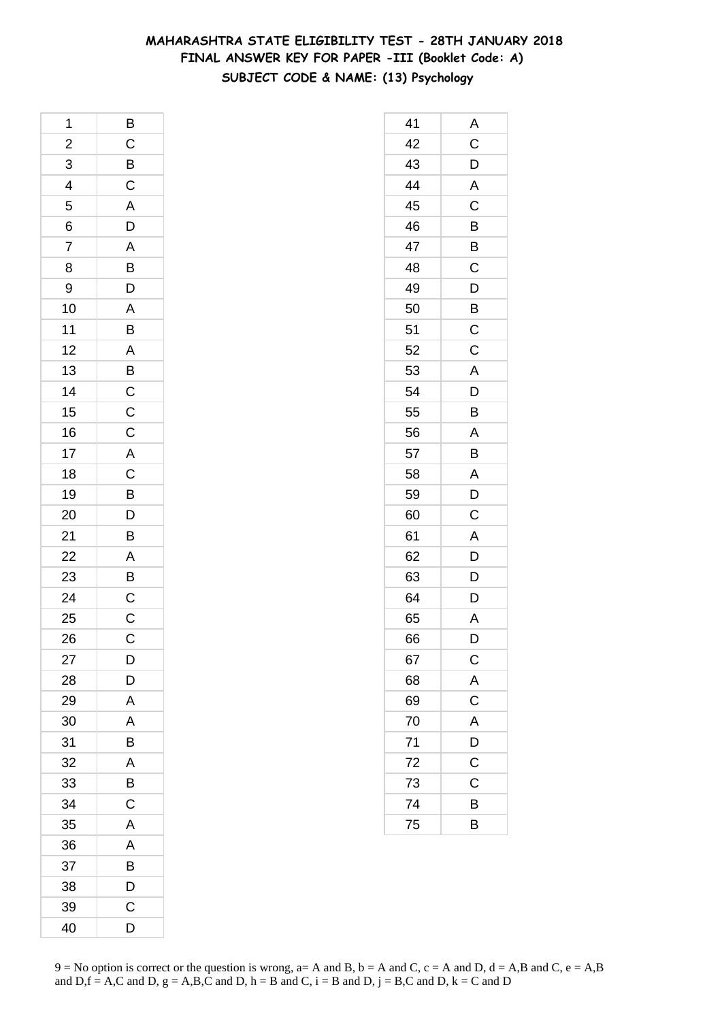### **MAHARASHTRA STATE ELIGIBILITY TEST - 28TH JANUARY 2018 FINAL ANSWER KEY FOR PAPER -III (Booklet Code: A) SUBJECT CODE & NAME: (13) Psychology**

| 1               | B             |
|-----------------|---------------|
| $\overline{c}$  |               |
| $\overline{3}$  | CBCADABD      |
| $\overline{4}$  |               |
| 5               |               |
| 6               |               |
| $\overline{7}$  |               |
| 8               |               |
| 9               |               |
| 10              |               |
| 11              | $\frac{A}{B}$ |
| 12              |               |
| 13              |               |
| 14              |               |
| 15              |               |
| 16              |               |
| 17              |               |
| 18              |               |
| 19              |               |
| 20              | ABCCCACBDB    |
| $\overline{21}$ |               |
| $\overline{22}$ |               |
| 23              | $\frac{A}{B}$ |
| 24              |               |
| 25              | $\frac{C}{C}$ |
| 26              | $\mathsf C$   |
| 27              | D             |
| 28              | D             |
| 29              | A             |
| 30              | A             |
| 31              | B             |
| 32              | A             |
| 33              | B             |
| 34              | $\mathsf C$   |
| 35              | A             |
| 36              | A             |
| 37              | B             |
| 38              | D             |
| 39              | $\mathsf C$   |
| 40              | D             |

| 41 | Α                       |
|----|-------------------------|
| 42 | C                       |
| 43 | D                       |
| 44 | $\overline{\mathsf{A}}$ |
| 45 | C                       |
| 46 | B                       |
| 47 | B                       |
| 48 | C                       |
| 49 | $\overline{D}$          |
| 50 | $\overline{B}$          |
| 51 | $\overline{C}$          |
| 52 | $\mathsf C$             |
| 53 | A                       |
| 54 | D                       |
| 55 | B                       |
| 56 | Α                       |
| 57 | B                       |
| 58 | A                       |
| 59 | D                       |
| 60 | C                       |
| 61 | A                       |
| 62 | D                       |
| 63 | D                       |
| 64 | D                       |
| 65 | Α                       |
| 66 | D                       |
| 67 | $\mathsf C$             |
| 68 | $\mathsf{A}$            |
| 69 | $\overline{\mathrm{c}}$ |
| 70 | A                       |
| 71 | D                       |
| 72 | $\mathsf C$             |
| 73 | C                       |
| 74 | В                       |
| 75 | B                       |
|    |                         |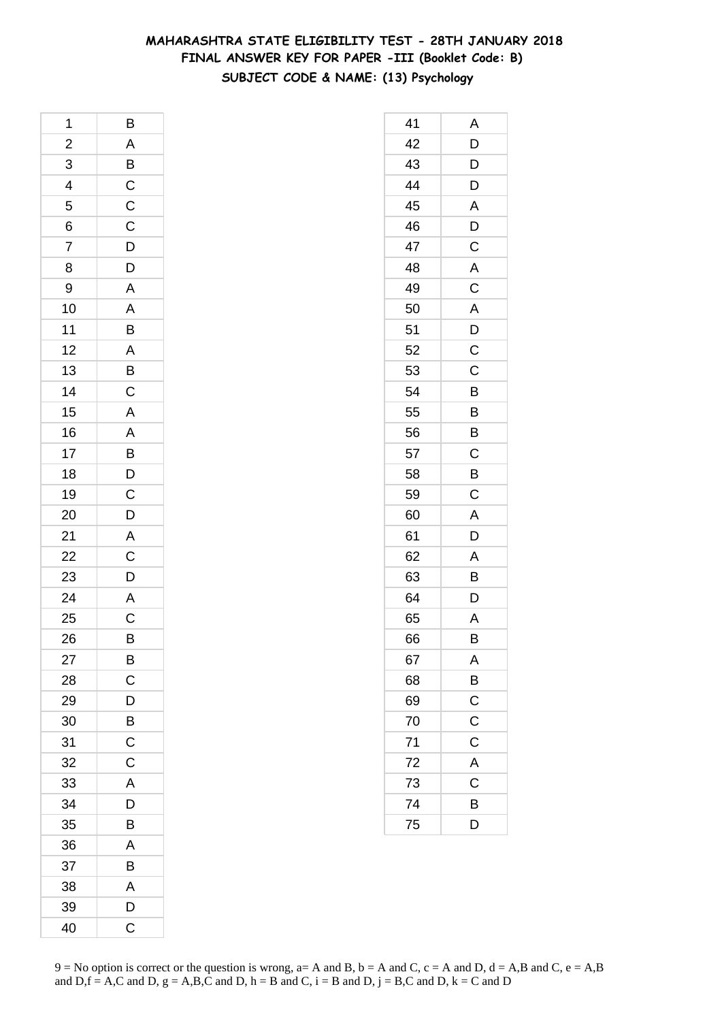### **MAHARASHTRA STATE ELIGIBILITY TEST - 28TH JANUARY 2018 FINAL ANSWER KEY FOR PAPER -III (Booklet Code: B) SUBJECT CODE & NAME: (13) Psychology**

| 1                       | B                                                                                                                                                       |
|-------------------------|---------------------------------------------------------------------------------------------------------------------------------------------------------|
| $\overline{\mathbf{c}}$ |                                                                                                                                                         |
| 3                       | $\frac{A}{B}$ $\frac{C}{C}$                                                                                                                             |
| $\overline{4}$          |                                                                                                                                                         |
| $\overline{5}$          |                                                                                                                                                         |
| 6                       | $\overline{C}$                                                                                                                                          |
| 7                       |                                                                                                                                                         |
| 8                       |                                                                                                                                                         |
| 9                       |                                                                                                                                                         |
| 10                      | $\begin{array}{c c} \multicolumn{2}{c }{D} & \multicolumn{2}{c}{A} & \multicolumn{2}{c}{A} & \multicolumn{2}{c}{B} & \multicolumn{2}{c}{C} \end{array}$ |
| 11                      |                                                                                                                                                         |
| 12                      |                                                                                                                                                         |
| 13                      |                                                                                                                                                         |
| 14                      |                                                                                                                                                         |
| 15                      |                                                                                                                                                         |
| 16                      |                                                                                                                                                         |
| 17                      |                                                                                                                                                         |
| 18                      |                                                                                                                                                         |
| 19                      |                                                                                                                                                         |
| 20                      | A A B D C D                                                                                                                                             |
| 21                      |                                                                                                                                                         |
| 22                      |                                                                                                                                                         |
| 23                      | $rac{A}{C}$                                                                                                                                             |
| $\overline{24}$         | A<br>C                                                                                                                                                  |
| 25                      |                                                                                                                                                         |
| 26                      | $\overline{B}$                                                                                                                                          |
| 27                      | B                                                                                                                                                       |
| 28                      | $\overline{C}$                                                                                                                                          |
| 29                      | D                                                                                                                                                       |
| 30                      | $\overline{B}$                                                                                                                                          |
| 31                      | C                                                                                                                                                       |
| 32                      | $\mathsf C$                                                                                                                                             |
| 33                      | A                                                                                                                                                       |
| 34                      | $\overline{D}$                                                                                                                                          |
| 35                      | B                                                                                                                                                       |
| 36                      | A                                                                                                                                                       |
| 37                      | B                                                                                                                                                       |
| 38                      | A                                                                                                                                                       |
| 39                      | D                                                                                                                                                       |
| 40                      | C                                                                                                                                                       |

| 41 | Α                       |
|----|-------------------------|
| 42 | D                       |
| 43 | D                       |
| 44 | D                       |
| 45 | A                       |
| 46 | D                       |
| 47 | C                       |
| 48 | Α                       |
| 49 | $\mathsf C$             |
| 50 | A                       |
| 51 | D                       |
| 52 | $\mathsf C$             |
| 53 | C                       |
| 54 | B                       |
| 55 | B                       |
| 56 | B                       |
| 57 | C                       |
| 58 | B                       |
| 59 | C                       |
| 60 | Α                       |
| 61 | D                       |
| 62 | A                       |
| 63 | B                       |
| 64 | D                       |
| 65 | Α                       |
| 66 | B                       |
| 67 | A                       |
| 68 | $\overline{B}$          |
| 69 | $\overline{C}$          |
| 70 | $\overline{C}$          |
| 71 | $\overline{\mathbf{C}}$ |
| 72 | A                       |
| 73 | C                       |
| 74 | B                       |
| 75 | D                       |
|    |                         |

 $9 = No$  option is correct or the question is wrong,  $a = A$  and B,  $b = A$  and C,  $c = A$  and D,  $d = A$ ,B and C,  $e = A$ ,B and  $D,f = A,C$  and  $D, g = A,B,C$  and  $D, h = B$  and  $C, i = B$  and  $D, j = B,C$  and  $D, k = C$  and  $D$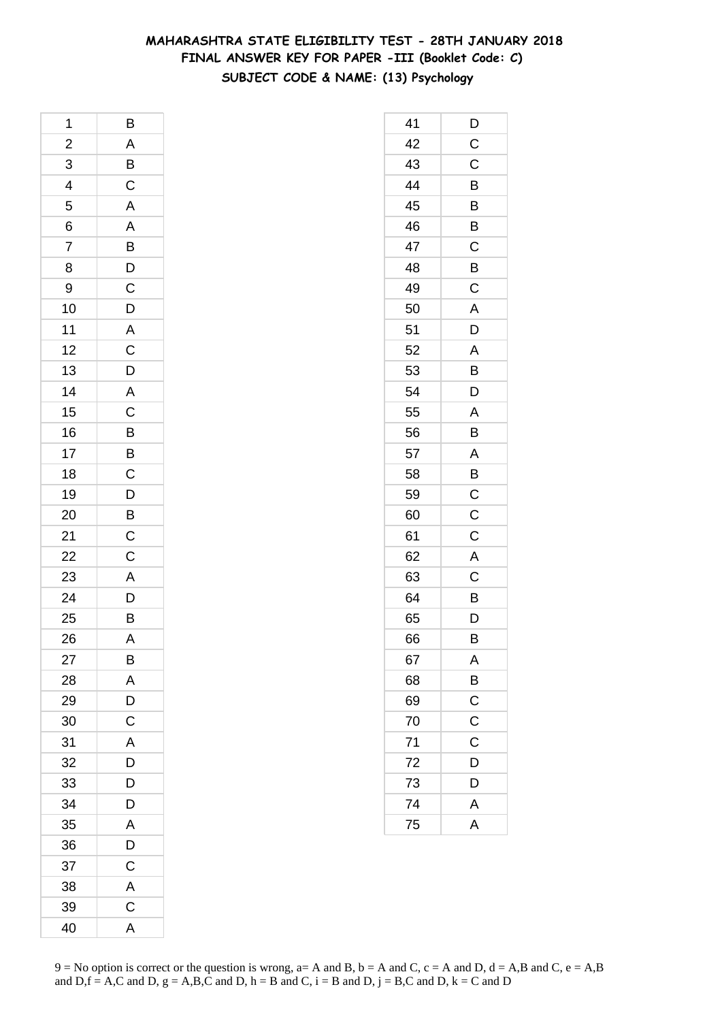### **MAHARASHTRA STATE ELIGIBILITY TEST - 28TH JANUARY 2018 FINAL ANSWER KEY FOR PAPER -III (Booklet Code: C) SUBJECT CODE & NAME: (13) Psychology**

| 1                       | B                 |
|-------------------------|-------------------|
| $\overline{\mathbf{c}}$ |                   |
| 3                       | $\frac{A}{B}$     |
| $\overline{4}$          |                   |
| 5                       |                   |
| 6                       |                   |
| 7                       |                   |
| 8                       |                   |
| 9                       |                   |
| 10                      | A A B D C D A C D |
| 11                      |                   |
| 12                      |                   |
| 13                      |                   |
| 14                      |                   |
| 15                      |                   |
| 16                      |                   |
| 17                      |                   |
| 18                      | A C B B C         |
| 19                      |                   |
| 20                      | $\frac{D}{B}$     |
| 21                      |                   |
| 22                      | $\frac{C}{C}$     |
| 23                      | $\overline{A}$    |
| 24                      |                   |
| 25                      | $\frac{D}{B}$     |
| 26                      | A                 |
| 27                      | B                 |
| 28                      | A                 |
| 29                      | D                 |
| 30                      | C                 |
| 31                      | A                 |
| 32                      | D                 |
| 33                      | D                 |
| 34                      | D                 |
| 35                      | A                 |
| 36                      | D                 |
| 37                      | $\mathsf C$       |
| 38                      | A                 |
| 39                      | $\mathsf C$       |
| 40                      | A                 |

| 41 | D              |
|----|----------------|
| 42 | C              |
| 43 | C              |
| 44 | B              |
| 45 | B              |
| 46 | B              |
| 47 | C              |
| 48 | B              |
| 49 | C              |
| 50 | $\overline{A}$ |
| 51 | D              |
| 52 | A              |
| 53 | B              |
| 54 | D              |
| 55 | A              |
| 56 | B              |
| 57 | A              |
| 58 | B              |
| 59 | $\mathsf{C}$   |
| 60 | C              |
| 61 | C              |
| 62 | A              |
| 63 | C              |
| 64 | B              |
| 65 | D              |
| 66 | В              |
| 67 | A              |
| 68 | B              |
| 69 | $\mathsf{C}$   |
| 70 | $\overline{C}$ |
| 71 | C              |
| 72 | D              |
| 73 | D              |
| 74 | A              |
| 75 | Ă              |
|    |                |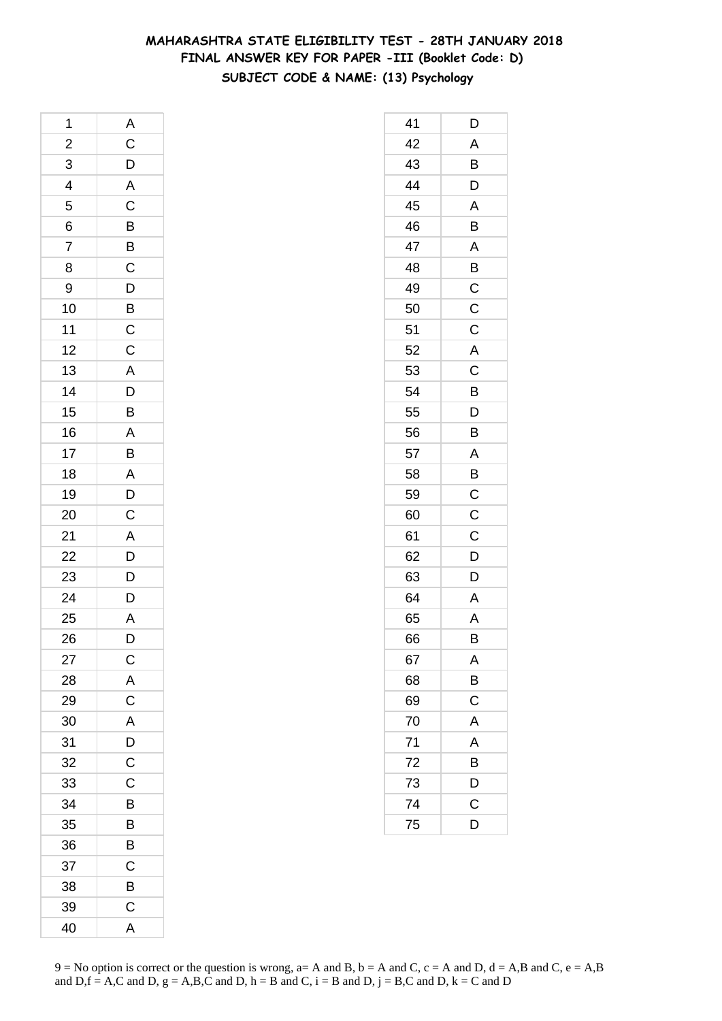# **MAHARASHTRA STATE ELIGIBILITY TEST - 28TH JANUARY 2018 FINAL ANSWER KEY FOR PAPER -III (Booklet Code: D) SUBJECT CODE & NAME: (13) Psychology**

| 1                       | A                                                  |
|-------------------------|----------------------------------------------------|
| $\overline{\mathbf{c}}$ |                                                    |
| 3                       | $rac{C}{D}$                                        |
| 4                       |                                                    |
| 5                       | $\overline{c}$                                     |
| 6                       |                                                    |
| $\overline{7}$          |                                                    |
| 8                       | $\overline{B}$<br>$\overline{C}$                   |
| 9                       |                                                    |
| 10                      | $D$<br>$B$<br>$C$                                  |
| 11                      |                                                    |
| 12                      | $\mathsf C$                                        |
| 13                      | ADBAB                                              |
| 14                      |                                                    |
| 15                      |                                                    |
| 16                      |                                                    |
| 17                      |                                                    |
| 18                      |                                                    |
| 19                      |                                                    |
| 20                      | $\overline{A}$<br>$\overline{D}$<br>$\overline{C}$ |
| 21                      |                                                    |
| 22                      | $\frac{A}{D}$                                      |
| 23                      | $\overline{D}$                                     |
| 24                      | $\overline{D}$                                     |
| 25                      | $\overline{A}$                                     |
| 26                      | D                                                  |
| 27                      | $\mathsf C$                                        |
| 28                      | A                                                  |
| 29                      | $\mathsf C$                                        |
| 30                      | A                                                  |
| 31                      |                                                    |
| 32                      | $\frac{D}{C}$                                      |
| 33                      | $\mathsf C$                                        |
| 34                      | B                                                  |
| 35                      | B                                                  |
| 36                      | B                                                  |
| 37                      | $\mathsf{C}$                                       |
| 38                      | $\overline{B}$                                     |
| 39                      | $\overline{\mathrm{c}}$                            |
| 40                      | A                                                  |

| 41 | D              |
|----|----------------|
| 42 | A              |
| 43 | B              |
| 44 | $\overline{D}$ |
| 45 | A              |
| 46 | B              |
| 47 | A              |
| 48 | B              |
| 49 | $\mathsf C$    |
| 50 | $\overline{C}$ |
| 51 | $\mathsf C$    |
| 52 | $\overline{A}$ |
| 53 | C              |
| 54 | B              |
| 55 | D              |
| 56 | B              |
| 57 | A              |
| 58 | B              |
| 59 | $\mathsf{C}$   |
| 60 | C              |
| 61 | $\mathsf C$    |
| 62 | $\overline{D}$ |
| 63 | D              |
| 64 | A              |
| 65 | A              |
| 66 | B              |
| 67 | A              |
| 68 | B              |
| 69 | $\overline{C}$ |
| 70 | A              |
| 71 | A              |
| 72 | B              |
| 73 | D              |
| 74 | $\mathsf C$    |
| 75 | D              |
|    |                |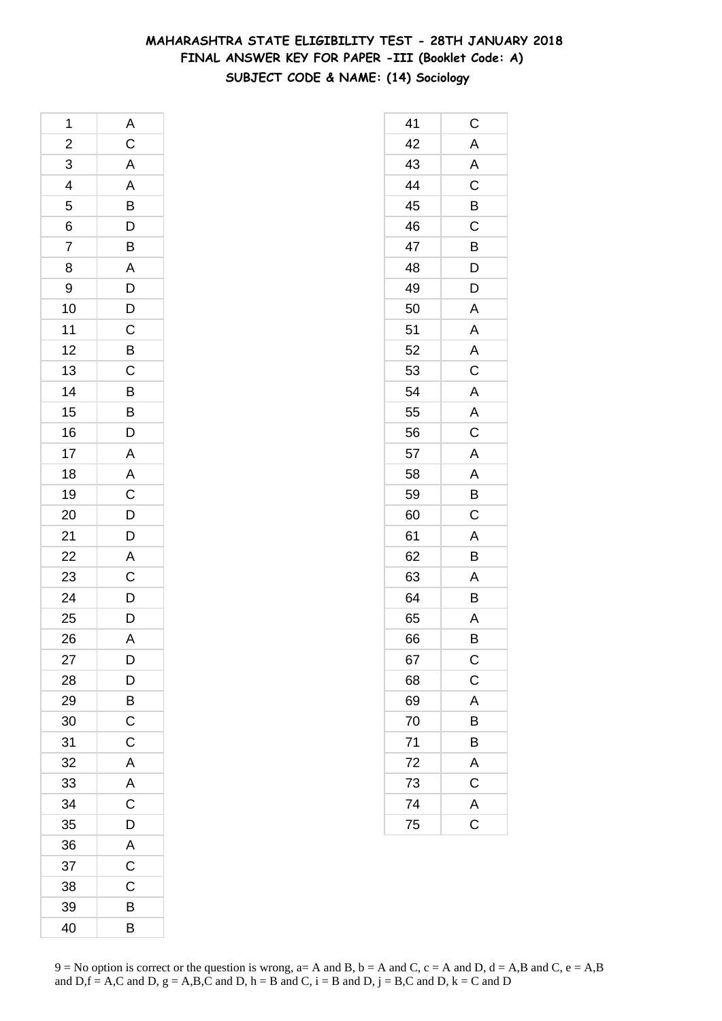## **MAHARASHTRA STATE ELIGIBILITY TEST - 28TH JANUARY 2018 FINAL ANSWER KEY FOR PAPER -III (Booklet Code: A) SUBJECT CODE & NAME: (14) Sociology**

| 1              | $\overline{A}$                |
|----------------|-------------------------------|
| $\overline{c}$ | C A A B D B A D D C B C B B D |
| 3              |                               |
| $\overline{4}$ |                               |
|                |                               |
| $\frac{5}{6}$  |                               |
| $\overline{7}$ |                               |
| 8              |                               |
| 9              |                               |
| 10             |                               |
| 11             |                               |
| 12             |                               |
| 13             |                               |
| 14             |                               |
| 15             |                               |
| 16             |                               |
| 17             |                               |
| 18             |                               |
| 19             |                               |
| 20             | A<br>A<br>C<br>D<br>D<br>D    |
| 21             |                               |
| 22             |                               |
| 23             | $rac{A}{C}$                   |
| 24             |                               |
| 25             | $\frac{D}{D}$                 |
| 26             | A                             |
| 27             | D                             |
| 28             | D                             |
| 29             | B                             |
| 30             | $\mathsf C$                   |
| 31             | $\mathsf C$                   |
| 32             | A                             |
| 33             | A                             |
| 34             | $\overline{\mathrm{c}}$       |
| 35             | D                             |
| 36             | A                             |
| 37             | $\overline{C}$                |
| 38             | C                             |
| 39             | B                             |
| 40             | B                             |

| 41              | $\mathsf C$                         |
|-----------------|-------------------------------------|
| 42              | $\overline{A}$                      |
| 43              | A                                   |
| 44              | $\overline{\text{c}}$               |
| 45              | B                                   |
| 46              | C                                   |
| 47              | B                                   |
| 48              | $\overline{D}$                      |
| 49              | D                                   |
| 50              | A                                   |
| 51              | A                                   |
| 52              | A                                   |
| 53              | $\overline{\mathrm{c}}$             |
| 54              | A                                   |
| 55              | $\overline{\mathsf{A}}$             |
| 56              | $\overline{\mathbf{C}}$             |
| 57              | A                                   |
| 58              | A                                   |
| 59              | B                                   |
| 60              | C                                   |
| 61              | A                                   |
| 62              | B                                   |
| 63              | A                                   |
| 64              | B                                   |
| 65              | A                                   |
| 66              | B                                   |
| 67              | $\mathsf{C}$                        |
| 68              | $\overline{c}$                      |
| 69              | A                                   |
| 70              | B                                   |
| 71              | B                                   |
| 72              | A                                   |
| $\overline{73}$ | $\frac{\overline{C}}{\overline{A}}$ |
| 74              |                                     |
| 75              |                                     |
|                 |                                     |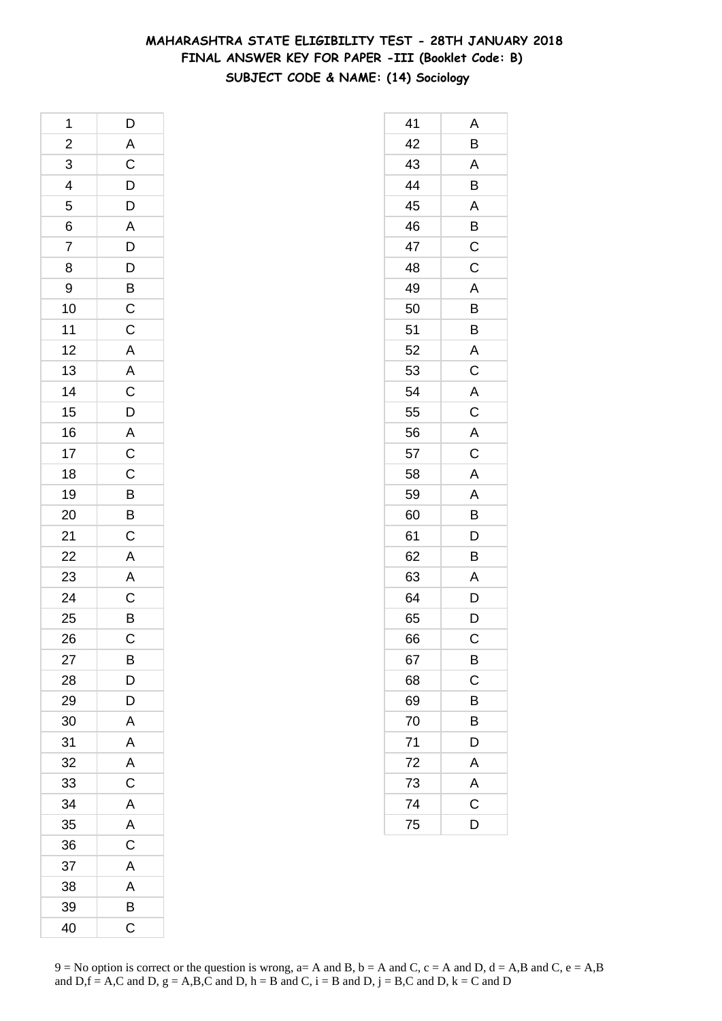## **MAHARASHTRA STATE ELIGIBILITY TEST - 28TH JANUARY 2018 FINAL ANSWER KEY FOR PAPER -III (Booklet Code: B) SUBJECT CODE & NAME: (14) Sociology**

| 1              | D                                       |
|----------------|-----------------------------------------|
|                |                                         |
| $\frac{2}{3}$  | A C D D A D D B C C A A C D A C C B B C |
| $\overline{4}$ |                                         |
| 5              |                                         |
| 6              |                                         |
| $\overline{7}$ |                                         |
| 8              |                                         |
| 9              |                                         |
| 10             |                                         |
| 11             |                                         |
| 12             |                                         |
| 13             |                                         |
| 14             |                                         |
| 15             |                                         |
| 16             |                                         |
| 17             |                                         |
| 18             |                                         |
| 19             |                                         |
| 20             |                                         |
| 21             |                                         |
| 22<br>23       |                                         |
|                |                                         |
| 24             | A<br>A<br>C<br>B<br>C                   |
| 25             |                                         |
| 26             |                                         |
| 27             | В                                       |
| 28             | D                                       |
| 29             | D                                       |
| 30             | A                                       |
| 31             | A                                       |
| 32             | A                                       |
| 33             | C                                       |
| 34             | A                                       |
| 35             | A                                       |
| 36             | C                                       |
| 37             | A                                       |
| 38             | A                                       |
| 39             | B                                       |
| 40             | C                                       |

| 41 | Α                       |
|----|-------------------------|
| 42 | B                       |
| 43 | A                       |
| 44 | B                       |
| 45 | A                       |
| 46 | B                       |
| 47 | $\mathsf C$             |
| 48 | C                       |
| 49 | A                       |
| 50 | B                       |
| 51 | B                       |
| 52 | A                       |
| 53 | $\overline{c}$          |
| 54 | A                       |
| 55 | $\overline{\mathrm{c}}$ |
| 56 | $\overline{A}$          |
| 57 | C                       |
| 58 | A                       |
| 59 | A                       |
| 60 | B                       |
| 61 | $\overline{D}$          |
| 62 | $\overline{B}$          |
| 63 | A                       |
| 64 | D                       |
| 65 | D                       |
| 66 | C                       |
| 67 | B                       |
| 68 | C                       |
| 69 | B                       |
| 70 | B                       |
| 71 | D                       |
| 72 | A                       |
| 73 | A                       |
| 74 | C                       |
| 75 | D                       |
|    |                         |

 $9 = No$  option is correct or the question is wrong,  $a = A$  and B,  $b = A$  and C,  $c = A$  and D,  $d = A$ ,B and C,  $e = A$ ,B and  $D,f = A,C$  and  $D, g = A,B,C$  and  $D, h = B$  and  $C, i = B$  and  $D, j = B,C$  and  $D, k = C$  and  $D$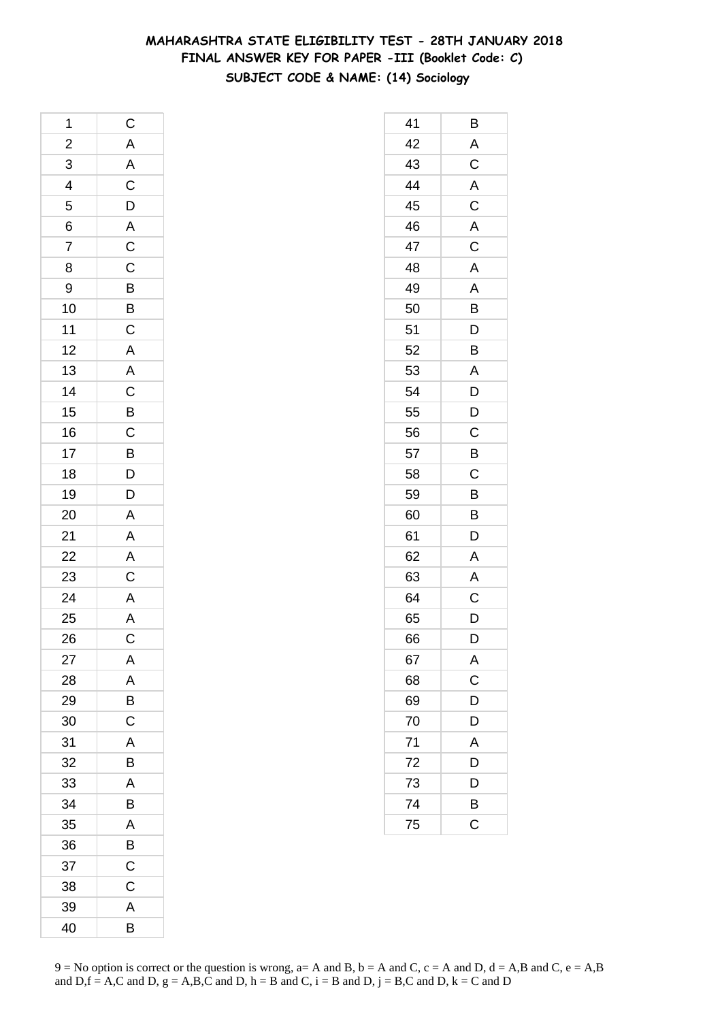# **MAHARASHTRA STATE ELIGIBILITY TEST - 28TH JANUARY 2018 FINAL ANSWER KEY FOR PAPER -III (Booklet Code: C) SUBJECT CODE & NAME: (14) Sociology**

| 1                                                                        |                                     |
|--------------------------------------------------------------------------|-------------------------------------|
|                                                                          |                                     |
| $\begin{array}{c}\n 2 \\  3 \\  \hline\n 4 \\  \hline\n 5\n \end{array}$ | C A A C D A C C B B C A A C B C B D |
|                                                                          |                                     |
|                                                                          |                                     |
|                                                                          |                                     |
| $\frac{6}{7}$                                                            |                                     |
| 8                                                                        |                                     |
| 9                                                                        |                                     |
| 10                                                                       |                                     |
| 11                                                                       |                                     |
| 12                                                                       |                                     |
| 13                                                                       |                                     |
| 14                                                                       |                                     |
| 15                                                                       |                                     |
| 16                                                                       |                                     |
| 17                                                                       |                                     |
| 18                                                                       |                                     |
| 19                                                                       |                                     |
| 20                                                                       | $\frac{D}{A}$                       |
| 21                                                                       |                                     |
| $\overline{22}$                                                          | $\frac{A}{C}$                       |
|                                                                          |                                     |
| 23<br>24<br>25                                                           |                                     |
|                                                                          | $\frac{A}{A}$                       |
| 26                                                                       |                                     |
| 27                                                                       | A                                   |
| 28                                                                       | A                                   |
| 29                                                                       | B                                   |
| 30                                                                       | C                                   |
| 31                                                                       | A                                   |
| 32                                                                       | B                                   |
| 33                                                                       | A                                   |
| 34                                                                       | B                                   |
| 35                                                                       | A                                   |
| 36                                                                       | B                                   |
| 37                                                                       | $\mathsf C$                         |
| 38                                                                       | C                                   |
| 39                                                                       | A                                   |
| 40                                                                       | B                                   |

| 41 | В                       |
|----|-------------------------|
| 42 | A                       |
| 43 | $\overline{\mathrm{c}}$ |
| 44 |                         |
| 45 | $\frac{A}{C}$           |
| 46 |                         |
| 47 | $\overline{\mathsf{C}}$ |
| 48 | A                       |
| 49 | A                       |
| 50 | B                       |
| 51 | D                       |
| 52 | B                       |
| 53 | A                       |
| 54 | D                       |
| 55 | D                       |
| 56 | $\overline{C}$          |
| 57 | $\overline{B}$          |
| 58 | C                       |
| 59 | B                       |
| 60 | B                       |
| 61 | D                       |
| 62 | $\overline{A}$          |
| 63 | A                       |
| 64 | $\mathsf C$             |
| 65 | D                       |
| 66 | D                       |
| 67 | A                       |
| 68 | $\overline{c}$          |
| 69 | $\overline{D}$          |
| 70 | D                       |
| 71 | A                       |
| 72 | D                       |
| 73 | D                       |
| 74 | B                       |
| 75 | $\overline{\text{c}}$   |
|    |                         |

 $9 = No$  option is correct or the question is wrong,  $a = A$  and B,  $b = A$  and C,  $c = A$  and D,  $d = A$ ,B and C,  $e = A$ ,B and  $D,f = A,C$  and  $D, g = A,B,C$  and  $D, h = B$  and  $C, i = B$  and  $D, j = B,C$  and  $D, k = C$  and  $D$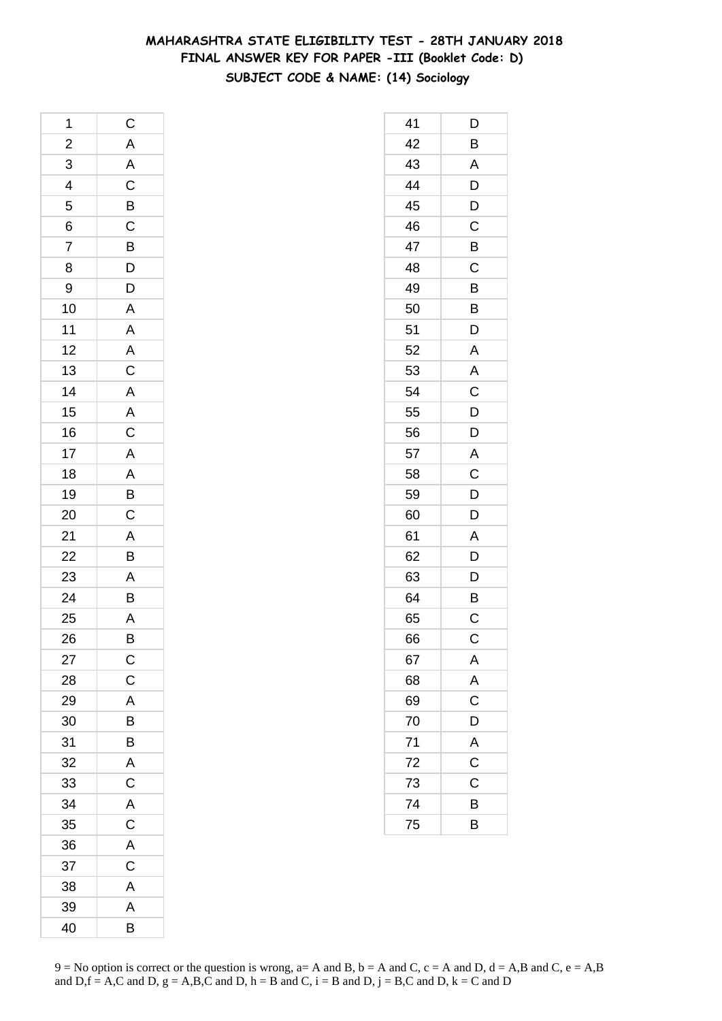## **MAHARASHTRA STATE ELIGIBILITY TEST - 28TH JANUARY 2018 FINAL ANSWER KEY FOR PAPER -III (Booklet Code: D) SUBJECT CODE & NAME: (14) Sociology**

| 1                       | $\mathsf{C}$                                                                                              |
|-------------------------|-----------------------------------------------------------------------------------------------------------|
| $\overline{\mathbf{c}}$ |                                                                                                           |
| $\frac{3}{4}$           |                                                                                                           |
|                         | A   A   C   B   C   B   D   D   A   A   A   C   A   A   C   A   A   B   C   A   B   C   A   B   A   B   A |
| 5                       |                                                                                                           |
| $\overline{6}$          |                                                                                                           |
| $\overline{7}$          |                                                                                                           |
| 8                       |                                                                                                           |
| 9                       |                                                                                                           |
| 10                      |                                                                                                           |
| 11                      |                                                                                                           |
| 12                      |                                                                                                           |
| 13                      |                                                                                                           |
| 14                      |                                                                                                           |
| 15                      |                                                                                                           |
| 16                      |                                                                                                           |
| 17                      |                                                                                                           |
| 18                      |                                                                                                           |
| 19                      |                                                                                                           |
| 20                      |                                                                                                           |
| 21                      |                                                                                                           |
| $\overline{22}$         |                                                                                                           |
| 23                      |                                                                                                           |
| 24                      |                                                                                                           |
| 25                      |                                                                                                           |
| 26                      | $\overline{B}$                                                                                            |
| 27                      | $\mathsf C$                                                                                               |
| 28                      | $\mathsf C$                                                                                               |
| 29                      | A                                                                                                         |
| 30                      | B                                                                                                         |
| 31                      | B                                                                                                         |
| 32                      | $\mathsf{A}$                                                                                              |
| 33                      | $\overline{C}$                                                                                            |
| 34                      | A                                                                                                         |
| 35                      | $\mathsf C$                                                                                               |
| 36                      | A                                                                                                         |
| 37                      | $\mathsf C$                                                                                               |
| 38                      | A                                                                                                         |
| 39                      | A                                                                                                         |
| 40                      | B                                                                                                         |

| 41 | D                       |
|----|-------------------------|
| 42 | B                       |
| 43 | A                       |
| 44 | D                       |
| 45 | D                       |
| 46 | C                       |
| 47 | B                       |
| 48 | C                       |
| 49 | B                       |
| 50 | B                       |
| 51 | D                       |
| 52 | A                       |
| 53 | $\overline{\mathsf{A}}$ |
| 54 | $\mathsf C$             |
| 55 | D                       |
| 56 | D                       |
| 57 | A                       |
| 58 | C                       |
| 59 | $\overline{D}$          |
| 60 | $\overline{D}$          |
| 61 | A                       |
| 62 | D                       |
| 63 | D                       |
| 64 | B                       |
| 65 | C                       |
| 66 | C                       |
| 67 | A                       |
| 68 | A                       |
| 69 | $\overline{\text{c}}$   |
| 70 | D                       |
| 71 | $rac{A}{C}$             |
| 72 |                         |
| 73 | $\mathsf C$             |
| 74 | B                       |
| 75 | B                       |
|    |                         |

 $9 = No$  option is correct or the question is wrong,  $a = A$  and B,  $b = A$  and C,  $c = A$  and D,  $d = A$ ,B and C,  $e = A$ ,B and  $D,f = A,C$  and  $D, g = A,B,C$  and  $D, h = B$  and  $C, i = B$  and  $D, j = B,C$  and  $D, k = C$  and  $D$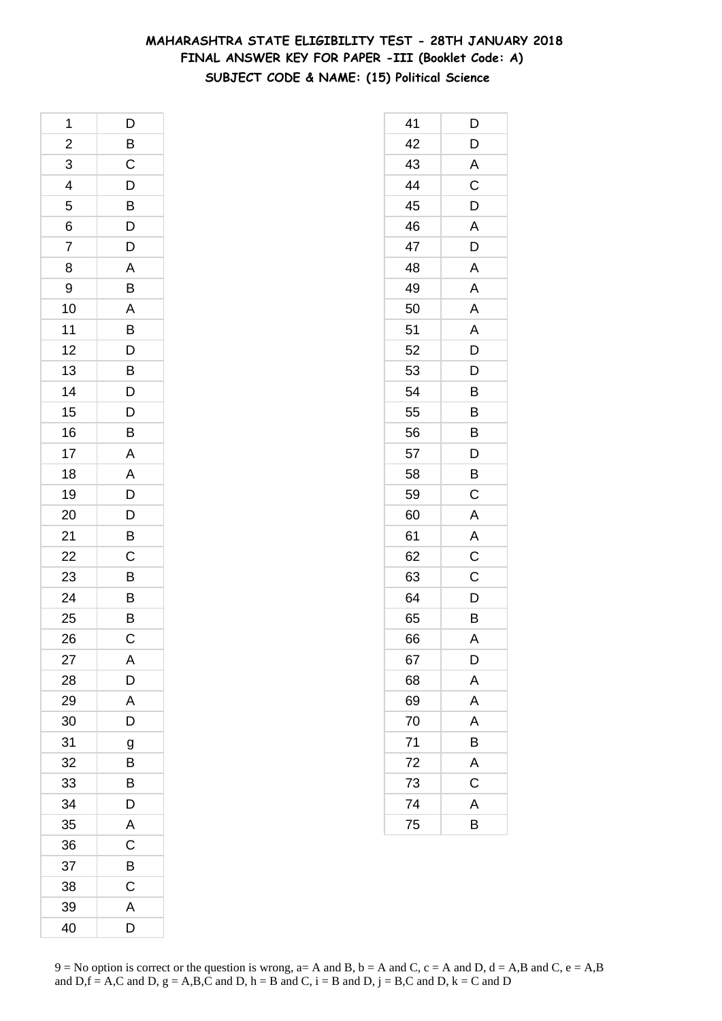## **MAHARASHTRA STATE ELIGIBILITY TEST - 28TH JANUARY 2018 FINAL ANSWER KEY FOR PAPER -III (Booklet Code: A) SUBJECT CODE & NAME: (15) Political Science**

| 1                       | D                       |
|-------------------------|-------------------------|
| $\overline{\mathbf{c}}$ | $\overline{B}$          |
| 3                       | $\mathsf C$             |
| $\overline{4}$          | $\frac{D}{B}$           |
| 5                       |                         |
| 6                       | $\overline{D}$          |
| 7                       | D                       |
| 8                       | A                       |
| 9                       | B                       |
| 10                      | $\overline{A}$          |
| 11                      | $\overline{B}$          |
| 12                      | $\overline{D}$          |
| 13                      | $\overline{B}$          |
| 14                      | D                       |
| 15                      | $\overline{D}$          |
| 16                      | $\overline{B}$          |
| 17                      | $\mathsf{A}$            |
| 18                      | $\overline{A}$          |
| 19                      |                         |
| 20                      | $\frac{D}{D}$           |
| 21                      | B                       |
| 22                      | $\overline{C}$          |
| 23                      | $\overline{B}$          |
| 24                      | B                       |
| 25                      | B                       |
| 26                      | $\mathsf C$             |
| 27                      | A                       |
| 28                      | $\overline{D}$          |
| 29                      | $\overline{\mathsf{A}}$ |
| 30                      | D                       |
| 31                      | g                       |
| 32                      | B                       |
| 33                      | B                       |
| 34                      | D                       |
| 35                      | $\overline{\mathsf{A}}$ |
| 36                      | C                       |
| 37                      | B                       |
| 38                      | $\mathsf C$             |
| 39                      | A                       |
| 40                      | D                       |

| 41 | D            |
|----|--------------|
| 42 | D            |
| 43 | $\mathsf{A}$ |
| 44 | $\mathsf C$  |
| 45 | D            |
| 46 | A            |
| 47 | D            |
| 48 | A            |
| 49 | A            |
| 50 | A            |
| 51 | A            |
| 52 | D            |
| 53 | D            |
| 54 | B            |
| 55 | B            |
| 56 | B            |
| 57 | D            |
| 58 | B            |
| 59 | C            |
| 60 | A            |
| 61 | A            |
| 62 | $\mathsf C$  |
| 63 | C            |
| 64 | D            |
| 65 | B            |
| 66 | A            |
| 67 | D            |
| 68 | A            |
| 69 | A            |
| 70 | A            |
| 71 | B            |
| 72 | A            |
| 73 | C            |
| 74 | A            |
| 75 | B            |
|    |              |

 $9 = No$  option is correct or the question is wrong,  $a = A$  and B,  $b = A$  and C,  $c = A$  and D,  $d = A$ ,B and C,  $e = A$ ,B and  $D,f = A,C$  and  $D, g = A,B,C$  and  $D, h = B$  and  $C, i = B$  and  $D, j = B,C$  and  $D, k = C$  and  $D$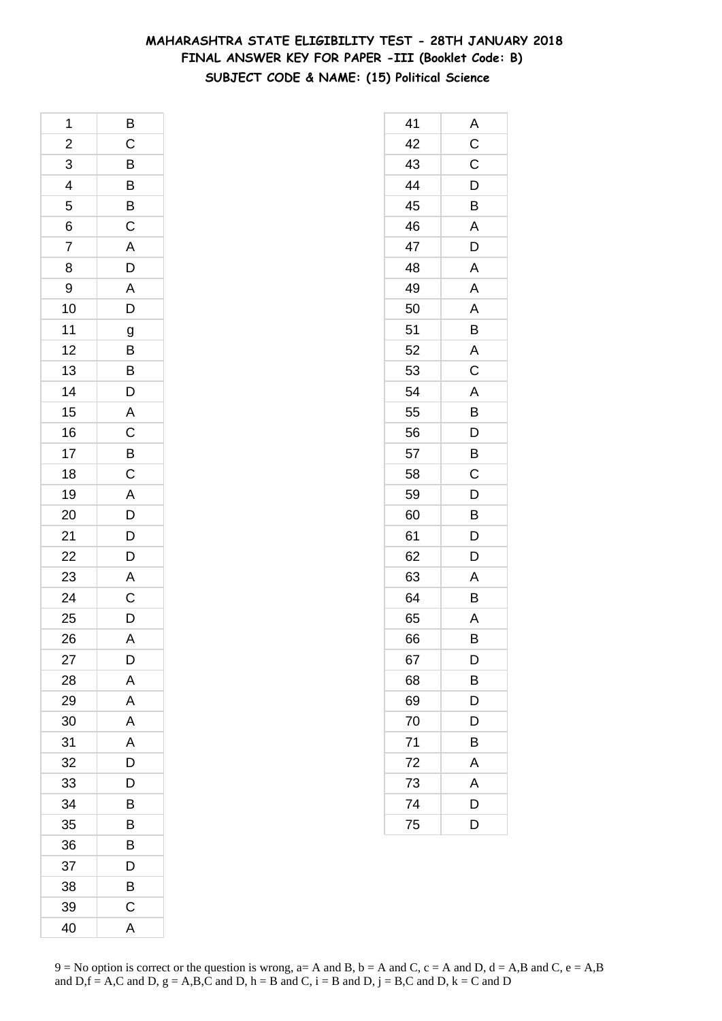## **MAHARASHTRA STATE ELIGIBILITY TEST - 28TH JANUARY 2018 FINAL ANSWER KEY FOR PAPER -III (Booklet Code: B) SUBJECT CODE & NAME: (15) Political Science**

| 1                       | B                     |
|-------------------------|-----------------------|
| $\overline{\mathbf{c}}$ | $\mathsf{C}$          |
|                         |                       |
| $\frac{3}{4}$           | B B B C               |
| $\overline{5}$          |                       |
| 6                       |                       |
| $\overline{7}$          | $\overline{A}$<br>$D$ |
| 8                       |                       |
| 9                       |                       |
| 10                      | A<br>D                |
| 11                      | $\overline{g}$        |
| 12                      |                       |
| 13                      | $\frac{B}{B}$         |
| 14                      | D                     |
| 15                      |                       |
| 16                      |                       |
| 17                      |                       |
| 18                      | A<br>C<br>B<br>C      |
| 19                      |                       |
| 20                      | $\frac{A}{D}$         |
| 21                      |                       |
| 22                      | $\frac{D}{D}$         |
| 23                      | $\overline{A}$        |
| 24                      | $\overline{C}$        |
| 25                      | D                     |
| 26                      | $\overline{A}$        |
| 27                      | D                     |
| 28                      | A                     |
| 29                      | A                     |
| 30                      | A                     |
| 31                      | A                     |
| 32                      | D                     |
| 33                      | D                     |
| 34                      | Β                     |
| 35                      | B                     |
| 36                      | B                     |
| 37                      | D                     |
| 38                      | B                     |
| 39                      | $\mathsf{C}$          |
| 40                      | A                     |

| 41 | Α              |
|----|----------------|
| 42 | C              |
| 43 | C              |
| 44 | D              |
| 45 | B              |
| 46 | A              |
| 47 | D              |
| 48 | Α              |
| 49 | A              |
| 50 | A              |
| 51 | B              |
| 52 | A              |
| 53 | C              |
| 54 | Α              |
| 55 | B              |
| 56 | $\mathsf{D}$   |
| 57 | $\overline{B}$ |
| 58 | C              |
| 59 | D              |
| 60 | B              |
| 61 | D              |
| 62 | D              |
| 63 | A              |
| 64 | B              |
| 65 | Α              |
| 66 | B              |
| 67 | D              |
| 68 | B              |
| 69 | D              |
| 70 | D              |
| 71 | B              |
| 72 | Α              |
| 73 | A              |
| 74 | D              |
| 75 | D              |
|    |                |

 $9 = No$  option is correct or the question is wrong,  $a = A$  and B,  $b = A$  and C,  $c = A$  and D,  $d = A$ ,B and C,  $e = A$ ,B and  $D,f = A,C$  and  $D, g = A,B,C$  and  $D, h = B$  and  $C, i = B$  and  $D, j = B,C$  and  $D, k = C$  and  $D$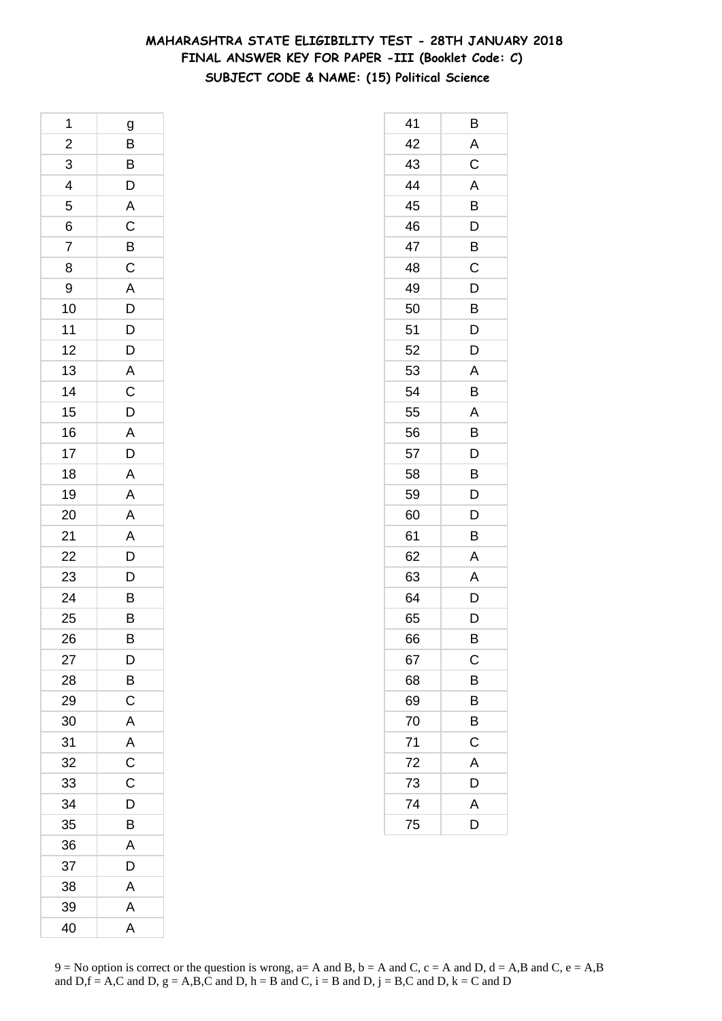## **MAHARASHTRA STATE ELIGIBILITY TEST - 28TH JANUARY 2018 FINAL ANSWER KEY FOR PAPER -III (Booklet Code: C) SUBJECT CODE & NAME: (15) Political Science**

| 1              | g                                                  |
|----------------|----------------------------------------------------|
| $\overline{a}$ | $\overline{B}$                                     |
| 3              |                                                    |
| $\overline{4}$ | $\frac{B}{D}$                                      |
| 5              |                                                    |
| 6              | $rac{A}{C}$                                        |
| 7              |                                                    |
| 8              | $rac{B}{C}$                                        |
| 9              |                                                    |
| 10             | $\overline{A}$<br>$\overline{D}$<br>$\overline{D}$ |
| 11             |                                                    |
| 12             | $\overline{D}$                                     |
| 13             | $\overline{\mathsf{A}}$                            |
| 14             |                                                    |
| 15             | $\frac{C}{D}$                                      |
| 16             |                                                    |
| 17             | $\frac{A}{D}$                                      |
| 18             | $\overline{A}$                                     |
| 19             | $\overline{\mathsf{A}}$                            |
| 20             | $\overline{\mathsf{A}}$                            |
| 21             |                                                    |
| 22             |                                                    |
| 23             | $\frac{A}{D}$                                      |
| 24             | $\overline{B}$                                     |
| 25             | B                                                  |
| 26             | B                                                  |
| 27             | D                                                  |
| 28             | B                                                  |
| 29             | $\mathsf C$                                        |
| 30             | A                                                  |
| 31             | A                                                  |
| 32             | $\mathsf C$                                        |
| 33             | C                                                  |
| 34             | D                                                  |
| 35             | B                                                  |
| 36             | A                                                  |
| 37             | D                                                  |
| 38             | A                                                  |
| 39             | A                                                  |
| 40             | $\overline{\mathsf{A}}$                            |

| 41 | В            |
|----|--------------|
| 42 | A            |
| 43 | C            |
| 44 | A            |
| 45 | B            |
| 46 | D            |
| 47 | B            |
| 48 | C            |
| 49 | D            |
| 50 | B            |
| 51 | D            |
| 52 | D            |
| 53 | A            |
| 54 | B            |
| 55 | A            |
| 56 | B            |
| 57 | D            |
| 58 | B            |
| 59 | D            |
| 60 | D            |
| 61 | В            |
| 62 | A            |
| 63 | A            |
| 64 | D            |
| 65 | D            |
| 66 | B            |
| 67 | $\mathsf{C}$ |
| 68 | B            |
| 69 | B            |
| 70 | B            |
| 71 | C            |
| 72 | A            |
| 73 | D            |
| 74 | A            |
| 75 | D            |
|    |              |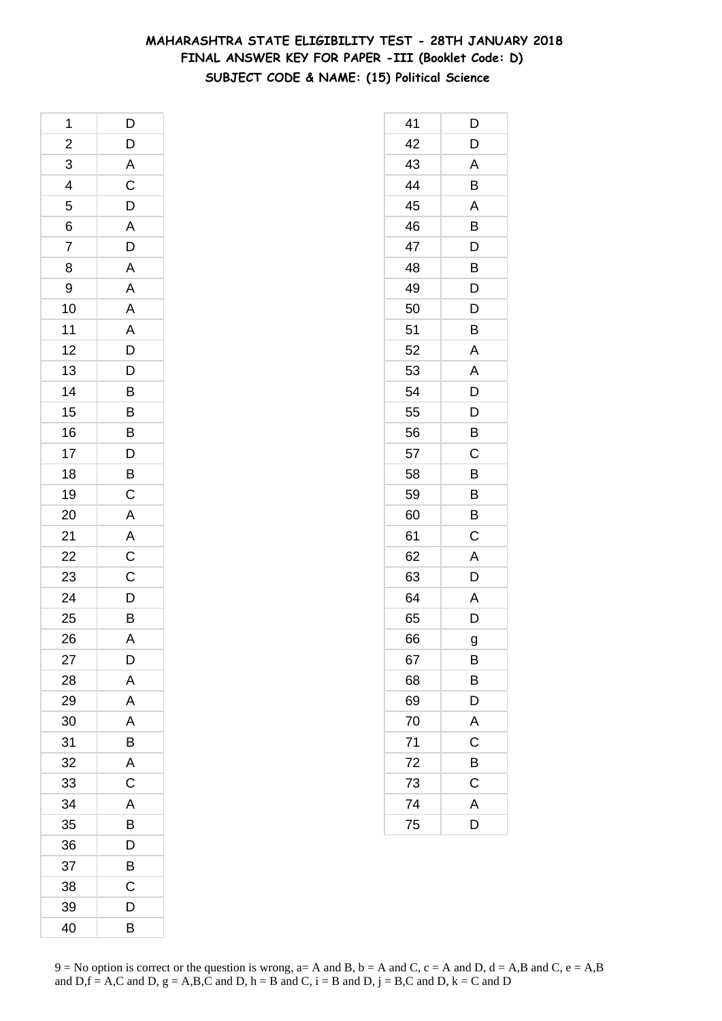## **MAHARASHTRA STATE ELIGIBILITY TEST - 28TH JANUARY 2018 FINAL ANSWER KEY FOR PAPER -III (Booklet Code: D) SUBJECT CODE & NAME: (15) Political Science**

| 1                           | D                                                                          |
|-----------------------------|----------------------------------------------------------------------------|
|                             | $\mathsf{D}$                                                               |
|                             |                                                                            |
| $\frac{2}{3}$ $\frac{4}{5}$ | A C D A D                                                                  |
|                             |                                                                            |
| $\frac{6}{7}$               |                                                                            |
|                             |                                                                            |
| 8                           | $\overline{\mathsf{A}}$                                                    |
| 9                           |                                                                            |
| 10                          | $\overline{A}$ $\overline{A}$ $\overline{D}$ $\overline{D}$ $\overline{D}$ |
| 11                          |                                                                            |
| 12                          |                                                                            |
| 13                          |                                                                            |
| 14                          |                                                                            |
| 15                          |                                                                            |
| 16                          |                                                                            |
| 17                          |                                                                            |
| 18                          | B B B D B C                                                                |
| 19                          |                                                                            |
| 20                          | $\mathsf{A}$                                                               |
| 21                          |                                                                            |
| 22                          |                                                                            |
| <b>23</b>                   | $\frac{A}{C}$                                                              |
| 24                          | $\overline{D}$                                                             |
| 25                          | B                                                                          |
| 26                          | A                                                                          |
| 27                          | D                                                                          |
| 28                          | A                                                                          |
| 29                          | A                                                                          |
| 30                          | A                                                                          |
| 31                          | B                                                                          |
| 32                          | A                                                                          |
| 33                          | $\mathsf C$                                                                |
| 34                          | A                                                                          |
| 35                          | B                                                                          |
| 36                          | D                                                                          |
| 37                          | B                                                                          |
| 38                          | Ć                                                                          |
| 39                          | D                                                                          |
| 40                          | В                                                                          |

| 41 | D                       |
|----|-------------------------|
| 42 | D                       |
| 43 | A                       |
| 44 | B                       |
| 45 | A                       |
| 46 | B                       |
| 47 | D                       |
| 48 | B                       |
| 49 | D                       |
| 50 | D                       |
| 51 | B                       |
| 52 | A                       |
| 53 | A                       |
| 54 | D                       |
| 55 | D                       |
| 56 | B                       |
| 57 | C                       |
| 58 | B                       |
| 59 | B                       |
| 60 | Β                       |
| 61 | C                       |
| 62 | A                       |
| 63 | D                       |
| 64 | A                       |
| 65 | D                       |
| 66 | g                       |
| 67 | B                       |
| 68 | Β                       |
| 69 | D                       |
| 70 | A                       |
| 71 | C                       |
| 72 | B                       |
| 73 | $\mathsf C$             |
| 74 | $\overline{\mathsf{A}}$ |
| 75 | D                       |
|    |                         |

 $9 = No$  option is correct or the question is wrong,  $a = A$  and B,  $b = A$  and C,  $c = A$  and D,  $d = A$ ,B and C,  $e = A$ ,B and  $D,f = A,C$  and  $D, g = A,B,C$  and  $D, h = B$  and  $C, i = B$  and  $D, j = B,C$  and  $D, k = C$  and  $D$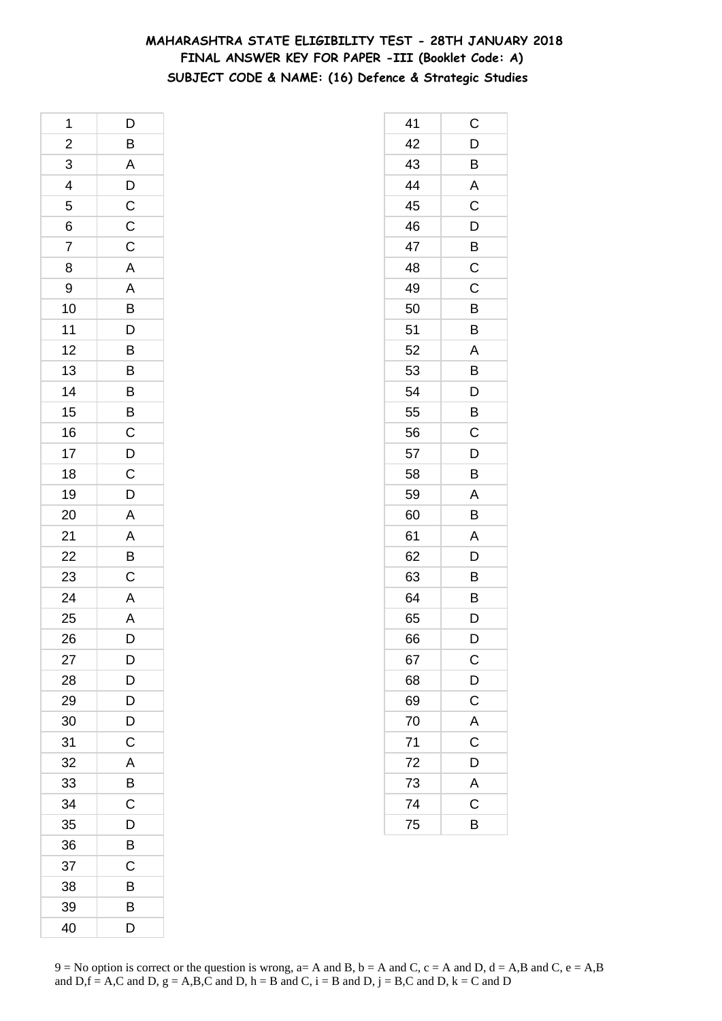## **MAHARASHTRA STATE ELIGIBILITY TEST - 28TH JANUARY 2018 FINAL ANSWER KEY FOR PAPER -III (Booklet Code: A) SUBJECT CODE & NAME: (16) Defence & Strategic Studies**

| 1              | D                       |
|----------------|-------------------------|
|                | $\overline{B}$          |
| $\frac{2}{3}$  |                         |
| $\overline{4}$ | ADCCC                   |
| 5              |                         |
| 6              |                         |
| $\overline{7}$ |                         |
| 8              |                         |
| 9              |                         |
| 10             | A A B D B B             |
| 11             |                         |
| 12             |                         |
| 13             |                         |
| 14             |                         |
| 15             | B B C D C               |
| 16             |                         |
| 17             |                         |
| 18             |                         |
| 19             | D                       |
| 20             | $\overline{A}$          |
| 21             |                         |
| 22             | $\frac{A}{B}$           |
| 23             |                         |
| 24             | $\frac{A}{A}$           |
| 25             |                         |
| 26             | $\overline{\mathsf{D}}$ |
| 27             | D                       |
| 28             | D                       |
| 29             | $\bar{\mathsf{D}}$      |
| 30             | D                       |
| 31             | C                       |
| 32             | A                       |
| 33             | B                       |
| 34             | C                       |
| 35             | D                       |
| 36             | B                       |
| 37             | С                       |
| 38             | В                       |
| 39             | B                       |
| 40             | D                       |

| 41 | С                       |
|----|-------------------------|
| 42 | D                       |
| 43 | B                       |
| 44 | A                       |
| 45 | C                       |
| 46 | D                       |
| 47 | B                       |
| 48 | C                       |
| 49 | C                       |
| 50 | B                       |
| 51 | B                       |
| 52 | A                       |
| 53 | B                       |
| 54 | D                       |
| 55 | B                       |
| 56 | C                       |
| 57 | D                       |
| 58 | B                       |
| 59 | A                       |
| 60 | B                       |
| 61 | A                       |
| 62 | D                       |
| 63 | B                       |
| 64 | B                       |
| 65 | D                       |
| 66 | D                       |
| 67 | $\mathsf{C}$            |
| 68 | $\overline{D}$          |
| 69 | $\overline{C}$          |
| 70 | A                       |
| 71 | $\overline{C}$          |
| 72 | D                       |
| 73 | $\overline{\mathsf{A}}$ |
| 74 | $\overline{\mathrm{c}}$ |
| 75 | B                       |
|    |                         |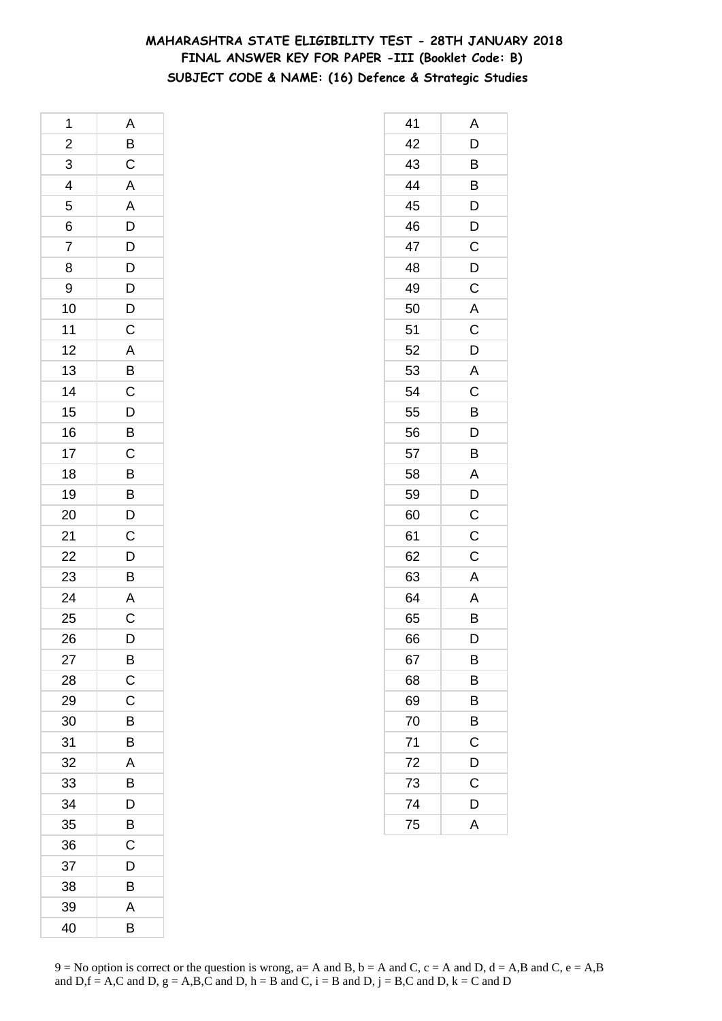## **MAHARASHTRA STATE ELIGIBILITY TEST - 28TH JANUARY 2018 FINAL ANSWER KEY FOR PAPER -III (Booklet Code: B) SUBJECT CODE & NAME: (16) Defence & Strategic Studies**

| 1              | Α                                |
|----------------|----------------------------------|
| $\overline{a}$ | $\overline{B}$                   |
| 3              | $\mathsf C$                      |
| $\overline{4}$ | $\overline{A}$                   |
| 5              |                                  |
| 6              | $rac{A}{D}$                      |
| 7              |                                  |
| 8              | $\frac{D}{D}$                    |
| 9              |                                  |
| 10             | $\overline{D}$<br>$\overline{C}$ |
| 11             |                                  |
| 12             |                                  |
| 13             | A B C D B                        |
| 14             |                                  |
| 15             |                                  |
| 16             |                                  |
| 17             | $\overline{c}$                   |
| 18             | $\overline{B}$                   |
| 19             |                                  |
| 20             | $\frac{B}{D}$                    |
| 21             | $\mathsf{C}$                     |
| 22             |                                  |
| 23             | $\overline{D}$<br>B              |
| 24             |                                  |
| 25             | A<br>C                           |
| 26             | D                                |
| 27             | B                                |
| 28             | $\mathsf C$                      |
| 29             | $\mathsf C$                      |
| 30             | B                                |
| 31             | B                                |
| 32             | A                                |
| 33             | B                                |
| 34             | D                                |
| 35             | B                                |
| 36             | C                                |
| 37             | D                                |
| 38             | B                                |
| 39             | A                                |
| 40             | B                                |

| 41 | Α                       |
|----|-------------------------|
| 42 | D                       |
| 43 | B                       |
| 44 | B                       |
| 45 | D                       |
| 46 | D                       |
| 47 | $\mathsf C$             |
| 48 | D                       |
| 49 | C                       |
| 50 | $\overline{\mathsf{A}}$ |
| 51 | $\mathsf C$             |
| 52 | D                       |
| 53 | A                       |
| 54 | C                       |
| 55 | B                       |
| 56 | D                       |
| 57 | B                       |
| 58 | A                       |
| 59 | D                       |
| 60 | C                       |
| 61 | C                       |
| 62 | C                       |
| 63 | Α                       |
| 64 | A                       |
| 65 | B                       |
| 66 | D                       |
| 67 | В                       |
| 68 | B                       |
| 69 | B                       |
| 70 | B                       |
| 71 | C                       |
| 72 | D                       |
| 73 | C                       |
| 74 | D                       |
| 75 | A                       |
|    |                         |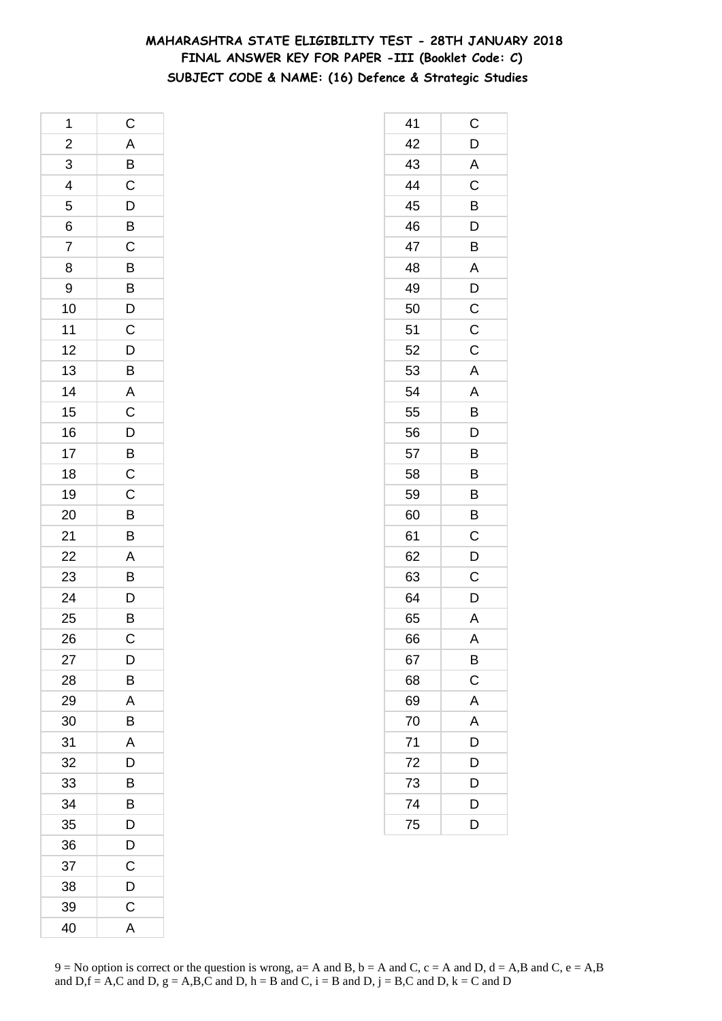## **MAHARASHTRA STATE ELIGIBILITY TEST - 28TH JANUARY 2018 FINAL ANSWER KEY FOR PAPER -III (Booklet Code: C) SUBJECT CODE & NAME: (16) Defence & Strategic Studies**

| 1              | $\mathsf{C}$                                       |
|----------------|----------------------------------------------------|
|                |                                                    |
| $\frac{2}{3}$  | $\frac{A}{B}$                                      |
| $\overline{4}$ |                                                    |
| 5              |                                                    |
| 6              | $\overline{D}$<br>$\overline{B}$<br>$\overline{C}$ |
| $\overline{7}$ |                                                    |
| 8              |                                                    |
| 9              |                                                    |
| 10             | B<br>B<br>D<br>C                                   |
| 11             |                                                    |
| 12             |                                                    |
| 13             | $\frac{D}{B}$                                      |
| 14             |                                                    |
| 15             | A C D B C                                          |
| 16             |                                                    |
| 17             |                                                    |
| 18             |                                                    |
| 19             | $\mathsf{C}$                                       |
| 20             | $\overline{B}$                                     |
| 21             | B                                                  |
| 22             |                                                    |
| 23             |                                                    |
| 24             | $\begin{array}{c}\nA \\ B \\ D\n\end{array}$       |
| 25             |                                                    |
| 26             | $\mathsf C$                                        |
| 27             | D                                                  |
| 28             | B                                                  |
| 29             | A                                                  |
| 30             | B                                                  |
| 31             | A                                                  |
| 32             | D                                                  |
| 33             | B                                                  |
| 34             | B                                                  |
| 35             | D                                                  |
| 36             | D                                                  |
| 37             | С                                                  |
| 38             | D                                                  |
| 39             | C                                                  |
| 40             | A                                                  |

| 41 | С                       |
|----|-------------------------|
| 42 | D                       |
| 43 | A                       |
| 44 | $\mathsf C$             |
| 45 | B                       |
| 46 | D                       |
| 47 | B                       |
| 48 | A                       |
| 49 | $\mathsf{D}$            |
| 50 | $\overline{C}$          |
| 51 | $\mathsf C$             |
| 52 | $\mathsf C$             |
| 53 | A                       |
| 54 | A                       |
| 55 | B                       |
| 56 | $\overline{\mathsf{D}}$ |
| 57 | B                       |
| 58 | B                       |
| 59 | B                       |
| 60 | B                       |
| 61 | $\mathsf{C}$            |
| 62 | D                       |
| 63 | C                       |
| 64 | D                       |
| 65 | A                       |
| 66 | Α                       |
| 67 | B                       |
| 68 | $\mathsf C$             |
| 69 | A                       |
| 70 | A                       |
| 71 | D                       |
| 72 | D                       |
| 73 | D                       |
| 74 | D                       |
| 75 | D                       |
|    |                         |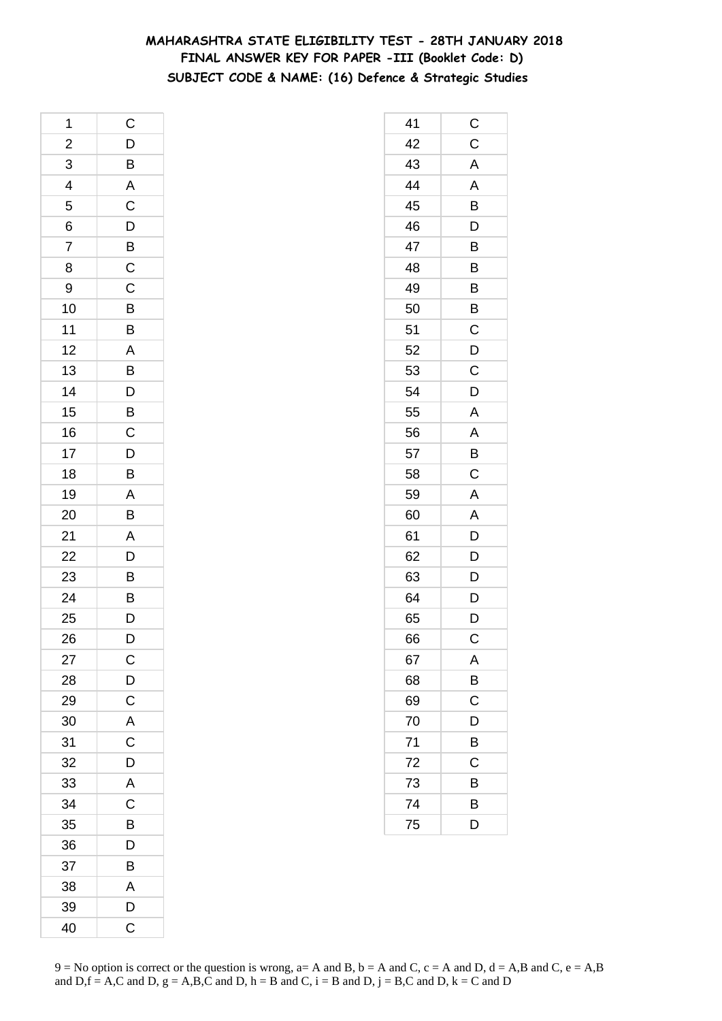## **MAHARASHTRA STATE ELIGIBILITY TEST - 28TH JANUARY 2018 FINAL ANSWER KEY FOR PAPER -III (Booklet Code: D) SUBJECT CODE & NAME: (16) Defence & Strategic Studies**

| 1                       | $\mathsf C$             |
|-------------------------|-------------------------|
| $\overline{\mathbf{c}}$ |                         |
| $\overline{3}$          | D B A C D               |
| $\overline{4}$          |                         |
| 5                       |                         |
| 6                       |                         |
| 7                       | $\overline{B}$          |
| 8                       | $\overline{C}$          |
| 9                       |                         |
| 10                      | C B B A B               |
| 11                      |                         |
| 12                      |                         |
| 13                      |                         |
| 14                      |                         |
| 15                      | $\frac{D}{B}$           |
| 16                      |                         |
| 17                      | $\frac{1}{D}$           |
| 18                      | B                       |
| 19                      |                         |
| 20                      | $\frac{A}{B}$           |
| 21                      | $\overline{A}$          |
| 22                      |                         |
| 23                      | $\overline{D}$<br>B     |
| 24                      | B                       |
| 25                      | $\overline{D}$          |
| 26                      | D                       |
| 27                      | $\mathsf{C}$            |
| 28                      | $\overline{D}$          |
| 29                      | $\overline{\mathrm{c}}$ |
| 30                      | $\overline{\mathsf{A}}$ |
| 31                      | C                       |
| 32                      | D                       |
| 33                      | $\overline{\mathsf{A}}$ |
| 34                      | $\overline{C}$          |
| 35                      | B                       |
| 36                      | D                       |
| 37                      | B                       |
| 38                      | A                       |
| 39                      | D                       |
| 40                      | $\overline{\mathrm{C}}$ |

| 41 | C              |
|----|----------------|
| 42 | $\mathsf C$    |
| 43 | A              |
| 44 | A              |
| 45 | B              |
| 46 | D              |
| 47 | B              |
| 48 | B              |
| 49 | B              |
| 50 | B              |
| 51 | C              |
| 52 | D              |
| 53 | C              |
| 54 | D              |
| 55 | A              |
| 56 | Α              |
| 57 | B              |
| 58 | C              |
| 59 | Α              |
| 60 | A              |
| 61 | $\overline{D}$ |
| 62 | $\overline{D}$ |
| 63 | D              |
| 64 | D              |
| 65 | D              |
| 66 | С              |
| 67 | Α              |
| 68 | $\overline{B}$ |
| 69 | $\overline{C}$ |
| 70 | D              |
| 71 | B              |
| 72 | $\mathsf{C}$   |
| 73 | B              |
| 74 | B              |
| 75 | D              |
|    |                |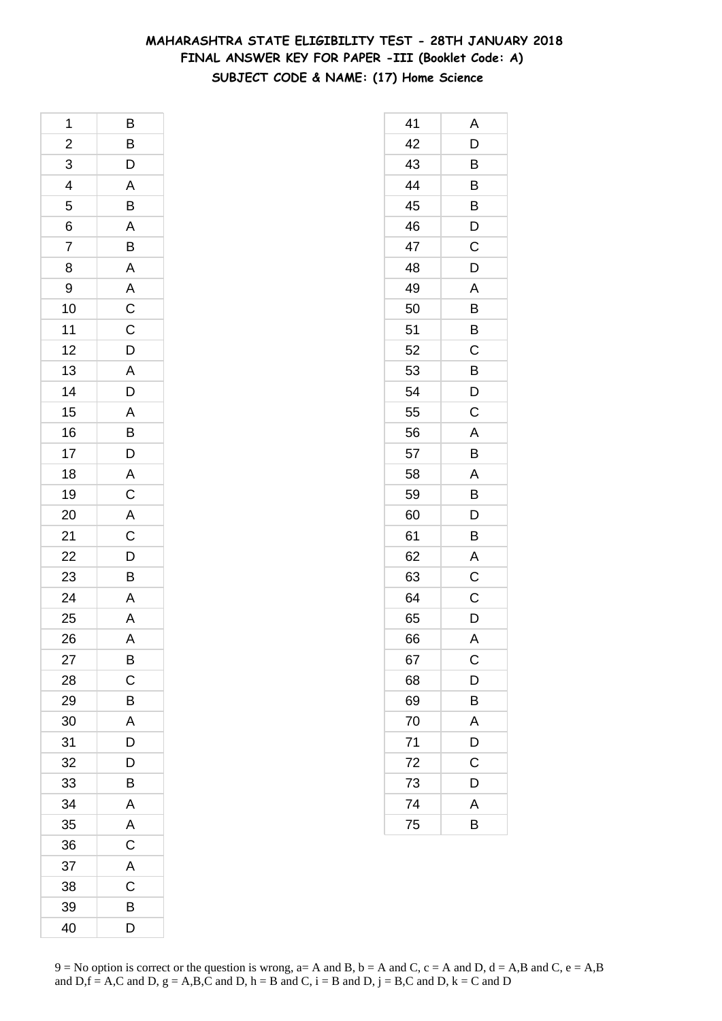## **MAHARASHTRA STATE ELIGIBILITY TEST - 28TH JANUARY 2018 FINAL ANSWER KEY FOR PAPER -III (Booklet Code: A) SUBJECT CODE & NAME: (17) Home Science**

| 1                       | B                     |
|-------------------------|-----------------------|
| $\overline{\mathbf{c}}$ |                       |
| 3                       | $B/D$ $A$ $B$ $A$ $B$ |
| $\overline{4}$          |                       |
| 5                       |                       |
| 6                       |                       |
| 7                       |                       |
| 8                       | $\overline{A}$        |
| 9                       |                       |
| 10                      | A C C D A             |
| 11                      |                       |
| 12                      |                       |
| 13                      |                       |
| 14                      | D                     |
| 15                      |                       |
| 16                      |                       |
| 17                      |                       |
| 18                      |                       |
| 19                      |                       |
| 20                      | A B D A C A C D B     |
| 21                      |                       |
| 22                      |                       |
| 23                      |                       |
| 24                      | $\frac{A}{A}$         |
| 25                      |                       |
| 26                      | A                     |
| 27                      | B                     |
| 28                      | $\mathsf C$           |
| 29                      | B                     |
| 30                      | A                     |
| 31                      | D                     |
| 32                      | D                     |
| 33                      | B                     |
| 34                      | Α                     |
| 35                      | A                     |
| 36                      | $\overline{C}$        |
| 37                      | A                     |
| 38                      | C                     |
| 39                      | В                     |
| 40                      | D                     |

| 41 | Α           |
|----|-------------|
| 42 | D           |
| 43 | B           |
| 44 | B           |
| 45 | B           |
| 46 | D           |
| 47 | Ċ           |
| 48 | D           |
| 49 | A           |
| 50 | B           |
| 51 | B           |
| 52 | C           |
| 53 | B           |
| 54 | D           |
| 55 | C           |
| 56 | A           |
| 57 | B           |
| 58 | A           |
| 59 | B           |
| 60 | D           |
| 61 | Β           |
| 62 | A           |
| 63 | C           |
| 64 | C           |
| 65 | D           |
| 66 | A           |
| 67 | $\mathsf C$ |
| 68 | D           |
| 69 | B           |
| 70 | A           |
| 71 | D           |
| 72 | C           |
| 73 | D           |
| 74 | A           |
| 75 | B           |
|    |             |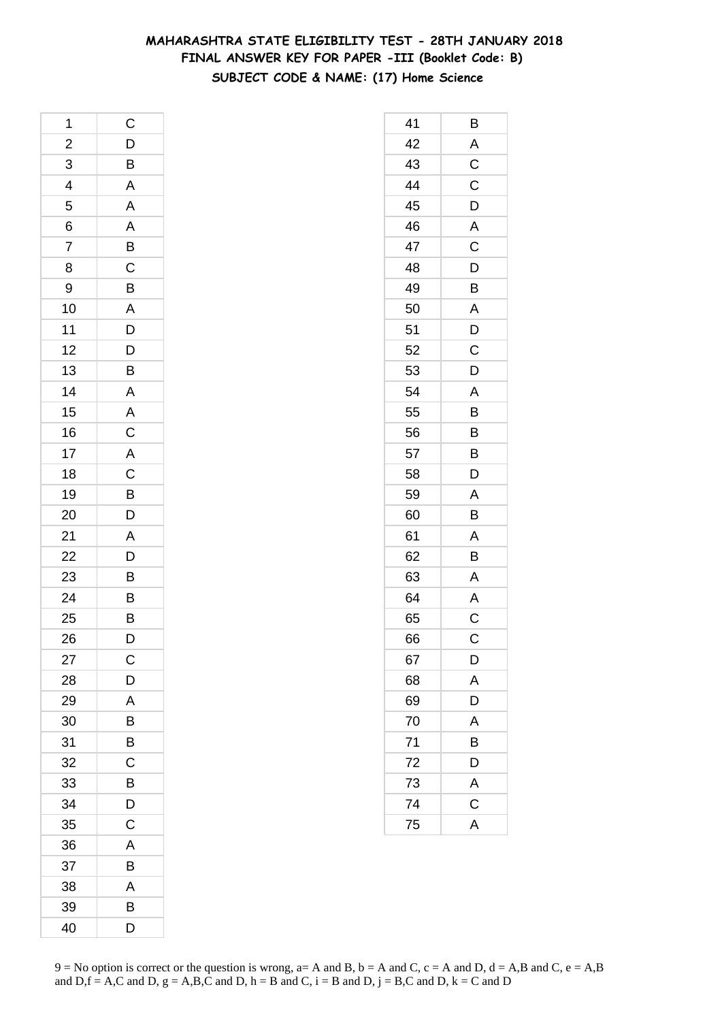## **MAHARASHTRA STATE ELIGIBILITY TEST - 28TH JANUARY 2018 FINAL ANSWER KEY FOR PAPER -III (Booklet Code: B) SUBJECT CODE & NAME: (17) Home Science**

| 1                       | C                                                  |
|-------------------------|----------------------------------------------------|
| $\overline{\mathbf{c}}$ |                                                    |
| $\overline{3}$          | $\frac{D}{B}$ $\frac{B}{A}$ $\frac{A}{A}$          |
| $\overline{4}$          |                                                    |
| 5                       |                                                    |
| 6                       |                                                    |
| $\overline{7}$          | $\overline{B}$                                     |
| 8                       | $\overline{C}$                                     |
| 9                       | $\overline{B}$                                     |
| 10                      | $\frac{A}{D}$                                      |
| 11                      |                                                    |
| 12                      | $\overline{D}$                                     |
| 13                      | B                                                  |
| 14                      |                                                    |
| 15                      | $\overline{A}$<br>$\overline{A}$<br>$\overline{C}$ |
| 16                      |                                                    |
| 17                      |                                                    |
| 18                      | $rac{A}{C}$                                        |
| 19                      |                                                    |
| 20                      | B<br>D                                             |
| 21                      | $\overline{A}$                                     |
| 22                      |                                                    |
| 23                      | $\overline{D}$<br>B                                |
| 24                      |                                                    |
| 25                      | $\frac{B}{B}$                                      |
| 26                      | D                                                  |
| 27                      | С                                                  |
| 28                      | D                                                  |
| 29                      | A                                                  |
| 30                      | B                                                  |
| 31                      | B                                                  |
| 32                      | C                                                  |
| 33                      | B                                                  |
| 34                      | D                                                  |
| 35                      | C                                                  |
| 36                      | A                                                  |
| 37                      | B                                                  |
| 38                      | A                                                  |
| 39                      | В                                                  |
| 40                      | D                                                  |

| 41 | В              |
|----|----------------|
| 42 | A              |
| 43 | $\overline{C}$ |
| 44 | $\mathsf{C}$   |
| 45 | D              |
| 46 | A              |
| 47 | C              |
| 48 | D              |
| 49 | B              |
| 50 | A              |
| 51 | D              |
| 52 | C              |
| 53 | D              |
| 54 | A              |
| 55 | B              |
| 56 | $\overline{B}$ |
| 57 | B              |
| 58 | D              |
| 59 | A              |
| 60 | B              |
| 61 | A              |
| 62 | B              |
| 63 | A              |
| 64 | A              |
| 65 | $\overline{C}$ |
| 66 | C              |
| 67 | D              |
| 68 | A              |
| 69 | D              |
| 70 | A              |
| 71 | B              |
| 72 | D              |
| 73 | $\overline{A}$ |
| 74 | $\mathsf{C}$   |
| 75 | A              |
|    |                |

 $9 = No$  option is correct or the question is wrong,  $a = A$  and B,  $b = A$  and C,  $c = A$  and D,  $d = A$ ,B and C,  $e = A$ ,B and  $D,f = A,C$  and  $D, g = A,B,C$  and  $D, h = B$  and  $C, i = B$  and  $D, j = B,C$  and  $D, k = C$  and  $D$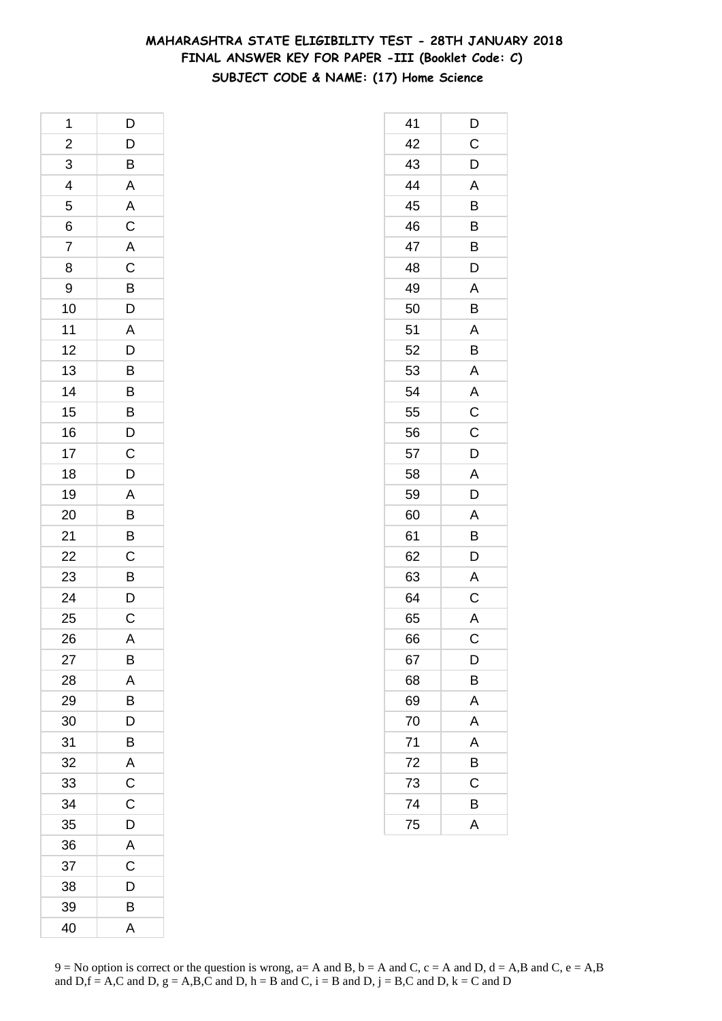## **MAHARASHTRA STATE ELIGIBILITY TEST - 28TH JANUARY 2018 FINAL ANSWER KEY FOR PAPER -III (Booklet Code: C) SUBJECT CODE & NAME: (17) Home Science**

| 1              | D                                                  |
|----------------|----------------------------------------------------|
| $\overline{a}$ |                                                    |
| 3              | $\frac{D}{B}$                                      |
| $\overline{4}$ | $\overline{\mathsf{A}}$                            |
| 5              |                                                    |
| 6              |                                                    |
| 7              |                                                    |
| 8              |                                                    |
| 9              |                                                    |
| 10             | A C A C B D A                                      |
| 11             |                                                    |
| 12             |                                                    |
| 13             | $\frac{D}{B}$                                      |
| 14             | $\overline{B}$                                     |
| 15             |                                                    |
| 16             | $\overline{B}$<br>$\overline{D}$<br>$\overline{C}$ |
| 17             |                                                    |
| 18             | $\overline{D}$                                     |
| 19             |                                                    |
| 20             | $\frac{A}{B}$                                      |
| 21             | $\overline{B}$                                     |
| 22             |                                                    |
| 23             | $\frac{C}{B}$                                      |
| 24             | $\frac{D}{C}$                                      |
| 25             |                                                    |
| 26             | $\overline{A}$                                     |
| 27             | B                                                  |
| 28             | A                                                  |
| 29             | B                                                  |
| 30             | D                                                  |
| 31             | B                                                  |
| 32             | A                                                  |
| 33             | C                                                  |
| 34             | $\mathsf C$                                        |
| 35             | $\mathsf{D}$                                       |
| 36             | $\overline{\mathsf{A}}$                            |
| 37             | $\mathsf C$                                        |
| 38             | D                                                  |
| 39             | B                                                  |
| 40             | A                                                  |

| 41 | D              |
|----|----------------|
| 42 | $\mathsf C$    |
| 43 | D              |
| 44 | A              |
| 45 | B              |
| 46 | B              |
| 47 | B              |
| 48 | D              |
| 49 | A              |
| 50 | B              |
| 51 | A              |
| 52 | B              |
| 53 | A              |
| 54 | A              |
| 55 | $\mathsf C$    |
| 56 | $\overline{C}$ |
| 57 | D              |
| 58 | A              |
| 59 | D              |
| 60 | Α              |
| 61 | B              |
| 62 | D              |
| 63 | A              |
| 64 | C              |
| 65 | $\overline{A}$ |
| 66 | C              |
| 67 | D              |
| 68 | B              |
| 69 | A              |
| 70 | A              |
| 71 | A              |
| 72 | B              |
| 73 | C              |
| 74 | В              |
| 75 | A              |
|    |                |

 $9 = No$  option is correct or the question is wrong,  $a = A$  and B,  $b = A$  and C,  $c = A$  and D,  $d = A$ ,B and C,  $e = A$ ,B and  $D,f = A,C$  and  $D, g = A,B,C$  and  $D, h = B$  and  $C, i = B$  and  $D, j = B,C$  and  $D, k = C$  and  $D$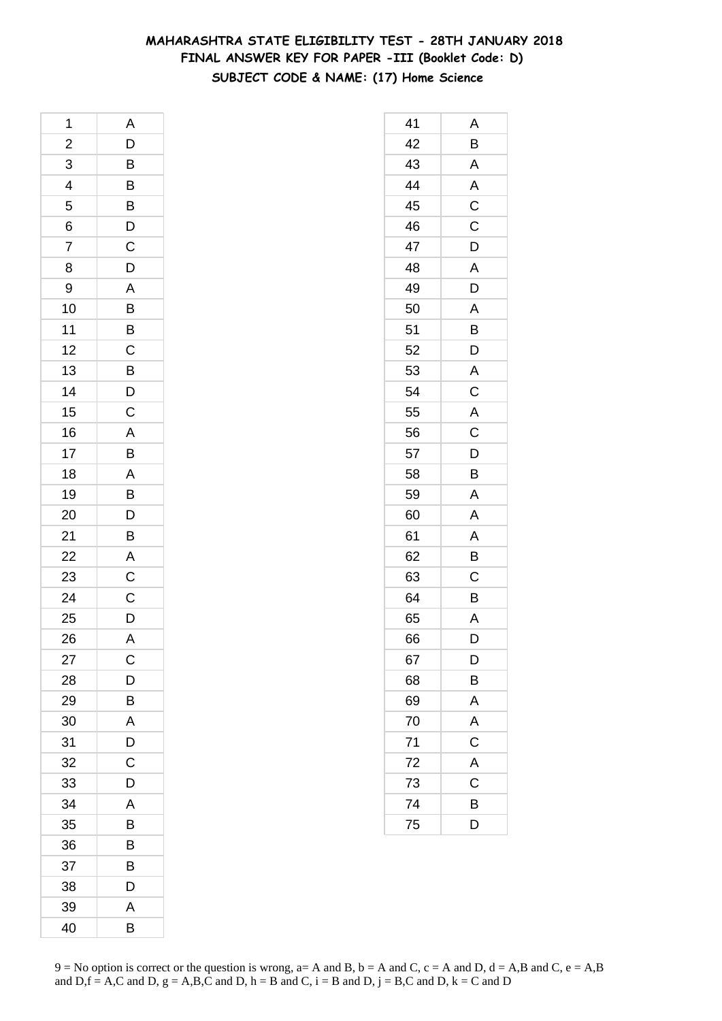## **MAHARASHTRA STATE ELIGIBILITY TEST - 28TH JANUARY 2018 FINAL ANSWER KEY FOR PAPER -III (Booklet Code: D) SUBJECT CODE & NAME: (17) Home Science**

| 1                       | Α                |
|-------------------------|------------------|
| $\overline{\mathbf{c}}$ | D                |
| $\overline{3}$          | $\overline{B}$   |
| $\overline{4}$          | B<br>B<br>D<br>C |
| 5                       |                  |
| 6                       |                  |
| 7                       |                  |
| 8                       | $\overline{D}$   |
| 9                       |                  |
| 10                      | $\frac{A}{B}$    |
| 11                      |                  |
| 12                      | $rac{1}{C}$      |
| 13                      | $\overline{B}$   |
| 14                      |                  |
| 15                      | $\frac{D}{C}$    |
| 16                      |                  |
| 17                      | $\frac{A}{B}$    |
| 18                      |                  |
| 19                      | $\frac{A}{B}$    |
| 20                      | D                |
| 21                      | B                |
| 22                      | $\overline{A}$   |
| 23                      | $\overline{C}$   |
| 24                      | $\overline{c}$   |
| 25                      | D                |
| 26                      | $\overline{A}$   |
| 27                      | C                |
| 28                      | D                |
| 29                      | B                |
| 30                      | A                |
| 31                      | D                |
| 32                      | C                |
| 33                      | D                |
| 34                      | A                |
| 35                      | B                |
| 36                      | B                |
| 37                      | В                |
| 38                      | D                |
| 39                      | Α                |
| 40                      | B                |

| 41 | Α              |
|----|----------------|
| 42 | B              |
| 43 | A              |
| 44 | $\overline{A}$ |
| 45 | $\overline{C}$ |
| 46 | C              |
| 47 | D              |
| 48 | A              |
| 49 | D              |
| 50 | $\overline{A}$ |
| 51 | B              |
| 52 | D              |
| 53 | $\mathsf{A}$   |
| 54 | C              |
| 55 | A              |
| 56 | $\overline{C}$ |
| 57 | D              |
| 58 | B              |
| 59 | Α              |
| 60 | A              |
| 61 | A              |
| 62 | B              |
| 63 | C              |
| 64 | B              |
| 65 | A              |
| 66 | D              |
| 67 | D              |
| 68 | B              |
| 69 | A              |
| 70 | A              |
| 71 | $\overline{C}$ |
| 72 | A              |
| 73 | C              |
| 74 | B              |
| 75 | D              |
|    |                |

 $9 = No$  option is correct or the question is wrong,  $a = A$  and B,  $b = A$  and C,  $c = A$  and D,  $d = A$ ,B and C,  $e = A$ ,B and  $D,f = A,C$  and  $D, g = A,B,C$  and  $D, h = B$  and  $C, i = B$  and  $D, j = B,C$  and  $D, k = C$  and  $D$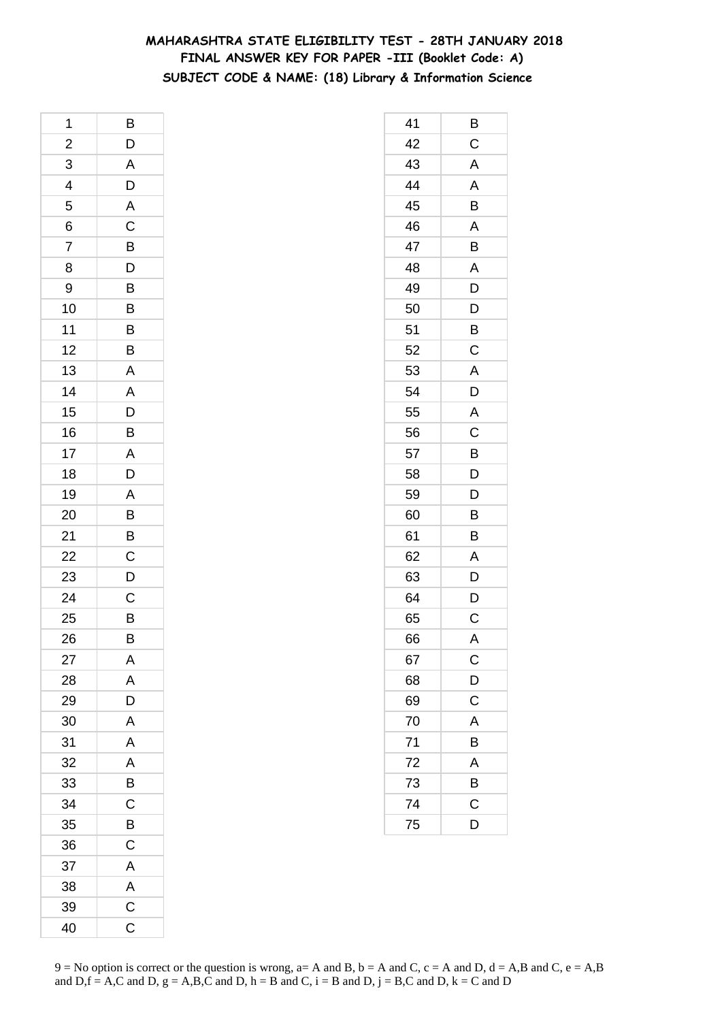## **MAHARASHTRA STATE ELIGIBILITY TEST - 28TH JANUARY 2018 FINAL ANSWER KEY FOR PAPER -III (Booklet Code: A) SUBJECT CODE & NAME: (18) Library & Information Science**

| 1                        | B                                |
|--------------------------|----------------------------------|
| $\overline{a}$           | D                                |
| $\overline{3}$           | $\mathsf{A}$                     |
| $\overline{\mathcal{L}}$ | $\overline{D}$                   |
| 5                        | $rac{A}{C}$                      |
| 6                        |                                  |
| $\overline{7}$           | $\overline{B}$                   |
| 8                        |                                  |
| 9                        |                                  |
| 10                       | $\overline{B}$<br>$\overline{B}$ |
| 11                       | B                                |
| 12                       | B                                |
| 13                       | A                                |
| 14                       | $\overline{A}$                   |
| 15                       | $\overline{D}$<br>B              |
| 16                       |                                  |
| 17                       | $\frac{A}{D}$                    |
| 18                       |                                  |
| 19                       | $\overline{A}$                   |
| 20                       | $\overline{B}$                   |
| 21                       | $\overline{B}$                   |
| 22                       | $\overline{c}$                   |
| 23                       | D                                |
| 24                       | $\mathsf{C}$                     |
| 25                       | $\overline{B}$                   |
| 26                       | B                                |
| 27                       | Α                                |
| 28                       | A                                |
| 29                       | D                                |
| 30                       | A                                |
| 31                       | A                                |
| 32                       | A                                |
| 33                       | B                                |
| 34                       | $\mathsf{C}$                     |
| 35                       | B                                |
| 36                       | C                                |
| 37                       | A                                |
| 38                       | $\mathsf{A}$                     |
| 39                       | $\overline{\mathrm{c}}$          |
| 40                       | C                                |

| 41 | Β             |
|----|---------------|
| 42 | $\mathsf C$   |
| 43 | A             |
| 44 | A             |
| 45 | B             |
| 46 | A             |
| 47 | Β             |
| 48 | A             |
| 49 | D             |
| 50 | D             |
| 51 | B             |
| 52 | C             |
| 53 | Α             |
| 54 | D             |
| 55 | A             |
| 56 | $\mathsf C$   |
| 57 | B             |
| 58 | D             |
| 59 | D             |
| 60 | B             |
| 61 | B             |
| 62 | A             |
| 63 | D             |
| 64 | D             |
| 65 | C             |
| 66 | A             |
| 67 | $\mathsf{C}$  |
| 68 | D             |
| 69 | $\mathsf{C}$  |
| 70 | A             |
| 71 | B             |
| 72 | A             |
| 73 | $\frac{B}{C}$ |
| 74 |               |
| 75 | D             |
|    |               |

 $9 = No$  option is correct or the question is wrong,  $a = A$  and B,  $b = A$  and C,  $c = A$  and D,  $d = A$ ,B and C,  $e = A$ ,B and  $D,f = A,C$  and  $D, g = A,B,C$  and  $D, h = B$  and  $C, i = B$  and  $D, j = B,C$  and  $D, k = C$  and  $D$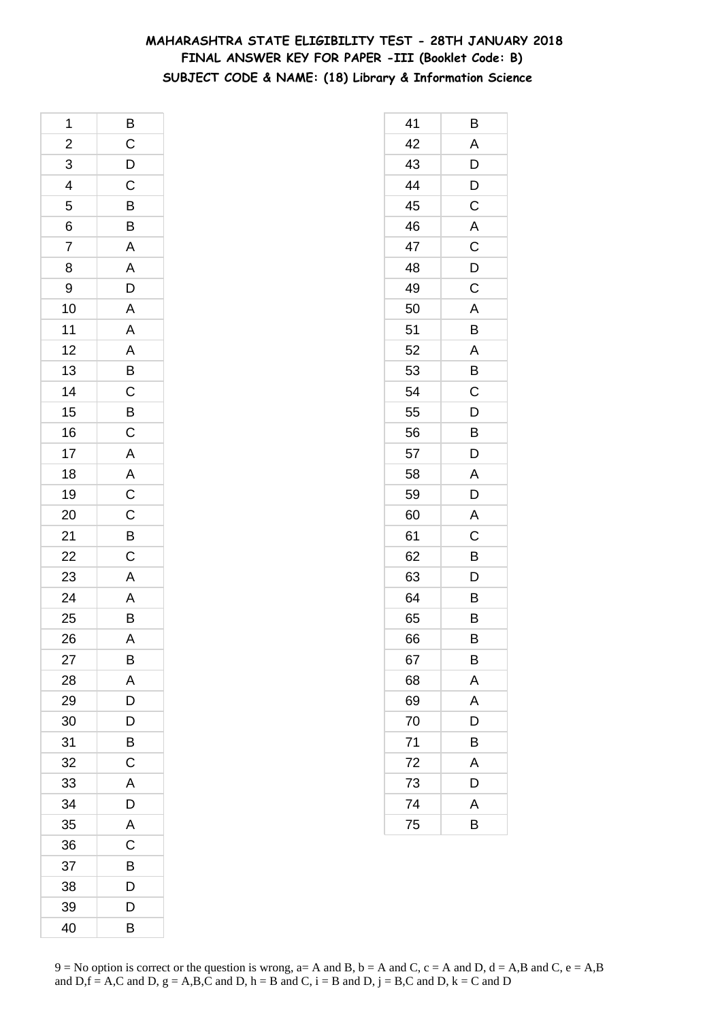## **MAHARASHTRA STATE ELIGIBILITY TEST - 28TH JANUARY 2018 FINAL ANSWER KEY FOR PAPER -III (Booklet Code: B) SUBJECT CODE & NAME: (18) Library & Information Science**

| 1                                               |                                 |
|-------------------------------------------------|---------------------------------|
|                                                 |                                 |
| $\frac{2}{3}$                                   |                                 |
| $\begin{array}{c c} 4 & 5 \\ 6 & 7 \end{array}$ | B C D C B B                     |
|                                                 |                                 |
|                                                 |                                 |
|                                                 | $\frac{A}{A}$                   |
| 8                                               |                                 |
| 9                                               |                                 |
| 10                                              |                                 |
| 11                                              |                                 |
| 12                                              |                                 |
| 13                                              |                                 |
| 14                                              |                                 |
| 15                                              |                                 |
| 16                                              |                                 |
| 17                                              |                                 |
| 18                                              |                                 |
| 19                                              |                                 |
| 20                                              | A A A B C B C A A C C B C A A B |
| $\overline{21}$                                 |                                 |
| $\overline{22}$                                 |                                 |
| 23                                              |                                 |
| 24                                              |                                 |
| 25                                              |                                 |
| 26                                              | $\overline{\mathsf{A}}$         |
| 27                                              | В                               |
| 28                                              | A                               |
| 29                                              | D                               |
| 30                                              | D                               |
| 31                                              | Β                               |
| 32                                              | C                               |
| 33                                              | A                               |
| 34                                              | D                               |
| 35                                              | A                               |
| 36                                              | C                               |
| 37                                              | B                               |
| 38                                              | D                               |
| 39                                              | D                               |
| 40                                              | B                               |

| 41 | В           |
|----|-------------|
| 42 | A           |
| 43 | D           |
| 44 | D           |
| 45 | C           |
| 46 | A           |
| 47 | $\mathsf C$ |
| 48 | D           |
| 49 | $\mathsf C$ |
| 50 | A           |
| 51 | B           |
| 52 | A           |
| 53 | B           |
| 54 | C           |
| 55 | D           |
| 56 | B           |
| 57 | D           |
| 58 | A           |
| 59 | D           |
| 60 | A           |
| 61 | $\mathsf C$ |
| 62 | B           |
| 63 | D           |
| 64 | B           |
| 65 | B           |
| 66 | В           |
| 67 | в           |
| 68 | A           |
| 69 | A           |
| 70 | D           |
| 71 | B           |
| 72 | A           |
| 73 | D           |
| 74 | A           |
| 75 | B           |
|    |             |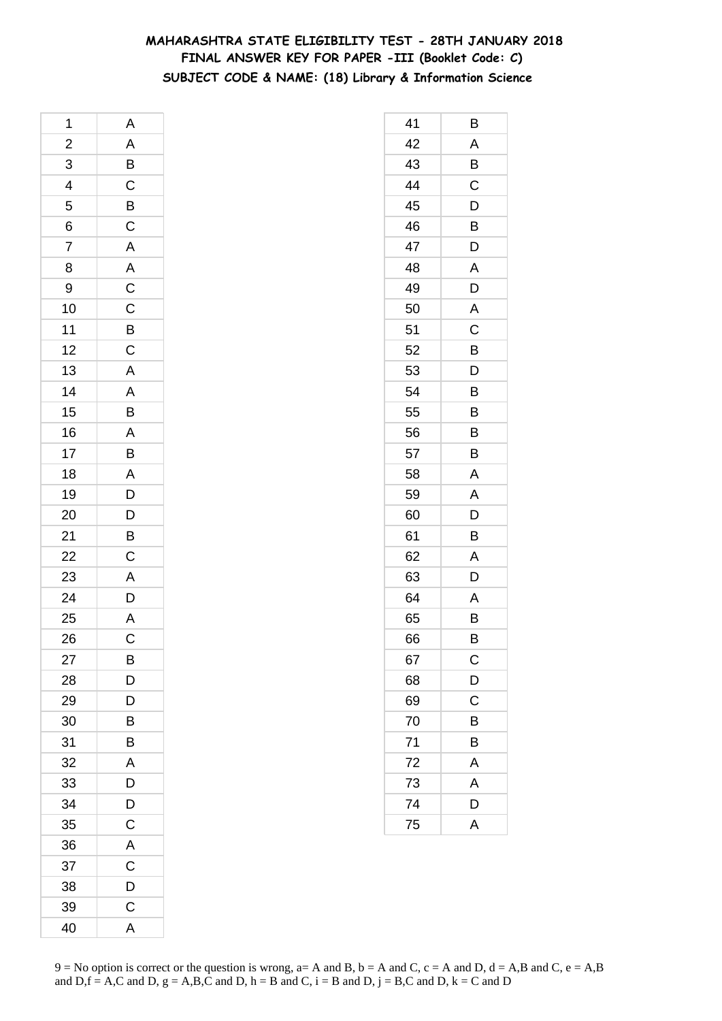## **MAHARASHTRA STATE ELIGIBILITY TEST - 28TH JANUARY 2018 FINAL ANSWER KEY FOR PAPER -III (Booklet Code: C) SUBJECT CODE & NAME: (18) Library & Information Science**

| 1               | A                                               |
|-----------------|-------------------------------------------------|
|                 |                                                 |
| $\frac{2}{3}$   | A B C B C A A C C B C A A B A B A D D B C A D A |
| $\overline{4}$  |                                                 |
| 5               |                                                 |
| 6               |                                                 |
| $\overline{7}$  |                                                 |
| 8               |                                                 |
| 9               |                                                 |
| 10              |                                                 |
| 11              |                                                 |
| 12              |                                                 |
| 13              |                                                 |
| 14              |                                                 |
| 15              |                                                 |
| 16              |                                                 |
| 17              |                                                 |
| 18              |                                                 |
| 19              |                                                 |
| 20              |                                                 |
| 21              |                                                 |
| $\frac{22}{23}$ |                                                 |
|                 |                                                 |
| 24              |                                                 |
| 25              |                                                 |
| 26              | $\overline{C}$                                  |
| 27              | В                                               |
| 28              | D                                               |
| 29              | D                                               |
| 30              | B                                               |
| 31              | B                                               |
| 32              | Α                                               |
| 33              | D                                               |
| 34              | D                                               |
| 35              | C                                               |
| 36              | A                                               |
| 37              | C                                               |
| 38              | D                                               |
| 39              | $\mathsf C$                                     |
| 40              | A                                               |

| 41 | В                     |
|----|-----------------------|
| 42 | A                     |
| 43 | B                     |
| 44 | $\mathsf C$           |
| 45 | D                     |
| 46 | B                     |
| 47 | D                     |
| 48 | Α                     |
| 49 | D                     |
| 50 | A                     |
| 51 | C                     |
| 52 | B                     |
| 53 | D                     |
| 54 | Β                     |
| 55 | B                     |
| 56 | B                     |
| 57 | B                     |
| 58 | A                     |
| 59 | Α                     |
| 60 | D                     |
| 61 | B                     |
| 62 | A                     |
| 63 | D                     |
| 64 | Α                     |
| 65 | B                     |
| 66 | B                     |
| 67 | $\mathsf C$           |
| 68 | $\overline{D}$        |
| 69 | $\overline{\text{c}}$ |
| 70 | B                     |
| 71 | B                     |
| 72 | A                     |
| 73 | A                     |
| 74 | D                     |
| 75 | A                     |
|    |                       |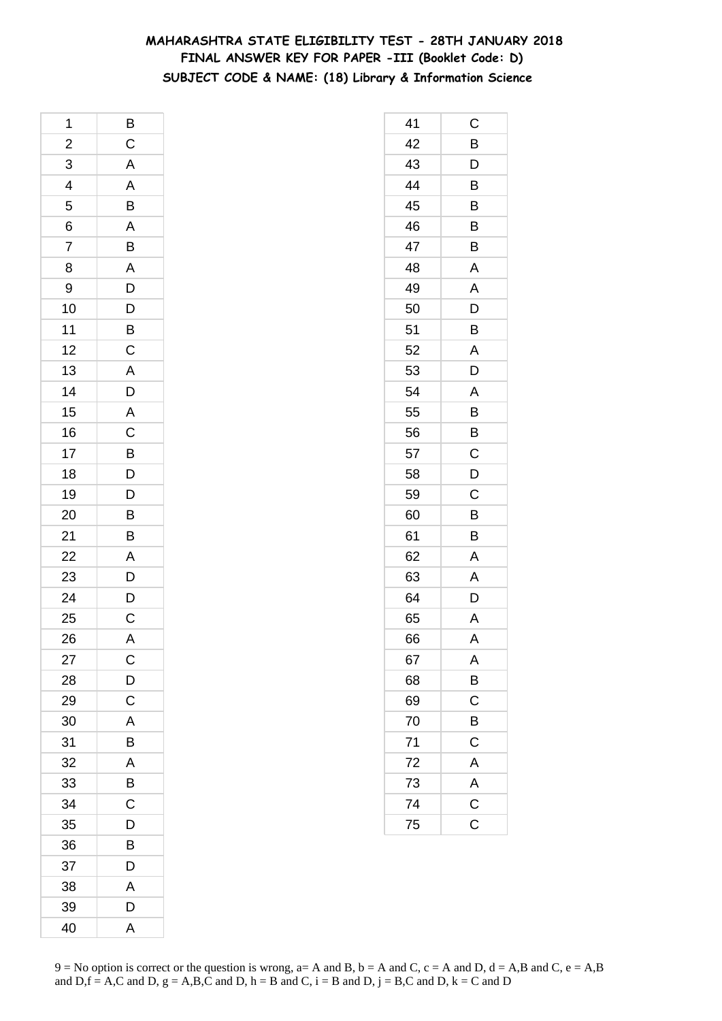## **MAHARASHTRA STATE ELIGIBILITY TEST - 28TH JANUARY 2018 FINAL ANSWER KEY FOR PAPER -III (Booklet Code: D) SUBJECT CODE & NAME: (18) Library & Information Science**

| 1                       | B                           |
|-------------------------|-----------------------------|
| $\overline{\mathbf{c}}$ | $\mathsf C$                 |
| $\overline{3}$          | $\overline{A}$              |
| $\overline{4}$          |                             |
| 5                       | $\frac{A}{B}$ $\frac{B}{B}$ |
| 6                       |                             |
| 7                       |                             |
| 8                       |                             |
| 9                       |                             |
| 10                      | A D D B C                   |
| 11                      |                             |
| 12                      |                             |
| 13                      | $\overline{A}$              |
| 14                      |                             |
| 15                      | $D$ $A$ $C$ $B$ $D$         |
| 16                      |                             |
| 17                      |                             |
| 18                      |                             |
| 19                      |                             |
| 20                      | $\frac{D}{B}$               |
| 21                      | B                           |
| 22                      |                             |
| 23                      | $rac{A}{D}$                 |
| 24                      | $\frac{D}{C}$               |
| 25                      |                             |
| 26                      | $\overline{A}$              |
| 27                      | C                           |
| 28                      | $\overline{D}$              |
| 29                      | $\overline{C}$              |
| 30                      | A                           |
| 31                      | B                           |
| 32                      | A                           |
| 33                      | B                           |
| 34                      | $\mathsf{C}$                |
| 35                      | D                           |
| 36                      | B                           |
| 37                      | D                           |
| 38                      | A                           |
| 39                      | D                           |
| 40                      | A                           |

| 41 | C              |
|----|----------------|
| 42 | B              |
| 43 | D              |
| 44 | B              |
| 45 | B              |
| 46 | B              |
| 47 | B              |
| 48 | A              |
| 49 | A              |
| 50 | D              |
| 51 | B              |
| 52 | A              |
| 53 | D              |
| 54 | Α              |
| 55 | B              |
| 56 | B              |
| 57 | C              |
| 58 | D              |
| 59 | C              |
| 60 | B              |
| 61 | B              |
| 62 | A              |
| 63 | A              |
| 64 | D              |
| 65 | A              |
| 66 | A              |
| 67 | Α              |
| 68 | $\overline{B}$ |
| 69 | $\mathsf C$    |
| 70 | B              |
| 71 | $\overline{C}$ |
| 72 | $\overline{A}$ |
| 73 | $rac{A}{C}$    |
| 74 |                |
| 75 | $\overline{C}$ |
|    |                |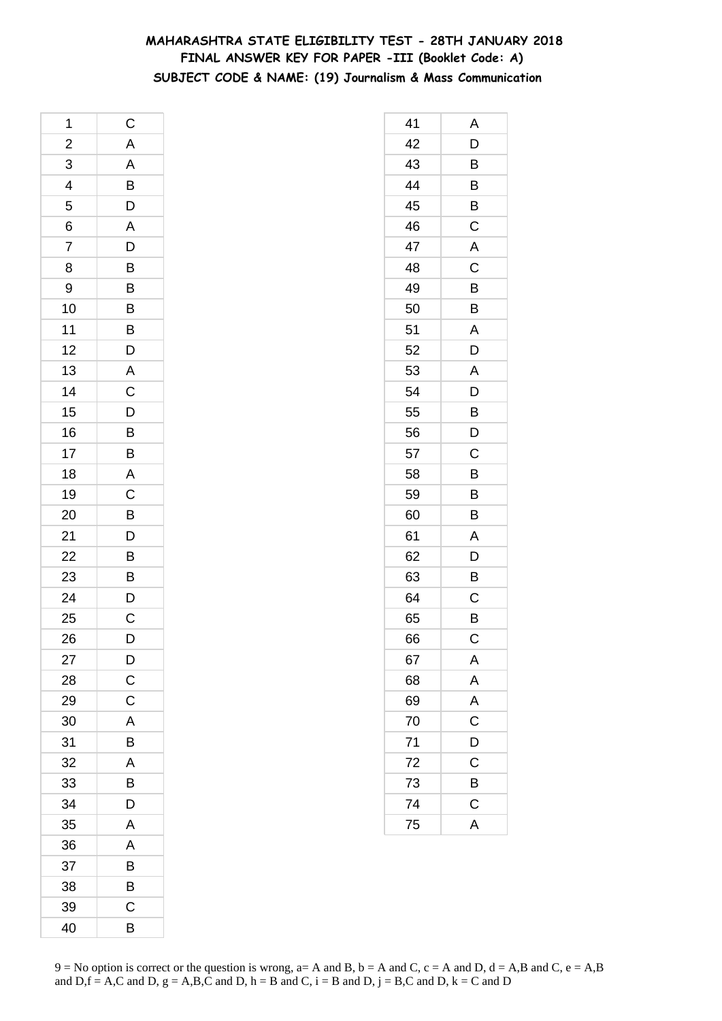## **MAHARASHTRA STATE ELIGIBILITY TEST - 28TH JANUARY 2018 FINAL ANSWER KEY FOR PAPER -III (Booklet Code: A) SUBJECT CODE & NAME: (19) Journalism & Mass Communication**

| 1                       | $\mathsf{C}$                     |
|-------------------------|----------------------------------|
|                         |                                  |
| $\frac{2}{3}$           |                                  |
| $\overline{\mathbf{r}}$ | A<br>A<br>B<br>D<br>A            |
| 5                       |                                  |
| 6                       |                                  |
| $\overline{7}$          |                                  |
| 8                       | $\frac{D}{B}$                    |
| 9                       |                                  |
| 10                      | $\overline{B}$<br>$B$            |
| 11                      |                                  |
| 12                      | D                                |
| 13                      | $A$ C D $B$ $B$                  |
| 14                      |                                  |
| 15                      |                                  |
| 16                      |                                  |
| 17                      |                                  |
| 18                      | A                                |
| 19                      |                                  |
| 20                      | $\frac{C}{D}$                    |
| 21                      |                                  |
| 22                      |                                  |
| 23                      | $\overline{B}$<br>$\overline{B}$ |
| 24                      |                                  |
| 25                      | $\frac{D}{C}$                    |
| 26                      | D                                |
| 27                      | $\overline{D}$                   |
| 28                      | $\mathsf C$                      |
| 29                      | C                                |
| 30                      | A                                |
| 31                      | B                                |
| 32                      | A                                |
| 33                      | B                                |
| 34                      | D                                |
| 35                      | A                                |
| 36                      | A                                |
| 37                      | B                                |
| 38                      | B                                |
| 39                      | C                                |
| 40                      | B                                |

| 41 | Α                       |
|----|-------------------------|
| 42 | D                       |
| 43 | B                       |
| 44 | B                       |
| 45 | B                       |
| 46 | C                       |
| 47 | Α                       |
| 48 | C                       |
| 49 | B                       |
| 50 | B                       |
| 51 | A                       |
| 52 | D                       |
| 53 | Α                       |
| 54 | D                       |
| 55 | $\overline{B}$          |
| 56 | $\overline{\mathsf{D}}$ |
| 57 | C                       |
| 58 | B                       |
| 59 | B                       |
| 60 | B                       |
| 61 | A                       |
| 62 | D                       |
| 63 | B                       |
| 64 | C                       |
| 65 | B                       |
| 66 | С                       |
| 67 | Α                       |
| 68 | $\mathsf{A}$            |
| 69 | A<br>C                  |
| 70 |                         |
| 71 | D                       |
| 72 | $\mathsf{C}$            |
| 73 | $\overline{B}$          |
| 74 | $\overline{C}$          |
| 75 | $\overline{\mathsf{A}}$ |
|    |                         |

 $9 = No$  option is correct or the question is wrong,  $a = A$  and B,  $b = A$  and C,  $c = A$  and D,  $d = A$ ,B and C,  $e = A$ ,B and  $D,f = A,C$  and  $D, g = A,B,C$  and  $D, h = B$  and  $C, i = B$  and  $D, j = B,C$  and  $D, k = C$  and  $D$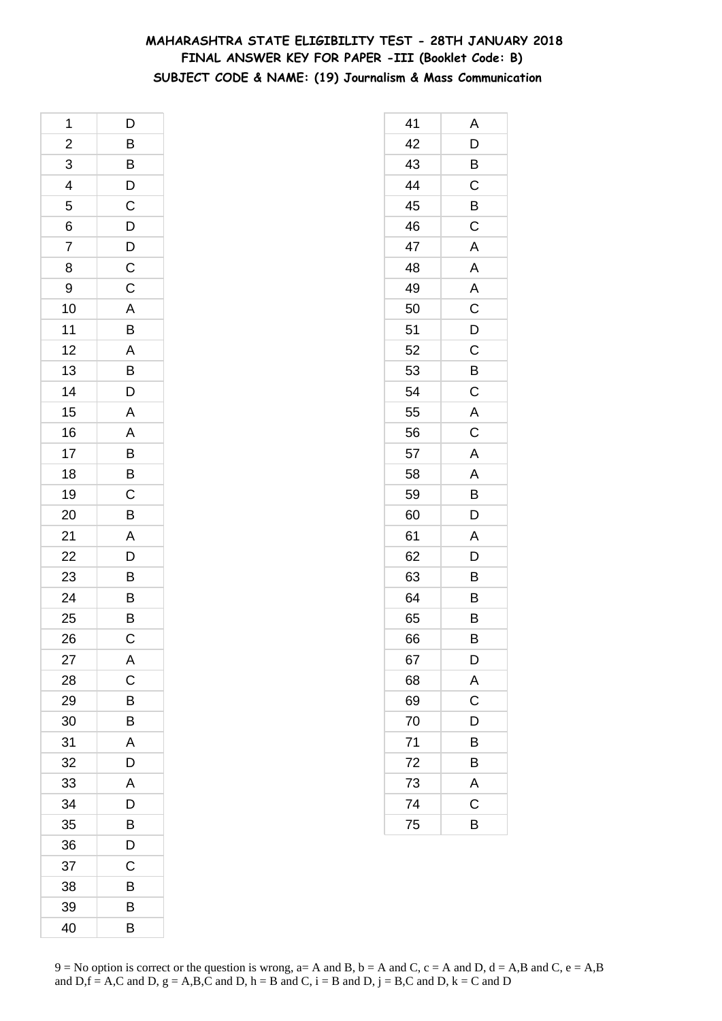## **MAHARASHTRA STATE ELIGIBILITY TEST - 28TH JANUARY 2018 FINAL ANSWER KEY FOR PAPER -III (Booklet Code: B) SUBJECT CODE & NAME: (19) Journalism & Mass Communication**

| 1                       | D                                                            |
|-------------------------|--------------------------------------------------------------|
| $\overline{\mathbf{c}}$ |                                                              |
| 3                       |                                                              |
| $\overline{4}$          | $\frac{\mathsf{B}}{\mathsf{B}}\frac{\mathsf{B}}{\mathsf{D}}$ |
| 5                       |                                                              |
| 6                       |                                                              |
| $\overline{7}$          | $\begin{array}{c}\nD \\ D \\ C\n\end{array}$                 |
| 8                       |                                                              |
| 9                       |                                                              |
| 10                      |                                                              |
| 11                      | A B A B D                                                    |
| 12                      |                                                              |
| 13                      |                                                              |
| 14                      |                                                              |
| 15                      | $\overline{A}$                                               |
| 16                      |                                                              |
| 17                      | $\frac{A}{B}$                                                |
| 18                      | $\overline{B}$                                               |
| 19                      |                                                              |
| 20                      | $\frac{C}{B}$                                                |
| 21                      | $\overline{A}$                                               |
| 22                      | $\overline{D}$                                               |
| 23                      | $\overline{B}$                                               |
| 24                      | $\overline{B}$                                               |
| 25                      | $\frac{1}{B}$                                                |
| 26                      | $\mathsf C$                                                  |
| 27                      | A                                                            |
| 28                      | C                                                            |
| 29                      | B                                                            |
| 30                      | B                                                            |
| 31                      | A                                                            |
| 32                      | D                                                            |
| 33                      | A                                                            |
| 34                      | D                                                            |
| 35                      | B                                                            |
| 36                      | D                                                            |
| 37                      | С                                                            |
| 38                      | В                                                            |
| 39                      | В                                                            |
| 40                      | B                                                            |

| 41 | Α                       |
|----|-------------------------|
| 42 | D                       |
| 43 | B                       |
| 44 | $\mathsf C$             |
| 45 | B                       |
| 46 | C                       |
| 47 | Α                       |
| 48 | Α                       |
| 49 | A                       |
| 50 | $\mathsf{C}$            |
| 51 | D                       |
| 52 | C                       |
| 53 | B                       |
| 54 | C                       |
| 55 | A                       |
| 56 | $\mathsf C$             |
| 57 | A                       |
| 58 | A                       |
| 59 | B                       |
| 60 | D                       |
| 61 | Α                       |
| 62 | D                       |
| 63 | B                       |
| 64 | B                       |
| 65 | B                       |
| 66 | B                       |
| 67 | D                       |
| 68 | A                       |
| 69 | $\overline{\mathrm{c}}$ |
| 70 | D                       |
| 71 | B                       |
| 72 | B                       |
| 73 | $\overline{A}$          |
| 74 | $\overline{\mathrm{c}}$ |
| 75 | B                       |
|    |                         |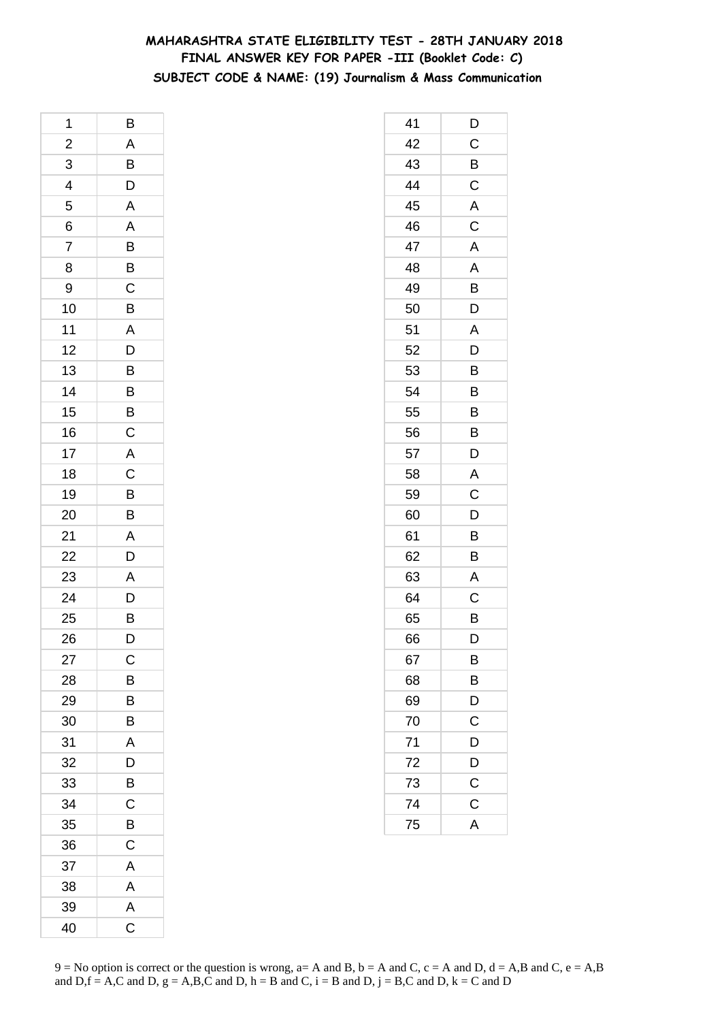## **MAHARASHTRA STATE ELIGIBILITY TEST - 28TH JANUARY 2018 FINAL ANSWER KEY FOR PAPER -III (Booklet Code: C) SUBJECT CODE & NAME: (19) Journalism & Mass Communication**

| 1                       | B                                                            |
|-------------------------|--------------------------------------------------------------|
| $\overline{\mathbf{c}}$ |                                                              |
| $\overline{3}$          |                                                              |
| $\overline{4}$          | $\overline{AB}$ $\overline{D}$ $\overline{A}$ $\overline{A}$ |
| 5                       |                                                              |
| 6                       |                                                              |
| $\overline{7}$          |                                                              |
| 8                       | $\frac{B}{C}$                                                |
| 9                       |                                                              |
| 10                      |                                                              |
| 11                      | $\frac{B}{A}$                                                |
| 12                      |                                                              |
| 13                      | $\frac{D}{B}$                                                |
| 14                      | $\overline{B}$<br>$\overline{C}$                             |
| 15                      |                                                              |
| 16                      |                                                              |
| 17                      | $rac{A}{C}$                                                  |
| 18                      |                                                              |
| 19                      |                                                              |
| 20                      | $\frac{B}{B}$                                                |
| 21                      | $\mathsf{A}$                                                 |
| 22                      |                                                              |
| 23                      | $\frac{D}{A}$                                                |
| 24                      | $\frac{D}{B}$                                                |
| 25                      |                                                              |
| 26                      | $\overline{\mathsf{D}}$                                      |
| 27                      | $\mathsf{C}$                                                 |
| 28                      | B                                                            |
| 29                      | B                                                            |
| 30                      | B                                                            |
| 31                      | A                                                            |
| 32                      | D                                                            |
| 33                      | $\overline{\mathsf{B}}$                                      |
| 34                      | C                                                            |
| 35                      | B                                                            |
| 36                      | C                                                            |
| 37                      | A                                                            |
| 38                      | $\mathsf{A}$                                                 |
| 39                      | A                                                            |
| 40                      | $\mathsf C$                                                  |

| 41              | D              |
|-----------------|----------------|
| 42              | $\mathsf{C}$   |
| 43              | B              |
| 44              | $\mathsf C$    |
| 45              | A              |
| 46              | C              |
| 47              | A              |
| 48              | Α              |
| 49              | B              |
| 50              | D              |
| 51              | A              |
| 52              | D              |
| 53              | B              |
| 54              | B              |
| 55              | B              |
| 56              | $\overline{B}$ |
| 57              | D              |
| 58              | A              |
| 59              | C              |
| 60              | D              |
| 61              | B              |
| 62              | B              |
| 63              | A              |
| 64              | C              |
| 65              | B              |
| 66              | D              |
| 67              | B              |
| 68              | $\frac{B}{D}$  |
| 69              |                |
| 70              | C              |
| 71              | D              |
| 72              | D              |
| 73              | $\mathsf C$    |
| $\overline{74}$ | $\mathsf{C}$   |
| 75              | A              |
|                 |                |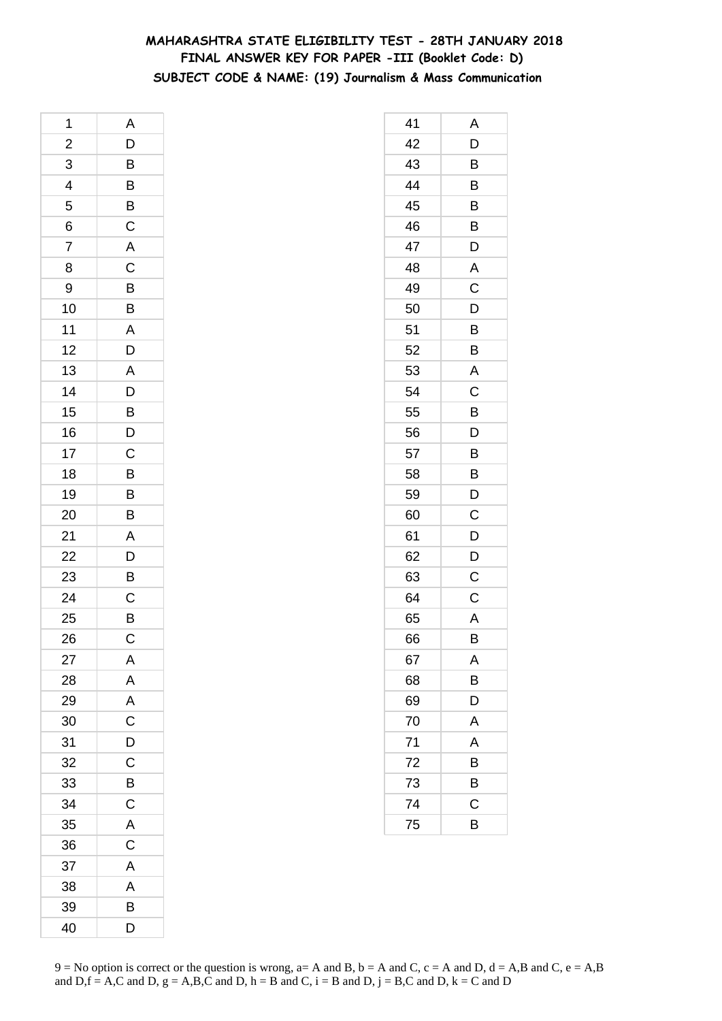## **MAHARASHTRA STATE ELIGIBILITY TEST - 28TH JANUARY 2018 FINAL ANSWER KEY FOR PAPER -III (Booklet Code: D) SUBJECT CODE & NAME: (19) Journalism & Mass Communication**

| 1                       | A                                                                        |
|-------------------------|--------------------------------------------------------------------------|
| $\overline{a}$          |                                                                          |
| $\overline{3}$          |                                                                          |
| $\overline{\mathbf{r}}$ | $\begin{array}{c} \mathsf{D} \\ \hline \mathsf{B} \\ \hline \end{array}$ |
| 5                       |                                                                          |
| 6                       | $\frac{B}{C}$                                                            |
| $\overline{7}$          | A                                                                        |
| 8                       |                                                                          |
| 9                       |                                                                          |
| 10                      | C<br>B<br>B<br>A                                                         |
| 11                      |                                                                          |
| 12                      | D                                                                        |
| 13                      | A                                                                        |
| 14                      |                                                                          |
| 15                      | $\begin{array}{c}\nD \\ B \\ D\n\end{array}$                             |
| 16                      |                                                                          |
| 17                      |                                                                          |
| 18                      | $rac{C}{B}$                                                              |
| 19                      |                                                                          |
| 20                      | $\frac{B}{B}$                                                            |
| 21                      | A                                                                        |
| $\overline{22}$         | $\frac{1}{D}$                                                            |
| 23                      | $\overline{B}$                                                           |
| 24                      | $rac{C}{B}$                                                              |
| 25                      |                                                                          |
| 26                      | $\mathsf C$                                                              |
| 27                      | Α                                                                        |
| 28                      | A                                                                        |
| 29                      | $\mathsf{A}$                                                             |
| 30                      | $\overline{C}$                                                           |
| 31                      | D                                                                        |
| 32                      | $\mathsf{C}$                                                             |
| 33                      | B                                                                        |
| 34                      | C                                                                        |
| 35                      | A                                                                        |
| 36                      | $\overline{\text{c}}$                                                    |
| 37                      | A                                                                        |
| 38                      | A                                                                        |
| 39                      | B                                                                        |
| 40                      | D                                                                        |

| 41              | Α              |
|-----------------|----------------|
| 42              | D              |
| 43              | B              |
| 44              | B              |
| 45              | B              |
| 46              | B              |
| 47              | D              |
| 48              | A              |
| 49              | $\mathsf C$    |
| 50              | D              |
| 51              | B              |
| 52              | B              |
| 53              | A              |
| 54              | C              |
| 55              | B              |
| 56              | D              |
| 57              | B              |
| 58              | B              |
| 59              | D              |
| 60              | C              |
| 61              | D              |
| 62              | D              |
| 63              | C              |
| 64              | $\mathsf C$    |
| 65              | Α              |
| 66              | B              |
| 67              | A              |
| 68              | $\overline{B}$ |
| 69              | D              |
| 70              | A              |
| $\overline{71}$ | A              |
| 72              | B              |
| 73              | B              |
| 74              | $\mathsf C$    |
| 75              | B              |
|                 |                |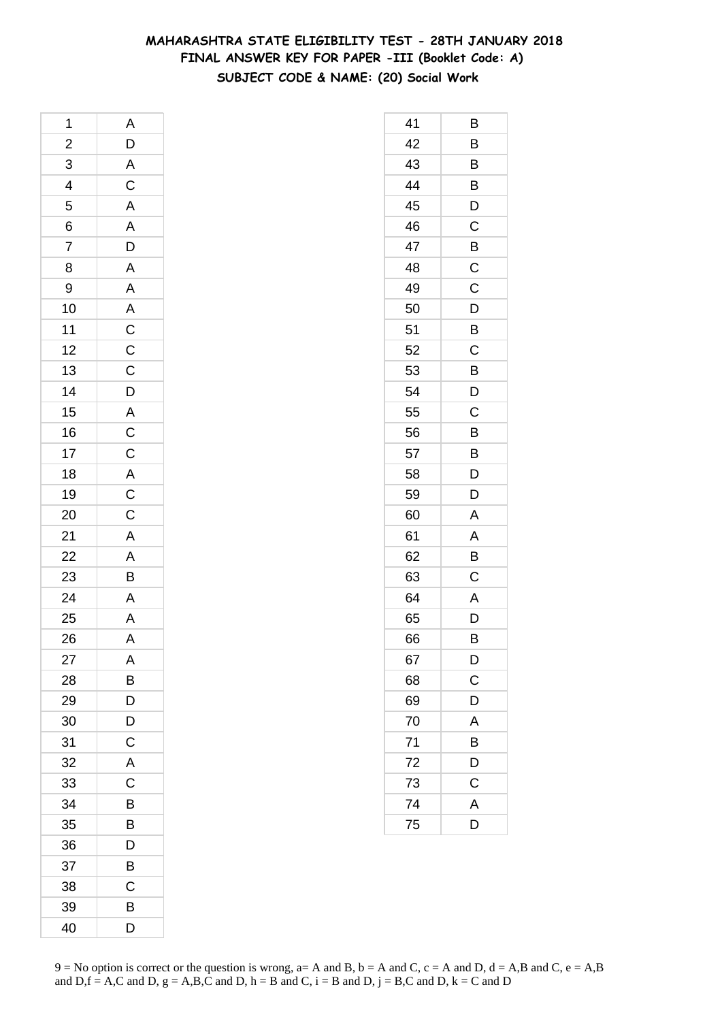## **MAHARASHTRA STATE ELIGIBILITY TEST - 28TH JANUARY 2018 FINAL ANSWER KEY FOR PAPER -III (Booklet Code: A) SUBJECT CODE & NAME: (20) Social Work**

| 1                            |                                                     |
|------------------------------|-----------------------------------------------------|
|                              | A D A C A A D A A A C C C D A C C A C C A A B A A A |
| $2 \overline{3}$ 4 5 6 7     |                                                     |
|                              |                                                     |
|                              |                                                     |
|                              |                                                     |
|                              |                                                     |
| $\overline{8}$               |                                                     |
| 9                            |                                                     |
| 10                           |                                                     |
| 11                           |                                                     |
| 12                           |                                                     |
| 13                           |                                                     |
| 14                           |                                                     |
| $\overline{15}$              |                                                     |
| 16                           |                                                     |
| 17                           |                                                     |
| 18                           |                                                     |
| 19                           |                                                     |
| 20                           |                                                     |
|                              |                                                     |
|                              |                                                     |
|                              |                                                     |
| $21$<br>$22$<br>$23$<br>$24$ |                                                     |
| 25                           |                                                     |
| 26                           |                                                     |
| 27                           | Α                                                   |
| 28                           | B                                                   |
| 29                           | D                                                   |
| 30                           | D                                                   |
| 31                           | $\mathsf C$                                         |
| 32                           | A                                                   |
| 33                           | C                                                   |
| 34                           | B                                                   |
| 35                           | B                                                   |
| 36                           | D                                                   |
| 37                           | В                                                   |
| 38                           | C                                                   |
| 39                           | B                                                   |
| 40                           | D                                                   |

| 41 | В           |
|----|-------------|
| 42 | Β           |
| 43 | В           |
| 44 | B           |
| 45 | D           |
| 46 | C           |
| 47 | B           |
| 48 | $\mathsf C$ |
| 49 | C           |
| 50 | D           |
| 51 | B           |
| 52 | C           |
| 53 | B           |
| 54 | D           |
| 55 | C           |
| 56 | B           |
| 57 | B           |
| 58 | D           |
| 59 | D           |
| 60 | A           |
| 61 | Α           |
| 62 | B           |
| 63 | Ċ           |
| 64 | A           |
| 65 | D           |
| 66 | В           |
| 67 | D           |
| 68 | $\mathsf C$ |
| 69 | D           |
| 70 | A           |
| 71 | B           |
| 72 | D           |
| 73 | C           |
| 74 | A           |
| 75 | D           |
|    |             |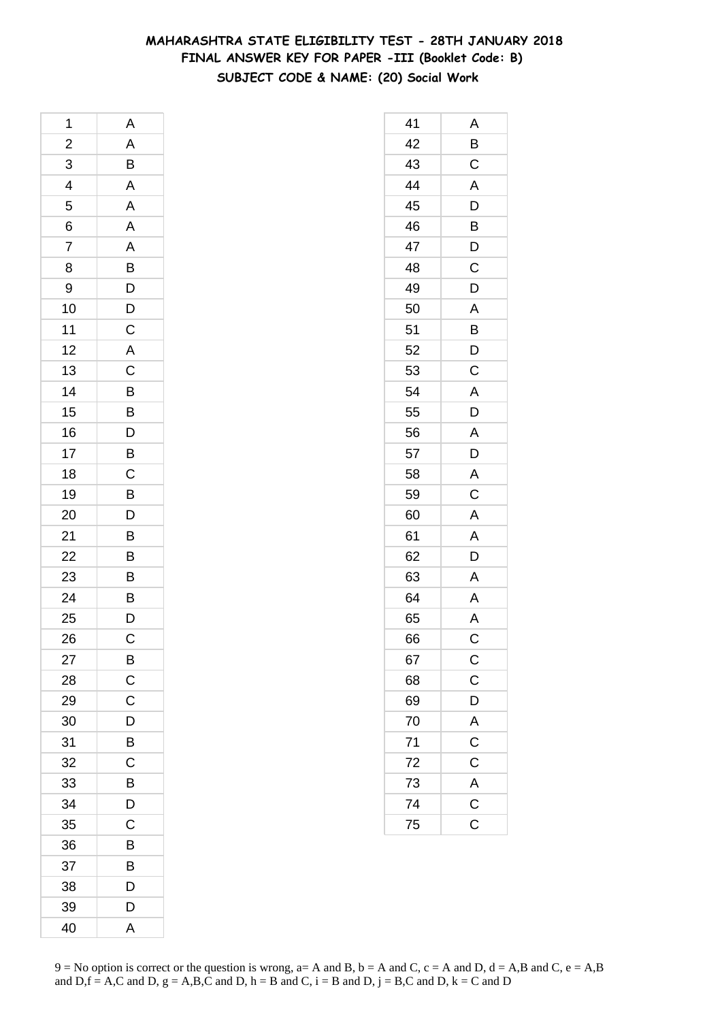## **MAHARASHTRA STATE ELIGIBILITY TEST - 28TH JANUARY 2018 FINAL ANSWER KEY FOR PAPER -III (Booklet Code: B) SUBJECT CODE & NAME: (20) Social Work**

| 1              | A                                                  |
|----------------|----------------------------------------------------|
| $\overline{c}$ | $\overline{A}$                                     |
| 3              | B                                                  |
| 4              | A                                                  |
| 5              | A                                                  |
| 6              |                                                    |
| $\overline{7}$ |                                                    |
| 8              |                                                    |
| 9              | A A B D D C                                        |
| 10             |                                                    |
| 11             |                                                    |
| 12             | $\overline{A}$                                     |
| 13             | $\overline{C}$<br>$\overline{B}$<br>$\overline{D}$ |
| 14             |                                                    |
| 15             |                                                    |
| 16             |                                                    |
| 17             | $\overline{B}$                                     |
| 18             |                                                    |
| 19             |                                                    |
| 20             |                                                    |
| 21             | $\overline{B}$<br>$\overline{B}$<br>$\overline{B}$ |
| 22             | B                                                  |
| 23             | $\overline{B}$                                     |
| 24             |                                                    |
| 25             | $\frac{B}{D}$                                      |
| 26             | $\mathsf{C}$                                       |
| 27             | B                                                  |
| 28             | C                                                  |
| 29             | C                                                  |
| 30             | D                                                  |
| 31             | B                                                  |
| 32             | C                                                  |
| 33             | B                                                  |
| 34             | D                                                  |
| 35             | C                                                  |
| 36             | В                                                  |
| 37             | В                                                  |
| 38             | D                                                  |
| 39             | D                                                  |
| 40             | A                                                  |

| 41              | Α                        |
|-----------------|--------------------------|
| 42              | B                        |
| 43              | $\mathsf C$              |
| 44              | A                        |
| 45              | D                        |
| 46              | B                        |
| 47              | D                        |
| 48              | C                        |
| 49              | D                        |
| 50              | A                        |
| 51              | B                        |
| 52              | D                        |
| 53              | C                        |
| 54              | A                        |
| 55              | D                        |
| 56              | A                        |
| 57              | D                        |
| 58              | A                        |
| 59              | C                        |
| 60              | A                        |
| 61              | A                        |
| 62              | D                        |
| 63              | A                        |
| 64              | A                        |
| 65              | A                        |
| 66              | Ć                        |
| 67              | $\mathsf{C}$             |
| 68              | $\frac{C}{D}$            |
| 69              |                          |
| 70              |                          |
| 71              | $rac{A}{C}$              |
| 72              | $\mathsf C$              |
| 73              |                          |
| $\overline{74}$ | $\frac{\overline{A}}{C}$ |
| 75              |                          |
|                 |                          |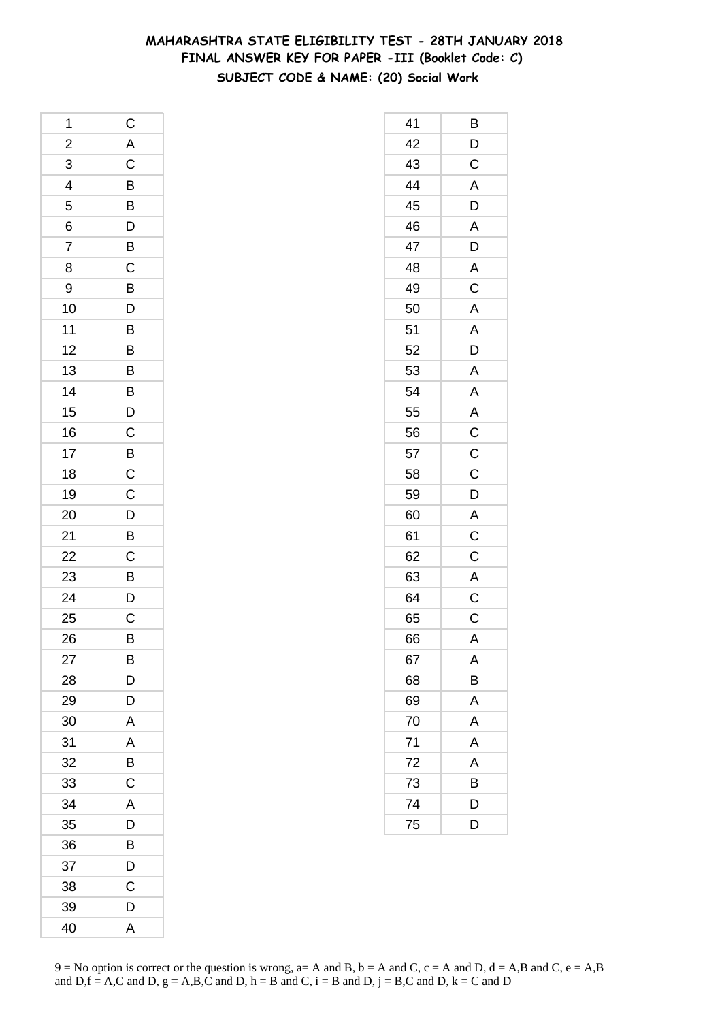## **MAHARASHTRA STATE ELIGIBILITY TEST - 28TH JANUARY 2018 FINAL ANSWER KEY FOR PAPER -III (Booklet Code: C) SUBJECT CODE & NAME: (20) Social Work**

| 1               | $\mathsf{C}$                              |
|-----------------|-------------------------------------------|
| $\frac{2}{3}$   | $rac{A}{C}$                               |
|                 |                                           |
| $\frac{1}{4}$   |                                           |
| 5               | $\overline{B}$<br>$\overline{D}$          |
| 6               |                                           |
| 7               | $\overline{B}$                            |
| 8               |                                           |
| 9               | $\frac{C}{B}$                             |
| 10              | $\frac{D}{B}$                             |
| 11              |                                           |
| 12              | B                                         |
| 13              |                                           |
| 14              | $\frac{B}{B}$ $\frac{B}{D}$ $\frac{C}{C}$ |
| 15              |                                           |
| 16              |                                           |
| 17              |                                           |
| 18              |                                           |
| 19              |                                           |
| 20              | $\overline{D}$<br>$\overline{B}$          |
| 21              |                                           |
| $\overline{22}$ |                                           |
| 23              | $rac{C}{B}$                               |
| 24              | D                                         |
| 25              | $\overline{\mathrm{c}}$                   |
| 26              | B                                         |
| 27              | B                                         |
| 28              | D                                         |
| 29              | D                                         |
| 30              | A                                         |
| 31              | A                                         |
| 32              | B                                         |
| 33              | $\mathsf C$                               |
| 34              | A                                         |
| 35              | D                                         |
| 36              | B                                         |
| 37              | D                                         |
| 38              | C                                         |
| 39              | D                                         |
| 40              | A                                         |

| 41 | Β                                                   |
|----|-----------------------------------------------------|
| 42 | D                                                   |
| 43 | $\overline{C}$                                      |
| 44 | A                                                   |
| 45 | D                                                   |
| 46 | A                                                   |
| 47 | D                                                   |
| 48 | A                                                   |
| 49 | $\overline{\mathrm{c}}$                             |
| 50 | A                                                   |
| 51 | A                                                   |
| 52 | D                                                   |
| 53 | $\overline{A}$                                      |
| 54 | $\overline{A}$                                      |
| 55 |                                                     |
| 56 |                                                     |
| 57 | $\overline{AC}$<br>$\overline{C}$<br>$\overline{C}$ |
| 58 |                                                     |
| 59 | $\mathsf{D}$                                        |
| 60 | A                                                   |
| 61 | $\overline{\mathbf{C}}$                             |
| 62 | $\overline{C}$                                      |
| 63 | A                                                   |
| 64 | $\overline{C}$                                      |
| 65 | $\mathsf{C}$                                        |
| 66 | A                                                   |
| 67 | Α                                                   |
| 68 | B                                                   |
| 69 | A                                                   |
| 70 | A                                                   |
| 71 | A                                                   |
| 72 | A                                                   |
| 73 | B                                                   |
| 74 | D                                                   |
| 75 | D                                                   |
|    |                                                     |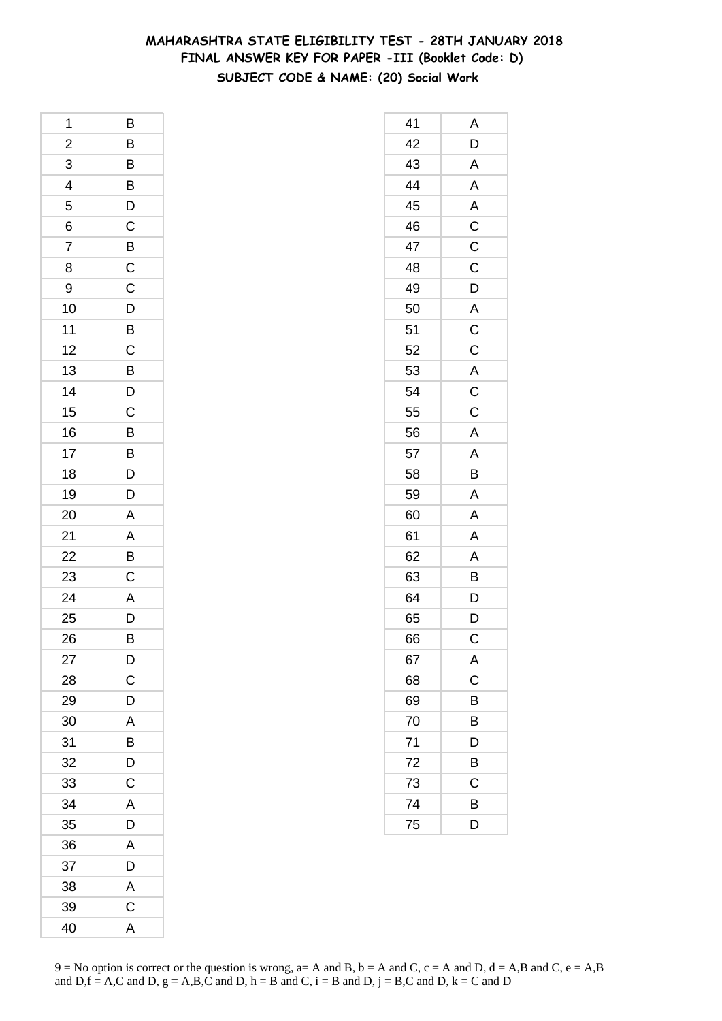## **MAHARASHTRA STATE ELIGIBILITY TEST - 28TH JANUARY 2018 FINAL ANSWER KEY FOR PAPER -III (Booklet Code: D) SUBJECT CODE & NAME: (20) Social Work**

| 1              | B                       |
|----------------|-------------------------|
| $\overline{c}$ | $\overline{B}$          |
| 3              |                         |
| 4              | $\overline{B}$          |
| 5              |                         |
| 6              | $\frac{D}{C}$           |
| $\overline{7}$ | $\overline{B}$ C        |
| 8              |                         |
| 9              | $\overline{C}$          |
| 10             |                         |
| 11             | $\frac{D}{B}$           |
| 12             | $\mathsf{C}$            |
| 13             | $\overline{B}$<br>$D$   |
| 14             |                         |
| 15             | $\overline{c}$          |
| 16             |                         |
| 17             |                         |
| 18             | B<br>B<br>D             |
| 19             | D                       |
| 20             | $\overline{A}$          |
| 21             | $\overline{A}$          |
| 22             | B                       |
| 23             | $\mathsf C$             |
| 24             |                         |
| 25             | $\frac{A}{D}$           |
| 26             | B                       |
| 27             | D                       |
| 28             | $\mathsf C$             |
| 29             | D                       |
| 30             | A                       |
| 31             | B                       |
| 32             | $\overline{\mathsf{D}}$ |
| 33             | $\mathsf C$             |
| 34             | A                       |
| 35             | D                       |
| 36             | A                       |
| 37             | D                       |
| 38             | $\overline{A}$          |
| 39             | $\overline{\mathrm{c}}$ |
| 40             | A                       |

| 41 | Α                               |
|----|---------------------------------|
| 42 | D                               |
| 43 | A                               |
| 44 | A                               |
| 45 | A                               |
| 46 | $\overline{C}$                  |
| 47 | $\mathsf C$                     |
| 48 | $\overline{C}$                  |
| 49 | $\overline{D}$                  |
| 50 |                                 |
| 51 | $rac{A}{C}$                     |
| 52 |                                 |
| 53 |                                 |
| 54 | $rac{A}{C}$                     |
| 55 | $\overline{C}$                  |
| 56 | A                               |
| 57 | $\overline{\mathsf{A}}$         |
| 58 | B                               |
| 59 | A                               |
| 60 | $\overline{\mathsf{A}}$         |
| 61 | A                               |
| 62 | A                               |
| 63 | B                               |
| 64 |                                 |
| 65 | $\frac{\mathsf{D}}{\mathsf{D}}$ |
| 66 | $\mathsf C$                     |
| 67 | A                               |
| 68 | C                               |
| 69 | B                               |
| 70 | B                               |
| 71 | D                               |
| 72 | B                               |
| 73 | C                               |
| 74 | B                               |
| 75 | D                               |
|    |                                 |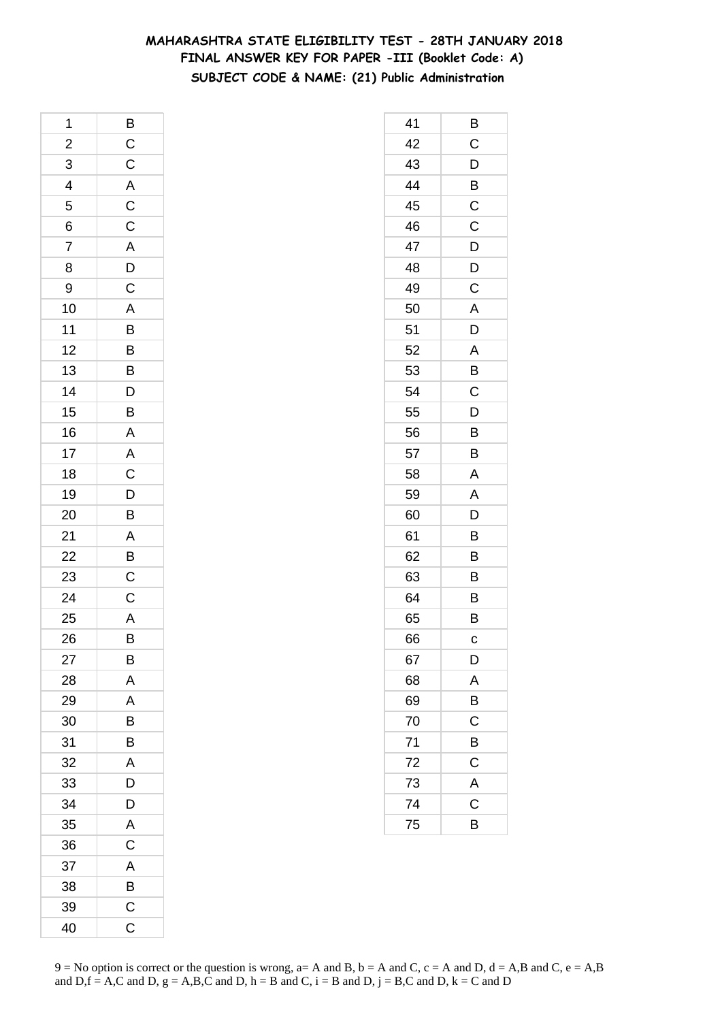## **MAHARASHTRA STATE ELIGIBILITY TEST - 28TH JANUARY 2018 FINAL ANSWER KEY FOR PAPER -III (Booklet Code: A) SUBJECT CODE & NAME: (21) Public Administration**

| 1              | B                                 |
|----------------|-----------------------------------|
| $\overline{a}$ |                                   |
| $\frac{1}{3}$  | C C A C C A D C                   |
| $\overline{4}$ |                                   |
| 5              |                                   |
| 6              |                                   |
| $\overline{7}$ |                                   |
| 8              |                                   |
| 9              |                                   |
| 10             | $\frac{A}{B}$                     |
| 11             |                                   |
| 12             |                                   |
| 13             | $\frac{B}{B}$                     |
| 14             |                                   |
| 15             |                                   |
| 16             | $D$ $B$ $A$ $C$ $D$ $B$           |
| 17             |                                   |
| 18             |                                   |
| 19             |                                   |
| 20             |                                   |
| 21             | $\overline{AB}$<br>$\overline{B}$ |
| 22             |                                   |
| 23             |                                   |
| 24             | $\overline{\mathbf{C}}$           |
| 25             | $\overline{A}$                    |
| 26             | $\overline{B}$                    |
| 27             | В                                 |
| 28             | A                                 |
| 29             | A                                 |
| 30             | B                                 |
| 31             | B                                 |
| 32             | A                                 |
| 33             | D                                 |
| 34             | D                                 |
| 35             | A                                 |
| 36             | $\mathsf C$                       |
| 37             | A                                 |
| 38             | B                                 |
| 39             | $\mathsf C$                       |
| 40             | $\mathsf C$                       |

| 41 | В           |
|----|-------------|
| 42 | C           |
| 43 | D           |
| 44 | B           |
| 45 | $\mathsf C$ |
| 46 | C           |
| 47 | D           |
| 48 | D           |
| 49 | С           |
| 50 | Α           |
| 51 | D           |
| 52 | A           |
| 53 | B           |
| 54 | C           |
| 55 | D           |
| 56 | Β           |
| 57 | B           |
| 58 | A           |
| 59 | A           |
| 60 | D           |
| 61 | B           |
| 62 | B           |
| 63 | B           |
| 64 | B           |
| 65 | B           |
| 66 | C           |
| 67 | D           |
| 68 | A           |
| 69 | B           |
| 70 | $\mathsf C$ |
| 71 | B           |
| 72 | C           |
| 73 | A           |
| 74 | C           |
| 75 | B           |
|    |             |

 $9 = No$  option is correct or the question is wrong,  $a = A$  and B,  $b = A$  and C,  $c = A$  and D,  $d = A$ ,B and C,  $e = A$ ,B and  $D,f = A,C$  and  $D, g = A,B,C$  and  $D, h = B$  and  $C, i = B$  and  $D, j = B,C$  and  $D, k = C$  and  $D$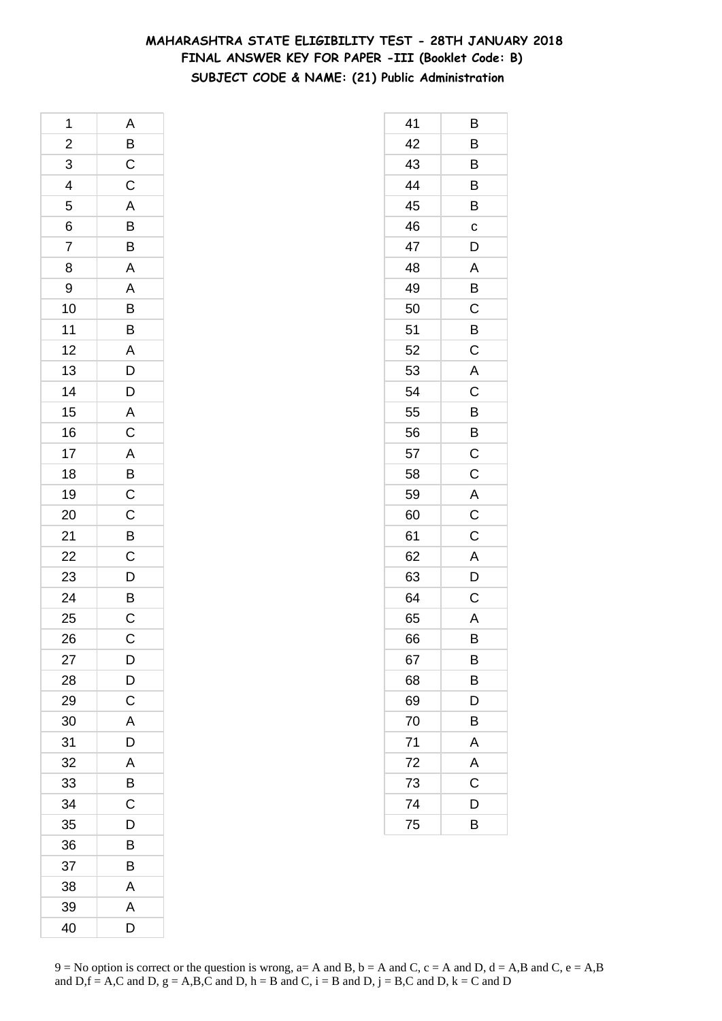## **MAHARASHTRA STATE ELIGIBILITY TEST - 28TH JANUARY 2018 FINAL ANSWER KEY FOR PAPER -III (Booklet Code: B) SUBJECT CODE & NAME: (21) Public Administration**

| 1                       | A                |
|-------------------------|------------------|
| $\overline{\mathbf{c}}$ | $\overline{B}$   |
| 3                       | $\frac{C}{C}$    |
| $\overline{4}$          |                  |
| 5                       |                  |
| 6                       |                  |
| $\overline{7}$          | A<br>B<br>B      |
| 8                       | A                |
| 9                       |                  |
| 10                      | $\frac{A}{B}$    |
| 11                      |                  |
| 12                      | $rac{A}{D}$      |
| 13                      |                  |
| 14                      | D                |
| 15                      | $rac{A}{C}$      |
| 16                      |                  |
| 17                      |                  |
| 18                      | A<br>B<br>C<br>C |
| 19                      |                  |
| 20                      |                  |
| 21                      |                  |
| 22                      |                  |
| 23                      |                  |
| $\overline{24}$         | B C D B C        |
| 25                      |                  |
| 26                      | $\mathsf{C}$     |
| 27                      | D                |
| 28                      | D                |
| 29                      | $\mathsf C$      |
| 30                      | A                |
| 31                      | D                |
| 32                      | A                |
| 33                      | B                |
| 34                      | C                |
| 35                      | D                |
| 36                      | B                |
| 37                      | B                |
| 38                      | A                |
| 39                      | Α                |
| 40                      | D                |

| 41 | В                       |
|----|-------------------------|
| 42 | B                       |
| 43 | B                       |
| 44 | B                       |
| 45 | B                       |
| 46 | $\mathbf c$             |
| 47 | D                       |
| 48 | Α                       |
| 49 | B                       |
| 50 | C                       |
| 51 | B                       |
| 52 | $\overline{C}$          |
| 53 | A                       |
| 54 | C                       |
| 55 | B                       |
| 56 | $\overline{B}$          |
| 57 | $\overline{C}$          |
| 58 | $\mathsf C$             |
| 59 | A                       |
| 60 | $\overline{\mathbf{C}}$ |
| 61 | $\mathsf C$             |
| 62 | A                       |
| 63 | D                       |
| 64 | C                       |
| 65 | A                       |
| 66 | B                       |
| 67 | B                       |
| 68 | В                       |
| 69 | D                       |
| 70 | B                       |
| 71 | A                       |
| 72 | A                       |
| 73 | Ċ                       |
| 74 | D                       |
| 75 | В                       |
|    |                         |

 $9 = No$  option is correct or the question is wrong,  $a = A$  and B,  $b = A$  and C,  $c = A$  and D,  $d = A$ ,B and C,  $e = A$ ,B and  $D,f = A,C$  and  $D, g = A,B,C$  and  $D, h = B$  and  $C, i = B$  and  $D, j = B,C$  and  $D, k = C$  and  $D$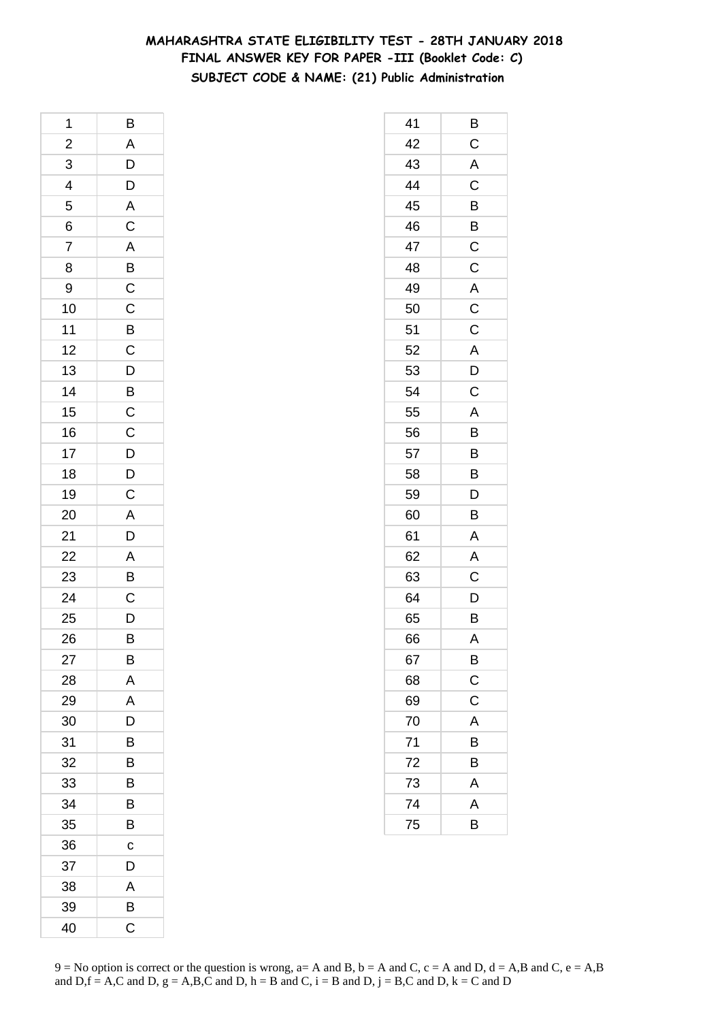## **MAHARASHTRA STATE ELIGIBILITY TEST - 28TH JANUARY 2018 FINAL ANSWER KEY FOR PAPER -III (Booklet Code: C) SUBJECT CODE & NAME: (21) Public Administration**

| 1                       | B                                            |
|-------------------------|----------------------------------------------|
| $\overline{\mathbf{c}}$ |                                              |
| $\overline{3}$          | $\begin{array}{c}\nA \\ D \\ D\n\end{array}$ |
| $\overline{4}$          |                                              |
| 5                       |                                              |
| 6                       |                                              |
| $\overline{7}$          | A C A B C C B C                              |
| 8                       |                                              |
| 9                       |                                              |
| 10                      |                                              |
| 11                      |                                              |
| 12                      |                                              |
| 13                      | $\overline{D}$                               |
| 14                      |                                              |
| 15                      | BCCDD                                        |
| 16                      |                                              |
| 17                      |                                              |
| 18                      |                                              |
| 19                      | $\mathsf C$                                  |
| 20                      | $\overline{\mathsf{A}}$                      |
| 21                      | D                                            |
| 22                      |                                              |
| 23                      | $\frac{A}{B}$                                |
| 24                      | $\overline{\mathrm{c}}$                      |
| 25                      | $\overline{D}$                               |
| 26                      | B                                            |
| 27                      | В                                            |
| 28                      | A                                            |
| 29                      | A                                            |
| 30                      | D                                            |
| 31                      | B                                            |
| 32                      | B                                            |
| 33                      | B                                            |
| 34                      | В                                            |
| 35                      | B                                            |
| 36                      | C                                            |
| 37                      | D                                            |
| 38                      | A                                            |
| 39                      | В                                            |
| 40                      | C                                            |

| 41 | В                       |
|----|-------------------------|
| 42 | $\mathsf C$             |
| 43 | A                       |
| 44 | $\overline{C}$          |
| 45 | B                       |
| 46 | B                       |
| 47 | $\mathsf C$             |
| 48 | $\mathsf C$             |
| 49 |                         |
| 50 | $rac{A}{C}$             |
| 51 | $\overline{\mathrm{c}}$ |
| 52 | A                       |
| 53 | D                       |
| 54 | $\mathsf C$             |
| 55 | A                       |
| 56 | B                       |
| 57 | B                       |
| 58 | B                       |
| 59 | D                       |
| 60 | B                       |
| 61 | A                       |
| 62 | A                       |
| 63 | $\overline{C}$          |
| 64 | D                       |
| 65 | B                       |
| 66 | A                       |
| 67 | B                       |
| 68 | $\overline{C}$          |
| 69 | $\overline{C}$          |
| 70 | A                       |
| 71 | B                       |
| 72 | B                       |
| 73 | A                       |
| 74 | A                       |
| 75 | B                       |
|    |                         |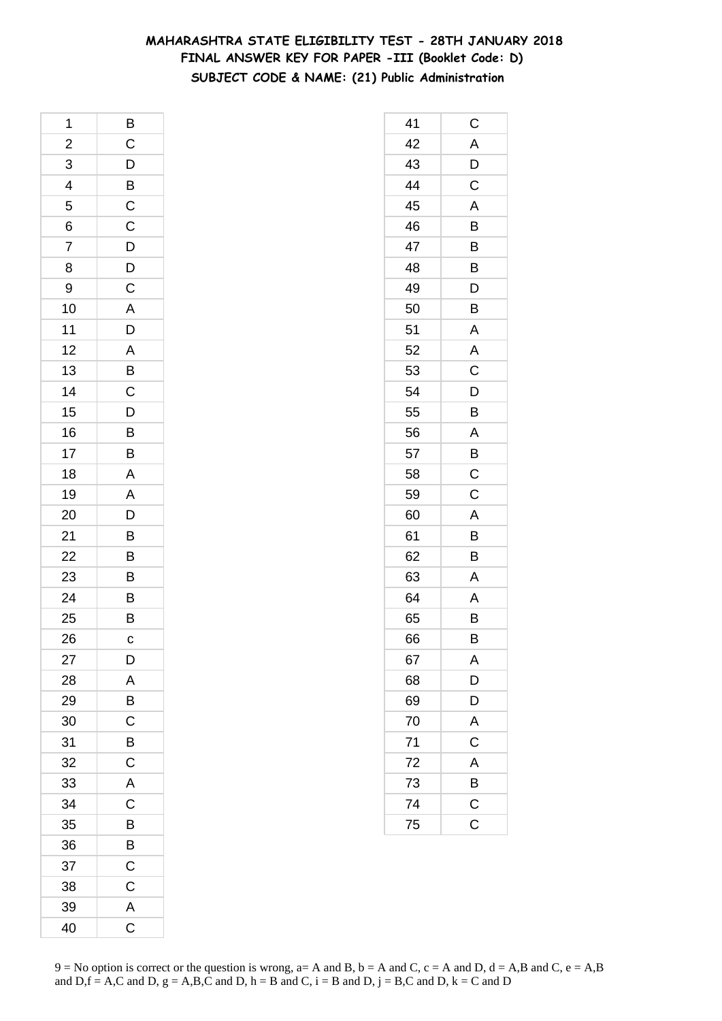## **MAHARASHTRA STATE ELIGIBILITY TEST - 28TH JANUARY 2018 FINAL ANSWER KEY FOR PAPER -III (Booklet Code: D) SUBJECT CODE & NAME: (21) Public Administration**

| 1                       | B                       |
|-------------------------|-------------------------|
| $\overline{\mathbf{c}}$ | $\mathsf{C}$            |
| 3                       | $\mathsf{D}$            |
| 4                       | $\overline{B}$          |
| 5                       | $\overline{C}$          |
| 6                       | $\mathsf{C}$            |
| 7                       | D                       |
| 8                       | D                       |
| 9                       | $\mathsf C$             |
| 10                      | $\overline{\mathsf{A}}$ |
| 11                      | D                       |
| 12                      | $\overline{A}$          |
| 13                      | $\overline{B}$          |
| 14                      | $\mathsf C$             |
| 15                      | D                       |
| 16                      | $\overline{B}$          |
| 17                      | $\overline{\mathsf{B}}$ |
| 18                      | A                       |
| 19                      | $\overline{\mathsf{A}}$ |
| 20                      | D                       |
| 21                      | B                       |
| 22                      | B                       |
| 23                      | $\overline{B}$          |
| 24                      | B                       |
| 25                      | B                       |
| 26                      | C                       |
| 27                      | D                       |
| 28                      | A                       |
| 29                      | $\overline{B}$          |
| 30                      | $\overline{C}$          |
| 31                      | B                       |
| 32                      | C                       |
| 33                      | A                       |
| 34                      | $\mathsf C$             |
| 35                      | B                       |
| 36                      | B                       |
| 37                      | $\mathsf C$             |
| 38                      | C                       |
| 39                      | A                       |
| 40                      | $\mathsf C$             |
|                         |                         |

| 41 | C                       |
|----|-------------------------|
| 42 | A                       |
| 43 | D                       |
| 44 | C                       |
| 45 | A                       |
| 46 | B                       |
| 47 | B                       |
| 48 | Β                       |
| 49 | D                       |
| 50 | B                       |
| 51 | Α                       |
| 52 | A                       |
| 53 | C                       |
| 54 | D                       |
| 55 | Β                       |
| 56 | A                       |
| 57 | B                       |
| 58 | $\mathsf C$             |
| 59 | C                       |
| 60 | A                       |
| 61 | B                       |
| 62 | B                       |
| 63 | A                       |
| 64 | Α                       |
| 65 | B                       |
| 66 | B                       |
| 67 | A                       |
| 68 | D                       |
| 69 | D                       |
| 70 | A                       |
| 71 | $\mathsf C$             |
| 72 | A                       |
| 73 | B                       |
| 74 | $\mathsf{C}$            |
| 75 | $\overline{\mathrm{c}}$ |
|    |                         |

 $9 = No$  option is correct or the question is wrong,  $a = A$  and B,  $b = A$  and C,  $c = A$  and D,  $d = A$ ,B and C,  $e = A$ ,B and  $D,f = A,C$  and  $D, g = A,B,C$  and  $D, h = B$  and  $C, i = B$  and  $D, j = B,C$  and  $D, k = C$  and  $D$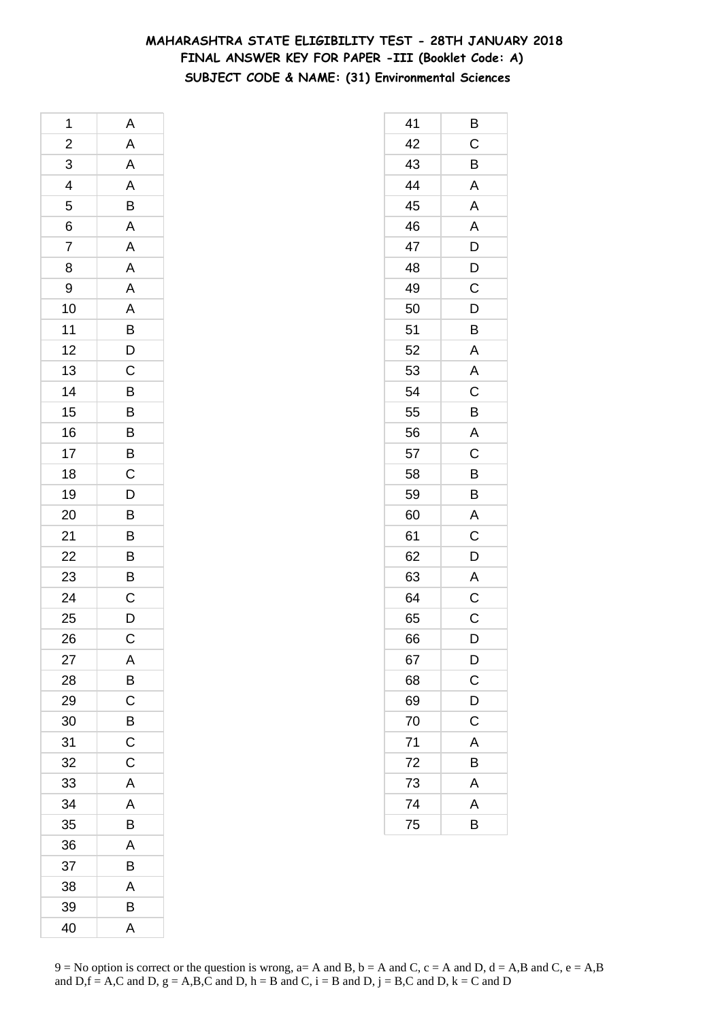## **MAHARASHTRA STATE ELIGIBILITY TEST - 28TH JANUARY 2018 FINAL ANSWER KEY FOR PAPER -III (Booklet Code: A) SUBJECT CODE & NAME: (31) Environmental Sciences**

| 1                       | Α                                            |
|-------------------------|----------------------------------------------|
| $\overline{\mathbf{c}}$ | A                                            |
| 3                       | $\overline{A}$                               |
| $\overline{4}$          | $\overline{A}$                               |
| 5                       | $\overline{B}$                               |
| 6                       | A                                            |
| $\overline{7}$          | A                                            |
| 8                       | A                                            |
| 9                       | $\mathbf{A}$                                 |
| 10                      | $\frac{A}{B}$                                |
| 11                      |                                              |
| 12                      | $\overline{D}$<br>C                          |
| 13                      |                                              |
| 14                      | B                                            |
| 15                      |                                              |
| 16                      | $\overline{B}$ $\overline{B}$ $\overline{C}$ |
| 17                      |                                              |
| 18                      |                                              |
| 19                      |                                              |
| 20                      | $\frac{D}{B}$                                |
| 21                      | $\overline{B}$                               |
| 22                      |                                              |
| 23                      | $\overline{B}$<br>$\overline{B}$             |
| 24                      | $\overline{c}$                               |
| 25                      | D                                            |
| 26                      | $\mathsf{C}$                                 |
| 27                      | A                                            |
| 28                      | B                                            |
| 29                      | $\mathsf{C}$                                 |
| 30                      | $\overline{B}$                               |
| 31                      | C                                            |
| 32                      | C                                            |
| 33                      | A                                            |
| 34                      | A                                            |
| 35                      | B                                            |
| 36                      | A                                            |
| 37                      | B                                            |
| 38                      | A                                            |
| 39                      | B                                            |
| 40                      | A                                            |

| 41              | Β              |
|-----------------|----------------|
| 42              | $\mathsf C$    |
| 43              | B              |
| 44              | A              |
| 45              | A              |
| 46              | A              |
| 47              | D              |
| 48              | D              |
| 49              | C              |
| 50              | D              |
| 51              | B              |
| 52              | A              |
| 53              | A              |
| 54              | C              |
| 55              | B              |
| 56              | A              |
| 57              | C              |
| 58              | B              |
| 59              | B              |
| 60              | Α              |
| 61              | $\mathsf C$    |
| 62              | D              |
| 63              | A              |
| 64              | $\mathsf C$    |
| 65              | C              |
| 66              | D              |
| 67              | $\mathsf{D}$   |
| 68              | $\overline{C}$ |
| 69              | D              |
| 70              | $\mathsf C$    |
| 71              | A              |
| 72              | B              |
| 73              | $\overline{A}$ |
| $\overline{74}$ | A              |
| 75              | B              |
|                 |                |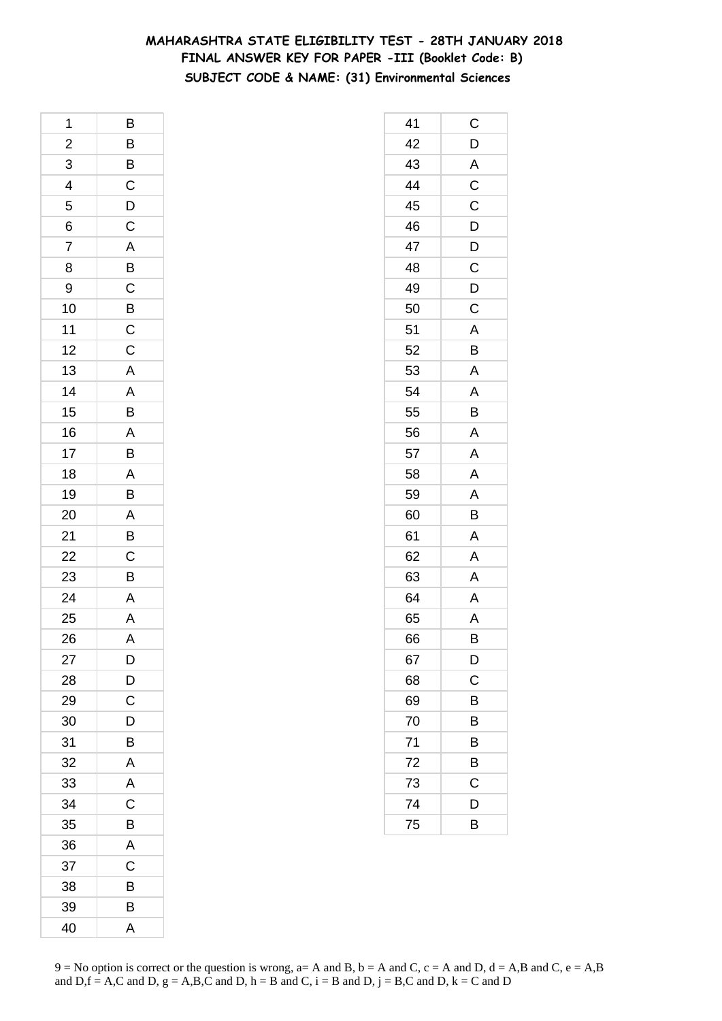## **MAHARASHTRA STATE ELIGIBILITY TEST - 28TH JANUARY 2018 FINAL ANSWER KEY FOR PAPER -III (Booklet Code: B) SUBJECT CODE & NAME: (31) Environmental Sciences**

| 1              | B                                                    |
|----------------|------------------------------------------------------|
| $\overline{a}$ |                                                      |
| 3              | B B C D C                                            |
| $\overline{4}$ |                                                      |
| 5              |                                                      |
| 6              |                                                      |
| 7              |                                                      |
| 8              |                                                      |
| 9              |                                                      |
| 10             | A B C B C                                            |
| 11             |                                                      |
| 12             | $\overline{C}$                                       |
| 13             | $\overline{\mathsf{A}}$                              |
| 14             | $\frac{A}{B}$                                        |
| 15             |                                                      |
| 16             |                                                      |
| 17             |                                                      |
| 18             |                                                      |
| 19             | $\overline{AB}$<br>$\overline{AB}$<br>$\overline{B}$ |
| 20             | A                                                    |
| 21             | $\overline{B}$                                       |
| 22             | $\frac{C}{B}$                                        |
| 23             |                                                      |
| 24             | $\overline{A}$                                       |
| 25             | $\overline{\mathsf{A}}$                              |
| 26             | A                                                    |
| 27             | D                                                    |
| 28             | D                                                    |
| 29             | $\overline{C}$                                       |
| 30             | D                                                    |
| 31             | B                                                    |
| 32             | A                                                    |
| 33             | A                                                    |
| 34             | $\overline{C}$                                       |
| 35             | $\overline{B}$                                       |
| 36             | $\overline{\mathsf{A}}$                              |
| 37             | $\mathsf C$                                          |
| 38             | B                                                    |
| 39             | B                                                    |
| 40             | A                                                    |

| 41 | C                       |
|----|-------------------------|
| 42 | D                       |
| 43 | A                       |
| 44 | $\overline{\mathrm{C}}$ |
| 45 | C                       |
| 46 | D                       |
| 47 | $\mathsf{D}$            |
| 48 | C                       |
| 49 | $\overline{D}$          |
| 50 | $\mathsf C$             |
| 51 | A                       |
| 52 | B                       |
| 53 | A                       |
| 54 | A                       |
| 55 | B                       |
| 56 | A                       |
| 57 | A                       |
| 58 | A                       |
| 59 | A                       |
| 60 | B                       |
| 61 | A                       |
| 62 | A                       |
| 63 | A                       |
| 64 | A                       |
| 65 | Α                       |
| 66 | B                       |
| 67 | $\mathsf{D}$            |
| 68 | C                       |
| 69 | В                       |
| 70 | B                       |
| 71 | B                       |
| 72 | B                       |
| 73 | $\mathsf C$             |
| 74 | D                       |
| 75 | B                       |
|    |                         |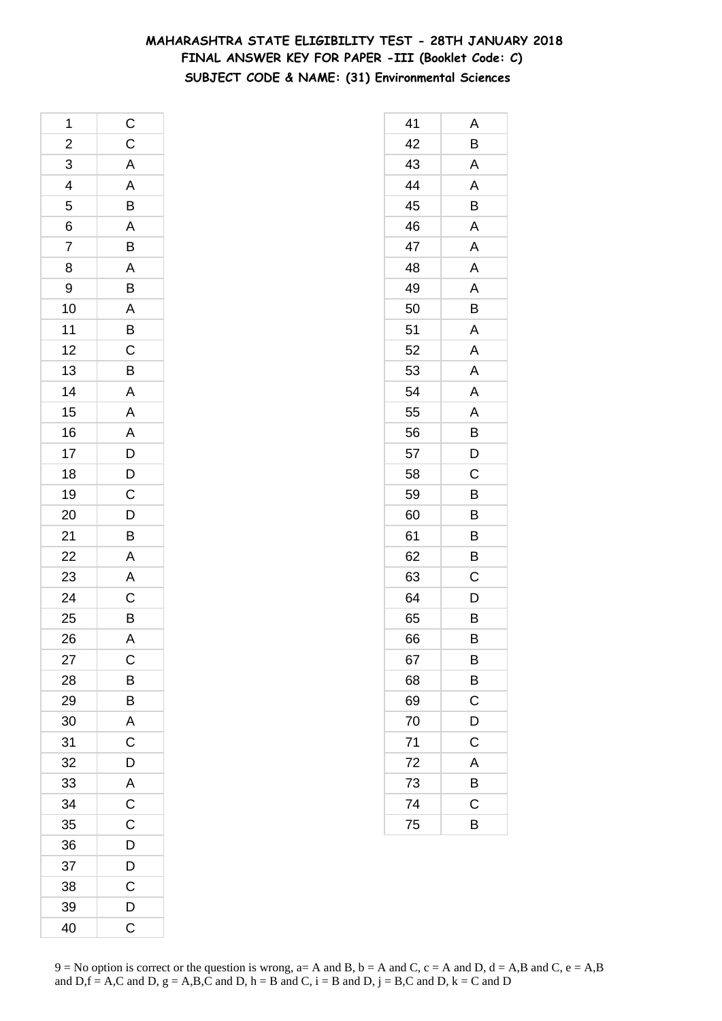## **MAHARASHTRA STATE ELIGIBILITY TEST - 28TH JANUARY 2018 FINAL ANSWER KEY FOR PAPER -III (Booklet Code: C) SUBJECT CODE & NAME: (31) Environmental Sciences**

| 1               |                                         |
|-----------------|-----------------------------------------|
| $\overline{a}$  | C C A A B A B A B A B C B A A A D D C D |
| $\overline{3}$  |                                         |
| $\frac{4}{5}$   |                                         |
|                 |                                         |
| 6               |                                         |
| $\overline{7}$  |                                         |
| 8               |                                         |
| 9               |                                         |
| 10              |                                         |
| 11              |                                         |
| 12              |                                         |
| 13              |                                         |
| 14              |                                         |
| 15              |                                         |
| 16              |                                         |
| 17              |                                         |
| 18              |                                         |
| 19              |                                         |
| 20              |                                         |
| 21              | $\overline{B}$                          |
| $\overline{22}$ |                                         |
| 23              |                                         |
| $\overline{24}$ | A<br>A<br>C<br>B<br>A                   |
| 25              |                                         |
| 26              |                                         |
| 27              | C                                       |
| 28              | B                                       |
| 29              | B                                       |
| 30              | A                                       |
| 31              | $\overline{\rm c}$                      |
| 32              | D                                       |
| 33              | A                                       |
| 34              | $\overline{C}$                          |
| 35              | $\mathsf{C}$                            |
| 36              | D                                       |
| 37              | D                                       |
| 38              | C                                       |
| 39              | D                                       |
| 40              | $\mathsf C$                             |

| 41 | Α                     |
|----|-----------------------|
| 42 | B                     |
| 43 | A                     |
| 44 | A                     |
| 45 | B                     |
| 46 | A                     |
| 47 | Α                     |
| 48 | A                     |
| 49 | A                     |
| 50 | B                     |
| 51 | A                     |
| 52 | A                     |
| 53 | A                     |
| 54 | Α                     |
| 55 | A                     |
| 56 | B                     |
| 57 | D                     |
| 58 | C                     |
| 59 | B                     |
| 60 | B                     |
| 61 | B                     |
| 62 | B                     |
| 63 | C                     |
| 64 | D                     |
| 65 | B                     |
| 66 | B                     |
| 67 | B                     |
| 68 | $\overline{B}$        |
| 69 | $\overline{\text{c}}$ |
| 70 | D                     |
| 71 | C                     |
| 72 | A                     |
| 73 | B                     |
| 74 | $\mathsf C$           |
| 75 | B                     |
|    |                       |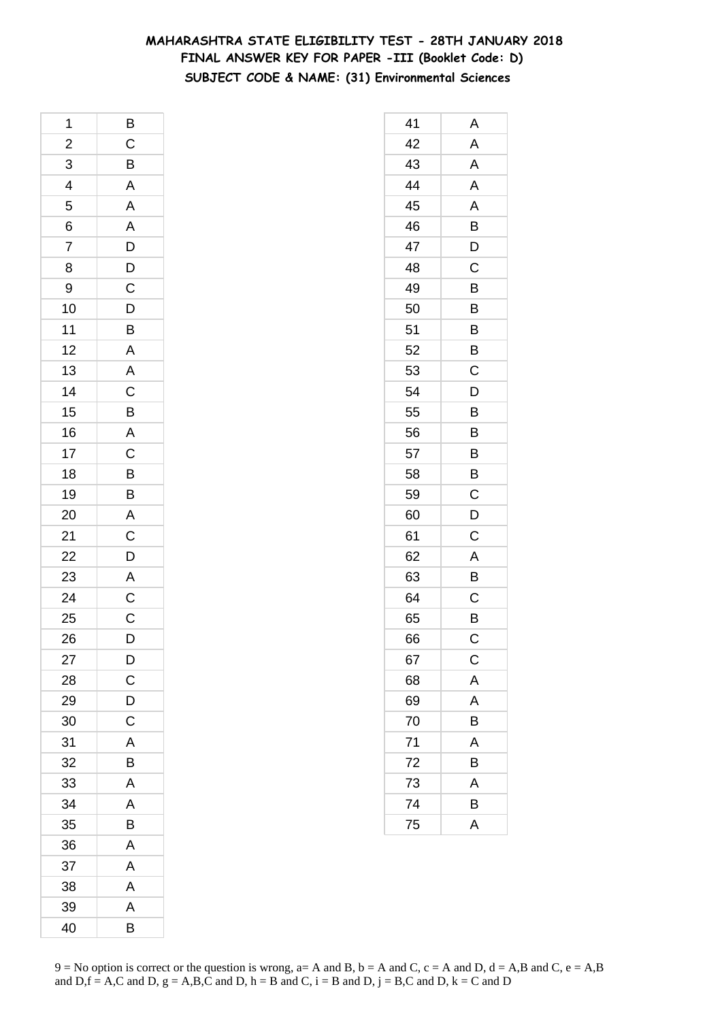## **MAHARASHTRA STATE ELIGIBILITY TEST - 28TH JANUARY 2018 FINAL ANSWER KEY FOR PAPER -III (Booklet Code: D) SUBJECT CODE & NAME: (31) Environmental Sciences**

| 1                       | $\overline{B}$                      |
|-------------------------|-------------------------------------|
| $\overline{\mathbf{c}}$ |                                     |
| 3                       | $rac{C}{B}$                         |
| $\overline{4}$          | $\overline{A}$                      |
| 5                       |                                     |
| 6                       |                                     |
| 7                       |                                     |
| 8                       |                                     |
| 9                       |                                     |
| 10                      | A A D D C D B                       |
| 11                      |                                     |
| 12                      | $\frac{A}{A}$                       |
| 13                      |                                     |
| 14                      | $\frac{C}{B}$                       |
| 15                      |                                     |
| 16                      | $\overline{A}$                      |
| 17                      | $\overline{C}$                      |
| 18                      | $\overline{B}$                      |
| 19                      | B                                   |
| 20                      | $\overline{A}$                      |
| 21                      |                                     |
| 22                      |                                     |
| 23                      | $rac{C}{A}$                         |
| 24                      | $\frac{\overline{C}}{\overline{C}}$ |
| 25                      |                                     |
| 26                      | D                                   |
| 27                      | $\mathsf{D}$                        |
| 28                      | $\overline{C}$                      |
| 29                      | D                                   |
| 30                      | C                                   |
| 31                      | A                                   |
| 32                      | B                                   |
| 33                      | A                                   |
| 34                      | A                                   |
| 35                      | B                                   |
| 36                      | A                                   |
| 37                      | A                                   |
| 38                      | A                                   |
| 39                      | A                                   |
| 40                      | B                                   |

| 41 | Α           |
|----|-------------|
| 42 | A           |
| 43 | A           |
| 44 | A           |
| 45 | A           |
| 46 | B           |
| 47 | D           |
| 48 | Ć           |
| 49 | B           |
| 50 | B           |
| 51 | B           |
| 52 | B           |
| 53 | C           |
| 54 | D           |
| 55 | B           |
| 56 | B           |
| 57 | B           |
| 58 | B           |
| 59 | C           |
| 60 | D           |
| 61 | C           |
| 62 | A           |
| 63 | B           |
| 64 | C           |
| 65 | B           |
| 66 | С           |
| 67 | $\mathsf C$ |
| 68 | A           |
| 69 | A           |
| 70 | B           |
| 71 | A           |
| 72 | B           |
| 73 | A           |
| 74 | В           |
| 75 | A           |
|    |             |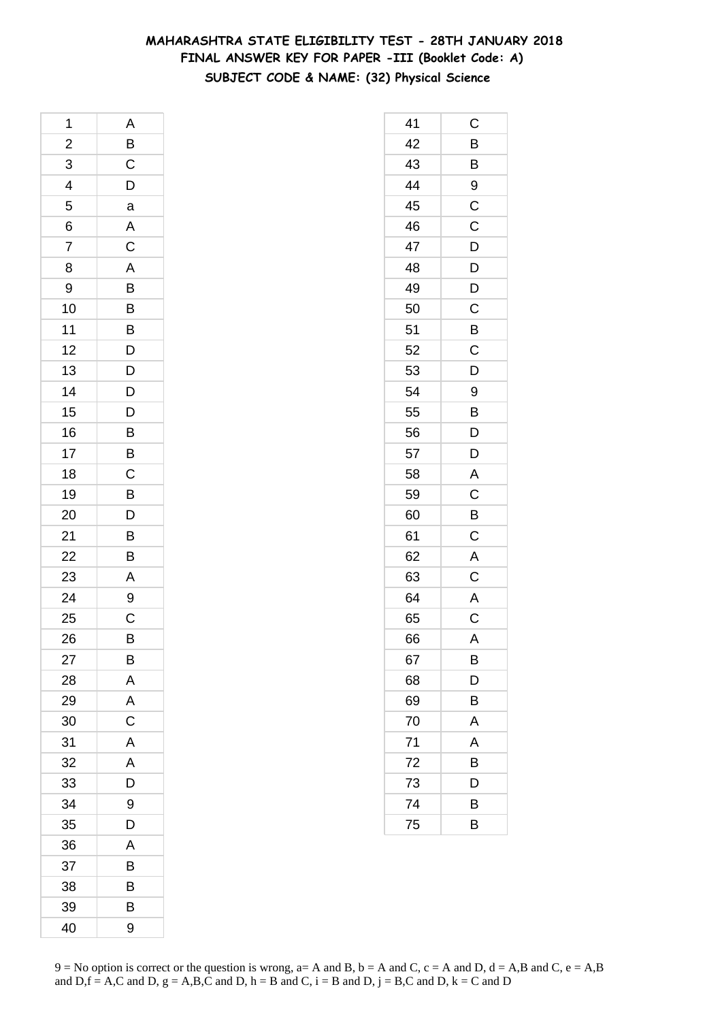# **MAHARASHTRA STATE ELIGIBILITY TEST - 28TH JANUARY 2018 FINAL ANSWER KEY FOR PAPER -III (Booklet Code: A) SUBJECT CODE & NAME: (32) Physical Science**

| 1                       | A              |
|-------------------------|----------------|
| $\overline{\mathbf{c}}$ | $\overline{B}$ |
| 3                       | $\overline{C}$ |
| $\frac{4}{1}$           | D              |
| 5                       | a              |
| 6                       | A              |
| 7                       | $\mathsf C$    |
| 8                       | $\overline{A}$ |
| 9                       | $\overline{B}$ |
| 10                      |                |
| 11                      | $\frac{B}{B}$  |
| 12                      | D              |
| 13                      | $\overline{D}$ |
| 14                      |                |
| 15                      | $\frac{D}{D}$  |
| 16                      | B              |
| 17                      | B              |
| 18                      | $\mathsf C$    |
| 19                      | $\overline{B}$ |
| 20                      |                |
| 21                      | $\frac{D}{B}$  |
| 22                      | B              |
| 23                      | A              |
| 24                      | 9              |
| 25                      | C              |
| 26                      | $\overline{B}$ |
| 27                      | B              |
| 28                      | A              |
| 29                      | A              |
| 30                      | C              |
| 31                      | A              |
| 32                      | A              |
| 33                      | D              |
| 34                      | 9              |
| 35                      | D              |
| 36                      | A              |
| 37                      | B              |
| 38                      | B              |
| 39                      | B              |
| 40                      | 9              |

| 41 | C              |
|----|----------------|
| 42 | B              |
| 43 | B              |
| 44 | 9              |
| 45 | $\overline{C}$ |
| 46 | $\overline{C}$ |
| 47 | D              |
| 48 | $\overline{D}$ |
| 49 | D              |
| 50 | C              |
| 51 | $\overline{B}$ |
| 52 | $\overline{C}$ |
| 53 | D              |
| 54 | 9              |
| 55 | B              |
| 56 | $\mathsf{D}$   |
| 57 | $\overline{D}$ |
| 58 | $\mathsf{A}$   |
| 59 | $\mathsf C$    |
| 60 | B              |
| 61 | $\mathsf C$    |
| 62 | A              |
| 63 | $\mathsf C$    |
| 64 | $\overline{A}$ |
| 65 | $\overline{C}$ |
| 66 | A              |
| 67 | В              |
| 68 | D              |
| 69 | Β              |
| 70 | A              |
| 71 | A              |
| 72 | В              |
| 73 | D              |
| 74 | В              |
| 75 | B              |
|    |                |

 $9 = No$  option is correct or the question is wrong,  $a = A$  and B,  $b = A$  and C,  $c = A$  and D,  $d = A$ ,B and C,  $e = A$ ,B and  $D,f = A,C$  and  $D, g = A,B,C$  and  $D, h = B$  and  $C, i = B$  and  $D, j = B,C$  and  $D, k = C$  and  $D$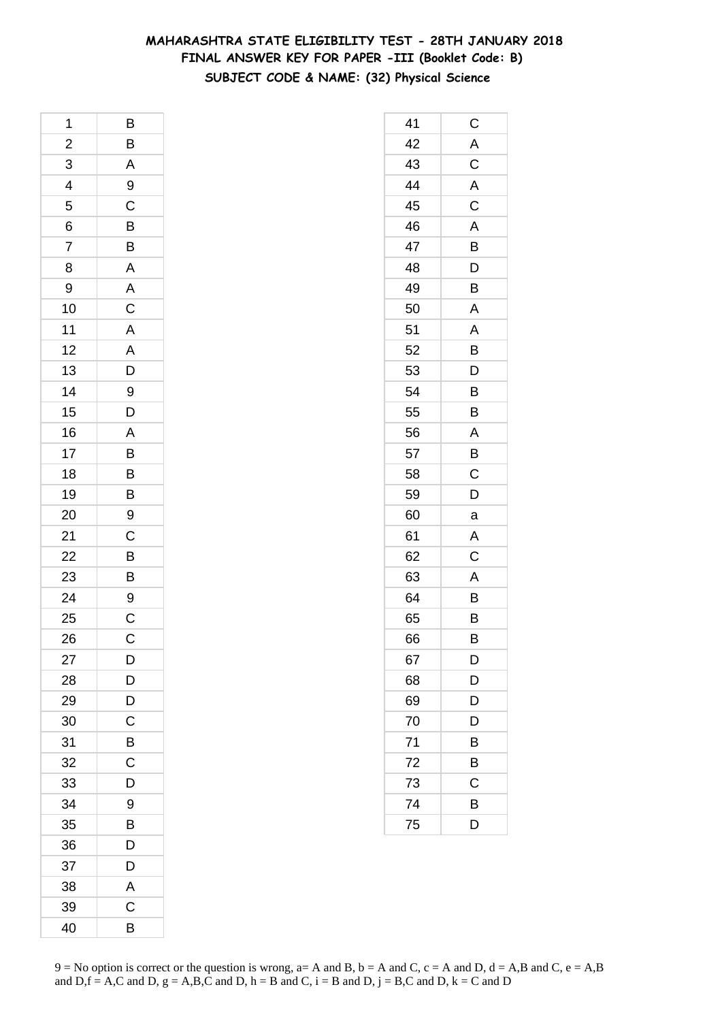# **MAHARASHTRA STATE ELIGIBILITY TEST - 28TH JANUARY 2018 FINAL ANSWER KEY FOR PAPER -III (Booklet Code: B) SUBJECT CODE & NAME: (32) Physical Science**

| 1                       | B                               |
|-------------------------|---------------------------------|
| $\overline{\mathbf{c}}$ | B                               |
|                         | $\overline{A}$                  |
| $\frac{3}{4}$           | 9                               |
|                         | $\overline{C}$                  |
| 6                       | $\overline{B}$                  |
| $\overline{7}$          |                                 |
| 8                       | A                               |
| 9                       |                                 |
| 10                      | $A$ $C$ $A$ $A$ $D$ $9$         |
| 11                      |                                 |
| 12                      |                                 |
| 13                      |                                 |
| 14                      |                                 |
| 15                      | $\overline{D}$                  |
| 16                      |                                 |
| 17                      |                                 |
| 18                      |                                 |
| 19                      | A<br>B<br>B<br>B                |
| 20                      | 9                               |
| 21                      |                                 |
| 22                      |                                 |
| 23                      |                                 |
| $\overline{24}$         | $C$<br>$B$<br>$B$<br>$9$<br>$C$ |
| 25                      |                                 |
| 26                      | $\mathsf{C}$                    |
| 27                      | D                               |
| 28                      | D                               |
| 29                      | $\overline{\mathsf{D}}$         |
| 30                      | $\mathsf C$                     |
| 31                      | B                               |
| 32                      | С                               |
| 33                      | D                               |
| 34                      | 9                               |
| 35                      | B                               |
| 36                      | D                               |
| 37                      | D                               |
| 38                      | A                               |
| 39                      | C                               |
| 40                      | B                               |

| 41 | $\mathsf C$             |
|----|-------------------------|
| 42 | A                       |
| 43 | $\mathsf C$             |
| 44 | $\overline{A}$          |
| 45 | $\overline{\mathbf{C}}$ |
| 46 | A                       |
| 47 | B                       |
| 48 | D                       |
| 49 | B                       |
| 50 | A                       |
| 51 | A                       |
| 52 | B                       |
| 53 | D                       |
| 54 | B                       |
| 55 | B                       |
| 56 | A                       |
| 57 | B                       |
| 58 | $\mathsf C$             |
| 59 | D                       |
| 60 | a                       |
| 61 | A                       |
| 62 | $\mathsf C$             |
| 63 | A                       |
| 64 | B                       |
| 65 | B                       |
| 66 | B                       |
| 67 | D                       |
| 68 | D                       |
| 69 | D                       |
| 70 | D                       |
| 71 | B                       |
| 72 | B                       |
| 73 | C                       |
| 74 | В                       |
| 75 | D                       |
|    |                         |

 $9 = No$  option is correct or the question is wrong,  $a = A$  and B,  $b = A$  and C,  $c = A$  and D,  $d = A$ ,B and C,  $e = A$ ,B and  $D,f = A,C$  and  $D, g = A,B,C$  and  $D, h = B$  and  $C, i = B$  and  $D, j = B,C$  and  $D, k = C$  and  $D$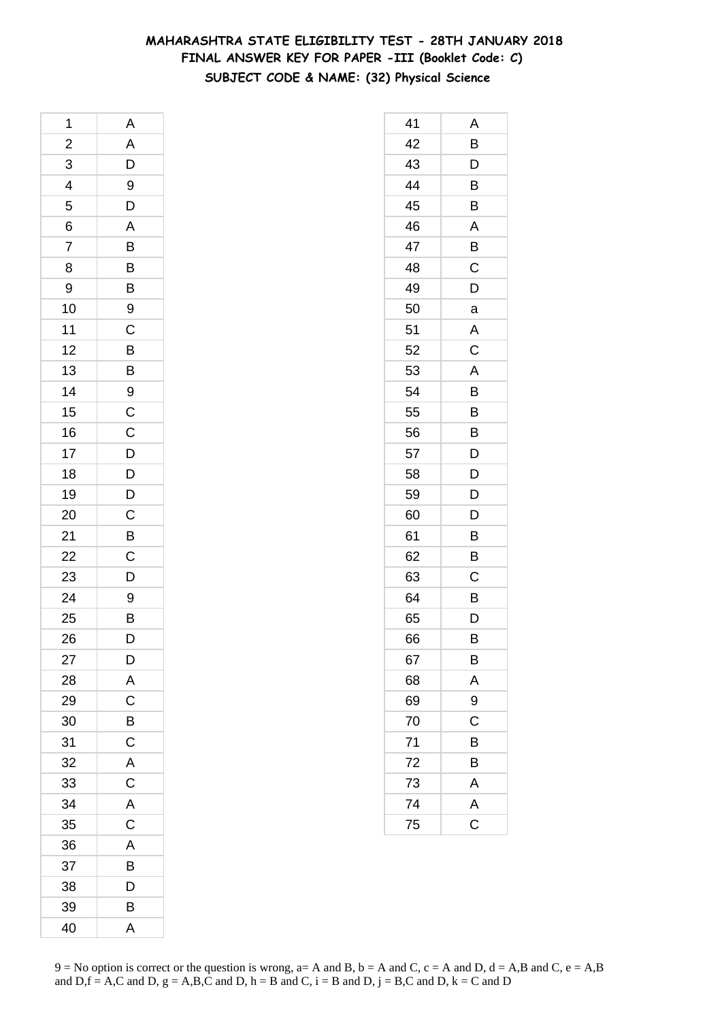# **MAHARASHTRA STATE ELIGIBILITY TEST - 28TH JANUARY 2018 FINAL ANSWER KEY FOR PAPER -III (Booklet Code: C) SUBJECT CODE & NAME: (32) Physical Science**

| 1                       | Α              |
|-------------------------|----------------|
| $\overline{\mathbf{c}}$ | A              |
| 3                       | $\overline{D}$ |
| $\overline{4}$          | 9              |
| 5                       | $\mathsf{D}$   |
| 6                       | A              |
| $\overline{7}$          | $\overline{B}$ |
| 8                       | B              |
| 9                       | $\overline{B}$ |
| 10                      | 9              |
| 11                      | $\overline{C}$ |
| 12                      |                |
| 13                      | $\frac{B}{B}$  |
| 14                      | 9              |
| 15                      | $\mathsf{C}$   |
| 16                      |                |
| 17                      | $\frac{C}{D}$  |
| 18                      | $\overline{D}$ |
| 19                      |                |
| 20                      | $\frac{D}{C}$  |
| 21                      | $\overline{B}$ |
| 22                      |                |
| 23                      | $\frac{C}{D}$  |
| 24                      | 9              |
| 25                      | B              |
| 26                      | D              |
| 27                      | D              |
| 28                      | A              |
| 29                      | $\mathsf C$    |
| 30                      | $\overline{B}$ |
| 31                      | C              |
| 32                      | A              |
| 33                      | $\mathsf C$    |
| 34                      | A              |
| 35                      | $\mathsf C$    |
| 36                      | A              |
| 37                      | B              |
| 38                      | D              |
| 39                      | B              |
| 40                      | A              |

| 41 | Α            |
|----|--------------|
| 42 | Β            |
| 43 | D            |
| 44 | B            |
| 45 | B            |
| 46 | A            |
| 47 | B            |
| 48 | C            |
| 49 | D            |
| 50 | a            |
| 51 | Α            |
| 52 | C            |
| 53 | A            |
| 54 | Β            |
| 55 | B            |
| 56 | B            |
| 57 | D            |
| 58 | D            |
| 59 | D            |
| 60 | D            |
| 61 | B            |
| 62 | B            |
| 63 | C            |
| 64 | B            |
| 65 | D            |
| 66 | В            |
| 67 | B            |
| 68 |              |
| 69 | $rac{A}{9}$  |
| 70 |              |
| 71 | B            |
| 72 | B            |
| 73 | $\mathsf{A}$ |
| 74 | A<br>C       |
| 75 |              |
|    |              |

 $9 = No$  option is correct or the question is wrong,  $a = A$  and B,  $b = A$  and C,  $c = A$  and D,  $d = A$ ,B and C,  $e = A$ ,B and  $D,f = A,C$  and  $D, g = A,B,C$  and  $D, h = B$  and  $C, i = B$  and  $D, j = B,C$  and  $D, k = C$  and  $D$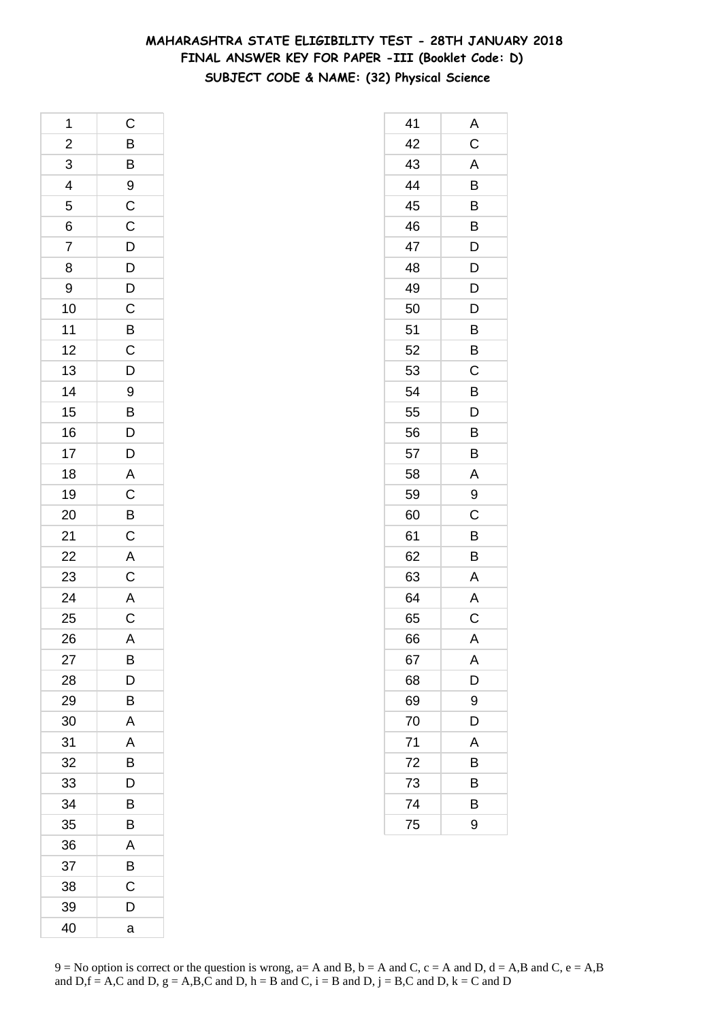# **MAHARASHTRA STATE ELIGIBILITY TEST - 28TH JANUARY 2018 FINAL ANSWER KEY FOR PAPER -III (Booklet Code: D) SUBJECT CODE & NAME: (32) Physical Science**

| 1              | $\mathsf{C}$                                       |
|----------------|----------------------------------------------------|
| $\overline{c}$ |                                                    |
| $\overline{3}$ | $\overline{B}$<br>$\overline{B}$<br>$\overline{9}$ |
| 4              |                                                    |
| 5              |                                                    |
| 6              |                                                    |
| $\overline{7}$ |                                                    |
| 8              |                                                    |
| 9              |                                                    |
| 10             | CCDDDCBCD                                          |
| 11             |                                                    |
| 12             |                                                    |
| 13             |                                                    |
| 14             | 9                                                  |
| 15             |                                                    |
| 16             | $\overline{B}$<br>$D$                              |
| 17             | D                                                  |
| 18             |                                                    |
| 19             |                                                    |
| 20             | $\overline{AC}$ $\overline{BC}$                    |
| 21             |                                                    |
| 22             |                                                    |
| 23             | $\frac{A}{C}$                                      |
| 24             |                                                    |
| 25             | $rac{A}{C}$                                        |
| 26             | $\overline{A}$                                     |
| 27             | B                                                  |
| 28             | D                                                  |
| 29             | В                                                  |
| 30             | Α                                                  |
| 31             | A                                                  |
| 32             | B                                                  |
| 33             | D                                                  |
| 34             | B                                                  |
| 35             | B                                                  |
| 36             | Α                                                  |
| 37             | В                                                  |
| 38             | C                                                  |
| 39             | D                                                  |
| 40             | a                                                  |

| 41 | Α |
|----|---|
| 42 | C |
| 43 | A |
| 44 | B |
| 45 | B |
| 46 | B |
| 47 | D |
| 48 | D |
| 49 | D |
| 50 | D |
| 51 | B |
| 52 | B |
| 53 | C |
| 54 | Β |
| 55 | D |
| 56 | Β |
| 57 | B |
| 58 | A |
| 59 | 9 |
| 60 | Ċ |
| 61 | B |
| 62 | B |
| 63 | A |
| 64 | A |
| 65 | C |
| 66 | A |
| 67 | A |
| 68 | D |
| 69 | 9 |
| 70 | D |
| 71 | A |
| 72 | Β |
| 73 | B |
| 74 | B |
| 75 | 9 |
|    |   |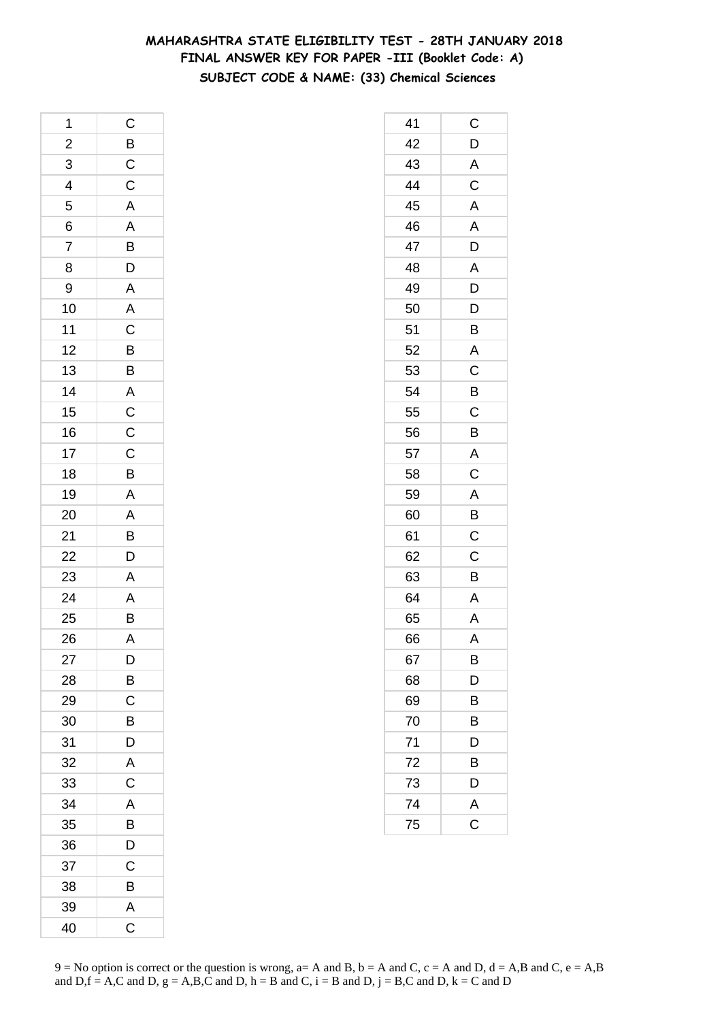# **MAHARASHTRA STATE ELIGIBILITY TEST - 28TH JANUARY 2018 FINAL ANSWER KEY FOR PAPER -III (Booklet Code: A) SUBJECT CODE & NAME: (33) Chemical Sciences**

| 1                       | $\mathsf C$                                         |
|-------------------------|-----------------------------------------------------|
| $\overline{\mathbf{c}}$ |                                                     |
| $\overline{3}$          | $\frac{B}{C}$                                       |
| $\overline{4}$          |                                                     |
| $\frac{1}{5}$           |                                                     |
| 6                       | A A B D A A C B B A C C C                           |
| 7                       |                                                     |
| 8                       |                                                     |
| 9                       |                                                     |
| 10                      |                                                     |
| 11                      |                                                     |
| 12                      |                                                     |
| 13                      |                                                     |
| 14                      |                                                     |
| 15                      |                                                     |
| 16                      |                                                     |
| 17                      |                                                     |
| 18                      | $\overline{B}$                                      |
| 19                      | $\overline{A}$                                      |
| 20                      | $\overline{AB}$<br>$\overline{B}$<br>$\overline{D}$ |
| 21                      |                                                     |
| $\overline{22}$         |                                                     |
| 23                      | $\overline{A}$                                      |
| 24                      | $\frac{A}{B}$                                       |
| 25                      |                                                     |
| 26                      | Ā                                                   |
| 27                      | D                                                   |
| 28                      | B                                                   |
| 29                      | $\mathsf C$                                         |
| 30                      | B                                                   |
| 31                      | D                                                   |
| 32                      | A                                                   |
| 33                      | $\mathsf C$                                         |
| 34                      | A                                                   |
| 35                      | $\overline{B}$                                      |
| 36                      | D                                                   |
| 37                      | C                                                   |
| 38                      | B                                                   |
| 39                      | A                                                   |
| 40                      | $\overline{\mathrm{c}}$                             |

| 41 | C              |
|----|----------------|
| 42 | D              |
| 43 | $\overline{A}$ |
| 44 | $\overline{C}$ |
| 45 | A              |
| 46 | A              |
| 47 | D              |
| 48 | A              |
| 49 | D              |
| 50 | D              |
| 51 | B              |
| 52 | A              |
| 53 | C              |
| 54 | B              |
| 55 | C              |
| 56 | B              |
| 57 | A              |
| 58 | $\mathsf C$    |
| 59 | A              |
| 60 | B              |
| 61 | $\mathsf C$    |
| 62 | $\mathsf C$    |
| 63 | B              |
| 64 | A              |
| 65 | A              |
| 66 | A              |
| 67 | B              |
| 68 | D              |
| 69 | B              |
| 70 | B              |
| 71 | D              |
| 72 | B              |
| 73 | D              |
| 74 |                |
| 75 | $rac{A}{C}$    |
|    |                |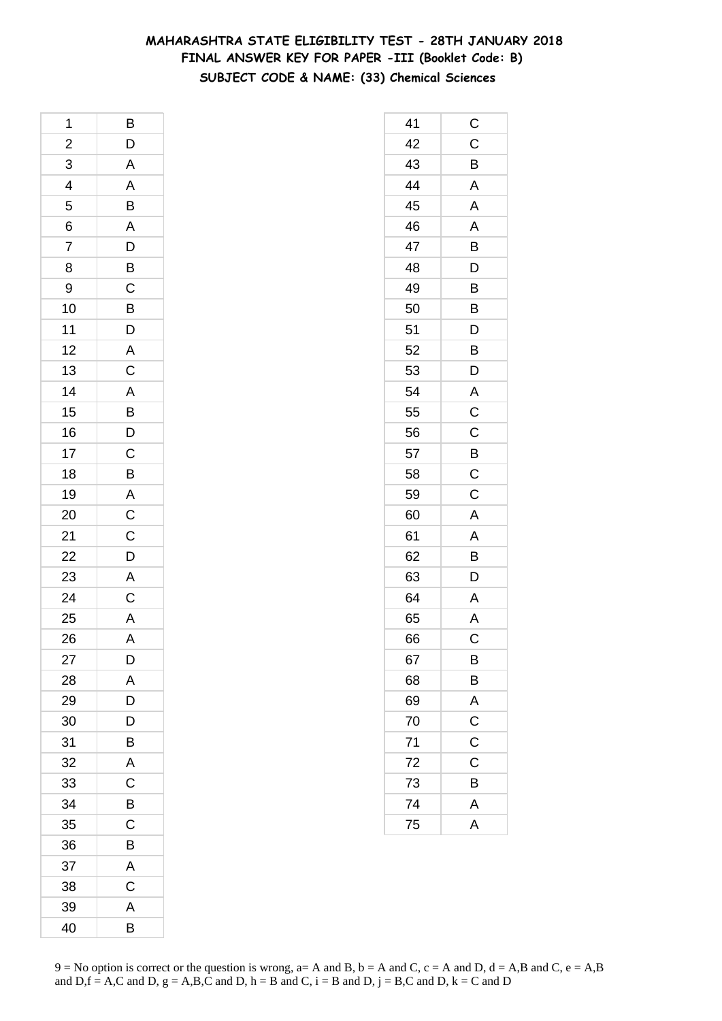# **MAHARASHTRA STATE ELIGIBILITY TEST - 28TH JANUARY 2018 FINAL ANSWER KEY FOR PAPER -III (Booklet Code: B) SUBJECT CODE & NAME: (33) Chemical Sciences**

| 1              | B                |
|----------------|------------------|
| $\overline{a}$ | $\overline{D}$   |
| $\overline{3}$ | $\overline{A}$   |
| $\frac{4}{5}$  |                  |
|                | A B A D B        |
| $\frac{6}{7}$  |                  |
|                |                  |
| 8              |                  |
| 9              |                  |
| 10             | $\frac{C}{D}$    |
| 11             |                  |
| 12             |                  |
| 13             | A<br>C           |
| 14             |                  |
| 15             | A<br>B<br>D<br>C |
| 16             |                  |
| 17             |                  |
| 18             | $\overline{B}$   |
| 19             |                  |
| 20             | $rac{A}{C}$      |
| 21             |                  |
| 22             | $\frac{C}{D}$    |
| 23             | $\overline{A}$   |
| 24             | $\overline{C}$   |
| 25             | A                |
| 26             | $\overline{A}$   |
| 27             | D                |
| 28             | A                |
| 29             | D                |
| 30             | D                |
| 31             | B                |
| 32             | A                |
| 33             | C                |
| 34             | В                |
| 35             | C                |
| 36             | В                |
| 37             | A                |
| 38             | C                |
| 39             | A                |
| 40             | B                |

| 41 | C                       |
|----|-------------------------|
| 42 | $\mathsf C$             |
| 43 | B                       |
| 44 | A                       |
| 45 | A                       |
| 46 | A                       |
| 47 | B                       |
| 48 | D                       |
| 49 | B                       |
| 50 | B                       |
| 51 | D                       |
| 52 | B                       |
| 53 | D                       |
| 54 | A                       |
| 55 | C                       |
| 56 | $\overline{C}$          |
| 57 | $\overline{B}$          |
| 58 | $\overline{C}$          |
| 59 | $\overline{C}$          |
| 60 | A                       |
| 61 | A                       |
| 62 | B                       |
| 63 | D                       |
| 64 | A                       |
| 65 | A                       |
| 66 | C                       |
| 67 | B                       |
| 68 | B                       |
| 69 | A                       |
| 70 |                         |
| 71 | $\frac{C}{C}$           |
| 72 | C                       |
| 73 | B                       |
| 74 | A                       |
| 75 | $\overline{\mathsf{A}}$ |
|    |                         |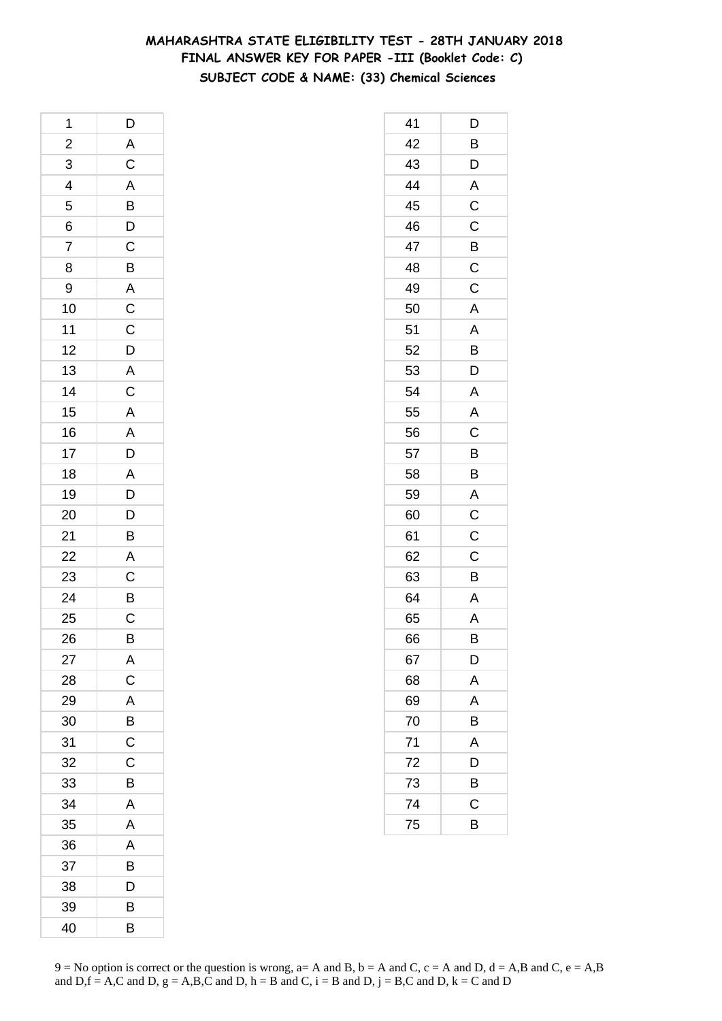# **MAHARASHTRA STATE ELIGIBILITY TEST - 28TH JANUARY 2018 FINAL ANSWER KEY FOR PAPER -III (Booklet Code: C) SUBJECT CODE & NAME: (33) Chemical Sciences**

| 1                           | $\mathsf{D}$                                                |
|-----------------------------|-------------------------------------------------------------|
|                             |                                                             |
| $\frac{2}{3}$ $\frac{4}{5}$ | ACABDCBACCDAC                                               |
|                             |                                                             |
|                             |                                                             |
|                             |                                                             |
| $\frac{6}{7}$               |                                                             |
| 8                           |                                                             |
| 9                           |                                                             |
| 10                          |                                                             |
| 11                          |                                                             |
| 12                          |                                                             |
| 13                          |                                                             |
| 14                          |                                                             |
| 15                          | A A D A D D                                                 |
| 16                          |                                                             |
| 17                          |                                                             |
| 18                          |                                                             |
| 19                          |                                                             |
| 20                          |                                                             |
| 21                          | $\overline{B}$                                              |
| $\overline{22}$             | $\overline{A}$ $\overline{C}$ $\overline{B}$ $\overline{C}$ |
| 23                          |                                                             |
| $\overline{24}$             |                                                             |
| 25                          |                                                             |
| 26                          | B                                                           |
| 27                          | A                                                           |
| 28                          | $\overline{C}$                                              |
| 29                          | A                                                           |
| 30                          | $\overline{B}$                                              |
| 31                          | C                                                           |
| 32                          | C                                                           |
| 33                          | B                                                           |
| 34                          | A                                                           |
| 35                          | A                                                           |
| 36                          | A                                                           |
| 37                          | B                                                           |
| 38                          | D                                                           |
| 39                          | В                                                           |
| 40                          | B                                                           |

| 41 | D              |
|----|----------------|
| 42 | B              |
| 43 | D              |
| 44 | $\overline{A}$ |
| 45 | $\overline{C}$ |
| 46 | C              |
| 47 | B              |
| 48 | C              |
| 49 | C              |
| 50 | A              |
| 51 | A              |
| 52 | B              |
| 53 | D              |
| 54 | A              |
| 55 | A              |
| 56 | $\mathsf C$    |
| 57 | B              |
| 58 | B              |
| 59 | A              |
| 60 | C              |
| 61 | C              |
| 62 | C              |
| 63 | B              |
| 64 | A              |
| 65 | A              |
| 66 | B              |
| 67 | D              |
| 68 | A              |
| 69 | A              |
| 70 | B              |
| 71 | A              |
| 72 | D              |
| 73 | B              |
| 74 | $\mathsf C$    |
| 75 | B              |
|    |                |

 $9 = No$  option is correct or the question is wrong,  $a = A$  and B,  $b = A$  and C,  $c = A$  and D,  $d = A$ ,B and C,  $e = A$ ,B and  $D,f = A,C$  and  $D, g = A,B,C$  and  $D, h = B$  and  $C, i = B$  and  $D, j = B,C$  and  $D, k = C$  and  $D$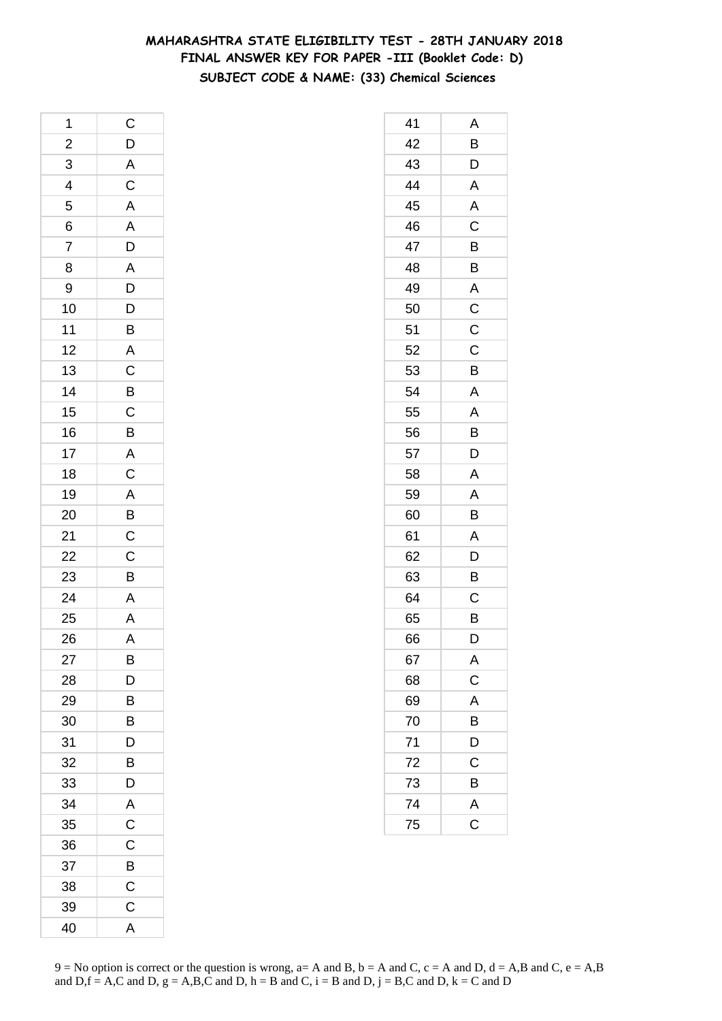# **MAHARASHTRA STATE ELIGIBILITY TEST - 28TH JANUARY 2018 FINAL ANSWER KEY FOR PAPER -III (Booklet Code: D) SUBJECT CODE & NAME: (33) Chemical Sciences**

| 1                                  | $\mathsf{C}$            |
|------------------------------------|-------------------------|
| $\overline{a}$                     | $\mathsf{D}$            |
| $\overline{3}$                     | $rac{A}{C}$             |
| $\overline{4}$                     |                         |
| 5                                  | A A D A D D B           |
| 6                                  |                         |
| $\overline{7}$                     |                         |
| 8                                  |                         |
| 9                                  |                         |
| 10                                 |                         |
| 11                                 |                         |
| 12                                 |                         |
| 13                                 |                         |
| 14                                 |                         |
| 15                                 | A C B C B               |
| 16                                 |                         |
| 17                                 |                         |
| 18                                 |                         |
| 19                                 |                         |
| 20                                 | $A$ $C$ $A$ $B$ $C$ $C$ |
|                                    |                         |
|                                    |                         |
| $\frac{21}{22}$<br>$\frac{23}{24}$ | $\overline{B}$          |
|                                    | $\frac{A}{A}$           |
| 25                                 |                         |
| 26                                 | Ā                       |
| 27                                 | Β                       |
| 28                                 | D                       |
| 29                                 | B                       |
| 30                                 | B                       |
| 31                                 | D                       |
| 32                                 | B                       |
| 33                                 | D                       |
| 34                                 | A                       |
| 35                                 | $\mathsf C$             |
| 36                                 | C                       |
| 37                                 | B                       |
| 38                                 | C                       |
| 39                                 | $\mathsf C$             |
| 40                                 | A                       |

| 41 | Α                       |
|----|-------------------------|
| 42 | B                       |
| 43 | D                       |
| 44 | A                       |
| 45 | A                       |
| 46 | C                       |
| 47 | B                       |
| 48 | B                       |
| 49 | A                       |
| 50 | $\overline{C}$          |
| 51 | $\mathsf C$             |
| 52 | C                       |
| 53 | B                       |
| 54 | A                       |
| 55 | A                       |
| 56 | B                       |
| 57 | D                       |
| 58 | A                       |
| 59 | A                       |
| 60 | B                       |
| 61 | A                       |
| 62 | D                       |
| 63 | B                       |
| 64 | C                       |
| 65 | B                       |
| 66 | D                       |
| 67 | A                       |
| 68 | $\overline{C}$          |
| 69 | $\overline{\mathsf{A}}$ |
| 70 | B                       |
| 71 | D                       |
| 72 | $\mathsf C$             |
| 73 | B                       |
| 74 | A                       |
| 75 | $\overline{\text{c}}$   |
|    |                         |

 $9 = No$  option is correct or the question is wrong,  $a = A$  and B,  $b = A$  and C,  $c = A$  and D,  $d = A$ ,B and C,  $e = A$ ,B and  $D,f = A,C$  and  $D, g = A,B,C$  and  $D, h = B$  and  $C, i = B$  and  $D, j = B,C$  and  $D, k = C$  and  $D$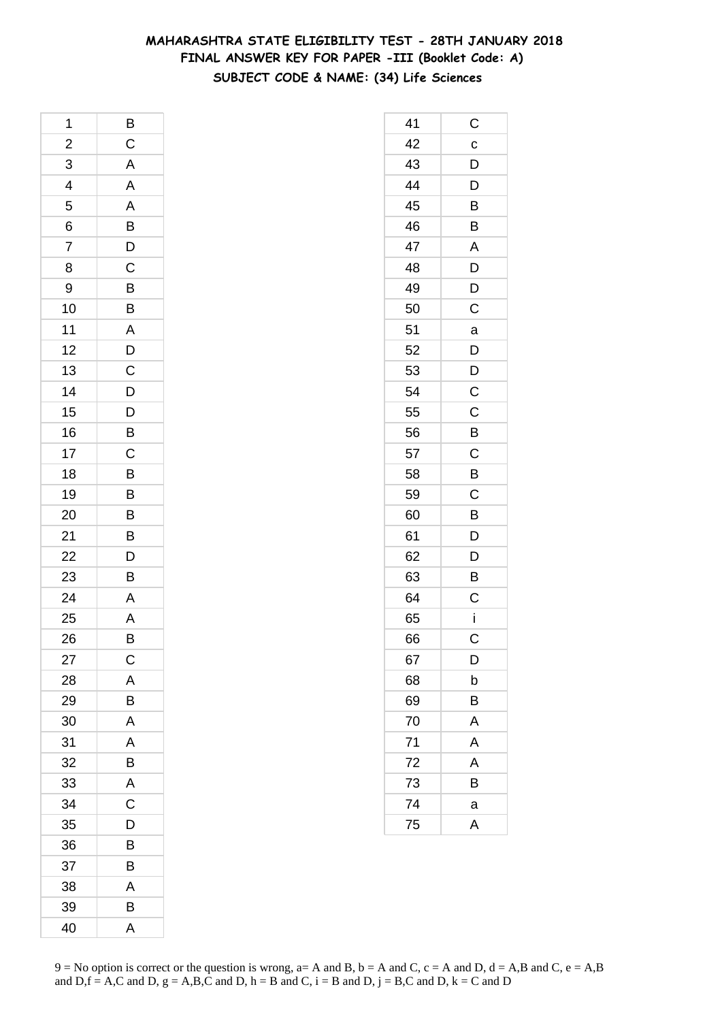# **MAHARASHTRA STATE ELIGIBILITY TEST - 28TH JANUARY 2018 FINAL ANSWER KEY FOR PAPER -III (Booklet Code: A) SUBJECT CODE & NAME: (34) Life Sciences**

| 1                       | B                   |
|-------------------------|---------------------|
| $\overline{\mathbf{c}}$ | $\mathsf C$         |
| 3                       | $\overline{A}$      |
| $\overline{4}$          | $\overline{A}$      |
| 5                       | $\overline{A}$      |
| 6                       | $\overline{B}$      |
| 7                       |                     |
| 8                       | $\frac{D}{C}$       |
| 9                       |                     |
| 10                      | $\frac{B}{A}$       |
| 11                      |                     |
| 12                      |                     |
| 13                      | $\frac{D}{C}$       |
| 14                      | $\mathsf{D}$        |
| 15                      |                     |
| 16                      | $\overline{D}$<br>B |
| 17                      | $\overline{C}$      |
| 18                      | $\overline{B}$      |
| 19                      |                     |
| 20                      | B<br>B              |
| 21                      | $\overline{B}$      |
| 22                      |                     |
| 23                      | $\frac{D}{B}$       |
| 24                      | $\overline{A}$      |
| 25                      | A                   |
| 26                      | B                   |
| 27                      | C                   |
| 28                      | A                   |
| 29                      | B                   |
| 30                      | A                   |
| 31                      | A                   |
| 32                      | B                   |
| 33                      | A                   |
| 34                      | $\overline{C}$      |
| 35                      | D                   |
| 36                      | B                   |
| 37                      | B                   |
| 38                      | A                   |
| 39                      | В                   |
| 40                      | A                   |

| 41 | C              |
|----|----------------|
| 42 | $\mathbf c$    |
| 43 | $\overline{D}$ |
| 44 | $\overline{D}$ |
| 45 | B              |
| 46 | B              |
| 47 | A              |
| 48 | D              |
| 49 | D              |
| 50 | C              |
| 51 | a              |
| 52 | D              |
| 53 | D              |
| 54 | C              |
| 55 | C              |
| 56 | B              |
| 57 | $\overline{C}$ |
| 58 | B              |
| 59 | C              |
| 60 | B              |
| 61 | D              |
| 62 | D              |
| 63 | B              |
| 64 | C              |
| 65 | İ              |
| 66 | С              |
| 67 | D              |
| 68 | b              |
| 69 | B              |
| 70 | A              |
| 71 | A              |
| 72 | Α              |
| 73 | В              |
| 74 | a              |
| 75 | A              |
|    |                |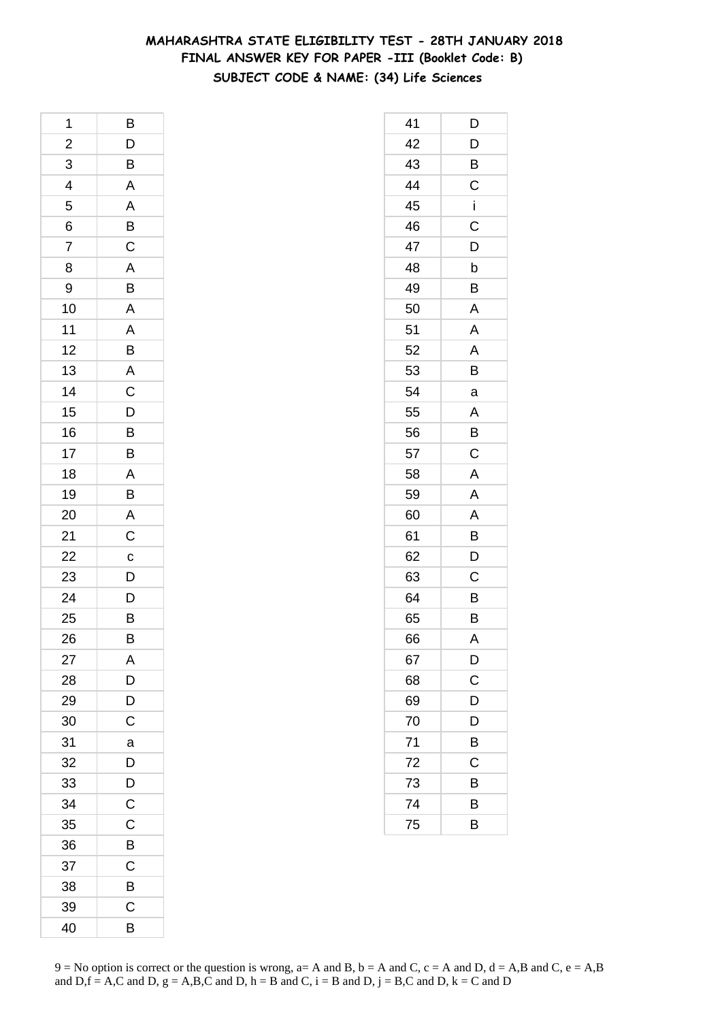# **MAHARASHTRA STATE ELIGIBILITY TEST - 28TH JANUARY 2018 FINAL ANSWER KEY FOR PAPER -III (Booklet Code: B) SUBJECT CODE & NAME: (34) Life Sciences**

| 1                       | B                                                  |
|-------------------------|----------------------------------------------------|
| $\overline{\mathbf{c}}$ |                                                    |
| 3                       | $\frac{D}{B}$                                      |
| $\overline{4}$          | A                                                  |
| 5                       | $\overline{A}$                                     |
| 6                       | $\overline{B}$                                     |
| 7                       | $\overline{C}$                                     |
| 8                       | A                                                  |
| 9                       | B                                                  |
| 10                      | $\overline{A}$                                     |
| 11                      | $\overline{A}$                                     |
| 12                      | B                                                  |
| 13                      | $\overline{\mathsf{A}}$                            |
| 14                      | $\mathsf{C}$                                       |
| 15                      |                                                    |
| 16                      | $\overline{D}$<br>$\overline{B}$<br>$\overline{B}$ |
| 17                      |                                                    |
| 18                      | $\overline{A}$                                     |
| 19                      | B                                                  |
| 20                      | A                                                  |
| 21                      | $\mathsf{C}$                                       |
| 22                      | $\overline{c}$                                     |
| 23                      | $\overline{D}$                                     |
| 24                      | $\mathsf{D}$                                       |
| 25                      | B                                                  |
| 26                      | B                                                  |
| 27                      | A                                                  |
| 28                      | D                                                  |
| 29                      | $\overline{\mathsf{D}}$                            |
| 30                      | C                                                  |
| 31                      | a                                                  |
| 32                      | D                                                  |
| 33                      | D                                                  |
| 34                      | $\mathsf C$                                        |
| 35                      | $\mathsf C$                                        |
| 36                      | B                                                  |
| 37                      | C                                                  |
| 38                      | B                                                  |
| 39                      | C                                                  |
| 40                      | B                                                  |

| 41 | D           |
|----|-------------|
| 42 | D           |
| 43 | Β           |
| 44 | $\mathsf C$ |
| 45 | İ           |
| 46 | C           |
| 47 | D           |
| 48 | b           |
| 49 | Β           |
| 50 | A           |
| 51 | A           |
| 52 | A           |
| 53 | B           |
| 54 | a           |
| 55 | A           |
| 56 | B           |
| 57 | C           |
| 58 | A           |
| 59 | A           |
| 60 | A           |
| 61 | B           |
| 62 | D           |
| 63 | C           |
| 64 | B           |
| 65 | B           |
| 66 | A           |
| 67 | D           |
| 68 | $\mathsf C$ |
| 69 | D           |
| 70 | D           |
| 71 | B           |
| 72 | С           |
| 73 | В           |
| 74 | В           |
| 75 | B           |
|    |             |

 $9 = No$  option is correct or the question is wrong,  $a = A$  and B,  $b = A$  and C,  $c = A$  and D,  $d = A$ ,B and C,  $e = A$ ,B and  $D,f = A,C$  and  $D, g = A,B,C$  and  $D, h = B$  and  $C, i = B$  and  $D, j = B,C$  and  $D, k = C$  and  $D$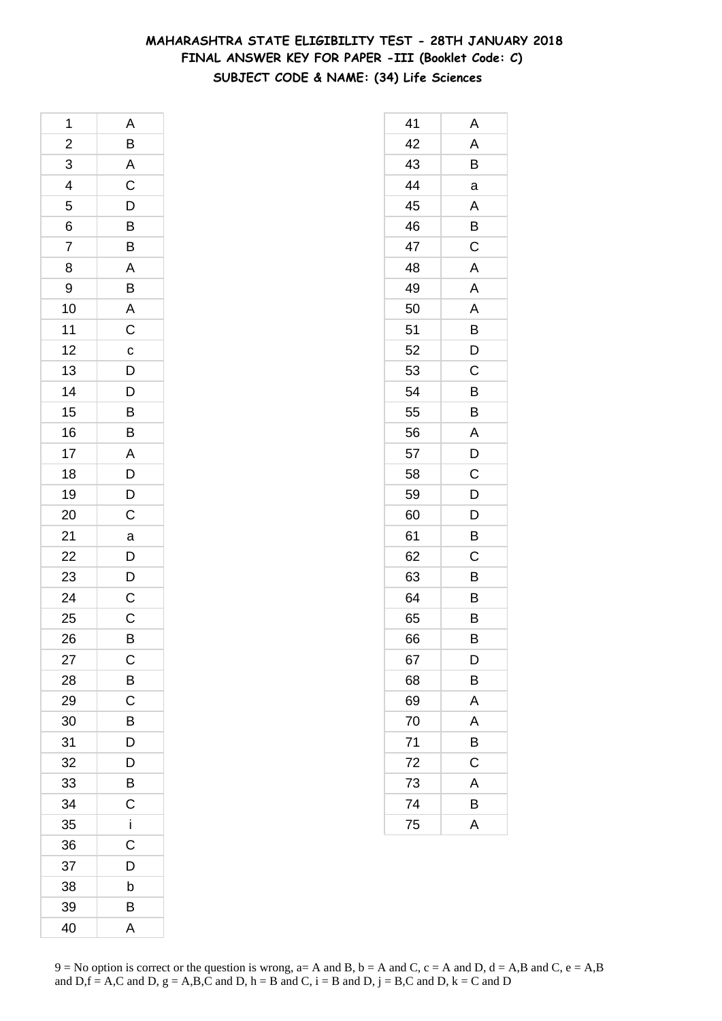# **MAHARASHTRA STATE ELIGIBILITY TEST - 28TH JANUARY 2018 FINAL ANSWER KEY FOR PAPER -III (Booklet Code: C) SUBJECT CODE & NAME: (34) Life Sciences**

| 1                       | A                                 |
|-------------------------|-----------------------------------|
| $\overline{\mathbf{c}}$ | $\overline{B}$                    |
| $\overline{3}$          | $\overline{AC}$<br>$\overline{D}$ |
| $\overline{4}$          |                                   |
| $\overline{5}$          |                                   |
| 6                       | B                                 |
| $\overline{7}$          | B                                 |
| 8                       | A                                 |
| 9                       | B                                 |
| 10                      | $rac{A}{C}$                       |
| 11                      |                                   |
| 12                      |                                   |
| 13                      | $\frac{c}{D}$                     |
| 14                      | $\overline{D}$                    |
| 15                      | $\frac{B}{B}$                     |
| 16                      |                                   |
| 17                      |                                   |
| 18                      | $rac{A}{D}$                       |
| 19                      | $\frac{D}{C}$                     |
| 20                      |                                   |
| 21                      | a                                 |
| 22                      |                                   |
| 23                      | $\frac{D}{D}$                     |
| 24                      | $\frac{C}{C}$                     |
| 25                      |                                   |
| 26                      | B                                 |
| 27                      | C                                 |
| 28                      | B                                 |
| 29                      | $\mathsf C$                       |
| 30                      | B                                 |
| 31                      | D                                 |
| 32                      | D                                 |
| 33                      | B                                 |
| 34                      | C                                 |
| 35                      | i                                 |
| 36                      | Ć                                 |
| 37                      | D                                 |
| 38                      | b                                 |
| 39                      | В                                 |
| 40                      | A                                 |

| 41 | Α |
|----|---|
| 42 | Α |
| 43 | Β |
| 44 | a |
| 45 | A |
| 46 | B |
| 47 | C |
| 48 | A |
| 49 | A |
| 50 | A |
| 51 | B |
| 52 | D |
| 53 | Ċ |
| 54 | B |
| 55 | B |
| 56 | Α |
| 57 | D |
| 58 | C |
| 59 | D |
| 60 | D |
| 61 | Β |
| 62 | C |
| 63 | Β |
| 64 | B |
| 65 | B |
| 66 | В |
| 67 | D |
| 68 | B |
| 69 | A |
| 70 | A |
| 71 | B |
| 72 | C |
| 73 | A |
| 74 | В |
| 75 | A |
|    |   |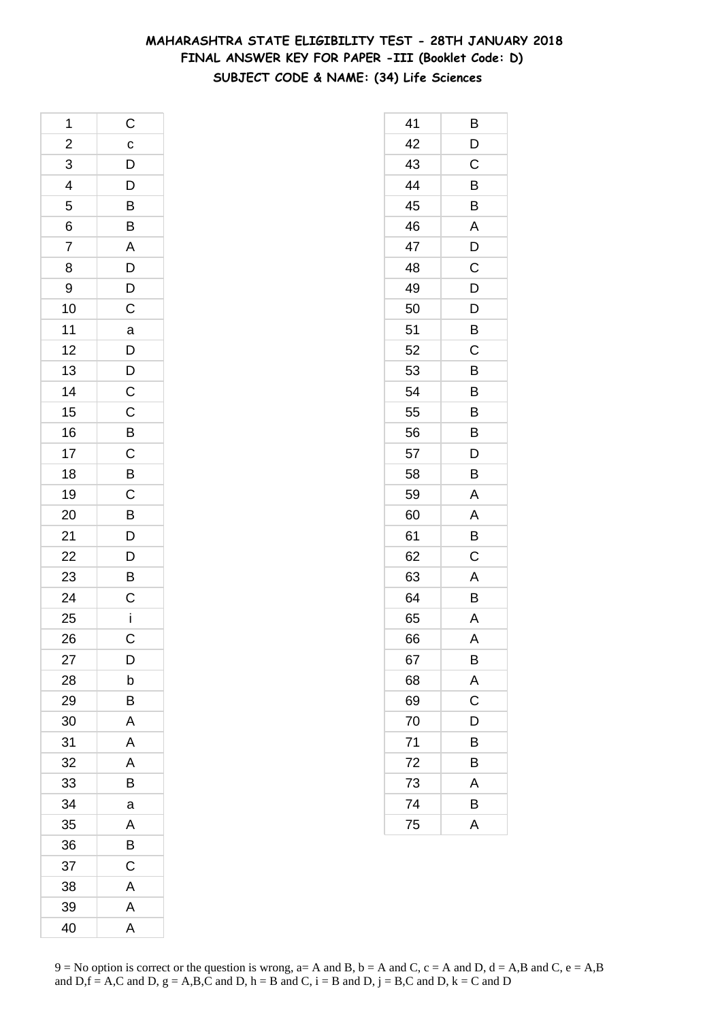# **MAHARASHTRA STATE ELIGIBILITY TEST - 28TH JANUARY 2018 FINAL ANSWER KEY FOR PAPER -III (Booklet Code: D) SUBJECT CODE & NAME: (34) Life Sciences**

| 1                       | $\mathsf{C}$                                                                 |
|-------------------------|------------------------------------------------------------------------------|
| $\overline{\mathbf{c}}$ | $\mathbf{c}$                                                                 |
|                         |                                                                              |
| $\frac{3}{4}$           | $\begin{array}{c} \mathsf{D} \\ \mathsf{D} \\ \hline \mathsf{B} \end{array}$ |
| 5                       |                                                                              |
| 6                       | $\frac{1}{B}$                                                                |
| $\overline{7}$          | $\frac{A}{D}$                                                                |
| 8                       |                                                                              |
| 9                       | $\overline{D}$<br>C                                                          |
| 10                      |                                                                              |
| 11                      | $\overline{a}$                                                               |
| 12                      | $D$<br>$C$                                                                   |
| 13                      |                                                                              |
| 14                      |                                                                              |
| 15                      |                                                                              |
| 16                      |                                                                              |
| 17                      |                                                                              |
| 18                      |                                                                              |
| 19                      | $C$ B $C$ B $C$ B                                                            |
| 20                      |                                                                              |
| 21                      | $\overline{D}$<br>$\overline{B}$                                             |
| 22                      |                                                                              |
| 23                      |                                                                              |
| 24                      | $rac{C}{i}$                                                                  |
| 25                      |                                                                              |
| 26                      | $\mathsf C$                                                                  |
| 27                      | D                                                                            |
| 28                      | b                                                                            |
| 29                      | B                                                                            |
| 30                      | A                                                                            |
| 31                      | A                                                                            |
| 32                      | Α                                                                            |
| 33                      | В                                                                            |
| 34                      | a                                                                            |
| 35                      | A                                                                            |
| 36                      | B                                                                            |
| 37                      | C                                                                            |
| 38                      | A                                                                            |
| 39                      | A                                                                            |
| 40                      | A                                                                            |

| 41 | B |
|----|---|
| 42 | D |
| 43 | C |
| 44 | B |
| 45 | B |
| 46 | A |
| 47 | D |
| 48 | C |
| 49 | D |
| 50 | D |
| 51 | B |
| 52 | C |
| 53 | B |
| 54 | B |
| 55 | B |
| 56 | B |
| 57 | D |
| 58 | B |
| 59 | A |
| 60 | A |
| 61 | Β |
| 62 | C |
| 63 | Α |
| 64 | B |
| 65 | A |
| 66 | A |
| 67 | B |
| 68 | A |
| 69 | C |
| 70 | D |
| 71 | В |
| 72 | B |
| 73 | A |
| 74 | B |
| 75 | A |
|    |   |

 $9 = No$  option is correct or the question is wrong,  $a = A$  and B,  $b = A$  and C,  $c = A$  and D,  $d = A$ ,B and C,  $e = A$ ,B and  $D,f = A,C$  and  $D, g = A,B,C$  and  $D, h = B$  and  $C, i = B$  and  $D, j = B,C$  and  $D, k = C$  and  $D$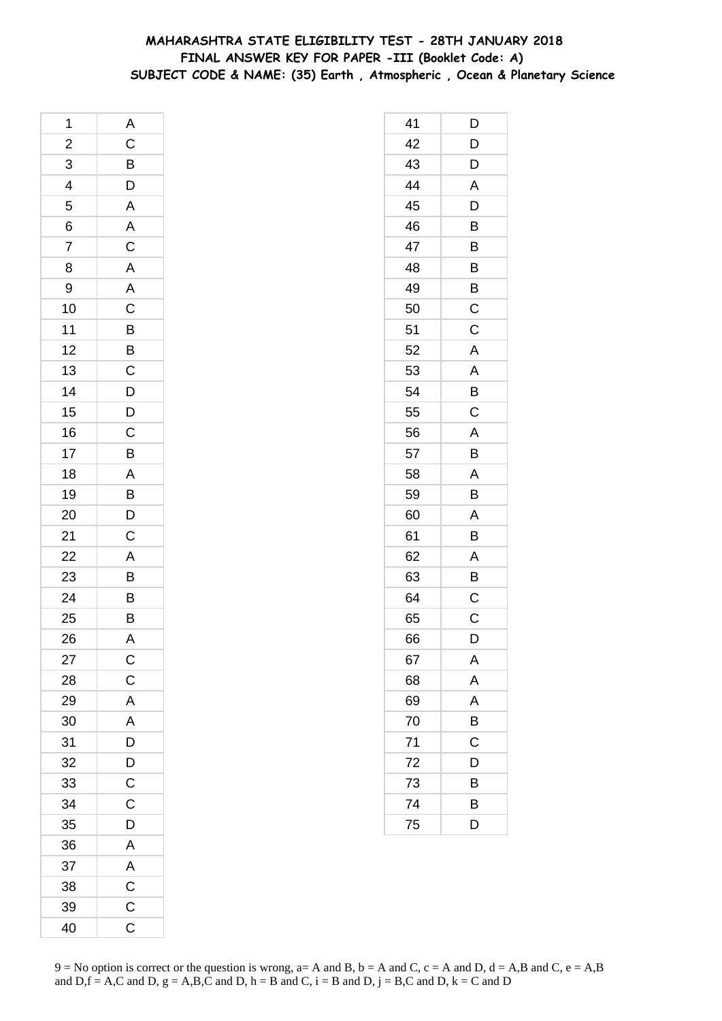## **MAHARASHTRA STATE ELIGIBILITY TEST - 28TH JANUARY 2018 FINAL ANSWER KEY FOR PAPER -III (Booklet Code: A) SUBJECT CODE & NAME: (35) Earth , Atmospheric , Ocean & Planetary Science**

| 1                       | A                       |
|-------------------------|-------------------------|
| $\overline{\mathbf{c}}$ | CBDAACAACBBCDDCBABDC    |
| $\overline{3}$          |                         |
| $\overline{4}$          |                         |
| 5                       |                         |
| $\overline{6}$          |                         |
| $\overline{7}$          |                         |
| 8                       |                         |
| 9                       |                         |
| 10                      |                         |
| 11                      |                         |
| 12                      |                         |
| 13                      |                         |
| 14                      |                         |
| 15                      |                         |
| 16                      |                         |
| 17                      |                         |
| 18                      |                         |
| 19                      |                         |
| 20                      |                         |
|                         |                         |
| $\frac{21}{22}$         |                         |
| 23                      | $\frac{A}{B}$           |
| 24                      |                         |
| 25                      | $\frac{B}{B}$           |
| 26                      | A                       |
| 27                      | $\mathsf{C}$            |
| 28                      | $\mathsf C$             |
| 29                      | A                       |
| 30                      | A                       |
| 31                      | D                       |
| 32                      | $\overline{D}$          |
| 33                      | $\overline{\mathbf{C}}$ |
| 34                      | $\mathsf{C}$            |
| 35                      | D                       |
| 36                      | A                       |
| 37                      | A                       |
| 38                      | $\mathsf C$             |
| 39                      | $\overline{C}$          |
| 40                      | C                       |
|                         |                         |

| 41 | D           |
|----|-------------|
| 42 | D           |
| 43 | D           |
| 44 | A           |
| 45 | D           |
| 46 | B           |
| 47 | B           |
| 48 | B           |
| 49 | B           |
| 50 | C           |
| 51 | C           |
| 52 | Α           |
| 53 | A           |
| 54 | B           |
| 55 | C           |
| 56 | A           |
| 57 | B           |
| 58 | A           |
| 59 | B           |
| 60 | A           |
| 61 | B           |
| 62 | A           |
| 63 | B           |
| 64 | C           |
| 65 | C           |
| 66 | D           |
| 67 | Α           |
| 68 | A           |
| 69 | A           |
| 70 | B           |
| 71 | $\mathsf C$ |
| 72 | D           |
| 73 | B           |
| 74 | B           |
| 75 | D           |
|    |             |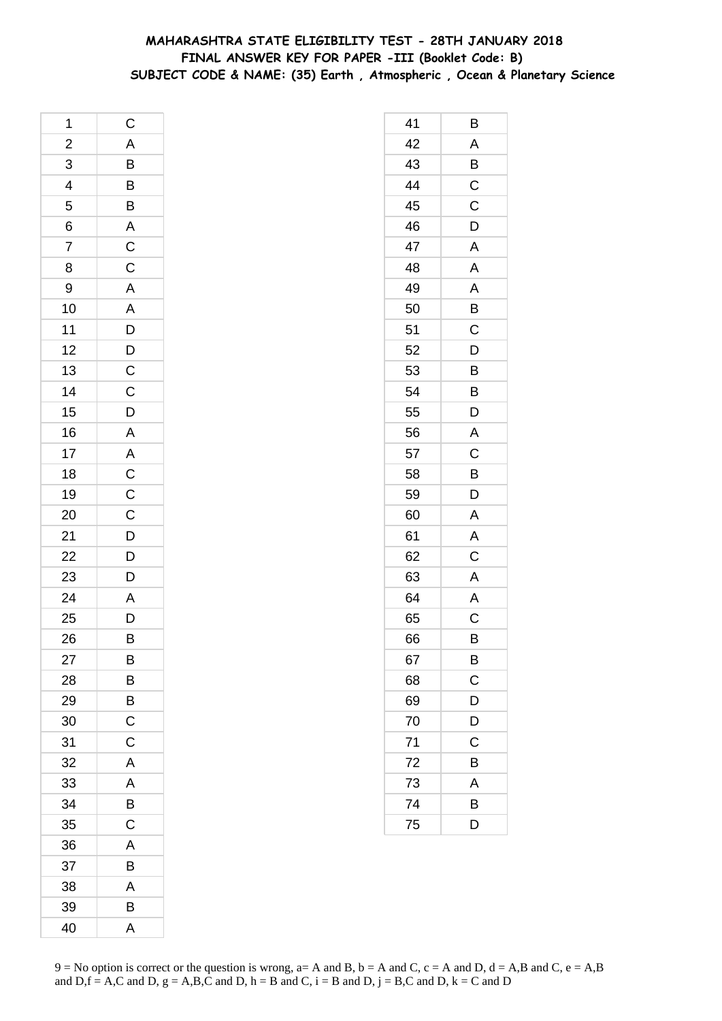## **MAHARASHTRA STATE ELIGIBILITY TEST - 28TH JANUARY 2018 FINAL ANSWER KEY FOR PAPER -III (Booklet Code: B) SUBJECT CODE & NAME: (35) Earth , Atmospheric , Ocean & Planetary Science**

| 1                       | $\mathsf{C}$                                |
|-------------------------|---------------------------------------------|
| $\overline{\mathbf{c}}$ |                                             |
| $\overline{3}$          |                                             |
| $\overline{4}$          | A B B B A C C A A D D C C D A A C C C D D D |
| 5                       |                                             |
| 6                       |                                             |
| $\overline{7}$          |                                             |
| 8                       |                                             |
| 9                       |                                             |
| 10                      |                                             |
| 11                      |                                             |
| 12                      |                                             |
| 13                      |                                             |
| 14                      |                                             |
| 15                      |                                             |
| 16                      |                                             |
| 17                      |                                             |
| 18                      |                                             |
| 19                      |                                             |
| 20                      |                                             |
|                         |                                             |
|                         |                                             |
| 21<br>22<br>23          |                                             |
| $\overline{24}$         | A<br>D                                      |
| 25                      |                                             |
| 26                      | B                                           |
| 27                      | B                                           |
| 28                      | B                                           |
| 29                      | B                                           |
| 30                      | $\mathsf C$                                 |
| 31                      | C                                           |
| 32                      | A                                           |
| 33                      | A                                           |
| 34                      | B                                           |
| 35                      | $\mathsf C$                                 |
| 36                      | A                                           |
| 37                      | Β                                           |
| 38                      | A                                           |
| 39                      | B                                           |
| 40                      | A                                           |

| 41 | в                       |
|----|-------------------------|
| 42 | A                       |
| 43 | $\overline{B}$          |
| 44 | $\overline{\mathrm{c}}$ |
| 45 | $\mathsf{C}$            |
| 46 | D                       |
| 47 | A                       |
| 48 | A                       |
| 49 | A                       |
| 50 | B                       |
| 51 | C                       |
| 52 | D                       |
| 53 | B                       |
| 54 | B                       |
| 55 | D                       |
| 56 | A                       |
| 57 | C                       |
| 58 | B                       |
| 59 | D                       |
| 60 | A                       |
| 61 | A                       |
| 62 | C                       |
| 63 | A                       |
| 64 | A                       |
| 65 | Ċ                       |
| 66 | В                       |
| 67 | B                       |
| 68 | $\mathsf C$             |
| 69 | D                       |
| 70 | D                       |
| 71 | Ċ                       |
| 72 | Β                       |
| 73 | A                       |
| 74 | B                       |
| 75 | D                       |
|    |                         |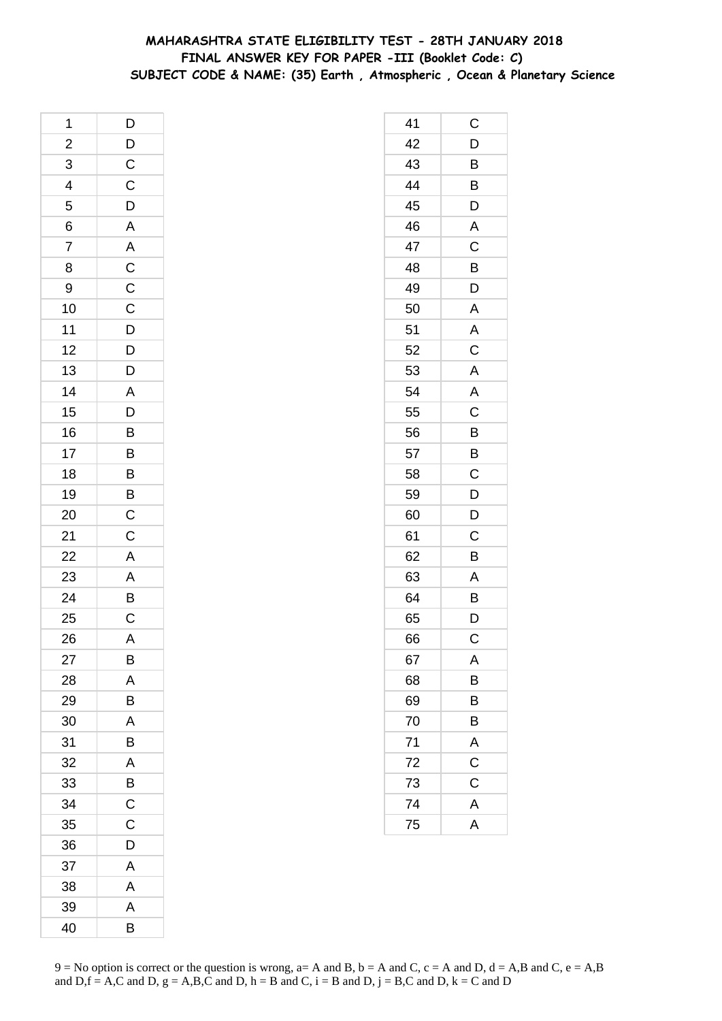## **MAHARASHTRA STATE ELIGIBILITY TEST - 28TH JANUARY 2018 FINAL ANSWER KEY FOR PAPER -III (Booklet Code: C) SUBJECT CODE & NAME: (35) Earth , Atmospheric , Ocean & Planetary Science**

| 1               | D                                                                                        |
|-----------------|------------------------------------------------------------------------------------------|
| $\overline{a}$  |                                                                                          |
| $\overline{3}$  |                                                                                          |
| $\overline{4}$  | $\frac{D}{C}$                                                                            |
| 5               |                                                                                          |
| 6               | $\frac{D}{A}$                                                                            |
| $\overline{7}$  |                                                                                          |
| 8               |                                                                                          |
| 9               |                                                                                          |
| 10              |                                                                                          |
| 11              |                                                                                          |
| 12              |                                                                                          |
| 13              | $\begin{array}{c c} A & C & C & D & D \\ \hline C & C & D & D & D \\ \hline \end{array}$ |
| 14              |                                                                                          |
| 15              | ADBBBBC                                                                                  |
| 16              |                                                                                          |
| 17              |                                                                                          |
| 18              |                                                                                          |
| 19              |                                                                                          |
| 20              |                                                                                          |
| 21              | $\overline{C}$                                                                           |
| 22              |                                                                                          |
| $\overline{23}$ |                                                                                          |
| 24              | A<br>A<br>B<br>C                                                                         |
| 25              |                                                                                          |
| 26              | $\overline{\mathsf{A}}$                                                                  |
| 27              | В                                                                                        |
| 28              | A                                                                                        |
| 29              | B                                                                                        |
| 30              | A                                                                                        |
| 31              | B                                                                                        |
| 32              | A                                                                                        |
| 33              | B                                                                                        |
| 34              | $\overline{C}$                                                                           |
| 35              | $\mathsf C$                                                                              |
| 36              | D                                                                                        |
| 37              | A                                                                                        |
| 38              | A                                                                                        |
| 39              | A                                                                                        |
| 40              | B                                                                                        |

| 41 | C                       |
|----|-------------------------|
| 42 | D                       |
| 43 | B                       |
| 44 | B                       |
| 45 | D                       |
| 46 | A                       |
| 47 | $\mathsf C$             |
| 48 | $\overline{B}$          |
| 49 | $\overline{\mathsf{D}}$ |
| 50 | A                       |
| 51 | A                       |
| 52 | C                       |
| 53 | $\overline{A}$          |
| 54 | A                       |
| 55 | $\overline{C}$          |
| 56 | B                       |
| 57 | B                       |
| 58 | C                       |
| 59 | $\overline{D}$          |
| 60 | $\overline{D}$          |
| 61 | C                       |
| 62 | B                       |
| 63 | A                       |
| 64 | B                       |
| 65 | D                       |
| 66 | $\mathsf C$             |
| 67 | Α                       |
| 68 | B                       |
| 69 | B                       |
| 70 | B                       |
| 71 | A                       |
| 72 | $\overline{C}$          |
| 73 | $\mathsf C$             |
| 74 | A                       |
| 75 | A                       |
|    |                         |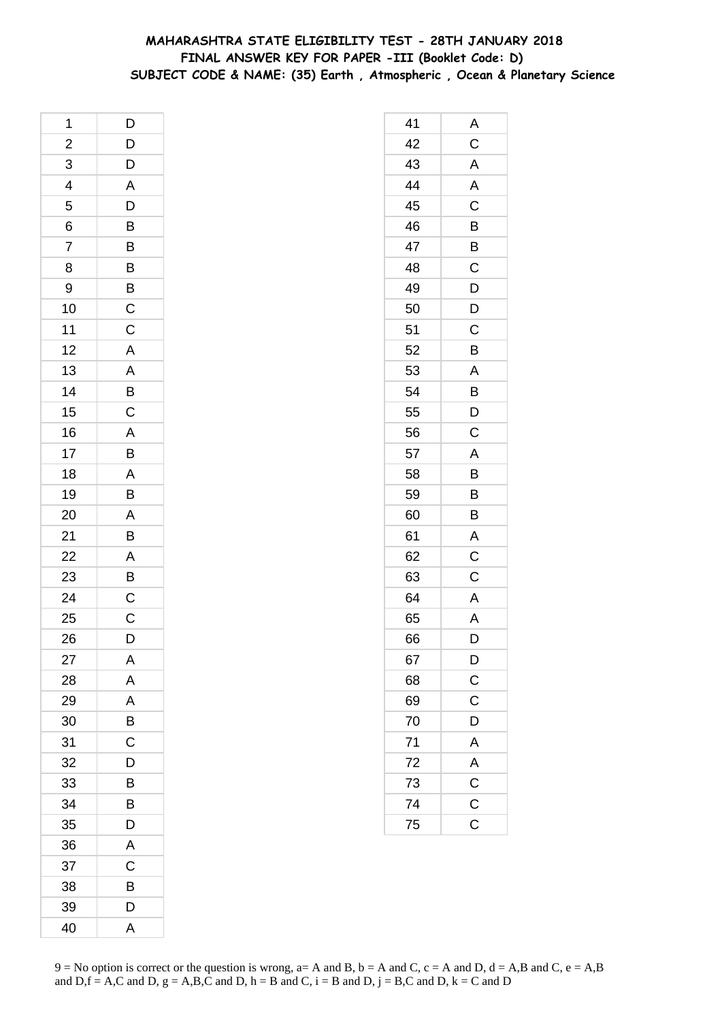## **MAHARASHTRA STATE ELIGIBILITY TEST - 28TH JANUARY 2018 FINAL ANSWER KEY FOR PAPER -III (Booklet Code: D) SUBJECT CODE & NAME: (35) Earth , Atmospheric , Ocean & Planetary Science**

| 1               | $\mathsf{D}$                                        |
|-----------------|-----------------------------------------------------|
|                 |                                                     |
| $\frac{2}{3}$   | $D D A D B B B B C C$                               |
|                 |                                                     |
| $\frac{4}{5}$   |                                                     |
| $\overline{6}$  |                                                     |
| $\overline{7}$  |                                                     |
| 8               |                                                     |
| 9               |                                                     |
| 10              |                                                     |
| 11              |                                                     |
| 12              | $\mathbf{A}$                                        |
| 13              |                                                     |
| 14              | $\overline{AB}$<br>$\overline{B}$<br>$\overline{C}$ |
| 15              |                                                     |
| 16              |                                                     |
| 17              |                                                     |
| 18              | A<br>B<br>A<br>B                                    |
| 19              |                                                     |
| 20              | $\frac{A}{B}$                                       |
| 21              |                                                     |
| $\overline{22}$ |                                                     |
| 23              | $\frac{A}{B}$                                       |
| 24              | $\frac{C}{C}$                                       |
| 25              |                                                     |
| 26              | D                                                   |
| 27              | Α                                                   |
| 28              | A                                                   |
| 29              | A                                                   |
| 30              | B                                                   |
| 31              | C                                                   |
| 32              | D                                                   |
| 33              | B                                                   |
| 34              | B                                                   |
| 35              | D                                                   |
| 36              | A                                                   |
| 37              | C                                                   |
| 38              | В                                                   |
| 39              | D                                                   |
| 40              | A                                                   |

| 41 | Α                           |
|----|-----------------------------|
| 42 | $\overline{\mathrm{c}}$     |
| 43 | A                           |
| 44 | $\overline{\mathsf{A}}$     |
| 45 | $\overline{\text{c}}$       |
| 46 | B                           |
| 47 | $\overline{B}$              |
| 48 | $\overline{C}$              |
| 49 | $\overline{D}$              |
| 50 | $\overline{D}$              |
| 51 | C                           |
| 52 | B                           |
| 53 | A                           |
| 54 | B<br>D                      |
| 55 |                             |
| 56 | $\overline{\mathrm{C}}$     |
| 57 | A                           |
| 58 | B                           |
| 59 | $\overline{B}$              |
| 60 | $\overline{B}$              |
| 61 | A                           |
| 62 | $\overline{C}$              |
| 63 | C                           |
| 64 | A                           |
| 65 | A                           |
| 66 | D                           |
| 67 | $\mathsf{D}$                |
| 68 | $\overline{C}$              |
| 69 | $\mathsf C$                 |
| 70 | D                           |
| 71 | $\overline{A}$              |
| 72 |                             |
| 73 |                             |
| 74 | $\frac{A}{C}$ $\frac{C}{C}$ |
| 75 |                             |
|    |                             |

 $9 = No$  option is correct or the question is wrong,  $a = A$  and B,  $b = A$  and C,  $c = A$  and D,  $d = A$ ,B and C,  $e = A$ ,B and  $D,f = A,C$  and  $D, g = A,B,C$  and  $D, h = B$  and  $C, i = B$  and  $D, j = B,C$  and  $D, k = C$  and  $D$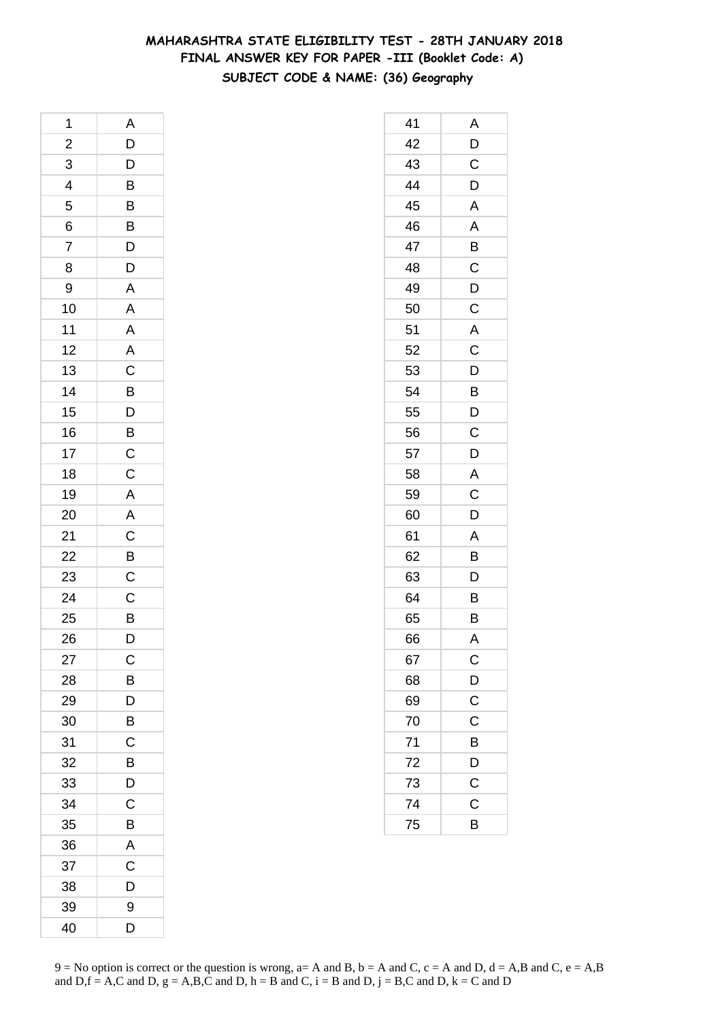# **MAHARASHTRA STATE ELIGIBILITY TEST - 28TH JANUARY 2018 FINAL ANSWER KEY FOR PAPER -III (Booklet Code: A) SUBJECT CODE & NAME: (36) Geography**

| 1              | A                                |
|----------------|----------------------------------|
| $\overline{a}$ | $\overline{D}$                   |
|                |                                  |
| $\frac{3}{4}$  | $\overline{B}$<br>$\overline{B}$ |
|                |                                  |
|                | B                                |
| $\frac{6}{7}$  |                                  |
| 8              | $\frac{D}{D}$                    |
| 9              | $\mathsf{A}$                     |
| 10             |                                  |
| 11             | A A A C B D B C                  |
| 12             |                                  |
| 13             |                                  |
| 14             |                                  |
| 15             |                                  |
| 16             |                                  |
| 17             |                                  |
| 18             | $\overline{C}$                   |
| 19             | $\overline{A}$                   |
| 20             | $\overline{A}$                   |
| 21             |                                  |
| 22             |                                  |
| 23             | $rac{C}{C}$                      |
| 24             | $\overline{C}$                   |
| 25             | B                                |
| 26             | D                                |
| 27             | C                                |
| 28             | B                                |
| 29             | D                                |
| 30             | B                                |
| 31             | C                                |
| 32             | B                                |
| 33             | D                                |
| 34             | C                                |
| 35             | B                                |
| 36             | A                                |
| 37             | C                                |
| 38             | D                                |
| 39             | 9                                |
| 40             | D                                |

| 41 | Α                     |
|----|-----------------------|
| 42 | D                     |
| 43 | C                     |
| 44 | D                     |
| 45 | A                     |
| 46 | A                     |
| 47 | B                     |
| 48 | C                     |
| 49 | D                     |
| 50 | $\overline{C}$        |
| 51 | A                     |
| 52 | $\overline{C}$        |
| 53 | D                     |
| 54 | B                     |
| 55 | D                     |
| 56 | $\mathsf C$           |
| 57 | D                     |
| 58 | A                     |
| 59 | C                     |
| 60 | D                     |
| 61 | A                     |
| 62 | B                     |
| 63 | D                     |
| 64 | B                     |
| 65 | B                     |
| 66 | A                     |
| 67 | $\mathsf{C}$          |
| 68 | $\mathsf{D}$          |
| 69 | $\overline{\text{c}}$ |
| 70 | $\mathsf C$           |
| 71 | B                     |
| 72 | D                     |
| 73 | $\overline{C}$        |
| 74 | $\mathsf C$           |
| 75 | B                     |
|    |                       |

 $9 = No$  option is correct or the question is wrong,  $a = A$  and B,  $b = A$  and C,  $c = A$  and D,  $d = A$ ,B and C,  $e = A$ ,B and  $D,f = A,C$  and  $D, g = A,B,C$  and  $D, h = B$  and  $C, i = B$  and  $D, j = B,C$  and  $D, k = C$  and  $D$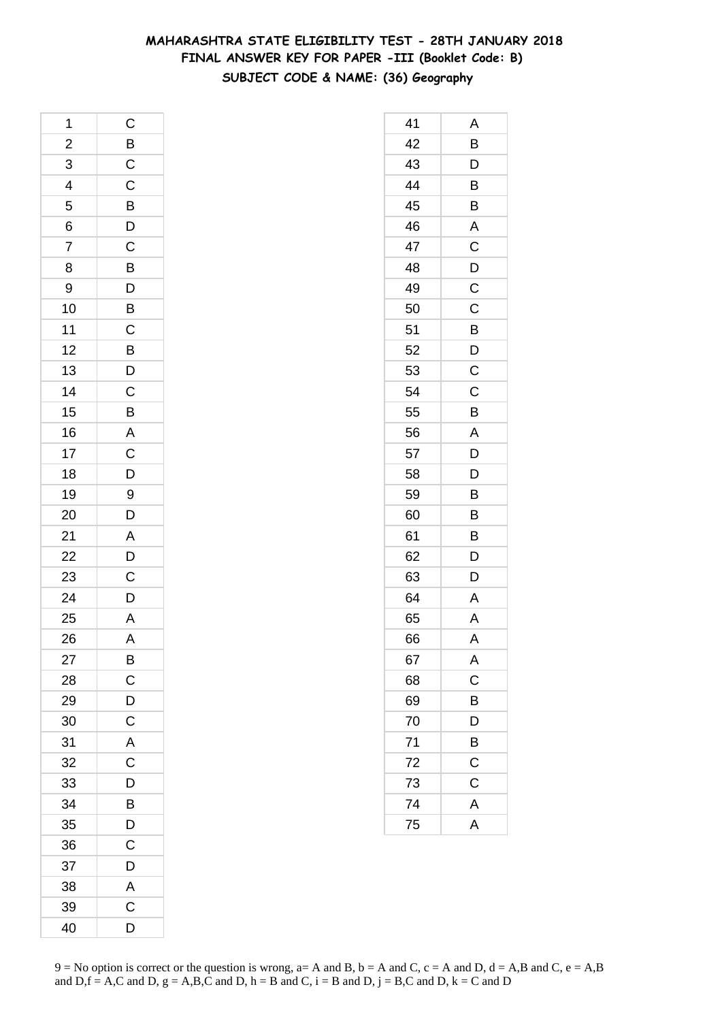# **MAHARASHTRA STATE ELIGIBILITY TEST - 28TH JANUARY 2018 FINAL ANSWER KEY FOR PAPER -III (Booklet Code: B) SUBJECT CODE & NAME: (36) Geography**

| 1              | $\mathsf C$                                        |
|----------------|----------------------------------------------------|
| $\overline{a}$ |                                                    |
| 3              | BCCBDCB                                            |
| $\overline{4}$ |                                                    |
| 5              |                                                    |
| 6              |                                                    |
| 7              |                                                    |
| 8              |                                                    |
| 9              |                                                    |
| 10             | $\overline{D}$<br>$\overline{B}$<br>$\overline{C}$ |
| 11             |                                                    |
| 12             |                                                    |
| 13             | $\frac{B}{D}$                                      |
| 14             |                                                    |
| 15             | $rac{C}{B}$                                        |
| 16             |                                                    |
| 17             | $\frac{A}{C}$                                      |
| 18             |                                                    |
| 19             | 9                                                  |
| 20             | $\overline{D}$                                     |
| 21             |                                                    |
| 22             | $\frac{A}{D}$                                      |
| 23             |                                                    |
| 24             | $\mathsf{D}$                                       |
| 25             | A                                                  |
| 26             | A                                                  |
| 27             | B                                                  |
| 28             | $\mathsf{C}$                                       |
| 29             | D                                                  |
| 30             | $\mathsf C$                                        |
| 31             | A                                                  |
| 32             | C                                                  |
| 33             | D                                                  |
| 34             | B                                                  |
| 35             | D                                                  |
| 36             | C                                                  |
| 37             | D                                                  |
| 38             | A                                                  |
| 39             | C                                                  |
| 40             | D                                                  |

| 41 | Α                       |
|----|-------------------------|
| 42 | B                       |
| 43 | D                       |
| 44 | B                       |
| 45 | B                       |
| 46 | A                       |
| 47 | C                       |
| 48 | D                       |
| 49 | C                       |
| 50 | $\mathsf C$             |
| 51 | $\overline{B}$          |
| 52 | D                       |
| 53 | C                       |
| 54 | C                       |
| 55 | B                       |
| 56 | A                       |
| 57 | D                       |
| 58 | D                       |
| 59 | B                       |
| 60 | B                       |
| 61 | B                       |
| 62 | D                       |
| 63 | D                       |
| 64 | A                       |
| 65 | $\overline{\mathsf{A}}$ |
| 66 | A                       |
| 67 | A                       |
| 68 | $\mathsf{C}$            |
| 69 | B                       |
| 70 | D                       |
| 71 | B                       |
| 72 | $\mathsf{C}$            |
| 73 | C                       |
| 74 | A                       |
| 75 | $\overline{A}$          |
|    |                         |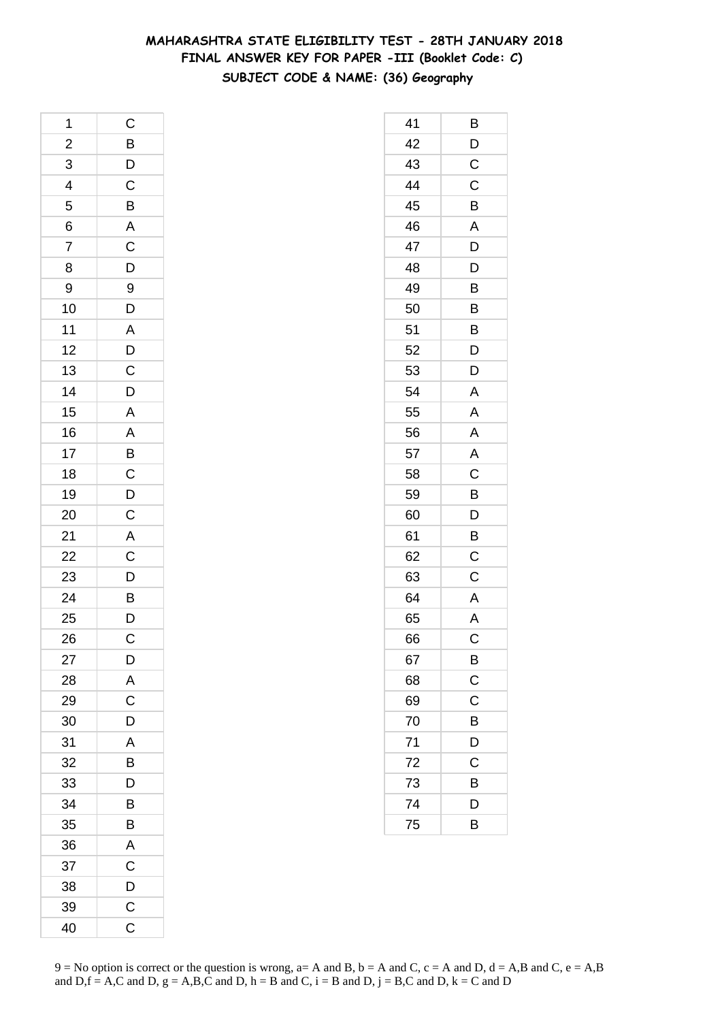# **MAHARASHTRA STATE ELIGIBILITY TEST - 28TH JANUARY 2018 FINAL ANSWER KEY FOR PAPER -III (Booklet Code: C) SUBJECT CODE & NAME: (36) Geography**

| 1                       | $\mathsf{C}$                                                                          |
|-------------------------|---------------------------------------------------------------------------------------|
| $\overline{\mathbf{c}}$ |                                                                                       |
| $\overline{3}$          | $\begin{array}{c}\n\mathbf{B} \\ \mathbf{D} \\ \mathbf{C} \\ \mathbf{B}\n\end{array}$ |
| $\overline{4}$          |                                                                                       |
| 5                       |                                                                                       |
| 6                       | $\overline{\mathsf{A}}$                                                               |
| $\overline{7}$          | $\overline{C}$<br>$\overline{D}$<br>$\overline{9}$                                    |
| 8                       |                                                                                       |
| 9                       |                                                                                       |
| 10                      |                                                                                       |
| 11                      |                                                                                       |
| 12                      | D<br>A<br>D<br>C<br>D<br>D                                                            |
| 13                      |                                                                                       |
| 14                      |                                                                                       |
| 15                      |                                                                                       |
| 16                      |                                                                                       |
| 17                      |                                                                                       |
| 18                      |                                                                                       |
| 19                      |                                                                                       |
| 20                      | A A B C D C                                                                           |
| 21                      | $\overline{A}$                                                                        |
| $\overline{22}$         |                                                                                       |
| 23                      |                                                                                       |
| 24                      | $\overline{C}$<br>$\overline{D}$<br>$\overline{B}$<br>$\overline{D}$                  |
| 25                      |                                                                                       |
| 26                      | $\mathsf C$                                                                           |
| 27                      | D                                                                                     |
| 28                      | A                                                                                     |
| 29                      | $\mathsf C$                                                                           |
| 30                      | D                                                                                     |
| 31                      | A                                                                                     |
| 32                      | B                                                                                     |
| 33                      | D                                                                                     |
| 34                      | B                                                                                     |
| 35                      | B                                                                                     |
| 36                      | A                                                                                     |
| 37                      | C                                                                                     |
| 38                      | D                                                                                     |
| 39                      | $\mathsf C$                                                                           |
| 40                      | C                                                                                     |

| 41 | Β              |
|----|----------------|
| 42 | D              |
| 43 | $\mathsf C$    |
| 44 | $\mathsf C$    |
| 45 | B              |
| 46 | A              |
| 47 | D              |
| 48 | D              |
| 49 | B              |
| 50 | B              |
| 51 | B              |
| 52 | D              |
| 53 | D              |
| 54 | Α              |
| 55 | $\mathsf{A}$   |
| 56 | A              |
| 57 | $\overline{A}$ |
| 58 | C              |
| 59 | B              |
| 60 | D              |
| 61 | B              |
| 62 | $\overline{c}$ |
| 63 | Ċ              |
| 64 | A              |
| 65 | A              |
| 66 | C              |
| 67 | B              |
| 68 | $\mathsf C$    |
| 69 | C              |
| 70 | B              |
| 71 | D              |
| 72 | С              |
| 73 | В              |
| 74 | D              |
| 75 | B              |
|    |                |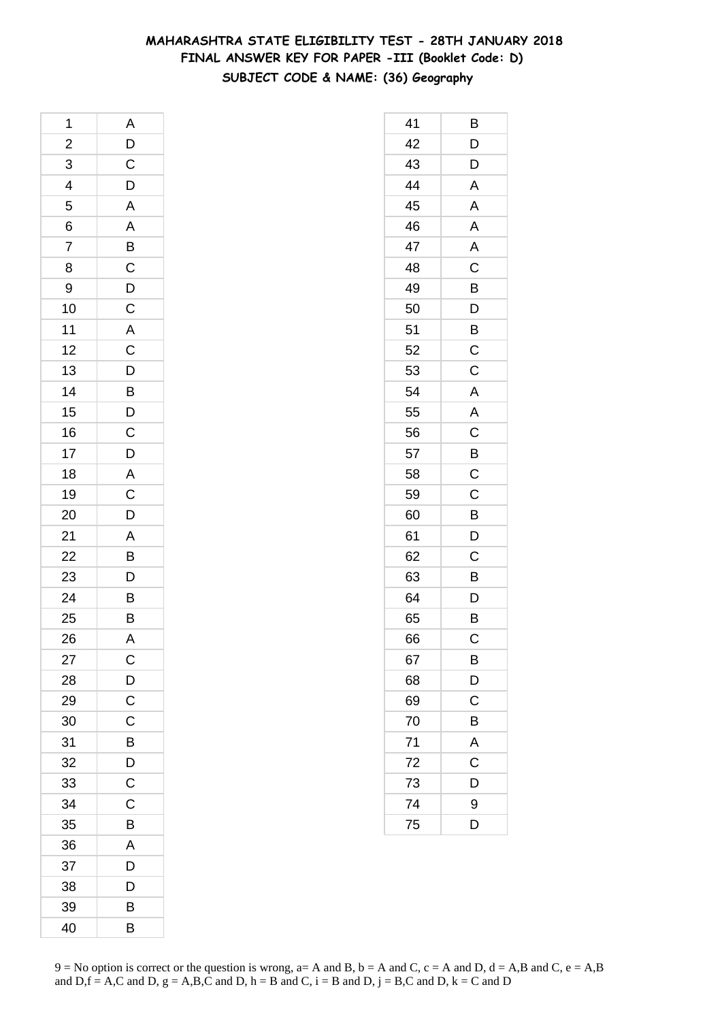# **MAHARASHTRA STATE ELIGIBILITY TEST - 28TH JANUARY 2018 FINAL ANSWER KEY FOR PAPER -III (Booklet Code: D) SUBJECT CODE & NAME: (36) Geography**

| 1              | A                                 |
|----------------|-----------------------------------|
|                |                                   |
| $\frac{2}{3}$  | $\frac{D}{C}$                     |
| $\overline{4}$ |                                   |
| 5              |                                   |
| 6              |                                   |
| $\overline{7}$ |                                   |
| 8              |                                   |
| 9              |                                   |
| 10             | A A B C D C A C D B D C D         |
| 11             |                                   |
| 12             |                                   |
| 13             |                                   |
| 14             |                                   |
| 15             |                                   |
| 16             |                                   |
| 17             |                                   |
| 18             |                                   |
| 19             | $\overline{AC}$<br>$\overline{D}$ |
| 20             |                                   |
| 21             |                                   |
| 22             |                                   |
| 23             | $\frac{A}{B}$                     |
| 24             | $\overline{B}$                    |
| 25             | $\overline{\mathsf{B}}$           |
| 26             | A                                 |
| 27             | C                                 |
| 28             | $\mathsf{D}$                      |
| 29             | $\mathsf{C}$                      |
| 30             | C                                 |
| 31             | B                                 |
| 32             | D                                 |
| 33             | C                                 |
| 34             | $\mathsf C$                       |
| 35             | B                                 |
| 36             | A                                 |
| 37             | D                                 |
| 38             | D                                 |
| 39             | B                                 |
| 40             | B                                 |

| 41 | Β              |
|----|----------------|
| 42 | D              |
| 43 | D              |
| 44 | A              |
| 45 | A              |
| 46 | A              |
| 47 | A              |
| 48 | C              |
| 49 | B              |
| 50 | D              |
| 51 | B              |
| 52 | C              |
| 53 | C              |
| 54 | A              |
| 55 | A              |
| 56 | $\mathsf{C}$   |
| 57 | $\overline{B}$ |
| 58 | $\mathsf C$    |
| 59 | C              |
| 60 | B              |
| 61 | D              |
| 62 | $\mathsf C$    |
| 63 | B              |
| 64 | D              |
| 65 | B              |
| 66 | С              |
| 67 | B              |
| 68 | D              |
| 69 | C              |
| 70 | B              |
| 71 | A              |
| 72 | C              |
| 73 | D              |
| 74 | 9              |
| 75 | D              |
|    |                |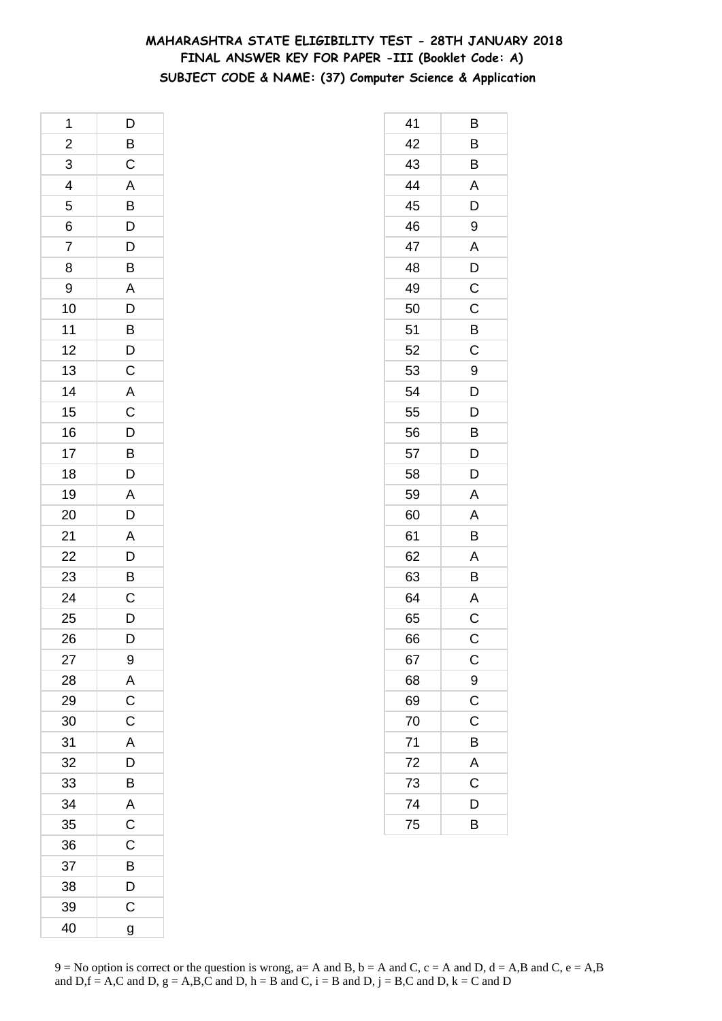# **MAHARASHTRA STATE ELIGIBILITY TEST - 28TH JANUARY 2018 FINAL ANSWER KEY FOR PAPER -III (Booklet Code: A) SUBJECT CODE & NAME: (37) Computer Science & Application**

| 1                       | D                                                  |
|-------------------------|----------------------------------------------------|
| $\overline{\mathbf{c}}$ | $\overline{B}$                                     |
| 3                       | $\mathsf{C}$                                       |
| $\overline{4}$          |                                                    |
| 5                       | $rac{A}{B}$                                        |
| 6                       | $\overline{D}$                                     |
| 7                       | $\overline{D}$                                     |
| 8                       | B                                                  |
| 9                       |                                                    |
| 10                      | $\begin{array}{c}\nA \\ D \\ B\n\end{array}$       |
| 11                      |                                                    |
| 12                      | $\frac{1}{C}$                                      |
| 13                      |                                                    |
| 14                      | $\overline{A}$                                     |
| 15                      |                                                    |
| 16                      |                                                    |
| 17                      | $\overline{C}$<br>$\overline{D}$<br>$\overline{B}$ |
| 18                      | $\overline{D}$                                     |
| 19                      | $\overline{\mathsf{A}}$                            |
| 20                      | $\overline{D}$                                     |
| 21                      |                                                    |
| 22                      |                                                    |
| 23                      | $\begin{array}{c}\nA \\ D \\ B\n\end{array}$       |
| 24                      | $\overline{c}$                                     |
| 25                      | D                                                  |
| 26                      | D                                                  |
| 27                      | 9                                                  |
| 28                      |                                                    |
| 29                      | $rac{A}{C}$                                        |
| 30                      | $\overline{C}$                                     |
| 31                      | A                                                  |
| 32                      | D                                                  |
| 33                      | B                                                  |
| 34                      | $\overline{A}$                                     |
| 35                      | $\overline{C}$                                     |
| 36                      | $\overline{C}$                                     |
| 37                      | B                                                  |
| 38                      | D                                                  |
| 39                      | $\mathsf{C}$                                       |
| 40                      | g                                                  |

| 41 | В                     |
|----|-----------------------|
| 42 | $\overline{B}$        |
| 43 | B                     |
| 44 | A                     |
| 45 | D                     |
| 46 | 9                     |
| 47 | A                     |
| 48 | D                     |
| 49 | $\overline{C}$        |
| 50 | C                     |
| 51 | B                     |
| 52 | C                     |
| 53 | 9                     |
| 54 | D                     |
| 55 | D                     |
| 56 | B                     |
| 57 | D                     |
| 58 | D                     |
| 59 | A                     |
| 60 | A                     |
| 61 | B                     |
| 62 | A                     |
| 63 | B                     |
| 64 | A                     |
| 65 | C                     |
| 66 | C                     |
| 67 | $\mathsf{C}$          |
| 68 | $\frac{9}{C}$         |
| 69 |                       |
| 70 | C                     |
| 71 | $\overline{B}$        |
| 72 | A                     |
| 73 | $\overline{\text{c}}$ |
| 74 | D                     |
| 75 | B                     |
|    |                       |

 $9 = No$  option is correct or the question is wrong,  $a = A$  and B,  $b = A$  and C,  $c = A$  and D,  $d = A$ ,B and C,  $e = A$ ,B and  $D,f = A,C$  and  $D, g = A,B,C$  and  $D, h = B$  and  $C, i = B$  and  $D, j = B,C$  and  $D, k = C$  and  $D$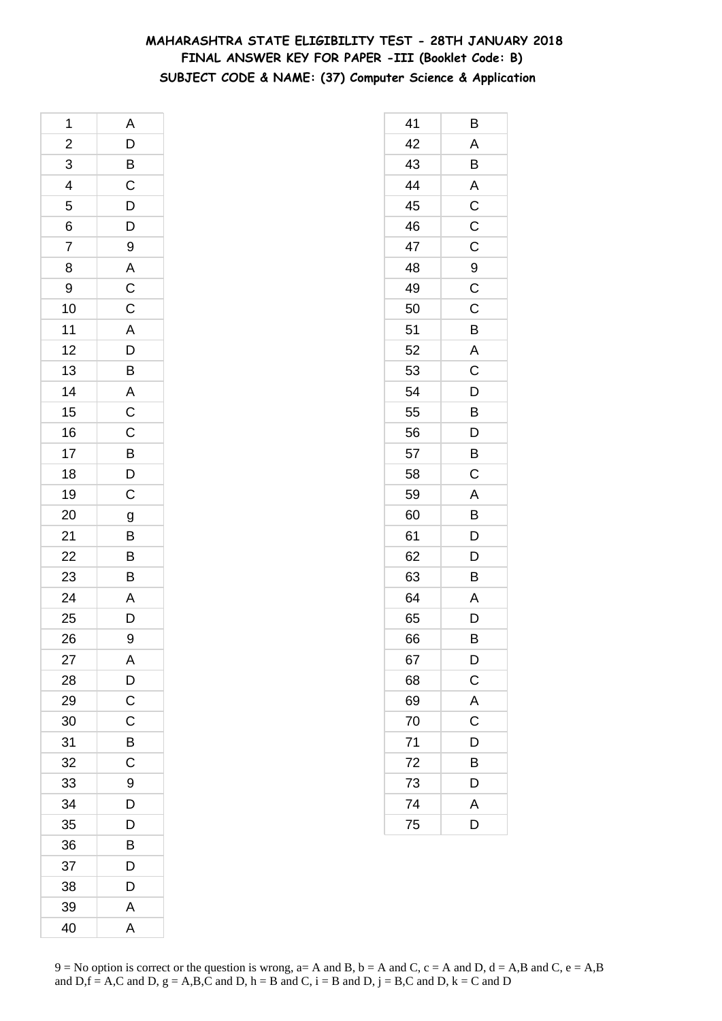# **MAHARASHTRA STATE ELIGIBILITY TEST - 28TH JANUARY 2018 FINAL ANSWER KEY FOR PAPER -III (Booklet Code: B) SUBJECT CODE & NAME: (37) Computer Science & Application**

| 1               | A                                                                       |
|-----------------|-------------------------------------------------------------------------|
|                 | D                                                                       |
| $\frac{2}{3}$   |                                                                         |
| $\frac{4}{5}$   | $\begin{array}{c}\n\mathbf{B} \\ \mathbf{C} \\ \mathbf{D}\n\end{array}$ |
|                 |                                                                         |
| 6               |                                                                         |
| $\overline{7}$  | 9                                                                       |
| 8               | A                                                                       |
| 9               | $\frac{C}{C}$                                                           |
| 10              |                                                                         |
| 11              | $\mathsf{A}$                                                            |
| 12              | $\overline{D}$                                                          |
| 13              | $\overline{B}$                                                          |
| 14              | $\overline{A}$                                                          |
| 15              | $\overline{C}$                                                          |
| 16              |                                                                         |
| 17              |                                                                         |
| 18              | $\frac{C}{D}$                                                           |
| 19              | $\mathsf{C}$                                                            |
| 20              | g                                                                       |
| 21              | $\overline{B}$                                                          |
| 22              | $\overline{B}$                                                          |
| 23              | $\overline{B}$                                                          |
| $\overline{24}$ | $\overline{A}$                                                          |
| 25              | D                                                                       |
| 26              | 9                                                                       |
| 27              | A                                                                       |
| 28              | $\overline{D}$                                                          |
| 29              | $\overline{C}$                                                          |
| 30              | C                                                                       |
| 31              | B                                                                       |
| 32              | C                                                                       |
| 33              | 9                                                                       |
| 34              | D                                                                       |
| 35              | D                                                                       |
| 36              | B                                                                       |
| 37              | D                                                                       |
| 38              | D                                                                       |
| 39              | A                                                                       |
| 40              | A                                                                       |

| 41 | Β              |
|----|----------------|
| 42 | A              |
| 43 | B              |
| 44 | A              |
| 45 | $\mathsf C$    |
| 46 | C              |
| 47 | $\mathsf C$    |
| 48 | 9              |
| 49 | C              |
| 50 | C              |
| 51 | B              |
| 52 | A              |
| 53 | $\mathsf C$    |
| 54 | D              |
| 55 | B              |
| 56 | D              |
| 57 | B              |
| 58 | C              |
| 59 | Α              |
| 60 | B              |
| 61 | D              |
| 62 | D              |
| 63 | B              |
| 64 | Α              |
| 65 | D              |
| 66 | B              |
| 67 | D              |
| 68 | $\mathsf C$    |
| 69 | A              |
| 70 | C              |
| 71 | $\overline{D}$ |
| 72 | B              |
| 73 | D              |
| 74 | A              |
| 75 | D              |
|    |                |

 $9 = No$  option is correct or the question is wrong,  $a = A$  and B,  $b = A$  and C,  $c = A$  and D,  $d = A$ ,B and C,  $e = A$ ,B and  $D,f = A,C$  and  $D, g = A,B,C$  and  $D, h = B$  and  $C, i = B$  and  $D, j = B,C$  and  $D, k = C$  and  $D$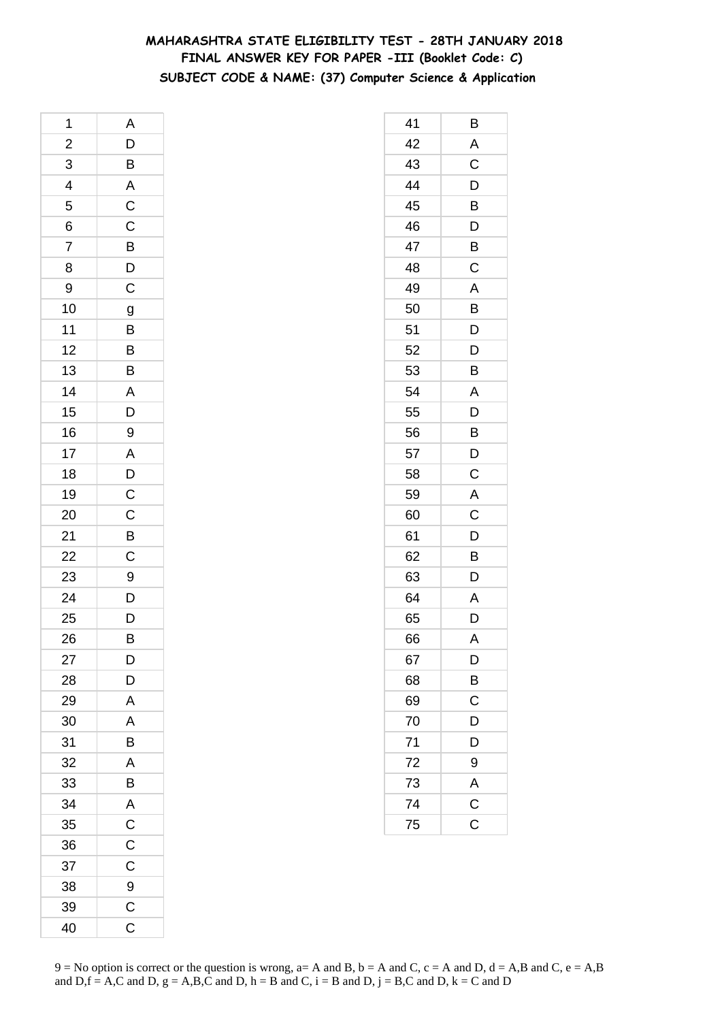# **MAHARASHTRA STATE ELIGIBILITY TEST - 28TH JANUARY 2018 FINAL ANSWER KEY FOR PAPER -III (Booklet Code: C) SUBJECT CODE & NAME: (37) Computer Science & Application**

| 1               | A                                                                        |
|-----------------|--------------------------------------------------------------------------|
|                 | $\mathsf{D}$                                                             |
| $\frac{2}{3}$   | $\overline{B}$                                                           |
| $\frac{4}{5}$   | $\begin{array}{c c} A & C & C \\ \hline C & B & D \\ \hline \end{array}$ |
|                 |                                                                          |
| 6               |                                                                          |
| $\overline{7}$  |                                                                          |
| 8               |                                                                          |
| 9               |                                                                          |
| 10              | $\overline{g}$                                                           |
| 11              | $\overline{B}$                                                           |
| 12              |                                                                          |
| 13              | B                                                                        |
| 14              | $\overline{A}$                                                           |
| 15              | $\overline{D}$                                                           |
| 16              | 9                                                                        |
| 17              |                                                                          |
| 18              |                                                                          |
| 19              | $\begin{array}{c}\nA \\ D \\ C\n\end{array}$                             |
| 20              |                                                                          |
| 21              | $\overline{B}$                                                           |
| 22              | $\mathsf{C}$                                                             |
| <b>23</b>       | 9                                                                        |
| $\overline{24}$ | $\overline{D}$                                                           |
| 25              | $\overline{D}$                                                           |
| 26              | B                                                                        |
| 27              | D                                                                        |
| 28              | $\mathsf{D}$                                                             |
| 29              | A                                                                        |
| 30              | A                                                                        |
| 31              | B                                                                        |
| 32              | A                                                                        |
| 33              | B                                                                        |
| 34              | A                                                                        |
| 35              | $\overline{\mathbf{C}}$                                                  |
| 36              | $\overline{C}$                                                           |
| 37              | C                                                                        |
| 38              | 9                                                                        |
| 39              | $\mathsf C$                                                              |
| 40              | C                                                                        |

| 41 | В                       |
|----|-------------------------|
| 42 | A                       |
| 43 | $\overline{\mathrm{C}}$ |
| 44 | D                       |
| 45 | B                       |
| 46 | D                       |
| 47 | B                       |
| 48 | C                       |
| 49 | A                       |
| 50 | B                       |
| 51 | D                       |
| 52 | D                       |
| 53 | B                       |
| 54 | A                       |
| 55 | D                       |
| 56 | B                       |
| 57 | D                       |
| 58 | C                       |
| 59 | A                       |
| 60 | $\mathsf C$             |
| 61 | D                       |
| 62 | B                       |
| 63 | D                       |
| 64 | A                       |
| 65 | D                       |
| 66 | A                       |
| 67 | $\overline{D}$          |
| 68 | B                       |
| 69 | C                       |
| 70 | D                       |
| 71 | D                       |
| 72 | 9                       |
| 73 |                         |
| 74 | $\frac{A}{C}$           |
| 75 |                         |
|    |                         |

 $9 = No$  option is correct or the question is wrong,  $a = A$  and B,  $b = A$  and C,  $c = A$  and D,  $d = A$ ,B and C,  $e = A$ ,B and  $D,f = A,C$  and  $D, g = A,B,C$  and  $D, h = B$  and  $C, i = B$  and  $D, j = B,C$  and  $D, k = C$  and  $D$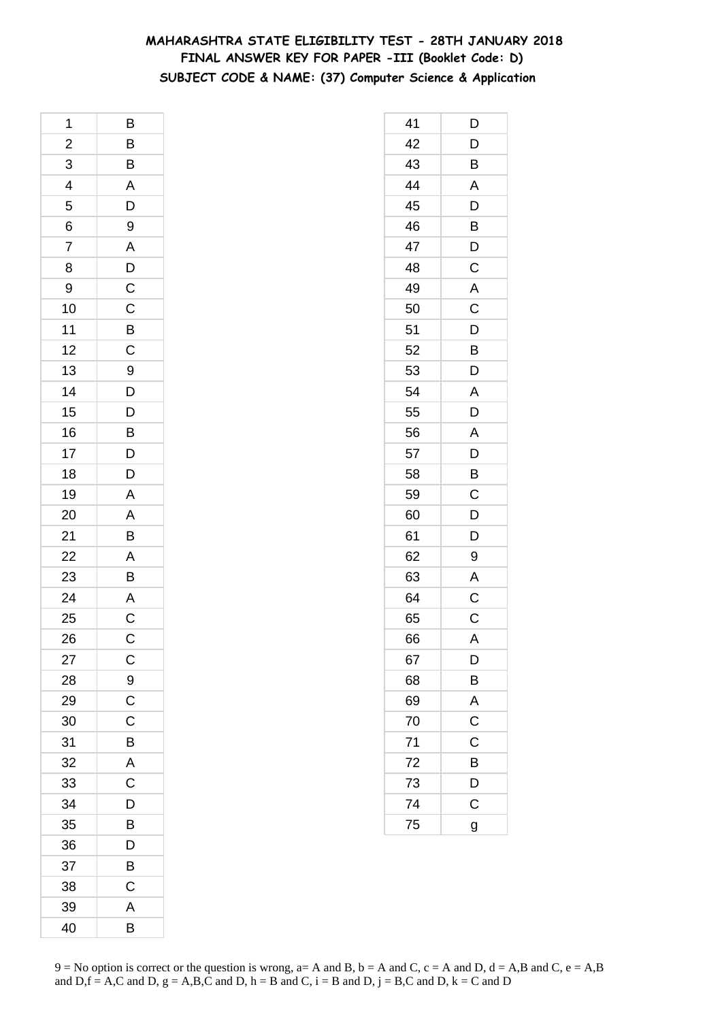# **MAHARASHTRA STATE ELIGIBILITY TEST - 28TH JANUARY 2018 FINAL ANSWER KEY FOR PAPER -III (Booklet Code: D) SUBJECT CODE & NAME: (37) Computer Science & Application**

| 1              | B                               |
|----------------|---------------------------------|
|                |                                 |
| $\frac{2}{3}$  | B B A D 9                       |
|                |                                 |
| $\frac{4}{5}$  |                                 |
| 6              |                                 |
| $\overline{7}$ |                                 |
| 8              | $\frac{A}{D}$                   |
| 9              |                                 |
| 10             |                                 |
| 11             | $rac{C}{C}$                     |
| 12             |                                 |
| 13             |                                 |
| 14             |                                 |
| 15             |                                 |
| 16             |                                 |
| 17             |                                 |
| 18             | 9<br>D<br>D<br>B<br>D<br>D<br>D |
| 19             |                                 |
| 20             | $\frac{A}{B}$                   |
| 21             |                                 |
| 22             |                                 |
| 23             | $\frac{A}{B}$                   |
| 24             |                                 |
| 25             | $rac{A}{C}$                     |
| 26             | $\mathsf{C}$                    |
| 27             | $\mathsf{C}$                    |
| 28             | 9                               |
| 29             | C                               |
| 30             | C                               |
| 31             | B                               |
| 32             | A                               |
| 33             | $\overline{C}$                  |
| 34             | D                               |
| 35             | B                               |
| 36             | D                               |
| 37             | B                               |
| 38             | C                               |
| 39             | A                               |
| 40             | B                               |

| 41 | D                       |
|----|-------------------------|
| 42 | $\overline{D}$          |
| 43 | $\overline{\mathsf{B}}$ |
| 44 | A                       |
| 45 | D                       |
| 46 | B                       |
| 47 | D                       |
| 48 | $\overline{\text{c}}$   |
| 49 | A                       |
| 50 | C                       |
| 51 | D                       |
| 52 | B                       |
| 53 | D                       |
| 54 | A                       |
| 55 | $\overline{\mathsf{D}}$ |
| 56 | A                       |
| 57 | D                       |
| 58 | B                       |
| 59 | $\mathsf C$             |
| 60 | $\overline{D}$          |
| 61 | D                       |
| 62 | 9                       |
| 63 | A                       |
| 64 | $\mathsf C$             |
| 65 | $\mathsf C$             |
| 66 | A                       |
| 67 | D                       |
| 68 | $\overline{B}$          |
| 69 | A                       |
| 70 | $\overline{C}$          |
| 71 | $\overline{\text{c}}$   |
| 72 | B                       |
| 73 | $\overline{D}$          |
| 74 | $\mathsf{C}$            |
| 75 | g                       |
|    |                         |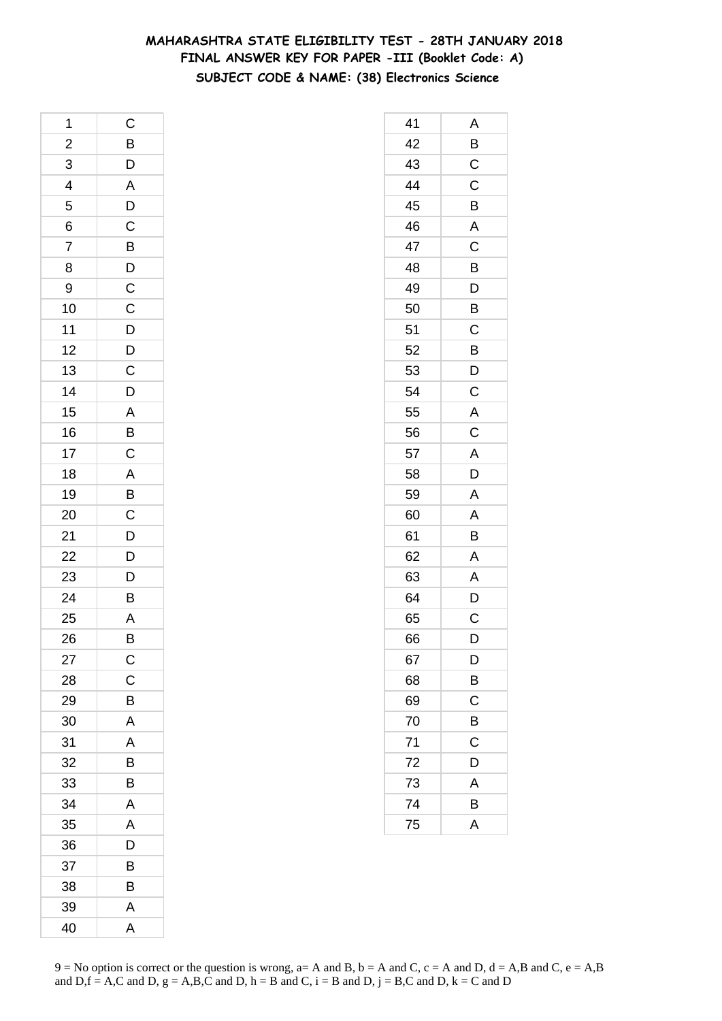# **MAHARASHTRA STATE ELIGIBILITY TEST - 28TH JANUARY 2018 FINAL ANSWER KEY FOR PAPER -III (Booklet Code: A) SUBJECT CODE & NAME: (38) Electronics Science**

| 1                       | $\mathsf{C}$                                       |
|-------------------------|----------------------------------------------------|
| $\overline{\mathbf{c}}$ |                                                    |
| $\overline{3}$          | BDADC                                              |
| $\overline{4}$          |                                                    |
| 5                       |                                                    |
| 6                       |                                                    |
| $\overline{7}$          | $\overline{B}$<br>$\overline{D}$<br>$\overline{C}$ |
| 8                       |                                                    |
| 9                       |                                                    |
| 10                      | $\overline{C}$                                     |
| 11                      | $\overline{D}$                                     |
| 12                      |                                                    |
| 13                      | $\overline{C}$<br>$\overline{D}$                   |
| 14                      |                                                    |
| 15                      |                                                    |
| 16                      | $\frac{A}{B}$                                      |
| 17                      | $\overline{C}$                                     |
| 18                      | A B C D D D                                        |
| 19                      |                                                    |
| 20                      |                                                    |
| 21                      |                                                    |
| 22                      |                                                    |
| 23                      |                                                    |
| 24                      | B                                                  |
| 25                      | A                                                  |
| 26                      | B                                                  |
| 27                      | $\mathsf{C}$                                       |
| 28                      | $\mathsf C$                                        |
| 29                      | B                                                  |
| 30                      | A                                                  |
| 31                      | A                                                  |
| 32                      | B                                                  |
| 33                      | B                                                  |
| 34                      | A                                                  |
| 35                      | A                                                  |
| 36                      | D                                                  |
| 37                      | B                                                  |
| 38                      | B                                                  |
| 39                      | A                                                  |
| 40                      | A                                                  |

| 41 | Α              |
|----|----------------|
| 42 | B              |
| 43 | $\mathsf C$    |
| 44 | $\overline{C}$ |
| 45 | B              |
| 46 | A              |
| 47 | C              |
| 48 | B              |
| 49 | D              |
| 50 | B              |
| 51 | $\mathsf C$    |
| 52 | B              |
| 53 | D              |
| 54 | C              |
| 55 | A              |
| 56 | $\mathsf C$    |
| 57 | $\overline{A}$ |
| 58 | $\overline{D}$ |
| 59 | A              |
| 60 | A              |
| 61 | B              |
| 62 | A              |
| 63 | A              |
| 64 | D              |
| 65 | C              |
| 66 | D              |
| 67 | D              |
| 68 | B              |
| 69 | $\mathsf C$    |
| 70 | B              |
| 71 | C              |
| 72 | D              |
| 73 | Α              |
| 74 | В              |
| 75 | A              |
|    |                |

 $9 = No$  option is correct or the question is wrong,  $a = A$  and B,  $b = A$  and C,  $c = A$  and D,  $d = A$ ,B and C,  $e = A$ ,B and  $D,f = A,C$  and  $D, g = A,B,C$  and  $D, h = B$  and  $C, i = B$  and  $D, j = B,C$  and  $D, k = C$  and  $D$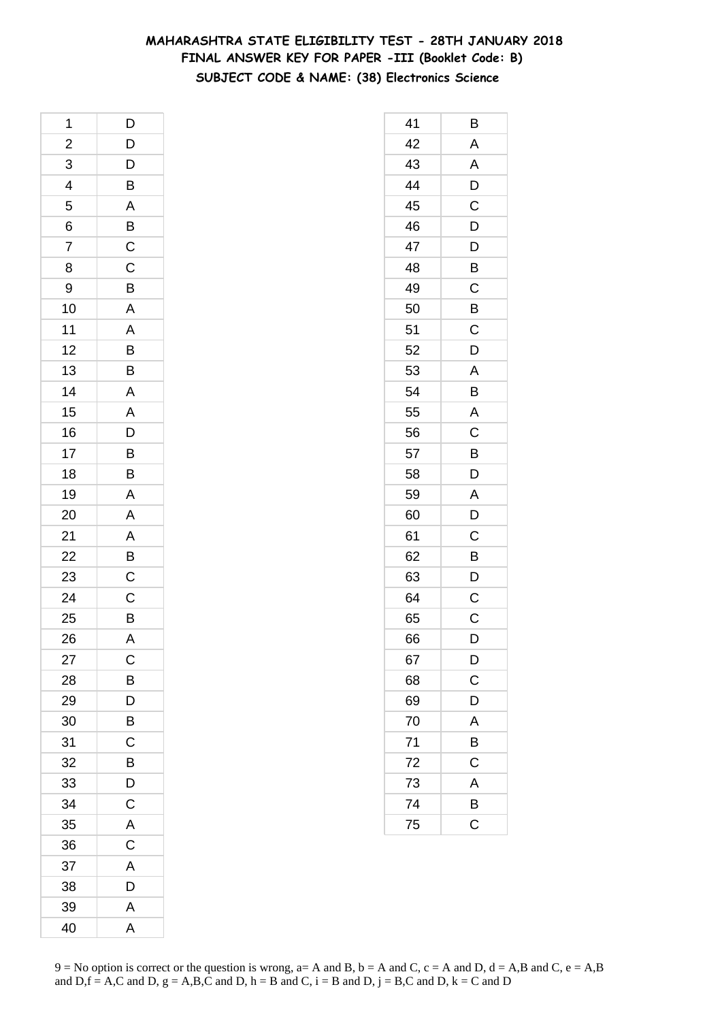# **MAHARASHTRA STATE ELIGIBILITY TEST - 28TH JANUARY 2018 FINAL ANSWER KEY FOR PAPER -III (Booklet Code: B) SUBJECT CODE & NAME: (38) Electronics Science**

| 1                       | D                                            |
|-------------------------|----------------------------------------------|
| $\overline{\mathbf{c}}$ |                                              |
| $\overline{3}$          |                                              |
| $\overline{\mathbf{r}}$ | DDBABCCB                                     |
| 5                       |                                              |
| 6                       |                                              |
| $\overline{7}$          |                                              |
| 8                       |                                              |
| 9                       |                                              |
| 10                      |                                              |
| 11                      |                                              |
| 12                      |                                              |
| 13                      | $\overline{A}$ $\overline{B}$ $\overline{B}$ |
| 14                      |                                              |
| 15                      | $\frac{A}{D}$                                |
| 16                      |                                              |
| 17                      | $\frac{B}{B}$                                |
| 18                      |                                              |
| 19                      | A                                            |
| 20                      | $\overline{A}$                               |
| 21                      |                                              |
| 22                      | $\frac{A}{B}$                                |
| 23                      |                                              |
| 24                      | $\frac{C}{B}$                                |
| 25                      |                                              |
| 26                      | $\overline{A}$                               |
| 27                      | $\mathsf{C}$                                 |
| 28                      | B                                            |
| 29                      | D                                            |
| 30                      | B                                            |
| 31                      | C                                            |
| 32                      | B                                            |
| 33                      | D                                            |
| 34                      | $\mathsf C$                                  |
| 35                      | A                                            |
| 36                      | $\overline{C}$                               |
| 37                      | A                                            |
| 38                      | D                                            |
| 39                      | A                                            |
| 40                      | $\overline{\mathsf{A}}$                      |

| 41              | В                     |
|-----------------|-----------------------|
| 42              | A                     |
| 43              | A                     |
| 44              | D                     |
| 45              | C                     |
| 46              | D                     |
| 47              | D                     |
| 48              | Β                     |
| 49              | $\mathsf C$           |
| 50              | B                     |
| 51              | C                     |
| 52              | D                     |
| 53              | Α                     |
| 54              | B                     |
| 55              | A                     |
| 56              | C                     |
| 57              | B                     |
| 58              | D                     |
| 59              | A                     |
| 60              | D                     |
| 61              | $\mathsf C$           |
| 62              | B                     |
| 63              | D                     |
| 64              | C                     |
| 65              | C                     |
| 66              | D                     |
| 67              | $\overline{D}$        |
| 68              | $\overline{c}$        |
| 69              | D                     |
| 70              | A                     |
| $\overline{71}$ | B                     |
| $\frac{72}{ }$  | $\mathsf C$           |
| 73              | $\mathsf{A}$          |
| 74              | $\overline{B}$        |
| 75              | $\overline{\text{c}}$ |
|                 |                       |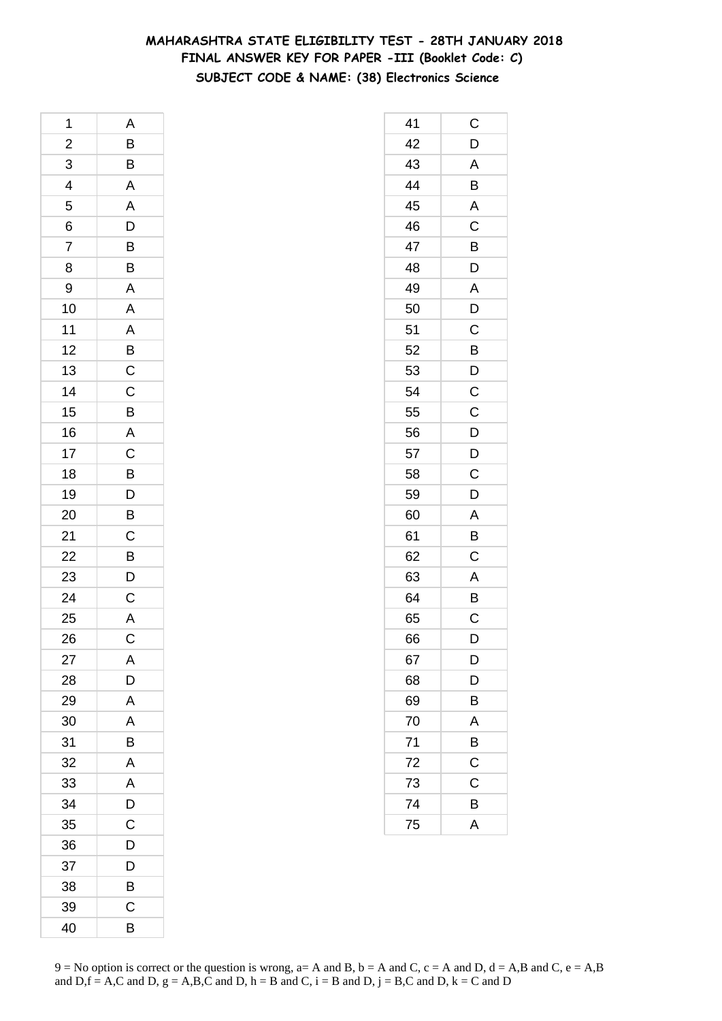# **MAHARASHTRA STATE ELIGIBILITY TEST - 28TH JANUARY 2018 FINAL ANSWER KEY FOR PAPER -III (Booklet Code: C) SUBJECT CODE & NAME: (38) Electronics Science**

| 1              | A                                                  |
|----------------|----------------------------------------------------|
| $\overline{c}$ |                                                    |
| $\overline{3}$ | $\frac{B}{B}$                                      |
| $\overline{4}$ | $\begin{array}{c}\nA \\ A \\ D\n\end{array}$       |
| 5              |                                                    |
| 6              |                                                    |
| $\overline{7}$ |                                                    |
| 8              | $\frac{B}{B}$                                      |
| 9              | $\overline{A}$                                     |
| 10             |                                                    |
| 11             |                                                    |
| 12             |                                                    |
| 13             |                                                    |
| 14             |                                                    |
| 15             | A A B C C B A C B                                  |
| 16             |                                                    |
| 17             |                                                    |
| 18             |                                                    |
| 19             |                                                    |
| 20             | D<br>B                                             |
| 21             |                                                    |
| 22             | $\overline{C}$<br>$\overline{B}$<br>$\overline{D}$ |
| 23             |                                                    |
| 24             |                                                    |
| 25             | $\frac{C}{A}$                                      |
| 26             | $\mathsf C$                                        |
| 27             | A                                                  |
| 28             | D                                                  |
| 29             | A                                                  |
| 30             | A                                                  |
| 31             | B                                                  |
| 32             | A                                                  |
| 33             | $\overline{\mathsf{A}}$                            |
| 34             | D                                                  |
| 35             | C                                                  |
| 36             | D                                                  |
| 37             | D                                                  |
| 38             | В                                                  |
| 39             | C                                                  |
| 40             | B                                                  |

| 41 | С              |
|----|----------------|
| 42 | D              |
| 43 | A              |
| 44 | B              |
| 45 | A              |
| 46 | C              |
| 47 | B              |
| 48 | D              |
| 49 | A              |
| 50 | $\overline{D}$ |
| 51 | C              |
| 52 | B              |
| 53 | D              |
| 54 | $\mathsf C$    |
| 55 | $\mathsf{C}$   |
| 56 | $\overline{D}$ |
| 57 | $\overline{D}$ |
| 58 | C              |
| 59 | D              |
| 60 | Α              |
| 61 | B              |
| 62 | C              |
| 63 | A              |
| 64 | B              |
| 65 | C              |
| 66 | D              |
| 67 | D              |
| 68 | $\overline{D}$ |
| 69 | B              |
| 70 | A              |
| 71 | B              |
| 72 | $\mathsf{C}$   |
| 73 | C              |
| 74 | B              |
| 75 | A              |
|    |                |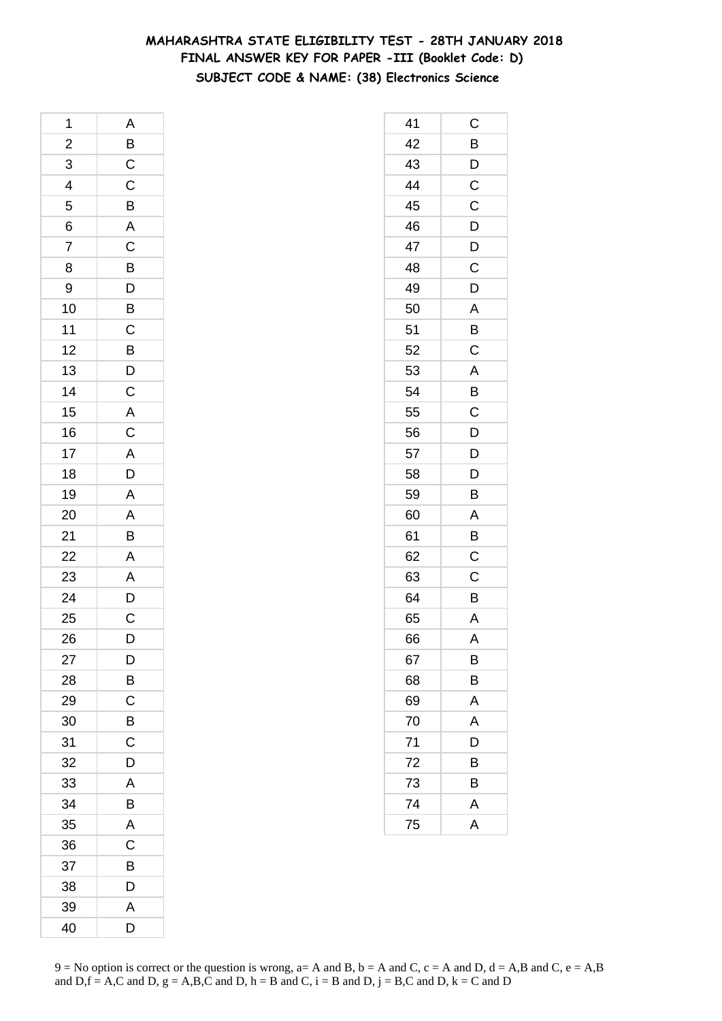# **MAHARASHTRA STATE ELIGIBILITY TEST - 28TH JANUARY 2018 FINAL ANSWER KEY FOR PAPER -III (Booklet Code: D) SUBJECT CODE & NAME: (38) Electronics Science**

| 1                       | A                       |
|-------------------------|-------------------------|
| $\overline{\mathbf{c}}$ |                         |
| $\overline{3}$          |                         |
| $\overline{4}$          | $\frac{B}{C}$           |
| 5                       | $\overline{B}$          |
| 6                       | $\overline{\mathsf{A}}$ |
| $\overline{7}$          | $\overline{C}$          |
| 8                       |                         |
| 9                       |                         |
| 10                      | BDBCBD                  |
| 11                      |                         |
| 12                      |                         |
| 13                      |                         |
| 14                      | $\overline{C}$          |
| 15                      | $rac{A}{C}$             |
| 16                      |                         |
| 17                      |                         |
| 18                      | $rac{A}{D}$             |
| 19                      | $\overline{A}$          |
| 20                      |                         |
| 21                      | $\frac{A}{B}$           |
| 22                      |                         |
| 23                      |                         |
| 24                      | A<br>A<br>D<br>C        |
| 25                      |                         |
| 26                      | D                       |
| 27                      | D                       |
| 28                      | B                       |
| 29                      | $\overline{\mathsf{C}}$ |
| 30                      | B                       |
| 31                      | C                       |
| 32                      | D                       |
| 33                      | A                       |
| 34                      | B                       |
| 35                      | A                       |
| 36                      | C                       |
| 37                      | B                       |
| 38                      | D                       |
| 39                      | A                       |
| 40                      | D                       |

| 41 | С            |
|----|--------------|
| 42 | B            |
| 43 | D            |
| 44 | $\mathsf C$  |
| 45 | C            |
| 46 | D            |
| 47 | $\mathsf{D}$ |
| 48 | C            |
| 49 | D            |
| 50 | A            |
| 51 | B            |
| 52 | $\mathsf C$  |
| 53 | A            |
| 54 | B            |
| 55 | $\mathsf C$  |
| 56 | D            |
| 57 | D            |
| 58 | D            |
| 59 | B            |
| 60 | A            |
| 61 | B            |
| 62 | $\mathsf C$  |
| 63 | C            |
| 64 | Β            |
| 65 | A            |
| 66 | A            |
| 67 | B            |
| 68 | B            |
| 69 | A            |
| 70 | A            |
| 71 | D            |
| 72 | B            |
| 73 | B            |
| 74 | A            |
| 75 | A            |
|    |              |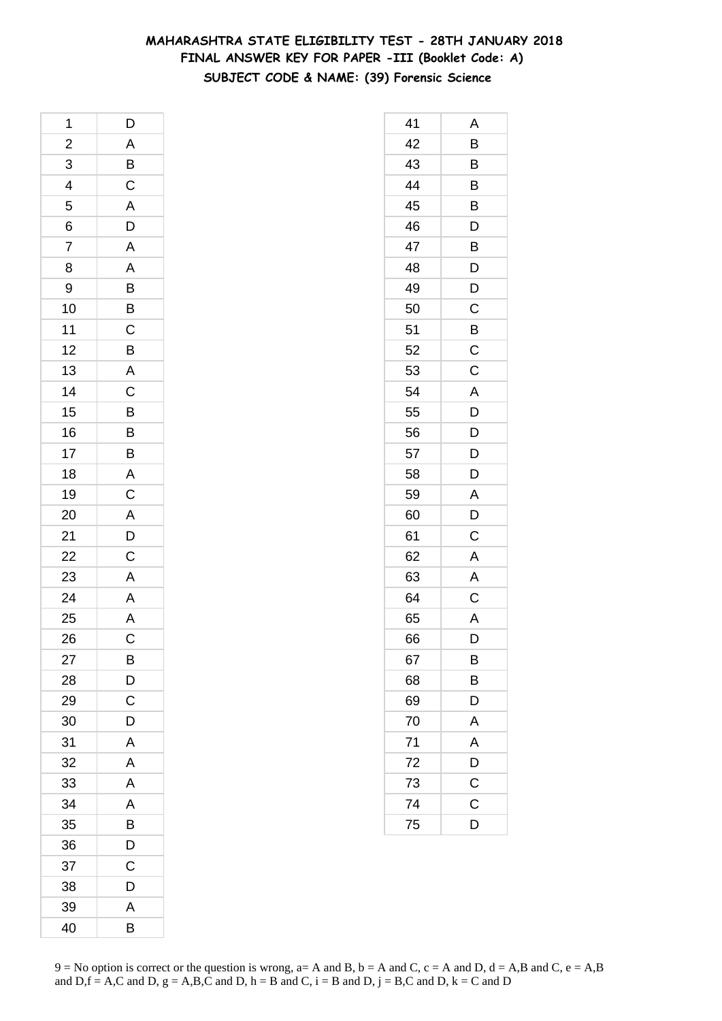# **MAHARASHTRA STATE ELIGIBILITY TEST - 28TH JANUARY 2018 FINAL ANSWER KEY FOR PAPER -III (Booklet Code: A) SUBJECT CODE & NAME: (39) Forensic Science**

| 1                       | D                                                                                                                         |
|-------------------------|---------------------------------------------------------------------------------------------------------------------------|
| $\overline{\mathbf{c}}$ |                                                                                                                           |
| $\overline{3}$          | $\frac{A}{B}$                                                                                                             |
| $\overline{4}$          |                                                                                                                           |
| 5                       |                                                                                                                           |
| 6                       | $rac{A}{D}$                                                                                                               |
| 7                       | $\overline{A}$                                                                                                            |
| 8                       |                                                                                                                           |
| 9                       |                                                                                                                           |
| 10                      | $\frac{A}{B}$ $\frac{B}{C}$                                                                                               |
| 11                      |                                                                                                                           |
| 12                      |                                                                                                                           |
| 13                      | $\frac{B}{A}$                                                                                                             |
| 14                      | $\overline{C}$                                                                                                            |
| 15                      |                                                                                                                           |
| 16                      |                                                                                                                           |
| 17                      |                                                                                                                           |
| 18                      |                                                                                                                           |
| 19                      | $\begin{array}{c c} \mathsf{B} & \mathsf{B} & \mathsf{A} & \mathsf{C} & \mathsf{A} & \mathsf{D} & \mathsf{C} \end{array}$ |
| 20                      |                                                                                                                           |
| 21                      |                                                                                                                           |
| 22                      |                                                                                                                           |
| 23                      | $\overline{A}$                                                                                                            |
| $\overline{24}$         | $\overline{A}$<br>$\overline{A}$<br>$\overline{C}$                                                                        |
| 25                      |                                                                                                                           |
| 26                      |                                                                                                                           |
| 27                      | B                                                                                                                         |
| 28                      | D                                                                                                                         |
| 29                      | $\mathsf C$                                                                                                               |
| 30                      | D                                                                                                                         |
| 31                      | A                                                                                                                         |
| 32                      | Α                                                                                                                         |
| 33                      | A                                                                                                                         |
| 34                      | A                                                                                                                         |
| 35                      | $\overline{B}$                                                                                                            |
| 36                      | D                                                                                                                         |
| 37                      | C                                                                                                                         |
| 38                      | D                                                                                                                         |
| 39                      | A                                                                                                                         |
| 40                      | B                                                                                                                         |

| 41 | Α              |
|----|----------------|
| 42 | B              |
| 43 | B              |
| 44 | B              |
| 45 | B              |
| 46 | D              |
| 47 | Β              |
| 48 | D              |
| 49 | D              |
| 50 | $\mathsf C$    |
| 51 | B              |
| 52 | C              |
| 53 | C              |
| 54 | A              |
| 55 | D              |
| 56 | $\overline{D}$ |
| 57 | D              |
| 58 | D              |
| 59 | A              |
| 60 | D              |
| 61 | С              |
| 62 | A              |
| 63 | A              |
| 64 | C              |
| 65 | A              |
| 66 | D              |
| 67 | B              |
| 68 | B              |
| 69 | D              |
| 70 | A              |
| 71 | A              |
| 72 | D              |
| 73 | $\mathsf C$    |
| 74 | $\mathsf C$    |
| 75 | D              |
|    |                |

 $9 = No$  option is correct or the question is wrong,  $a = A$  and B,  $b = A$  and C,  $c = A$  and D,  $d = A$ ,B and C,  $e = A$ ,B and  $D,f = A,C$  and  $D, g = A,B,C$  and  $D, h = B$  and  $C, i = B$  and  $D, j = B,C$  and  $D, k = C$  and  $D$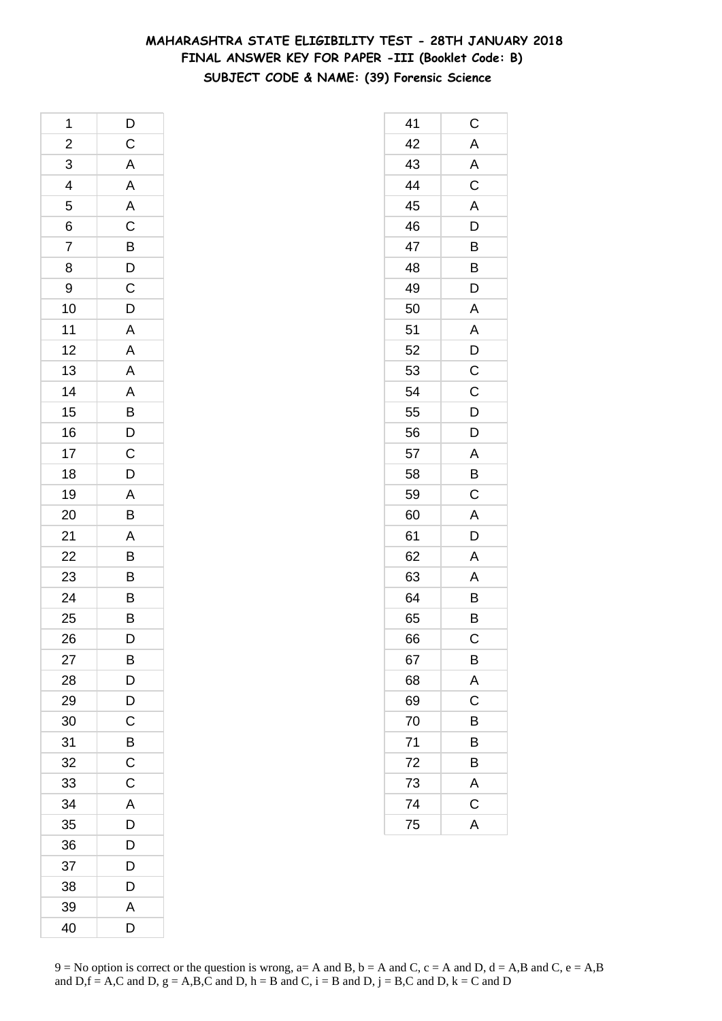# **MAHARASHTRA STATE ELIGIBILITY TEST - 28TH JANUARY 2018 FINAL ANSWER KEY FOR PAPER -III (Booklet Code: B) SUBJECT CODE & NAME: (39) Forensic Science**

| 1              | D                                                 |
|----------------|---------------------------------------------------|
| $\overline{a}$ | $\mathsf{C}$                                      |
| 3              | A                                                 |
| $\overline{4}$ | $\overline{A}$                                    |
| 5              | $rac{A}{C}$                                       |
| 6              |                                                   |
| 7              |                                                   |
| 8              |                                                   |
| 9              | $\frac{B}{C}$                                     |
| 10             | $\overline{D}$                                    |
| 11             | $\overline{A}$                                    |
| 12             | $\overline{A}$                                    |
| 13             | A                                                 |
| 14             |                                                   |
| 15             | $\begin{array}{c}\nA \\ B \\ D \\ C\n\end{array}$ |
| 16             |                                                   |
| 17             |                                                   |
| 18             | D                                                 |
| 19             |                                                   |
| 20             | $\frac{A}{B}$                                     |
| 21             |                                                   |
| 22             |                                                   |
| 23             | $\frac{A}{B}$                                     |
| 24             | B                                                 |
| 25             | B                                                 |
| 26             | D                                                 |
| 27             | B                                                 |
| 28             | D                                                 |
| 29             | D                                                 |
| 30             | C                                                 |
| 31             | B                                                 |
| 32             | C                                                 |
| 33             | C                                                 |
| 34             | A                                                 |
| 35             | D                                                 |
| 36             | D                                                 |
| 37             | D                                                 |
| 38             | D                                                 |
| 39             | Α                                                 |
| 40             | D                                                 |

| 41 | $\mathsf C$             |
|----|-------------------------|
| 42 | A                       |
| 43 | A                       |
| 44 | $\overline{C}$          |
| 45 | $\mathsf{A}$            |
| 46 | D                       |
| 47 | B                       |
| 48 | B                       |
| 49 | D                       |
| 50 | A                       |
| 51 | A                       |
| 52 | D                       |
| 53 | $\mathsf C$             |
| 54 | $\mathsf C$             |
| 55 | D                       |
| 56 | D                       |
| 57 | A                       |
| 58 | B                       |
| 59 | C                       |
| 60 | A                       |
| 61 | D                       |
| 62 | $\mathsf{A}$            |
| 63 | A                       |
| 64 | B                       |
| 65 | B                       |
| 66 | C                       |
| 67 | B                       |
| 68 | A                       |
| 69 | $\overline{\mathrm{c}}$ |
| 70 | B                       |
| 71 | B                       |
| 72 | B                       |
| 73 | A                       |
| 74 | $\mathsf C$             |
| 75 | $\overline{A}$          |
|    |                         |

 $9 = No$  option is correct or the question is wrong,  $a = A$  and B,  $b = A$  and C,  $c = A$  and D,  $d = A$ ,B and C,  $e = A$ ,B and  $D,f = A,C$  and  $D, g = A,B,C$  and  $D, h = B$  and  $C, i = B$  and  $D, j = B,C$  and  $D, k = C$  and  $D$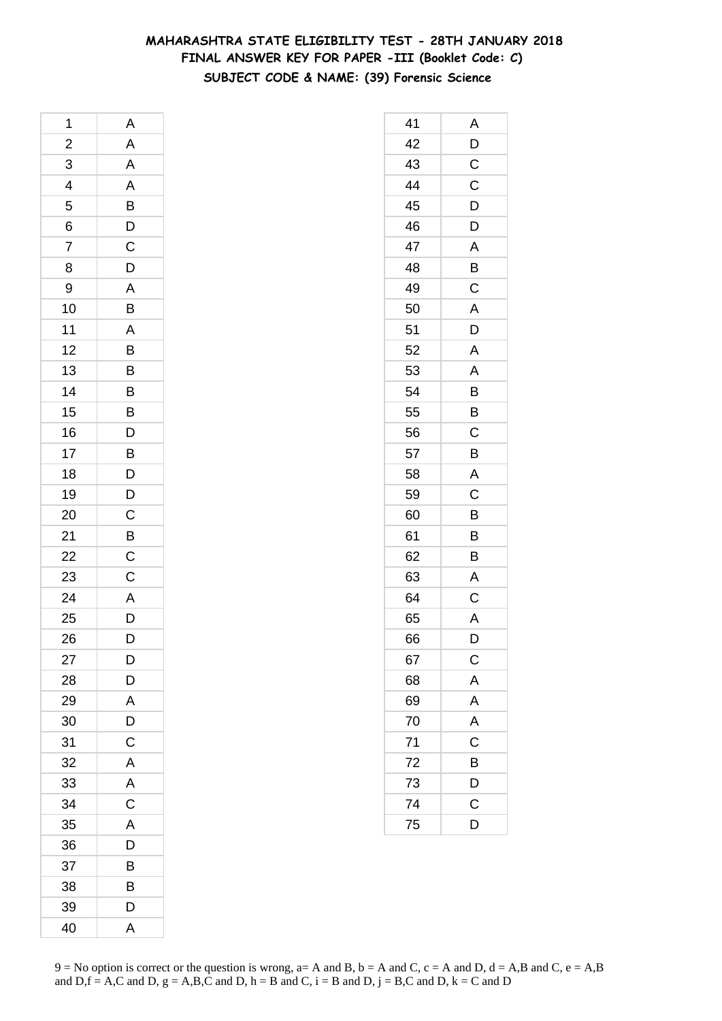# **MAHARASHTRA STATE ELIGIBILITY TEST - 28TH JANUARY 2018 FINAL ANSWER KEY FOR PAPER -III (Booklet Code: C) SUBJECT CODE & NAME: (39) Forensic Science**

| 1                       | Α                                                  |
|-------------------------|----------------------------------------------------|
| $\overline{\mathbf{c}}$ | A                                                  |
| 3                       | $\overline{A}$                                     |
| $\overline{4}$          |                                                    |
| 5                       | $\frac{A}{B}$ $\frac{B}{C}$                        |
| 6                       |                                                    |
| $\overline{7}$          |                                                    |
| 8                       | $\frac{1}{D}$                                      |
| 9                       |                                                    |
| 10                      | $\frac{A}{B}$                                      |
| 11                      |                                                    |
| 12                      |                                                    |
| 13                      | $\frac{B}{B}$                                      |
| 14                      | B                                                  |
| 15                      |                                                    |
| 16                      | $\overline{D}$<br>$\overline{D}$<br>$\overline{D}$ |
| 17                      |                                                    |
| 18                      |                                                    |
| 19                      |                                                    |
| 20                      | $\frac{D}{C}$                                      |
| 21                      | $\overline{B}$                                     |
| 22                      | $\overline{C}$                                     |
| 23                      | $\mathsf C$                                        |
| 24                      | $\overline{A}$                                     |
| 25                      | $\overline{\mathsf{D}}$                            |
| 26                      | D                                                  |
| 27                      | D                                                  |
| 28                      | D                                                  |
| 29                      | A                                                  |
| 30                      | D                                                  |
| 31                      | C                                                  |
| 32                      | A                                                  |
| 33                      | A                                                  |
| 34                      | $\overline{C}$                                     |
| 35                      | A                                                  |
| 36                      | D                                                  |
| 37                      | B                                                  |
| 38                      | B                                                  |
| 39                      | D                                                  |
| 40                      | A                                                  |

| 41 | Α                       |
|----|-------------------------|
| 42 | D                       |
| 43 | C                       |
| 44 | $\mathsf C$             |
| 45 | $\mathsf{D}$            |
| 46 | D                       |
| 47 | A                       |
| 48 | B                       |
| 49 | $\mathsf C$             |
| 50 | $\overline{A}$          |
| 51 | D                       |
| 52 | A                       |
| 53 | A                       |
| 54 | B                       |
| 55 | B                       |
| 56 | $\mathsf C$             |
| 57 | B                       |
| 58 | A                       |
| 59 | C                       |
| 60 | B                       |
| 61 | B                       |
| 62 | B                       |
| 63 | A                       |
| 64 | $\mathsf C$             |
| 65 | A                       |
| 66 | D                       |
| 67 | $\mathsf{C}$            |
| 68 | A                       |
| 69 | $\overline{A}$          |
| 70 | $\overline{\mathsf{A}}$ |
| 71 | C                       |
| 72 | B                       |
| 73 | D                       |
| 74 | C                       |
| 75 | D                       |
|    |                         |

 $9 = No$  option is correct or the question is wrong,  $a = A$  and B,  $b = A$  and C,  $c = A$  and D,  $d = A$ ,B and C,  $e = A$ ,B and  $D,f = A,C$  and  $D, g = A,B,C$  and  $D, h = B$  and  $C, i = B$  and  $D, j = B,C$  and  $D, k = C$  and  $D$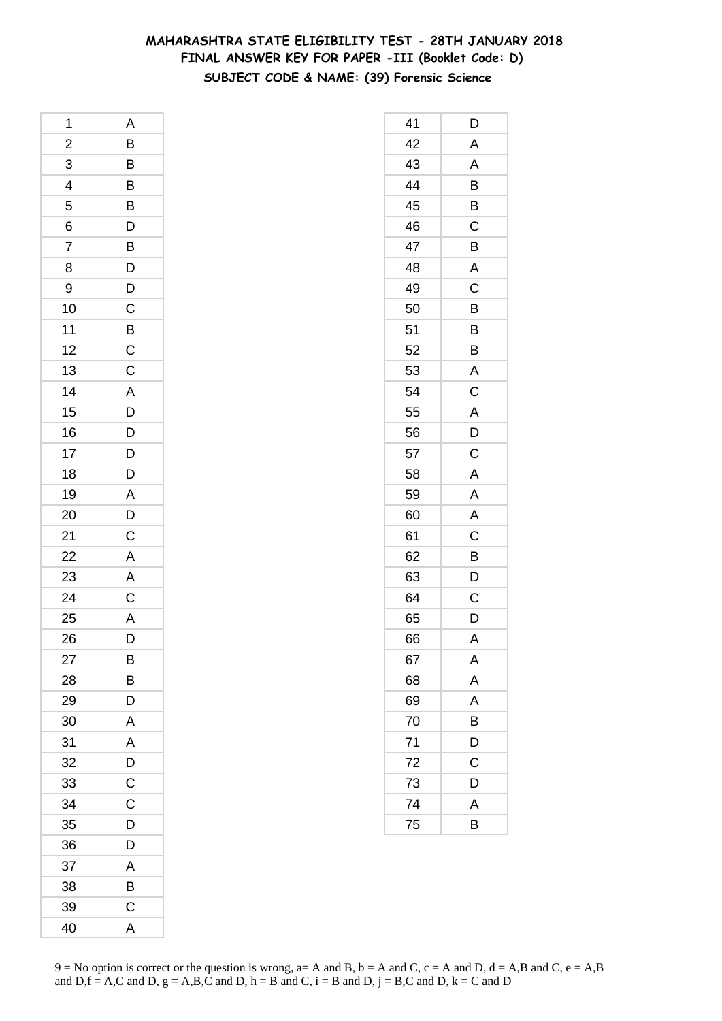# **MAHARASHTRA STATE ELIGIBILITY TEST - 28TH JANUARY 2018 FINAL ANSWER KEY FOR PAPER -III (Booklet Code: D) SUBJECT CODE & NAME: (39) Forensic Science**

| 1                       | Α                                                  |
|-------------------------|----------------------------------------------------|
| $\overline{\mathbf{c}}$ | B                                                  |
| $\overline{3}$          | $\overline{B}$                                     |
| $\overline{4}$          | $\overline{B}$<br>$\overline{B}$<br>$\overline{D}$ |
| 5                       |                                                    |
| 6                       |                                                    |
| $\overline{7}$          | $\frac{B}{D}$                                      |
| 8                       |                                                    |
| 9                       |                                                    |
| 10                      | $D$<br>$B$                                         |
| 11                      |                                                    |
| 12                      | $\frac{C}{C}$                                      |
| 13                      |                                                    |
| 14                      |                                                    |
| 15                      | A<br>D<br>D<br>D<br>D                              |
| 16                      |                                                    |
| 17                      |                                                    |
| 18                      | $\overline{D}$                                     |
| 19                      |                                                    |
| 20                      | $\frac{A}{D}$                                      |
| 21                      | $\mathsf{C}$                                       |
| 22                      | $\overline{A}$                                     |
| 23                      | $\overline{A}$                                     |
| 24                      | $\frac{C}{A}$                                      |
| 25                      |                                                    |
| 26                      | $\overline{D}$                                     |
| 27                      | В                                                  |
| 28                      | B                                                  |
| 29                      | D                                                  |
| 30                      | A                                                  |
| 31                      | A                                                  |
| 32                      | D                                                  |
| 33                      | $\mathsf C$                                        |
| 34                      | $\mathsf C$                                        |
| 35                      | D                                                  |
| 36                      | D                                                  |
| 37                      | A                                                  |
| 38                      | B                                                  |
| 39                      | $\mathsf{C}$                                       |
| 40                      | A                                                  |

| 41 | D              |
|----|----------------|
| 42 | A              |
| 43 | A              |
| 44 | B              |
| 45 | B              |
| 46 | C              |
| 47 | B              |
| 48 | A              |
| 49 | C              |
| 50 | B              |
| 51 | $\overline{B}$ |
| 52 | B              |
| 53 | A              |
| 54 | C              |
| 55 | A              |
| 56 | $\frac{D}{C}$  |
| 57 |                |
| 58 | A              |
| 59 | A              |
| 60 | A              |
| 61 | C              |
| 62 | B              |
| 63 | D              |
| 64 | C              |
| 65 | D              |
| 66 | A              |
| 67 | A              |
| 68 | A              |
| 69 | A              |
| 70 | B              |
| 71 | D              |
| 72 | C              |
| 73 | D              |
| 74 | A              |
| 75 | B              |
|    |                |

 $9 = No$  option is correct or the question is wrong,  $a = A$  and B,  $b = A$  and C,  $c = A$  and D,  $d = A$ ,B and C,  $e = A$ ,B and  $D,f = A,C$  and  $D, g = A,B,C$  and  $D, h = B$  and  $C, i = B$  and  $D, j = B,C$  and  $D, k = C$  and  $D$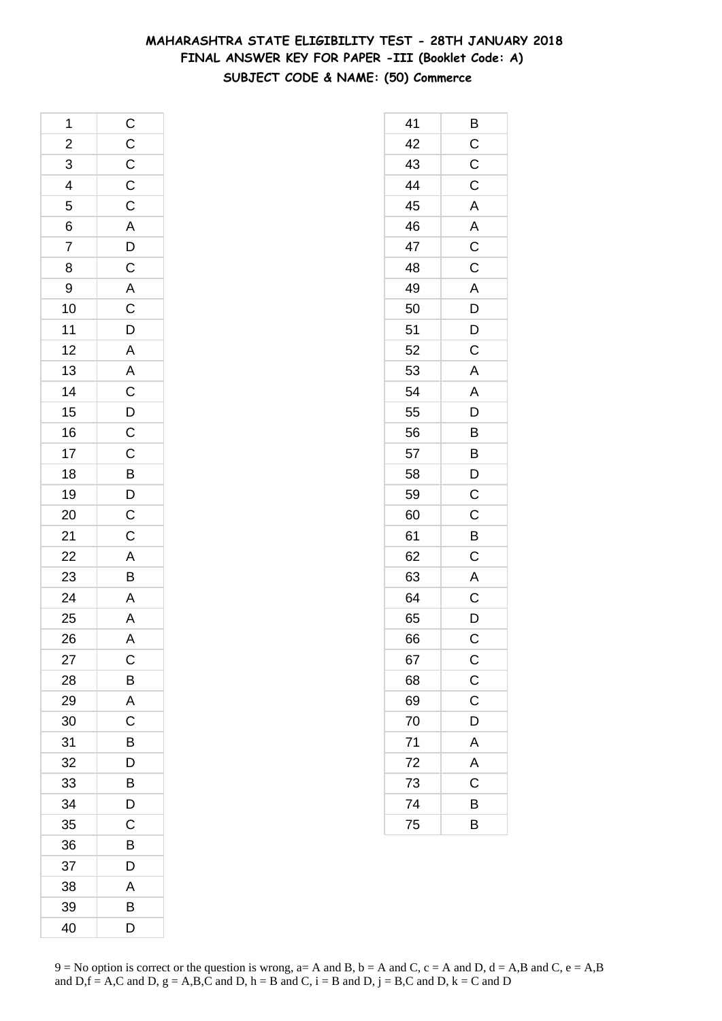# **MAHARASHTRA STATE ELIGIBILITY TEST - 28TH JANUARY 2018 FINAL ANSWER KEY FOR PAPER -III (Booklet Code: A) SUBJECT CODE & NAME: (50) Commerce**

| 1                       |                                   |
|-------------------------|-----------------------------------|
| $\overline{\mathbf{c}}$ | C C C C A D C A C D A A C D C C B |
| $\overline{3}$          |                                   |
| $\frac{4}{5}$           |                                   |
|                         |                                   |
| $\frac{6}{7}$           |                                   |
|                         |                                   |
| 8                       |                                   |
| 9                       |                                   |
| 10                      |                                   |
| 11                      |                                   |
| 12                      |                                   |
| 13                      |                                   |
| 14                      |                                   |
| 15                      |                                   |
| 16                      |                                   |
| 17                      |                                   |
| 18                      |                                   |
| 19                      |                                   |
| 20                      | $\frac{D}{C}$                     |
| 21                      | $\mathsf{C}$                      |
| $\overline{22}$         |                                   |
| 23                      | $\frac{A}{B}$                     |
| $\overline{24}$         |                                   |
| 25                      | $\frac{A}{A}$                     |
| 26                      | $\overline{\mathsf{A}}$           |
| 27                      | C                                 |
| 28                      | B                                 |
| 29                      | A                                 |
| 30                      | C                                 |
| 31                      | B                                 |
| 32                      | D                                 |
| 33                      | B                                 |
| 34                      | D                                 |
| 35                      | C                                 |
| 36                      | B                                 |
| 37                      | D                                 |
| 38                      | A                                 |
| 39                      | В                                 |
| 40                      | D                                 |

| 41 | Β                     |
|----|-----------------------|
| 42 | $\mathsf C$           |
| 43 | C                     |
| 44 | $\mathsf C$           |
| 45 | A                     |
| 46 | A                     |
| 47 | $\overline{C}$        |
| 48 | $\overline{\text{c}}$ |
| 49 | A                     |
| 50 | $\overline{D}$        |
| 51 | $\overline{D}$        |
| 52 | C                     |
| 53 | $\mathsf{A}$          |
| 54 | A                     |
| 55 | D                     |
| 56 | $\overline{B}$        |
| 57 | $\overline{B}$        |
| 58 | D                     |
| 59 | C                     |
| 60 | C                     |
| 61 | B                     |
| 62 | $\mathsf C$           |
| 63 | $\mathsf{A}$          |
| 64 | $\mathsf C$           |
| 65 | D                     |
| 66 | C                     |
| 67 | $\mathsf{C}$          |
| 68 | $\overline{C}$        |
| 69 | $\mathsf C$           |
| 70 | D                     |
| 71 | A                     |
| 72 | A                     |
| 73 | C                     |
| 74 | В                     |
| 75 | B                     |
|    |                       |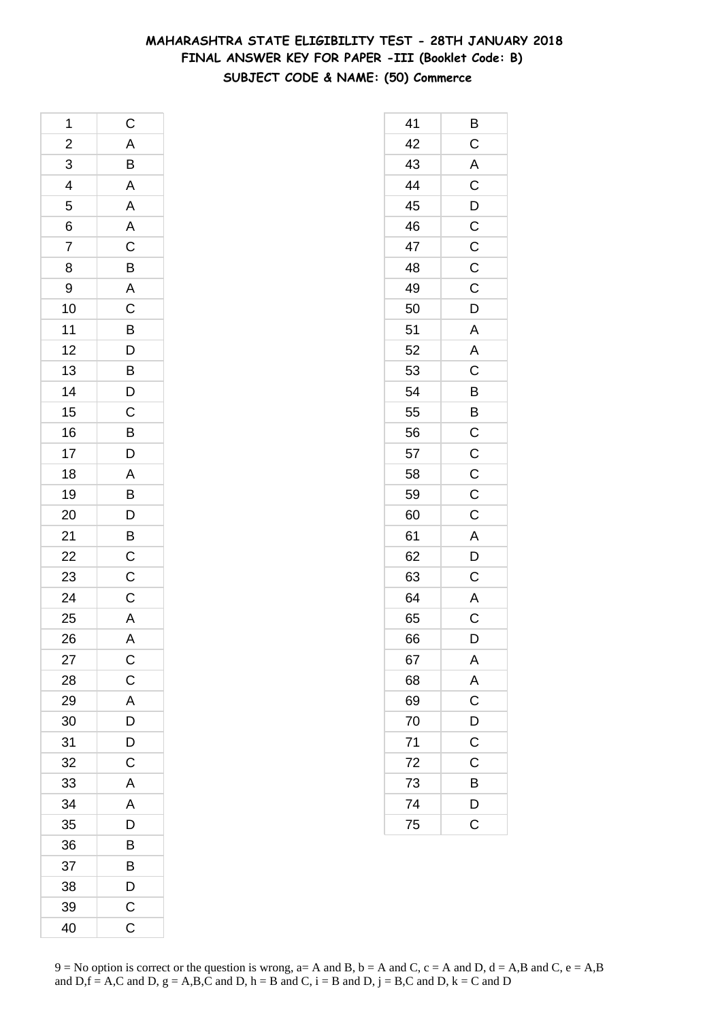# **MAHARASHTRA STATE ELIGIBILITY TEST - 28TH JANUARY 2018 FINAL ANSWER KEY FOR PAPER -III (Booklet Code: B) SUBJECT CODE & NAME: (50) Commerce**

| 1                       | $\mathsf{C}$                                 |
|-------------------------|----------------------------------------------|
| $\overline{\mathbf{c}}$ |                                              |
| 3                       | A B A A A C B A C B D B D C B D A B D        |
| $\overline{4}$          |                                              |
| 5                       |                                              |
| 6                       |                                              |
| $\overline{7}$          |                                              |
| 8                       |                                              |
| 9                       |                                              |
| 10                      |                                              |
| 11                      |                                              |
| 12                      |                                              |
| 13                      |                                              |
| 14                      |                                              |
| 15                      |                                              |
| 16                      |                                              |
| 17                      |                                              |
| 18                      |                                              |
| 19                      |                                              |
| 20                      |                                              |
| 21                      |                                              |
| 22                      | $\overline{B}$ $\overline{C}$ $\overline{C}$ |
| 23                      |                                              |
| 24                      | $\overline{C}$                               |
| 25                      | $\overline{A}$                               |
| 26                      | A                                            |
| 27                      | $\mathsf{C}$                                 |
| 28                      | $\overline{C}$                               |
| 29                      | A                                            |
| 30                      | D                                            |
| 31                      | D                                            |
| 32                      | $\mathsf{C}$                                 |
| 33                      | A                                            |
| 34                      | A                                            |
| 35                      | D                                            |
| 36                      | B                                            |
| 37                      | B                                            |
| 38                      | D                                            |
| 39                      | $\mathsf{C}$                                 |
| 40                      | C                                            |

| 41 | Β                       |
|----|-------------------------|
| 42 | $\mathsf C$             |
| 43 | A                       |
| 44 | $\overline{C}$          |
| 45 | $\overline{D}$          |
| 46 | $\overline{C}$          |
| 47 | $\overline{C}$          |
| 48 | C                       |
| 49 | $\mathsf C$             |
| 50 | D                       |
| 51 | A                       |
| 52 | A                       |
| 53 | $\overline{\mathsf{C}}$ |
| 54 | B                       |
| 55 | B                       |
| 56 | $\overline{C}$          |
| 57 | $\overline{C}$          |
| 58 | $\mathsf{C}$            |
| 59 | $\mathsf C$             |
| 60 | C                       |
| 61 | A                       |
| 62 | $\overline{\mathsf{D}}$ |
| 63 | $\mathsf C$             |
| 64 | $rac{A}{C}$             |
| 65 |                         |
| 66 | D                       |
| 67 | A                       |
| 68 |                         |
| 69 | $rac{A}{C}$             |
| 70 | $\frac{D}{C}$           |
| 71 |                         |
| 72 | $\mathsf{C}$            |
| 73 | B                       |
| 74 | D                       |
| 75 | $\overline{\text{c}}$   |
|    |                         |

 $9 = No$  option is correct or the question is wrong,  $a = A$  and B,  $b = A$  and C,  $c = A$  and D,  $d = A$ ,B and C,  $e = A$ ,B and  $D,f = A,C$  and  $D, g = A,B,C$  and  $D, h = B$  and  $C, i = B$  and  $D, j = B,C$  and  $D, k = C$  and  $D$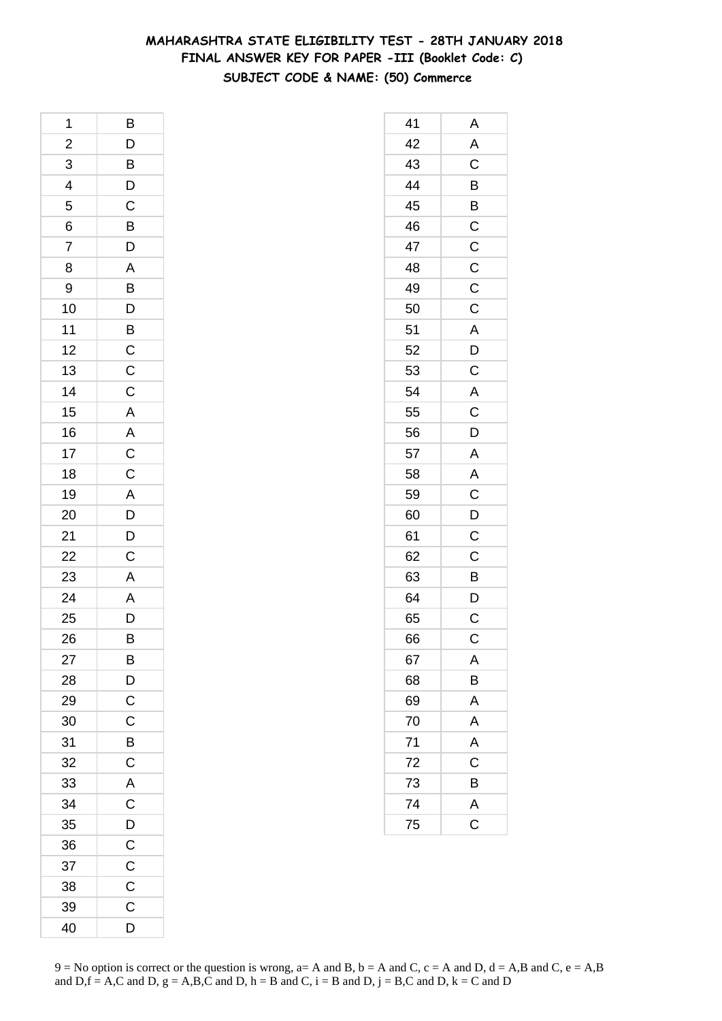# **MAHARASHTRA STATE ELIGIBILITY TEST - 28TH JANUARY 2018 FINAL ANSWER KEY FOR PAPER -III (Booklet Code: C) SUBJECT CODE & NAME: (50) Commerce**

| 1              | В                                                                     |
|----------------|-----------------------------------------------------------------------|
| $\overline{a}$ |                                                                       |
| 3              | $\begin{array}{c} \mathsf{D} \\ \mathsf{B} \\ \mathsf{D} \end{array}$ |
| $\overline{4}$ |                                                                       |
| 5              | $\overline{C}$                                                        |
| 6              | $\overline{B}$                                                        |
| 7              | D                                                                     |
| 8              | $\mathsf{A}$                                                          |
| 9              |                                                                       |
| 10             | BDBCC                                                                 |
| 11             |                                                                       |
| 12             |                                                                       |
| 13             |                                                                       |
| 14             | $\mathsf{C}$                                                          |
| 15             | $\overline{A}$                                                        |
| 16             |                                                                       |
| 17             | $rac{A}{C}$                                                           |
| 18             | $\overline{C}$                                                        |
| 19             |                                                                       |
| 20             | $\frac{A}{D}$                                                         |
| 21             | $\overline{D}$                                                        |
| 22             | $\overline{C}$                                                        |
| 23             | $\mathsf{A}$                                                          |
| 24             | A<br>D                                                                |
| 25             |                                                                       |
| 26             | B                                                                     |
| 27             | B                                                                     |
| 28             | $\overline{D}$                                                        |
| 29             | $\overline{C}$                                                        |
| 30             | $\mathsf C$                                                           |
| 31             | B                                                                     |
| 32             | C                                                                     |
| 33             | A                                                                     |
| 34             | $\overline{C}$                                                        |
| 35             | $\overline{D}$                                                        |
| 36             | $\overline{C}$                                                        |
| 37             | $\mathsf C$                                                           |
| 38             | $\mathsf C$                                                           |
| 39             | $\mathsf C$                                                           |
| 40             | D                                                                     |

| 41 | Α                       |
|----|-------------------------|
| 42 | A                       |
| 43 | C                       |
| 44 |                         |
| 45 | $\frac{B}{B}$           |
| 46 | $\overline{C}$          |
| 47 | $\mathsf C$             |
| 48 | $\mathsf C$             |
| 49 | $\mathsf C$             |
| 50 | $\mathsf{C}$            |
| 51 | A                       |
| 52 | D                       |
| 53 | C                       |
| 54 | $\mathsf{A}$            |
| 55 | $\mathsf C$             |
| 56 | $\overline{D}$          |
| 57 | $\overline{\mathsf{A}}$ |
| 58 | A                       |
| 59 | $\overline{\mathrm{c}}$ |
| 60 | D                       |
| 61 | C                       |
| 62 | C                       |
| 63 | $\overline{B}$          |
| 64 | $\overline{D}$          |
| 65 | $\overline{\text{c}}$   |
| 66 | C                       |
| 67 | A                       |
| 68 | B                       |
| 69 | A                       |
| 70 | A                       |
| 71 | A                       |
| 72 | C                       |
| 73 | B                       |
| 74 | $\mathsf{A}$            |
| 75 | $\overline{\text{c}}$   |
|    |                         |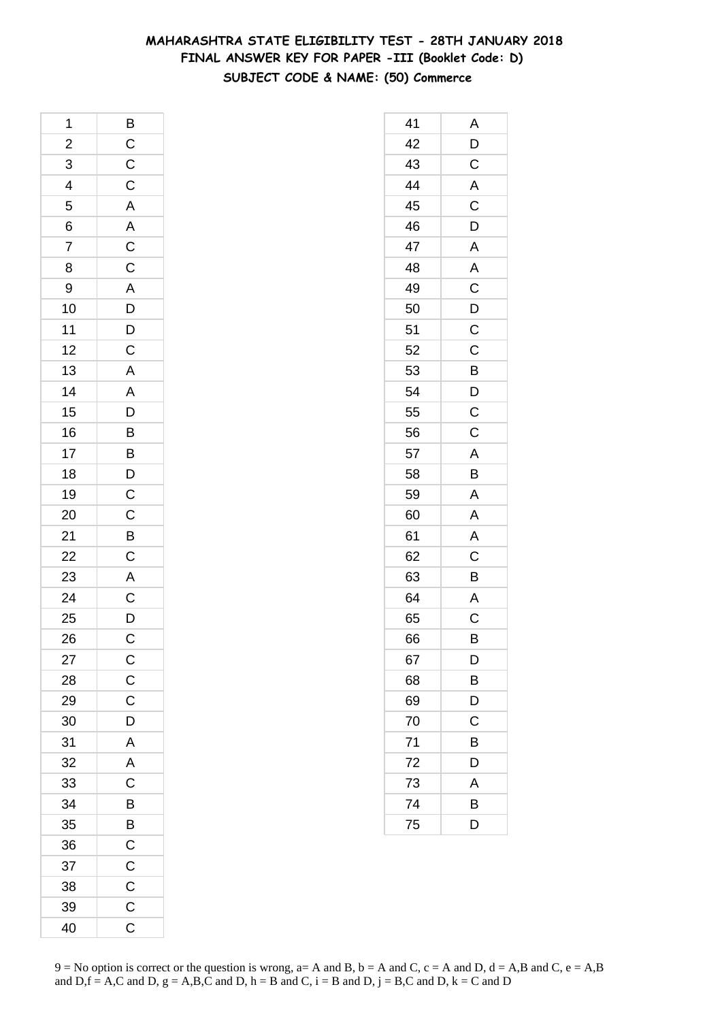# **MAHARASHTRA STATE ELIGIBILITY TEST - 28TH JANUARY 2018 FINAL ANSWER KEY FOR PAPER -III (Booklet Code: D) SUBJECT CODE & NAME: (50) Commerce**

| 1                       | B                                                  |
|-------------------------|----------------------------------------------------|
| $\overline{\mathbf{c}}$ |                                                    |
| 3                       | $\frac{C}{C}$                                      |
| $\overline{4}$          |                                                    |
| 5                       |                                                    |
| 6                       | A<br>A<br>C<br>C                                   |
| 7                       |                                                    |
| 8                       |                                                    |
| 9                       |                                                    |
| 10                      |                                                    |
| 11                      | $\overline{A}$<br>$\overline{D}$<br>$\overline{D}$ |
| 12                      |                                                    |
| 13                      | C A A D B B D C C                                  |
| 14                      |                                                    |
| 15                      |                                                    |
| 16                      |                                                    |
| 17                      |                                                    |
| 18                      |                                                    |
| 19                      |                                                    |
| 20                      |                                                    |
| 21                      |                                                    |
| 22                      | $rac{B}{C}$                                        |
| 23                      | $\overline{A}$                                     |
| 24                      | $\frac{C}{D}$                                      |
| 25                      |                                                    |
| 26                      | $\overline{c}$                                     |
| 27                      | $\mathsf{C}$                                       |
| 28                      | $\mathsf C$                                        |
| 29                      | $\mathsf C$                                        |
| 30                      | $\mathsf{D}$                                       |
| 31                      | A                                                  |
| 32                      | A                                                  |
| 33                      | C                                                  |
| 34                      | $\overline{B}$                                     |
| 35                      | $\overline{B}$                                     |
| 36                      | $\overline{C}$                                     |
| 37                      | $\mathsf C$                                        |
| 38                      | C                                                  |
| 39                      | $\mathsf C$                                        |
| 40                      | $\mathsf C$                                        |

| 41 | Α                       |
|----|-------------------------|
| 42 | D                       |
| 43 | C                       |
| 44 | $\overline{\mathsf{A}}$ |
| 45 | $\overline{C}$          |
| 46 | D                       |
| 47 | A                       |
| 48 | A                       |
| 49 | $\mathsf C$             |
| 50 | $\overline{D}$          |
| 51 | $\overline{C}$          |
| 52 | $\mathsf C$             |
| 53 | B                       |
| 54 | D                       |
| 55 | C                       |
| 56 | $\mathsf C$             |
| 57 | A                       |
| 58 | B                       |
| 59 | A                       |
| 60 | A                       |
| 61 | A                       |
| 62 | C                       |
| 63 | B                       |
| 64 | A                       |
| 65 | $\mathsf C$             |
| 66 | B                       |
| 67 | D                       |
| 68 | В                       |
| 69 | D                       |
| 70 | C                       |
| 71 | B                       |
| 72 | D                       |
| 73 | Α                       |
| 74 | В                       |
| 75 | D                       |
|    |                         |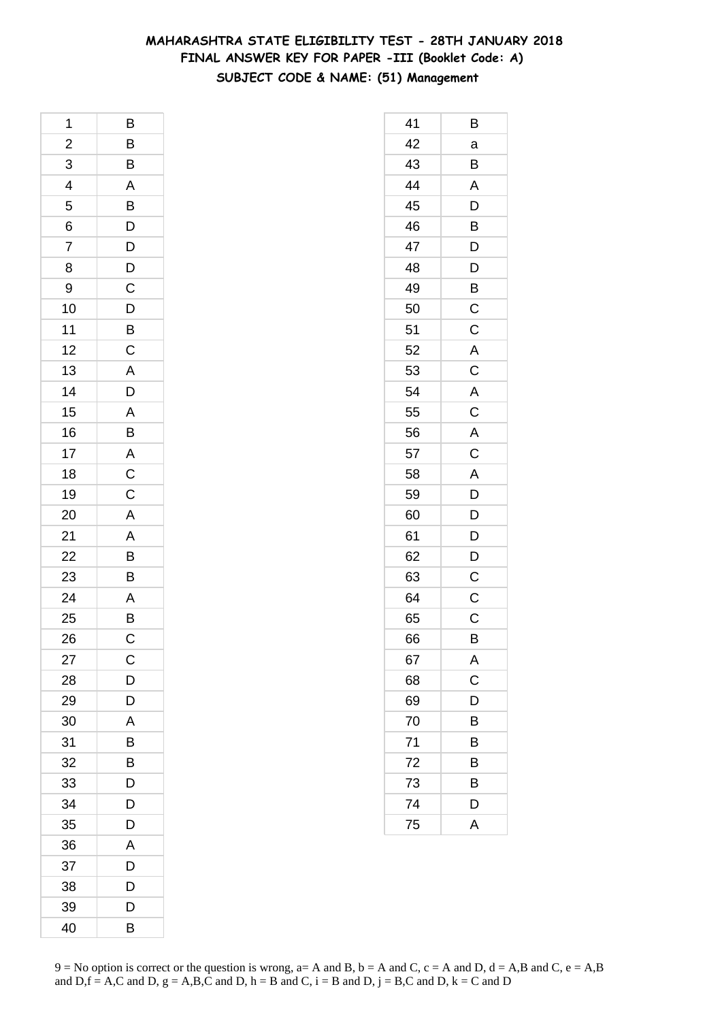# **MAHARASHTRA STATE ELIGIBILITY TEST - 28TH JANUARY 2018 FINAL ANSWER KEY FOR PAPER -III (Booklet Code: A) SUBJECT CODE & NAME: (51) Management**

| 1              | B                                  |
|----------------|------------------------------------|
| $\overline{a}$ |                                    |
| 3              | $\frac{B}{B}$                      |
| $\overline{4}$ | $\overline{AB}$<br>$\overline{DB}$ |
| 5              |                                    |
| 6              |                                    |
| 7              |                                    |
| 8              | $\frac{D}{D}$                      |
| 9              | $\overline{C}$                     |
| 10             | $\overline{D}$<br>B                |
| 11             |                                    |
| 12             | $\overline{C}$                     |
| 13             | $\overline{\mathsf{A}}$            |
| 14             | D                                  |
| 15             |                                    |
| 16             | $\frac{A}{B}$                      |
| 17             |                                    |
| 18             | $\frac{A}{C}$                      |
| 19             |                                    |
| 20             | $\overline{\mathsf{A}}$            |
| 21             |                                    |
| 22             | A<br>B<br>B                        |
| 23             |                                    |
| 24             | $rac{A}{B}$                        |
| 25             |                                    |
| 26             | $\mathsf C$                        |
| 27             | C                                  |
| 28             | D                                  |
| 29             | D                                  |
| 30             | A                                  |
| 31             | B                                  |
| 32             | B                                  |
| 33             | D                                  |
| 34             | D                                  |
| 35             | D                                  |
| 36             | A                                  |
| 37             | D                                  |
| 38             | D                                  |
| 39             | D                                  |
| 40             | B                                  |

| 41 | Β                     |
|----|-----------------------|
| 42 | a                     |
| 43 | Β                     |
| 44 | A                     |
| 45 | $\overline{D}$        |
| 46 | B                     |
| 47 | D                     |
| 48 | D                     |
| 49 | B                     |
| 50 | C                     |
| 51 | $\mathsf C$           |
| 52 | A                     |
| 53 | $\mathsf C$           |
| 54 | A                     |
| 55 | $\overline{\text{c}}$ |
| 56 | A                     |
| 57 | $\overline{C}$        |
| 58 | A                     |
| 59 | D                     |
| 60 | D                     |
| 61 | D                     |
| 62 | D                     |
| 63 | $\mathsf C$           |
| 64 | $\mathsf C$           |
| 65 | C                     |
| 66 | B                     |
| 67 | A                     |
| 68 | C                     |
| 69 | D                     |
| 70 | B                     |
| 71 | B                     |
| 72 | В                     |
| 73 | В                     |
| 74 | D                     |
| 75 | A                     |
|    |                       |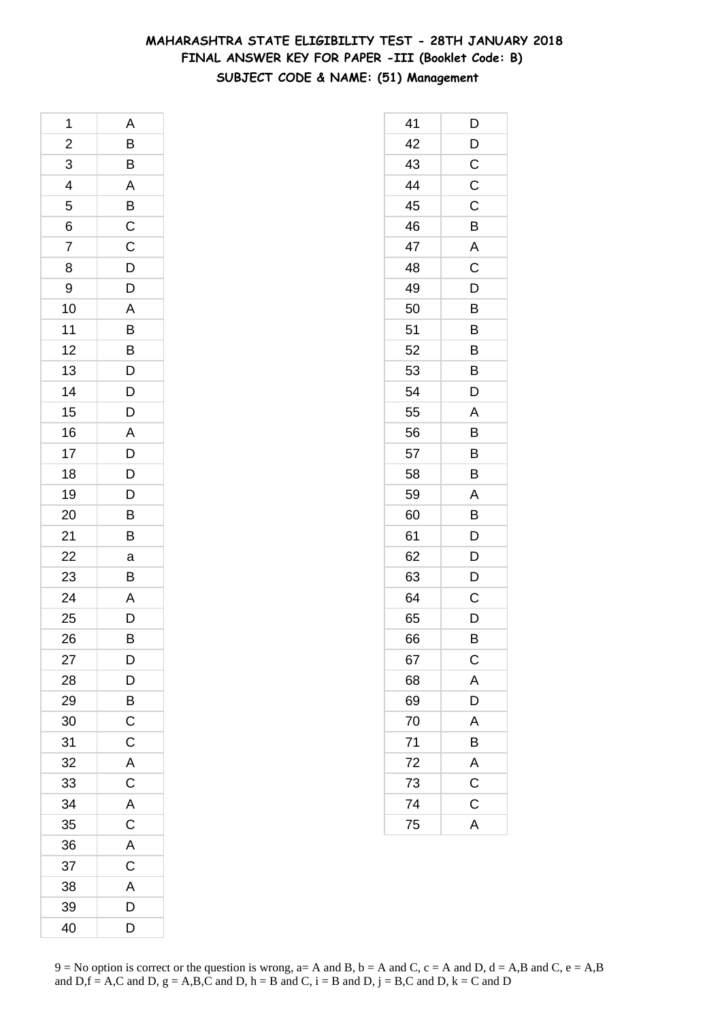# **MAHARASHTRA STATE ELIGIBILITY TEST - 28TH JANUARY 2018 FINAL ANSWER KEY FOR PAPER -III (Booklet Code: B) SUBJECT CODE & NAME: (51) Management**

| 1              | Α              |
|----------------|----------------|
| $\overline{c}$ | $\overline{B}$ |
| $\overline{3}$ | $\overline{B}$ |
| $\overline{4}$ | $\overline{A}$ |
| 5              | $rac{B}{C}$    |
| 6              |                |
| $\overline{7}$ | $\mathsf C$    |
| 8              | D              |
| 9              | D              |
| 10             | $\overline{A}$ |
| 11             | $\overline{B}$ |
| 12             | $\overline{B}$ |
| 13             | D              |
| 14             | $\overline{D}$ |
| 15             | D              |
| 16             | A              |
| 17             | $\overline{D}$ |
| 18             | $\overline{D}$ |
| 19             | D              |
| 20             | B              |
| 21             | B              |
| 22             | a              |
| 23             | B              |
| 24             | A              |
| 25             | D              |
| 26             | B              |
| 27             | D              |
| 28             | D              |
| 29             | B              |
| 30             | $\mathsf C$    |
| 31             | C              |
| 32             | A              |
| 33             | $\mathsf C$    |
| 34             | $\overline{A}$ |
| 35             | $\mathsf C$    |
| 36             | A              |
| 37             | C              |
| 38             | A              |
| 39             | D              |
| 40             | D              |

| 41 | D              |
|----|----------------|
| 42 | D              |
| 43 | $\mathsf C$    |
| 44 | $\mathsf C$    |
| 45 | C              |
| 46 | B              |
| 47 | A              |
| 48 | C              |
| 49 | D              |
| 50 | B              |
| 51 | B              |
| 52 | B              |
| 53 | Β              |
| 54 | D              |
| 55 | A              |
| 56 | B              |
| 57 | B              |
| 58 | B              |
| 59 | Α              |
| 60 | B              |
| 61 | D              |
| 62 | D              |
| 63 | D              |
| 64 | C              |
| 65 | D              |
| 66 | В              |
| 67 | $\mathsf C$    |
| 68 | A              |
| 69 | $\overline{D}$ |
| 70 | A              |
| 71 | B              |
| 72 | A              |
| 73 | $\mathsf C$    |
| 74 | $\mathsf C$    |
| 75 | A              |
|    |                |

 $9 = No$  option is correct or the question is wrong,  $a = A$  and B,  $b = A$  and C,  $c = A$  and D,  $d = A$ ,B and C,  $e = A$ ,B and  $D,f = A,C$  and  $D, g = A,B,C$  and  $D, h = B$  and  $C, i = B$  and  $D, j = B,C$  and  $D, k = C$  and  $D$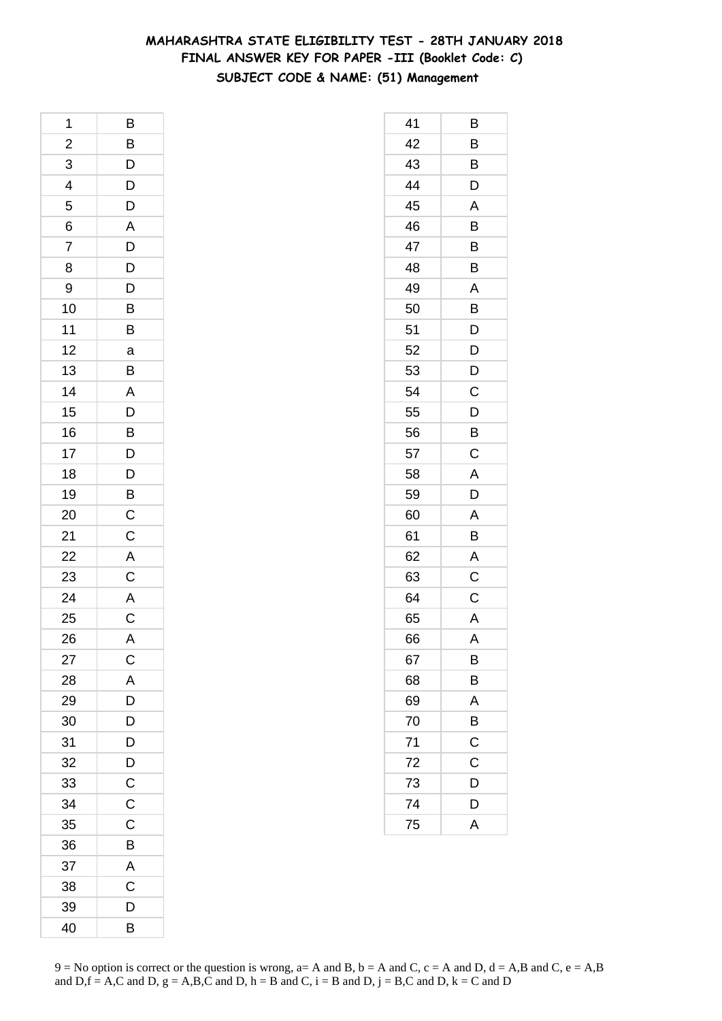# **MAHARASHTRA STATE ELIGIBILITY TEST - 28TH JANUARY 2018 FINAL ANSWER KEY FOR PAPER -III (Booklet Code: C) SUBJECT CODE & NAME: (51) Management**

| 1                       | Β                                |
|-------------------------|----------------------------------|
| $\overline{\mathbf{c}}$ | $\overline{B}$                   |
| 3                       |                                  |
| $\overline{4}$          | $\frac{D}{D}$                    |
| 5                       | $\overline{D}$                   |
| 6                       | A                                |
| 7                       | D                                |
| 8                       | D                                |
| 9                       | $\overline{D}$                   |
| 10                      | $\frac{B}{B}$                    |
| 11                      |                                  |
| 12                      | a                                |
| 13                      | B                                |
| 14                      | A                                |
| 15                      |                                  |
| 16                      | $\overline{B}$<br>$\overline{D}$ |
| 17                      |                                  |
| 18                      | D                                |
| 19                      |                                  |
| 20                      | $\frac{B}{C}$                    |
| 21                      | $\mathsf{C}$                     |
| 22                      | $\mathsf{A}$                     |
| 23                      | $\overline{C}$                   |
| 24                      | A<br>C                           |
| 25                      |                                  |
| 26                      | $\overline{\mathsf{A}}$          |
| 27                      | $\mathsf{C}$                     |
| 28                      | A                                |
| 29                      | D                                |
| 30                      | D                                |
| 31                      | D                                |
| 32                      | D                                |
| 33                      | $\mathsf C$                      |
| 34                      | $\mathsf C$                      |
| 35                      | C                                |
| 36                      | B                                |
| 37                      | A                                |
| 38                      | C                                |
| 39                      | D                                |
| 40                      | B                                |

| 41 | В              |
|----|----------------|
| 42 | B              |
| 43 | В              |
| 44 | D              |
| 45 | A              |
| 46 | B              |
| 47 | B              |
| 48 | B              |
| 49 | A              |
| 50 | B              |
| 51 | $\overline{D}$ |
| 52 | D              |
| 53 | D              |
| 54 | C              |
| 55 | D              |
| 56 | $\overline{B}$ |
| 57 | $\mathsf C$    |
| 58 | A              |
| 59 | D              |
| 60 | A              |
| 61 | B              |
| 62 | $\overline{A}$ |
| 63 | $\mathsf C$    |
| 64 | C              |
| 65 | A              |
| 66 | A              |
| 67 | B              |
| 68 | B              |
| 69 | A              |
| 70 | B              |
| 71 | C              |
| 72 | C              |
| 73 | D              |
| 74 | D              |
| 75 | A              |
|    |                |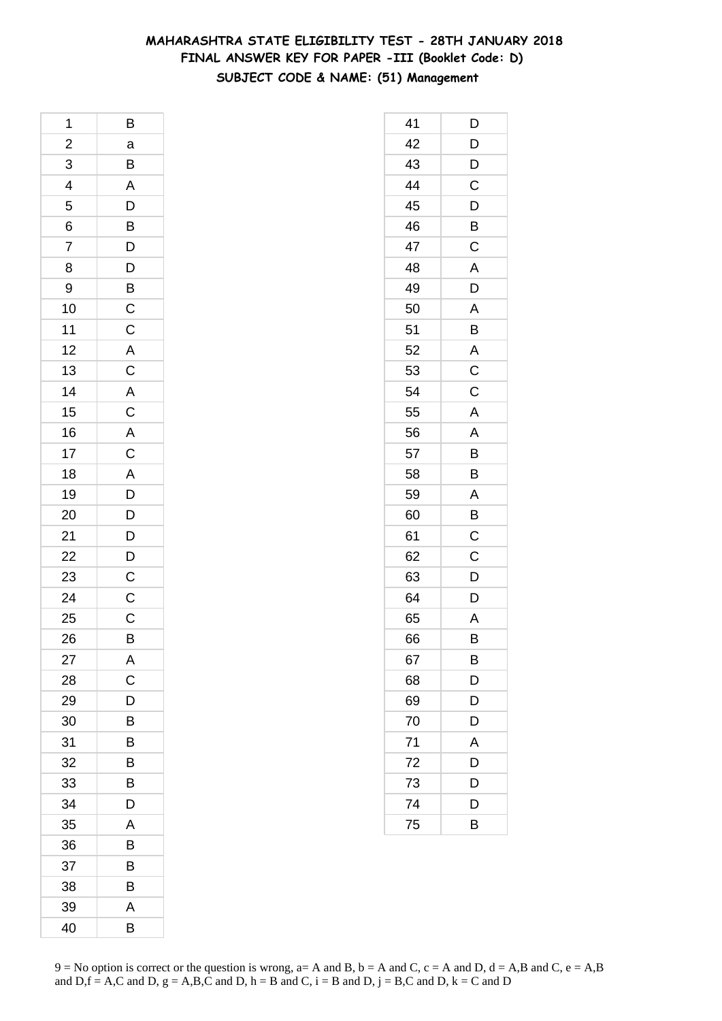# **MAHARASHTRA STATE ELIGIBILITY TEST - 28TH JANUARY 2018 FINAL ANSWER KEY FOR PAPER -III (Booklet Code: D) SUBJECT CODE & NAME: (51) Management**

| 1              | Β                                            |
|----------------|----------------------------------------------|
| $\overline{a}$ | a                                            |
| $\overline{3}$ |                                              |
| $\frac{4}{5}$  | $\frac{B}{A}$                                |
|                | $\frac{D}{B}$                                |
| $\frac{6}{7}$  |                                              |
|                |                                              |
| 8              | $\frac{D}{D}$                                |
| 9              |                                              |
| 10             | $\overline{B}$ $\overline{C}$ $\overline{C}$ |
| 11             |                                              |
| 12             |                                              |
| 13             |                                              |
| 14             |                                              |
| 15             |                                              |
| 16             |                                              |
| 17             |                                              |
| 18             |                                              |
| 19             | ACACACADD                                    |
| 20             |                                              |
| 21             |                                              |
| 22             | $\frac{D}{D}$                                |
| 23             | $\overline{\mathsf{C}}$                      |
| 24             | $\frac{C}{C}$                                |
| 25             |                                              |
| 26             | B                                            |
| 27             | A                                            |
| 28             | $\overline{C}$                               |
| 29             | D                                            |
| 30             | B                                            |
| 31             | B                                            |
| 32             | B                                            |
| 33             | B                                            |
| 34             | D                                            |
| 35             | A                                            |
| 36             | B                                            |
| 37             | Β                                            |
| 38             | Β                                            |
| 39             | Α                                            |
| 40             | B                                            |

| 41 | D              |
|----|----------------|
| 42 | D              |
| 43 | D              |
| 44 | C              |
| 45 | $\overline{D}$ |
| 46 | B              |
| 47 | C              |
| 48 | A              |
| 49 | D              |
| 50 | A              |
| 51 | B              |
| 52 | A              |
| 53 | $\mathsf C$    |
| 54 | C              |
| 55 | A              |
| 56 | A              |
| 57 | B              |
| 58 | B              |
| 59 | A              |
| 60 | B              |
| 61 | C              |
| 62 | $\mathsf C$    |
| 63 | $\overline{D}$ |
| 64 | D              |
| 65 | A              |
| 66 | B              |
| 67 | В              |
| 68 | D              |
| 69 | D              |
| 70 | D              |
| 71 | A              |
| 72 | D              |
| 73 | D              |
| 74 | D              |
| 75 | B              |
|    |                |

 $9 = No$  option is correct or the question is wrong,  $a = A$  and B,  $b = A$  and C,  $c = A$  and D,  $d = A$ ,B and C,  $e = A$ ,B and  $D,f = A,C$  and  $D, g = A,B,C$  and  $D, h = B$  and  $C, i = B$  and  $D, j = B,C$  and  $D, k = C$  and  $D$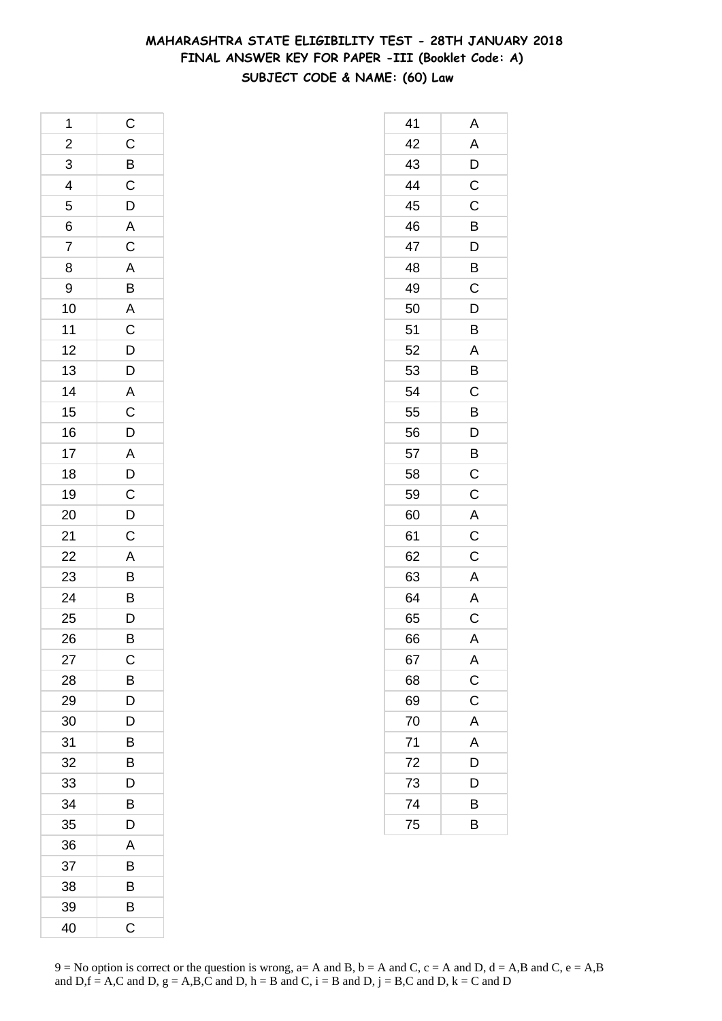# **MAHARASHTRA STATE ELIGIBILITY TEST - 28TH JANUARY 2018 FINAL ANSWER KEY FOR PAPER -III (Booklet Code: A) SUBJECT CODE & NAME: (60) Law**

| 1              | $\overline{C}$                      |
|----------------|-------------------------------------|
| $\overline{2}$ | $C$<br>$B$<br>$C$<br>$D$            |
| 3              |                                     |
| $\overline{4}$ |                                     |
| 5              |                                     |
| $\overline{6}$ | $rac{A}{C}$                         |
| $\overline{7}$ |                                     |
| 8              |                                     |
| 9              |                                     |
| 10             |                                     |
| 11             |                                     |
| 12             |                                     |
| 13             |                                     |
| 14             |                                     |
| 15             |                                     |
| 16             |                                     |
| 17             |                                     |
| 18             |                                     |
| 19             |                                     |
| 20             | A B A C D D A C D A D C D C A B B D |
| 21             |                                     |
| 22             |                                     |
| 23             |                                     |
| 24             |                                     |
| 25             |                                     |
| 26             | B                                   |
| 27             | C                                   |
| 28             | B                                   |
| 29             | D                                   |
| 30             | D                                   |
| 31             | В                                   |
| 32             | B                                   |
| 33             | D                                   |
| 34             | B                                   |
| 35             | D                                   |
| 36             | Α                                   |
| 37             | В                                   |
| 38             | B                                   |
| 39             | B                                   |
| 40             | C                                   |

| 41 | Α                       |
|----|-------------------------|
| 42 | $\mathsf{A}$            |
| 43 | $\overline{D}$          |
| 44 | $\mathsf C$             |
| 45 | C                       |
| 46 | B                       |
| 47 | D                       |
| 48 | B                       |
| 49 | C                       |
| 50 | D                       |
| 51 | B                       |
| 52 | A                       |
| 53 | B                       |
| 54 | $\mathsf C$             |
| 55 | B                       |
| 56 | $\bar{\mathsf{D}}$      |
| 57 | B                       |
| 58 | $\mathsf C$             |
| 59 | $\mathsf{C}$            |
| 60 | A                       |
| 61 | $\overline{\mathrm{C}}$ |
| 62 | C                       |
| 63 | A                       |
| 64 | $\mathsf{A}$            |
| 65 | $\mathsf C$             |
| 66 | A                       |
| 67 | A                       |
| 68 | $\mathsf{C}$            |
| 69 | $\overline{\mathrm{c}}$ |
| 70 | A                       |
| 71 | $\overline{A}$          |
| 72 | D                       |
| 73 | D                       |
| 74 | B                       |
| 75 | B                       |
|    |                         |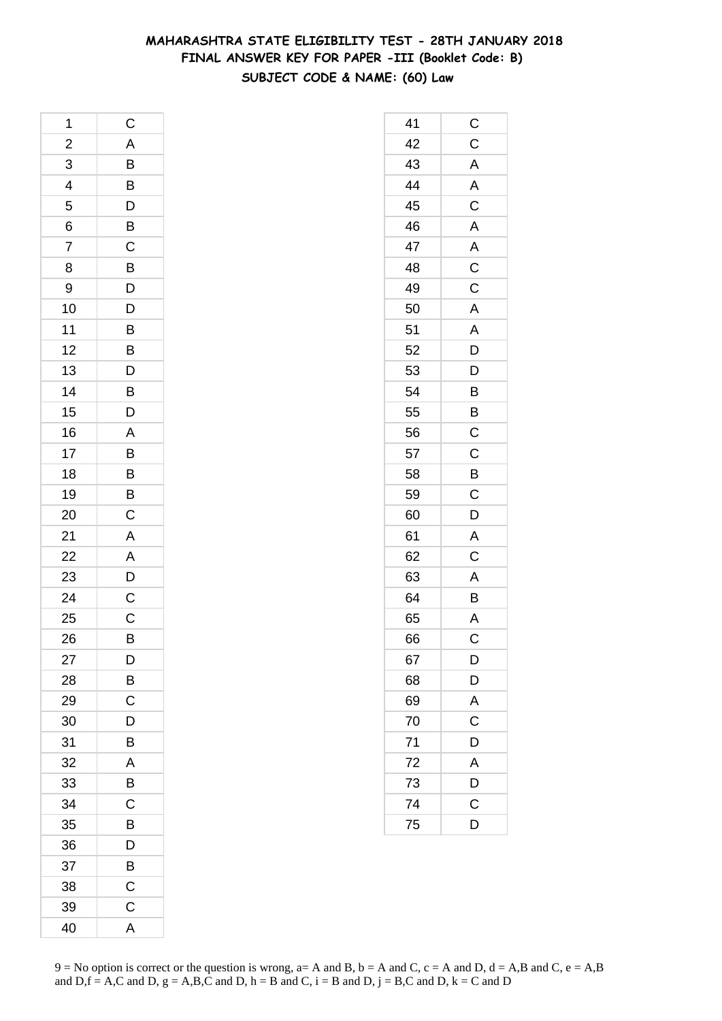# **MAHARASHTRA STATE ELIGIBILITY TEST - 28TH JANUARY 2018 FINAL ANSWER KEY FOR PAPER -III (Booklet Code: B) SUBJECT CODE & NAME: (60) Law**

| 1                       | C                                                  |
|-------------------------|----------------------------------------------------|
| $\overline{\mathbf{c}}$ |                                                    |
| $\overline{3}$          | A B B D B C                                        |
| $\overline{4}$          |                                                    |
| 5                       |                                                    |
| 6                       |                                                    |
| 7                       |                                                    |
| 8                       |                                                    |
| 9                       |                                                    |
| 10                      | BDDBBD                                             |
| 11                      |                                                    |
| 12                      |                                                    |
| 13                      |                                                    |
| 14                      |                                                    |
| 15                      | $\frac{B}{D}$                                      |
| 16                      | $\overline{A}$                                     |
| 17                      |                                                    |
| 18                      | $\overline{B}$                                     |
| 19                      |                                                    |
| 20                      | $\frac{B}{C}$                                      |
| 21                      | $\overline{A}$                                     |
| 22                      |                                                    |
| 23                      | $\overline{A}$<br>$\overline{D}$<br>$\overline{C}$ |
| 24                      |                                                    |
| 25                      | $\overline{C}$                                     |
| 26                      | B                                                  |
| 27                      | D                                                  |
| 28                      | $\overline{B}$                                     |
| 29                      | $\overline{C}$                                     |
| 30                      | D                                                  |
| 31                      | B                                                  |
| 32                      | Α                                                  |
| 33                      | B                                                  |
| 34                      | C                                                  |
| 35                      | B                                                  |
| 36                      | D                                                  |
| 37                      | B                                                  |
| 38                      | C                                                  |
| 39                      | $\mathsf C$                                        |
| 40                      | A                                                  |

| 41 | $\mathsf C$             |
|----|-------------------------|
| 42 | $\mathsf C$             |
| 43 | A                       |
| 44 | $\overline{\mathsf{A}}$ |
| 45 | $\mathsf C$             |
| 46 | $\overline{A}$          |
| 47 | A                       |
| 48 | $\mathsf C$             |
| 49 | $\mathsf C$             |
| 50 | $\mathsf{A}$            |
| 51 | A                       |
| 52 | D                       |
| 53 | D                       |
| 54 | B                       |
| 55 | B                       |
| 56 | $\mathsf C$             |
| 57 | $\mathsf C$             |
| 58 | B                       |
| 59 | $\mathsf{C}$            |
| 60 | D                       |
| 61 | A                       |
| 62 | $\mathsf C$             |
| 63 | A                       |
| 64 | B                       |
| 65 | A                       |
| 66 | C                       |
| 67 | D                       |
| 68 | D                       |
| 69 | $\overline{\mathsf{A}}$ |
| 70 | $\overline{\mathbf{C}}$ |
| 71 | D                       |
| 72 | A                       |
| 73 | D                       |
| 74 | $\mathsf{C}$            |
| 75 | D                       |
|    |                         |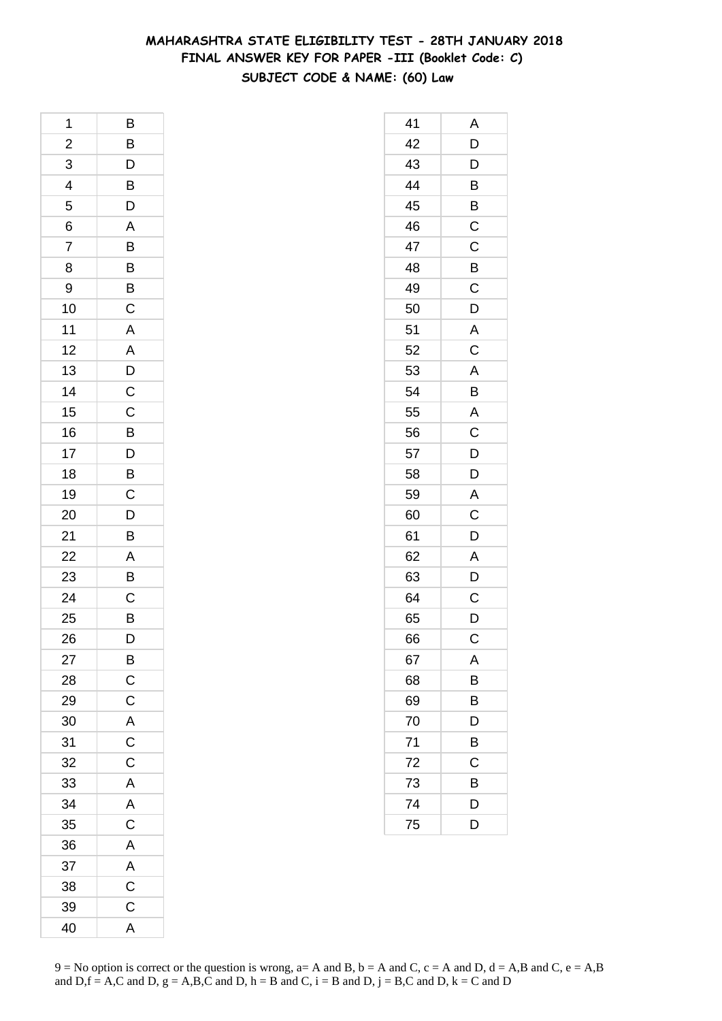# **MAHARASHTRA STATE ELIGIBILITY TEST - 28TH JANUARY 2018 FINAL ANSWER KEY FOR PAPER -III (Booklet Code: C) SUBJECT CODE & NAME: (60) Law**

| 1                       | Β                                |
|-------------------------|----------------------------------|
| $\overline{\mathbf{c}}$ |                                  |
| $\overline{3}$          | $\frac{B}{D}$                    |
| $\overline{a}$          | $\overline{B}$                   |
| 5                       | D                                |
| 6                       | A                                |
| 7                       |                                  |
| 8                       | $\overline{B}$<br>$\overline{B}$ |
| 9                       |                                  |
| 10                      | $\overline{C}$                   |
| 11                      | A                                |
| 12                      | A                                |
| 13                      | $\bar{D}$                        |
| 14                      | $\mathsf{C}$                     |
| 15                      |                                  |
| 16                      | $\frac{C}{B}$                    |
| 17                      |                                  |
| 18                      | $\frac{D}{B}$                    |
| 19                      | $\mathsf C$                      |
| 20                      | D                                |
| 21                      | B                                |
| 22                      | $\overline{A}$                   |
| 23                      | B                                |
| 24                      | $\mathsf C$                      |
| 25                      | B                                |
| 26                      | D                                |
| 27                      | B                                |
| 28                      | $\mathsf C$                      |
| 29                      | $\mathsf{C}$                     |
| 30                      | A                                |
| 31                      | C                                |
| 32                      | $\mathsf C$                      |
| 33                      | A                                |
| 34                      | A                                |
| 35                      | $\mathsf C$                      |
| 36                      | A                                |
| 37                      | A                                |
| 38                      | C                                |
| 39                      | $\mathsf C$                      |
| 40                      | A                                |

| 41 | Α                       |
|----|-------------------------|
| 42 | D                       |
| 43 | D                       |
| 44 | B                       |
| 45 | B                       |
| 46 | C                       |
| 47 | C                       |
| 48 | B                       |
| 49 | $\mathsf C$             |
| 50 | D                       |
| 51 | A                       |
| 52 | $\overline{C}$          |
| 53 | A                       |
| 54 | B                       |
| 55 | $\overline{\mathsf{A}}$ |
| 56 | $\mathsf C$             |
| 57 | D                       |
| 58 | D                       |
| 59 | A                       |
| 60 | C                       |
| 61 | D                       |
| 62 | A                       |
| 63 | D                       |
| 64 | C                       |
| 65 | D                       |
| 66 | C                       |
| 67 | A                       |
| 68 | B                       |
| 69 | $\overline{B}$          |
| 70 | D                       |
| 71 | B                       |
| 72 | С                       |
| 73 | B                       |
| 74 | D                       |
| 75 | D                       |
|    |                         |

 $9 = No$  option is correct or the question is wrong,  $a = A$  and B,  $b = A$  and C,  $c = A$  and D,  $d = A$ ,B and C,  $e = A$ ,B and  $D,f = A,C$  and  $D, g = A,B,C$  and  $D, h = B$  and  $C, i = B$  and  $D, j = B,C$  and  $D, k = C$  and  $D$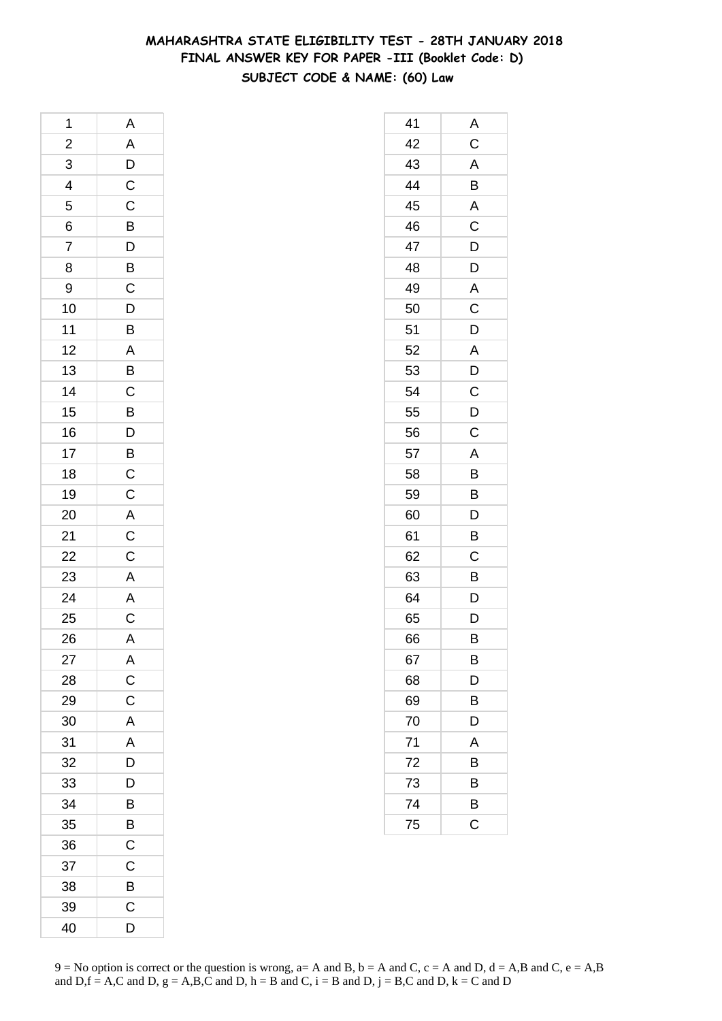# **MAHARASHTRA STATE ELIGIBILITY TEST - 28TH JANUARY 2018 FINAL ANSWER KEY FOR PAPER -III (Booklet Code: D) SUBJECT CODE & NAME: (60) Law**

| 1              |                                                   |
|----------------|---------------------------------------------------|
| $\overline{c}$ | A A D C C B D B C D B A B C B D B C C A C C A A C |
| $\frac{3}{4}$  |                                                   |
|                |                                                   |
| 5              |                                                   |
| $\frac{6}{7}$  |                                                   |
|                |                                                   |
| 8              |                                                   |
| 9              |                                                   |
| 10             |                                                   |
| 11             |                                                   |
| 12             |                                                   |
| 13             |                                                   |
| 14             |                                                   |
| 15             |                                                   |
| 16             |                                                   |
| 17             |                                                   |
| 18             |                                                   |
| 19             |                                                   |
| 20             |                                                   |
| 21             |                                                   |
| 22<br>23       |                                                   |
|                |                                                   |
| 24             |                                                   |
| 25             |                                                   |
| 26             | $\overline{\mathsf{A}}$                           |
| 27             | A                                                 |
| 28             | $\mathsf C$                                       |
| 29             | $\mathsf C$                                       |
| 30             | A                                                 |
| 31             | A                                                 |
| 32             | $\bar{D}$                                         |
| 33             | D                                                 |
| 34             | B                                                 |
| 35             | B                                                 |
| 36             | C                                                 |
| 37             | C                                                 |
| 38             | B                                                 |
| 39             | C                                                 |
| 40             | D                                                 |

| 41 | Α              |
|----|----------------|
| 42 | $\overline{C}$ |
| 43 | A              |
| 44 | B              |
| 45 | A              |
| 46 | C              |
| 47 | $\mathsf{D}$   |
| 48 | $\overline{D}$ |
| 49 | A              |
| 50 | C              |
| 51 | D              |
| 52 | A              |
| 53 | D              |
| 54 | $\mathsf{C}$   |
| 55 | $\overline{D}$ |
| 56 | $\mathsf C$    |
| 57 | A              |
| 58 | B              |
| 59 | B              |
| 60 | $\overline{D}$ |
| 61 | B              |
| 62 | C              |
| 63 | B              |
| 64 | D              |
| 65 | D              |
| 66 | B              |
| 67 | B              |
| 68 | D              |
| 69 | В              |
| 70 | D              |
| 71 | A              |
| 72 | В              |
| 73 | B              |
| 74 | B              |
| 75 | C              |
|    |                |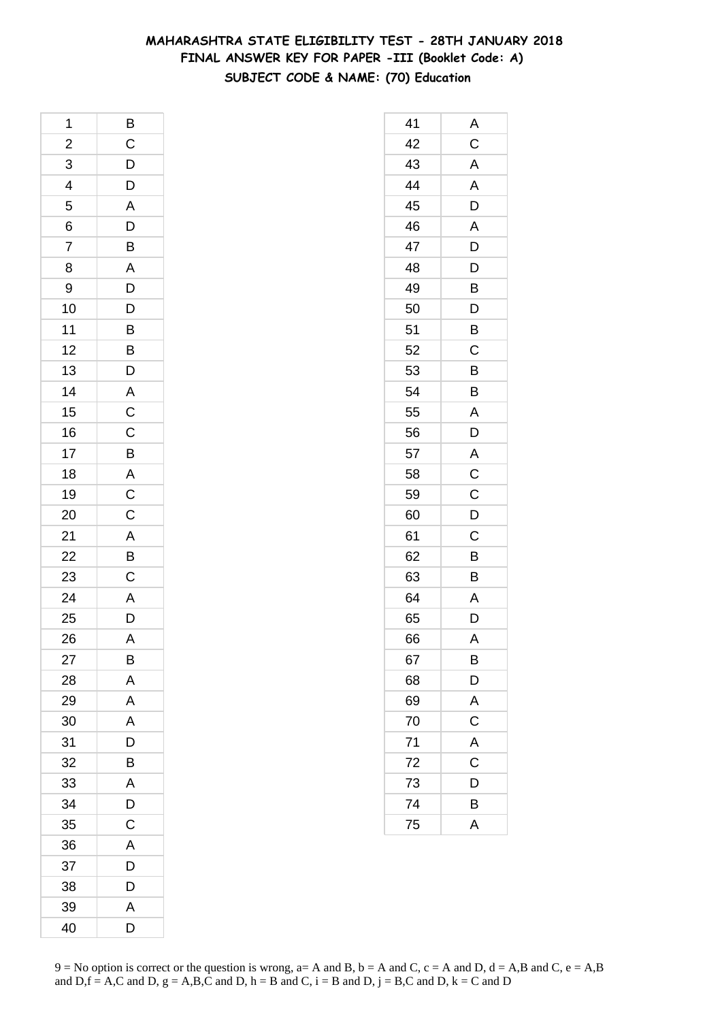# **MAHARASHTRA STATE ELIGIBILITY TEST - 28TH JANUARY 2018 FINAL ANSWER KEY FOR PAPER -III (Booklet Code: A) SUBJECT CODE & NAME: (70) Education**

| 1               | $\overline{B}$                                     |
|-----------------|----------------------------------------------------|
| $\overline{c}$  | $\overline{C}$<br>$\overline{D}$<br>$\overline{D}$ |
| 3               |                                                    |
| 4               |                                                    |
| 5               | $\overline{A}$                                     |
| 6               | $\overline{D}$<br>B                                |
| $\overline{7}$  |                                                    |
| 8               |                                                    |
| 9               |                                                    |
| 10              | A D D B B D A C C B                                |
| 11              |                                                    |
| 12              |                                                    |
| 13              |                                                    |
| 14              |                                                    |
| 15              |                                                    |
| 16              |                                                    |
| 17              |                                                    |
| 18              |                                                    |
| 19              |                                                    |
| 20              | A C C A B C                                        |
| 21              |                                                    |
| $\overline{22}$ |                                                    |
| 23              |                                                    |
| 24              | $rac{A}{D}$                                        |
| 25              |                                                    |
| 26              | A                                                  |
| 27              | B                                                  |
| 28              | A                                                  |
| 29              | A                                                  |
| 30              | A                                                  |
| 31              | D                                                  |
| 32              | B                                                  |
| 33              | A                                                  |
| 34              | D                                                  |
| 35              | $\mathsf C$                                        |
| 36              | A                                                  |
| 37              | D                                                  |
| 38              | D                                                  |
| 39              | A                                                  |
| 40              | D                                                  |

| 41 | A           |
|----|-------------|
| 42 | $\mathsf C$ |
| 43 | A           |
| 44 | A           |
| 45 | D           |
| 46 | A           |
| 47 | D           |
| 48 | D           |
| 49 | B           |
| 50 | D           |
| 51 | B           |
| 52 | C           |
| 53 | B           |
| 54 | B           |
| 55 | A           |
| 56 | D           |
| 57 | A           |
| 58 | $\mathsf C$ |
| 59 | $\mathsf C$ |
| 60 | D           |
| 61 | C           |
| 62 | B           |
| 63 | B           |
| 64 | A           |
| 65 | D           |
| 66 | A           |
| 67 | В           |
| 68 | D           |
| 69 | A           |
| 70 | $\mathsf C$ |
| 71 | A           |
| 72 | C           |
| 73 | D           |
| 74 | В           |
| 75 | A           |
|    |             |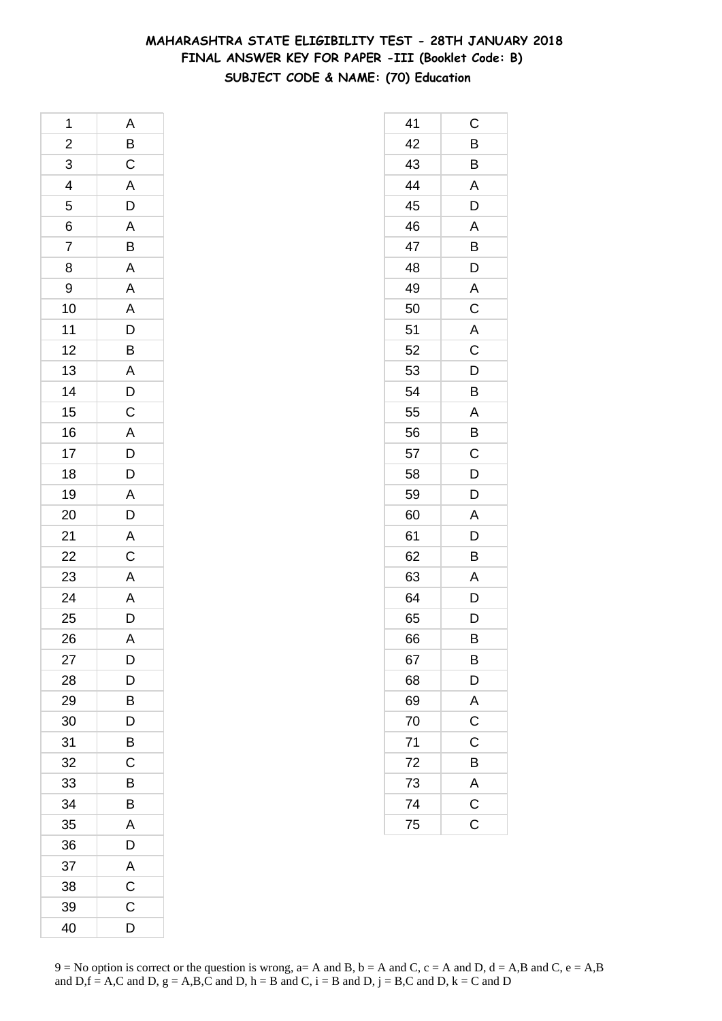# **MAHARASHTRA STATE ELIGIBILITY TEST - 28TH JANUARY 2018 FINAL ANSWER KEY FOR PAPER -III (Booklet Code: B) SUBJECT CODE & NAME: (70) Education**

| 1                                                 | A                       |
|---------------------------------------------------|-------------------------|
|                                                   |                         |
|                                                   |                         |
| $\begin{array}{c}\n2 \\ 3 \\ 4 \\ 5\n\end{array}$ | BCADABAAADB             |
|                                                   |                         |
|                                                   |                         |
| $\frac{6}{7}$                                     |                         |
| 8                                                 |                         |
| 9                                                 |                         |
| 10                                                |                         |
| 11                                                |                         |
| 12                                                |                         |
| 13                                                |                         |
| 14                                                | $A$ D C $A$ D D $D$     |
| 15                                                |                         |
| 16                                                |                         |
| 17                                                |                         |
| 18                                                |                         |
| 19                                                |                         |
| 20                                                |                         |
|                                                   |                         |
|                                                   |                         |
| $\frac{21}{22}$<br>$\frac{23}{24}$                |                         |
|                                                   | A D A C A A D           |
| $\overline{25}$                                   |                         |
| 26                                                | $\overline{\mathsf{A}}$ |
| 27                                                | D                       |
| 28                                                | D                       |
| 29                                                | B                       |
| 30                                                | D                       |
| 31                                                | B                       |
| 32                                                | С                       |
| 33                                                | B                       |
| 34                                                | B                       |
| 35                                                | A                       |
| 36                                                | D                       |
| 37                                                | Α                       |
| 38                                                | C                       |
| 39                                                | C                       |
| 40                                                | D                       |

| 41 | С                       |
|----|-------------------------|
| 42 | B                       |
| 43 | B                       |
| 44 | A                       |
| 45 | D                       |
| 46 | A                       |
| 47 | B                       |
| 48 | D                       |
| 49 | A                       |
| 50 | $\overline{C}$          |
| 51 | $\overline{A}$          |
| 52 | C                       |
| 53 | D                       |
| 54 | B                       |
| 55 | A                       |
| 56 | B                       |
| 57 | C                       |
| 58 | D                       |
| 59 | D                       |
| 60 | A                       |
| 61 | D                       |
| 62 | B                       |
| 63 | A                       |
| 64 | D                       |
| 65 | D                       |
| 66 | В                       |
| 67 | B                       |
| 68 | D                       |
| 69 | A                       |
| 70 | $\overline{\mathrm{c}}$ |
| 71 | C                       |
| 72 | B                       |
| 73 | A                       |
| 74 | $\overline{\mathrm{c}}$ |
| 75 | C                       |
|    |                         |

 $9 = No$  option is correct or the question is wrong,  $a = A$  and B,  $b = A$  and C,  $c = A$  and D,  $d = A$ ,B and C,  $e = A$ ,B and  $D,f = A,C$  and  $D, g = A,B,C$  and  $D, h = B$  and  $C, i = B$  and  $D, j = B,C$  and  $D, k = C$  and  $D$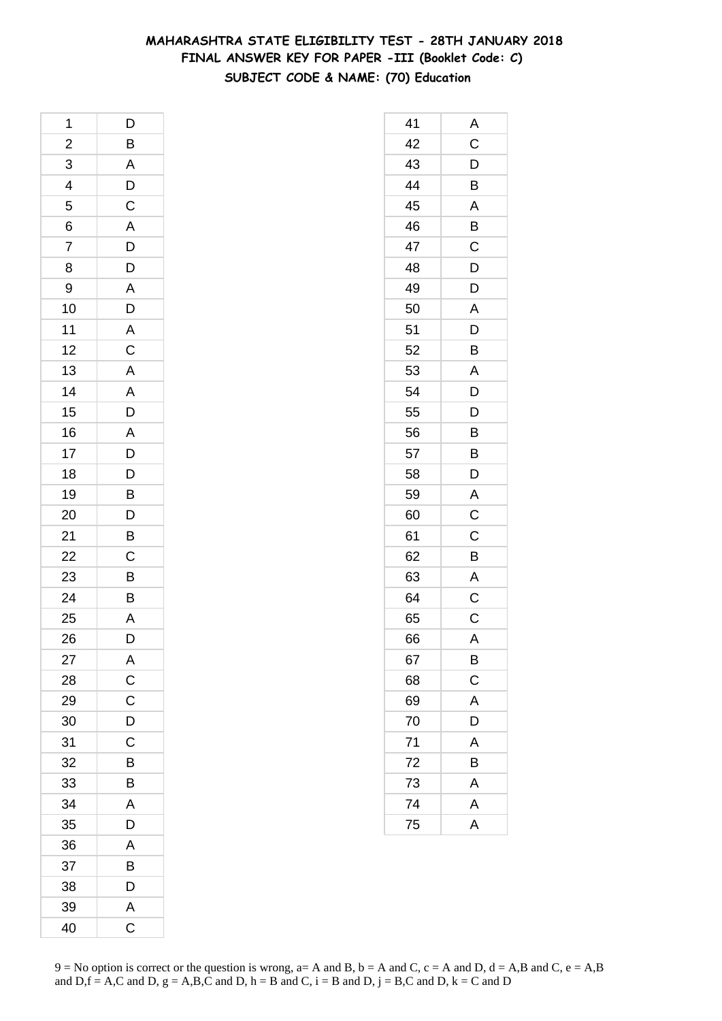# **MAHARASHTRA STATE ELIGIBILITY TEST - 28TH JANUARY 2018 FINAL ANSWER KEY FOR PAPER -III (Booklet Code: C) SUBJECT CODE & NAME: (70) Education**

| 1                       | D                       |
|-------------------------|-------------------------|
| $\overline{\mathbf{c}}$ | $\overline{B}$          |
| $\overline{3}$          |                         |
| $\overline{4}$          | A D C A D D A D A C     |
| 5                       |                         |
| 6                       |                         |
| 7                       |                         |
| 8                       |                         |
| 9                       |                         |
| 10                      |                         |
| 11                      |                         |
| 12                      |                         |
| 13                      | A A D A D D             |
| 14                      |                         |
| 15                      |                         |
| 16                      |                         |
| 17                      |                         |
| 18                      |                         |
| 19                      | B                       |
| 20                      | $\overline{D}$          |
| 21                      | $\overline{B}$          |
| 22                      |                         |
| 23                      | $\frac{C}{B}$           |
| 24                      | B                       |
| 25                      | A                       |
| 26                      | D                       |
| 27                      | A                       |
| 28                      |                         |
| 29                      | $\frac{c}{c}$           |
| 30                      | $\overline{D}$          |
| 31                      | C                       |
| 32                      | B                       |
| 33                      | B                       |
| 34                      | $\overline{\mathsf{A}}$ |
| 35                      | D                       |
| 36                      | A                       |
| 37                      | B                       |
| 38                      | D                       |
| 39                      | $\mathsf{A}$            |
| 40                      | $\overline{\mathrm{C}}$ |

| 41 | A                       |
|----|-------------------------|
| 42 | $\mathsf C$             |
| 43 | $\mathsf{D}$            |
| 44 | B                       |
| 45 | A                       |
| 46 | B                       |
| 47 | $\mathsf C$             |
| 48 | D                       |
| 49 | D                       |
| 50 | A                       |
| 51 | D                       |
| 52 | B                       |
| 53 | Α                       |
| 54 | D                       |
| 55 | D                       |
| 56 | B                       |
| 57 | B                       |
| 58 | D                       |
| 59 | A                       |
| 60 | C                       |
| 61 | $\overline{C}$          |
| 62 | B                       |
| 63 | A                       |
| 64 | C                       |
| 65 | $\overline{C}$          |
| 66 | A                       |
| 67 | B                       |
| 68 | $\mathsf C$             |
| 69 | A                       |
| 70 | D                       |
| 71 | A                       |
| 72 | Β                       |
| 73 | $\mathsf{A}$            |
| 74 | A                       |
| 75 | $\overline{\mathsf{A}}$ |
|    |                         |

 $9 = No$  option is correct or the question is wrong,  $a = A$  and B,  $b = A$  and C,  $c = A$  and D,  $d = A$ ,B and C,  $e = A$ ,B and  $D,f = A,C$  and  $D, g = A,B,C$  and  $D, h = B$  and  $C, i = B$  and  $D, j = B,C$  and  $D, k = C$  and  $D$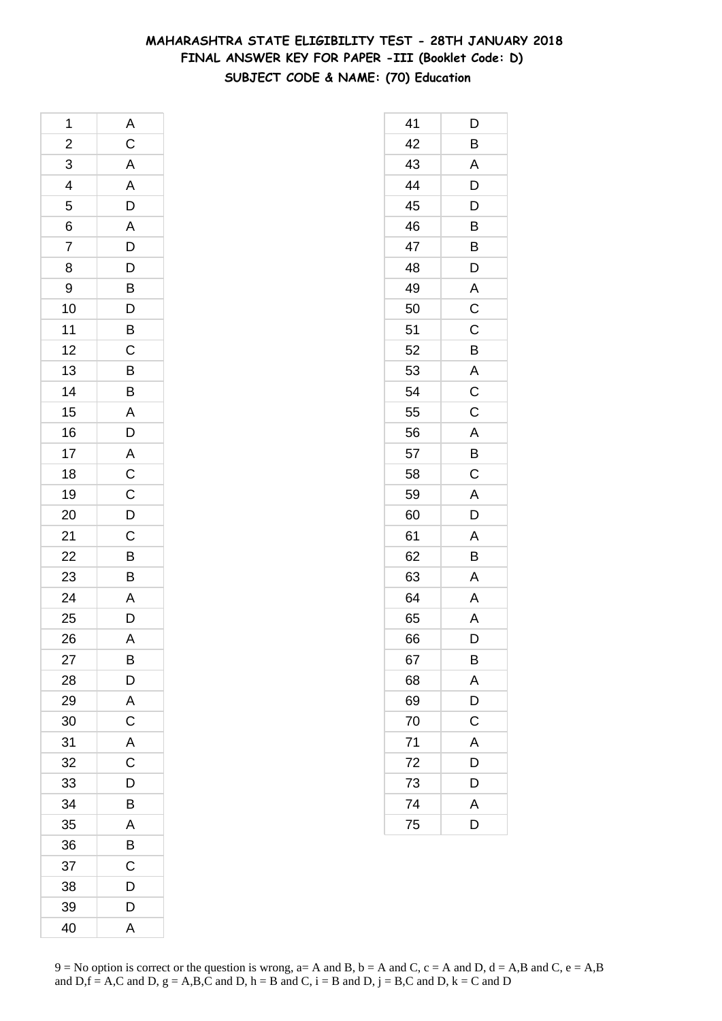# **MAHARASHTRA STATE ELIGIBILITY TEST - 28TH JANUARY 2018 FINAL ANSWER KEY FOR PAPER -III (Booklet Code: D) SUBJECT CODE & NAME: (70) Education**

| 1              |                                     |
|----------------|-------------------------------------|
| $\overline{c}$ | A C A A D                           |
| $\frac{3}{4}$  |                                     |
|                |                                     |
| 5              |                                     |
| 6              |                                     |
| $\overline{7}$ |                                     |
| 8              |                                     |
| 9              |                                     |
| 10             |                                     |
| 11             |                                     |
| 12             |                                     |
| 13             |                                     |
| 14             |                                     |
| 15             |                                     |
| 16             |                                     |
| 17             |                                     |
| 18             |                                     |
| 19             |                                     |
| 20             | A D D B D B C B B A D A C C D C B B |
| 21             |                                     |
| 22             |                                     |
| 23             |                                     |
| 24             |                                     |
| 25             | $\frac{A}{D}$                       |
| 26             | A                                   |
| 27             | B                                   |
| 28             | D                                   |
| 29             | A                                   |
| 30             | C                                   |
| 31             | A                                   |
| 32             | $\overline{C}$                      |
| 33             | D                                   |
| 34             | B                                   |
| 35             | A                                   |
| 36             | B                                   |
| 37             | C                                   |
| 38             | D                                   |
| 39             | D                                   |
| 40             | A                                   |

| 41 | D                       |
|----|-------------------------|
| 42 | B                       |
| 43 | A                       |
| 44 | D                       |
| 45 | D                       |
| 46 | B                       |
| 47 | B                       |
| 48 | D                       |
| 49 | A                       |
| 50 | $\overline{C}$          |
| 51 | C                       |
| 52 | B                       |
| 53 | $\overline{A}$          |
| 54 | $\mathsf C$             |
| 55 | C                       |
| 56 | A                       |
| 57 | B                       |
| 58 | C                       |
| 59 | A                       |
| 60 | D                       |
| 61 | A                       |
| 62 | B                       |
| 63 | A                       |
| 64 | A                       |
| 65 | $\overline{\mathsf{A}}$ |
| 66 | D                       |
| 67 | B                       |
| 68 | A                       |
| 69 | D                       |
| 70 | $\mathsf C$             |
| 71 | $\overline{A}$          |
| 72 | D                       |
| 73 | D                       |
| 74 | A                       |
| 75 | D                       |
|    |                         |

 $9 = No$  option is correct or the question is wrong,  $a = A$  and B,  $b = A$  and C,  $c = A$  and D,  $d = A$ ,B and C,  $e = A$ ,B and  $D,f = A,C$  and  $D, g = A,B,C$  and  $D, h = B$  and  $C, i = B$  and  $D, j = B,C$  and  $D, k = C$  and  $D$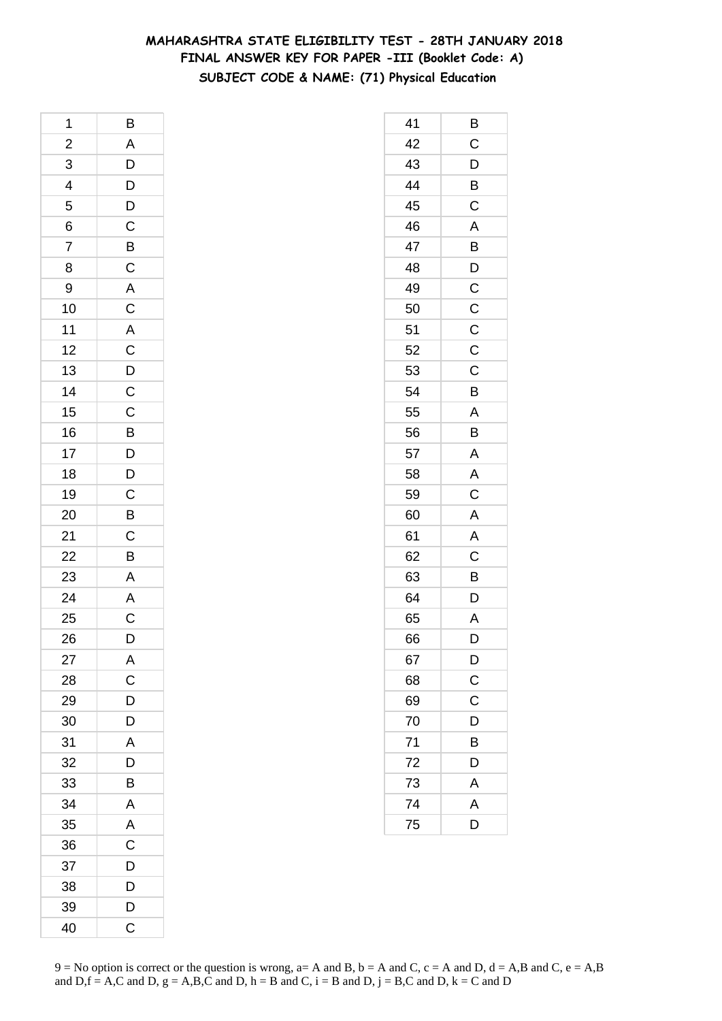# **MAHARASHTRA STATE ELIGIBILITY TEST - 28TH JANUARY 2018 FINAL ANSWER KEY FOR PAPER -III (Booklet Code: A) SUBJECT CODE & NAME: (71) Physical Education**

| 1                       | B                        |
|-------------------------|--------------------------|
| $\overline{\mathbf{c}}$ | $\overline{A}$           |
| 3                       |                          |
| $\overline{4}$          | $D$<br>$D$<br>$C$        |
| 5                       |                          |
| 6                       |                          |
| 7                       |                          |
| 8                       | $rac{B}{C}$              |
| 9                       |                          |
| 10                      | A C A C D C              |
| 11                      |                          |
| 12                      |                          |
| 13                      |                          |
| 14                      |                          |
| 15                      |                          |
| 16                      |                          |
| 17                      |                          |
| 18                      |                          |
| 19                      | C<br>B<br>D<br>D<br>C    |
| 20                      | $\overline{B}$           |
| 21                      |                          |
| 22                      | $\frac{C}{B}$            |
| 23                      | $\overline{A}$           |
| 24                      |                          |
| 25                      | $\frac{\overline{A}}{C}$ |
| 26                      | D                        |
| 27                      | A                        |
| 28                      | $\mathsf{C}$             |
| 29                      | $\overline{D}$           |
| 30                      | $\mathsf{D}$             |
| 31                      | $\overline{\mathsf{A}}$  |
| 32                      | D                        |
| 33                      | B                        |
| 34                      | A                        |
| 35                      | A                        |
| 36                      | $\overline{\mathrm{c}}$  |
| 37                      | D                        |
| 38                      | D                        |
| 39                      | D                        |
| 40                      | C                        |

| 41 | В              |
|----|----------------|
| 42 | $\mathsf C$    |
| 43 | $\mathsf{D}$   |
| 44 | $\overline{B}$ |
| 45 | $\mathsf C$    |
| 46 | A              |
| 47 | B              |
| 48 | D              |
| 49 | $\mathsf C$    |
| 50 | $\overline{C}$ |
| 51 | $\mathsf C$    |
| 52 | $\overline{C}$ |
| 53 | C              |
| 54 | B              |
| 55 | A              |
| 56 | B              |
| 57 | A              |
| 58 | A              |
| 59 | C              |
| 60 | A              |
| 61 | A              |
| 62 | $\mathsf C$    |
| 63 | B              |
| 64 | D              |
| 65 | Α              |
| 66 | D              |
| 67 | $\mathsf{D}$   |
| 68 | $\frac{C}{C}$  |
| 69 |                |
| 70 | D              |
| 71 | B              |
| 72 | D              |
| 73 | $\overline{A}$ |
| 74 | $\overline{A}$ |
| 75 | D              |
|    |                |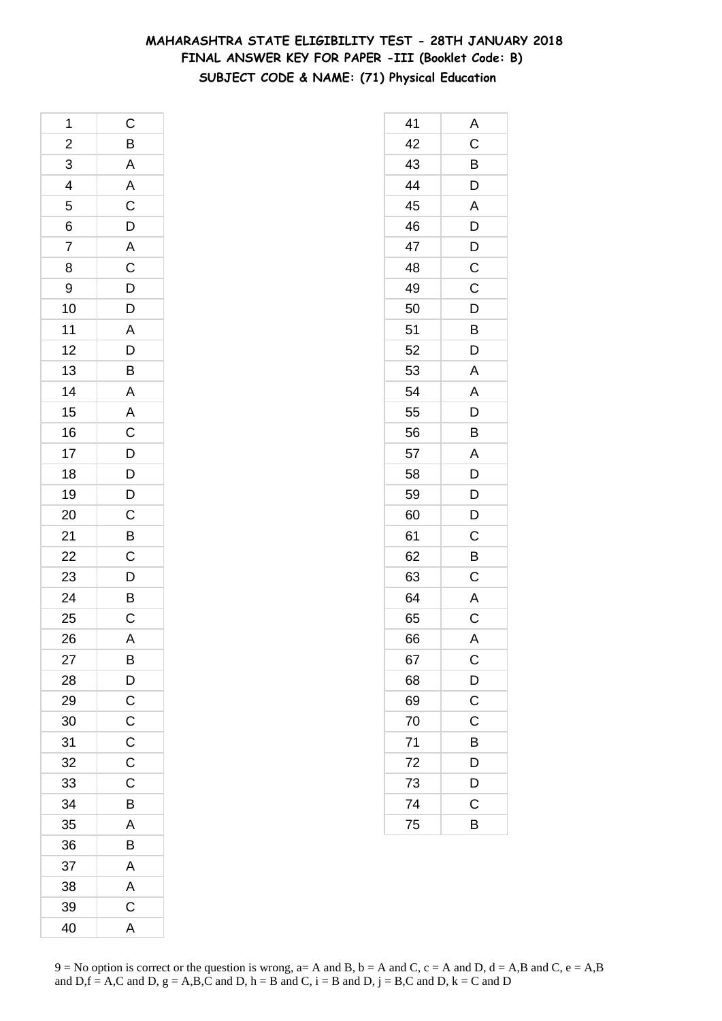# **MAHARASHTRA STATE ELIGIBILITY TEST - 28TH JANUARY 2018 FINAL ANSWER KEY FOR PAPER -III (Booklet Code: B) SUBJECT CODE & NAME: (71) Physical Education**

| 1               | C                                                  |
|-----------------|----------------------------------------------------|
|                 | $\overline{B}$                                     |
| $\frac{2}{3}$   | A A C D A C D D A D B                              |
| $\overline{4}$  |                                                    |
| 5               |                                                    |
| 6               |                                                    |
| 7               |                                                    |
| 8               |                                                    |
| 9               |                                                    |
| 10              |                                                    |
| 11              |                                                    |
| 12              |                                                    |
| 13              |                                                    |
| 14              |                                                    |
| 15              |                                                    |
| 16              |                                                    |
| 17              |                                                    |
| 18              | $\begin{array}{c}\nA \\ A \\ C\nD\nD\n\end{array}$ |
| 19              |                                                    |
| 20              | D C B C D B C                                      |
| 21              |                                                    |
| $\frac{22}{23}$ |                                                    |
|                 |                                                    |
| 24              |                                                    |
| 25              |                                                    |
| 26              | A                                                  |
| 27              | Β                                                  |
| 28              | $\overline{D}$                                     |
| 29              | $\overline{C}$                                     |
| 30              | $\mathsf C$                                        |
| 31              | $\mathsf C$                                        |
| 32              | $\mathsf C$                                        |
| 33              | C                                                  |
| 34              | B                                                  |
| 35              | A                                                  |
| 36              | B                                                  |
| 37              | Α                                                  |
| 38              | A                                                  |
| 39              | $\mathsf C$                                        |
| 40              | A                                                  |

| 41 | Α                     |
|----|-----------------------|
| 42 | C                     |
| 43 | B                     |
| 44 | D                     |
| 45 | A                     |
| 46 | D                     |
| 47 | D                     |
| 48 | C                     |
| 49 | C                     |
| 50 | $\mathsf{D}$          |
| 51 | B                     |
| 52 | D                     |
| 53 | A                     |
| 54 | A                     |
| 55 | D                     |
| 56 | B                     |
| 57 | A                     |
| 58 | D                     |
| 59 | D                     |
| 60 | D                     |
| 61 | C                     |
| 62 | B                     |
| 63 | C                     |
| 64 | A                     |
| 65 | $\overline{C}$        |
| 66 | A                     |
| 67 | $\mathsf{C}$          |
| 68 | $\mathsf{D}$          |
| 69 | $\overline{\text{c}}$ |
| 70 | $\mathsf C$           |
| 71 | B                     |
| 72 | D                     |
| 73 | D                     |
| 74 | $\mathsf C$           |
| 75 | B                     |
|    |                       |

 $9 = No$  option is correct or the question is wrong,  $a = A$  and B,  $b = A$  and C,  $c = A$  and D,  $d = A$ ,B and C,  $e = A$ ,B and  $D,f = A,C$  and  $D, g = A,B,C$  and  $D, h = B$  and  $C, i = B$  and  $D, j = B,C$  and  $D, k = C$  and  $D$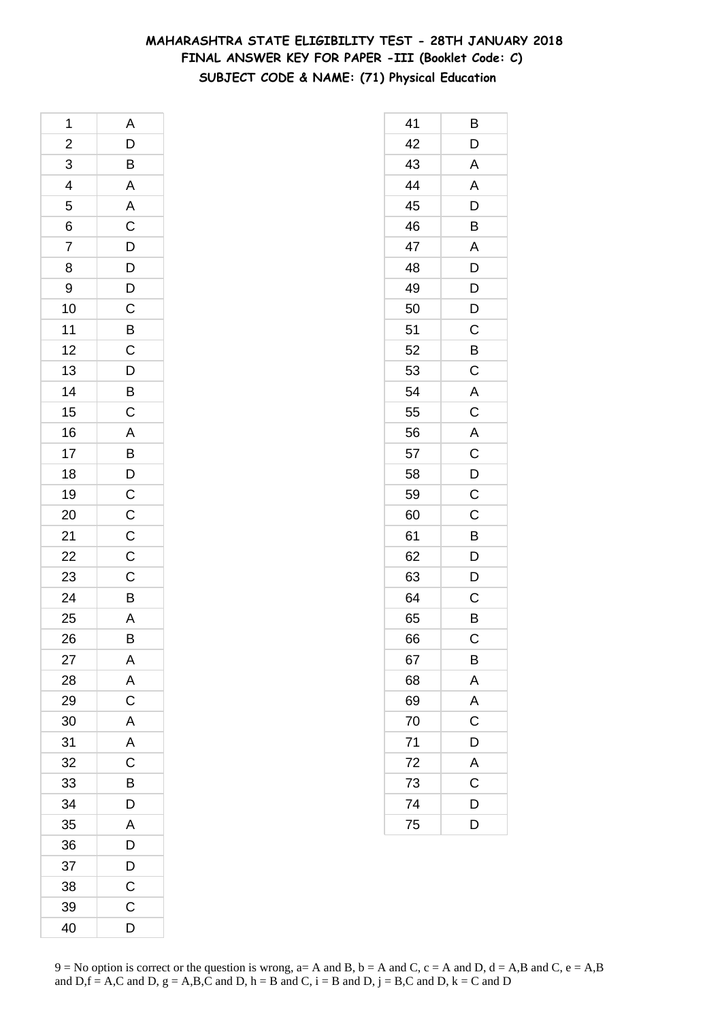# **MAHARASHTRA STATE ELIGIBILITY TEST - 28TH JANUARY 2018 FINAL ANSWER KEY FOR PAPER -III (Booklet Code: C) SUBJECT CODE & NAME: (71) Physical Education**

| 1              | A                     |
|----------------|-----------------------|
| $\overline{a}$ |                       |
| 3              | $\frac{D}{B}$         |
| $\overline{4}$ | $\overline{A}$        |
| 5              | $rac{A}{C}$           |
| 6              |                       |
| 7              |                       |
| 8              |                       |
| 9              |                       |
| 10             | DDDCBCDBC             |
| 11             |                       |
| 12             |                       |
| 13             |                       |
| 14             |                       |
| 15             |                       |
| 16             |                       |
| 17             |                       |
| 18             | A B D C C             |
| 19             |                       |
| 20             |                       |
| 21             |                       |
| 22             | $rac{C}{C}$           |
| 23             | $\overline{c}$        |
| 24             | B                     |
| 25             | A                     |
| 26             | B                     |
| 27             | A                     |
| 28             | A                     |
| 29             | $\overline{\text{c}}$ |
| 30             | A                     |
| 31             | A                     |
| 32             | C                     |
| 33             | B                     |
| 34             | D                     |
| 35             | A                     |
| 36             | D                     |
| 37             | D                     |
| 38             | C                     |
| 39             | C                     |
| 40             | D                     |

| 41 | Β                       |
|----|-------------------------|
| 42 | D                       |
| 43 | A                       |
| 44 | A                       |
| 45 | D                       |
| 46 | B                       |
| 47 | A                       |
| 48 | D                       |
| 49 | D                       |
| 50 | D                       |
| 51 | $\mathsf C$             |
| 52 | $\overline{B}$          |
| 53 | C                       |
| 54 | A                       |
| 55 | $\mathsf C$             |
| 56 | A                       |
| 57 | $\overline{C}$          |
| 58 | $\overline{D}$          |
| 59 | C                       |
| 60 | C                       |
| 61 | B                       |
| 62 | D                       |
| 63 | D                       |
| 64 | C                       |
| 65 | B                       |
| 66 | Ć                       |
| 67 | B                       |
| 68 | $\overline{A}$          |
| 69 | $\overline{A}$          |
| 70 | $\overline{\mathbf{C}}$ |
| 71 | D                       |
| 72 | A                       |
| 73 | C                       |
| 74 | D                       |
| 75 | D                       |
|    |                         |

 $9 = No$  option is correct or the question is wrong,  $a = A$  and B,  $b = A$  and C,  $c = A$  and D,  $d = A$ ,B and C,  $e = A$ ,B and  $D,f = A,C$  and  $D, g = A,B,C$  and  $D, h = B$  and  $C, i = B$  and  $D, j = B,C$  and  $D, k = C$  and  $D$